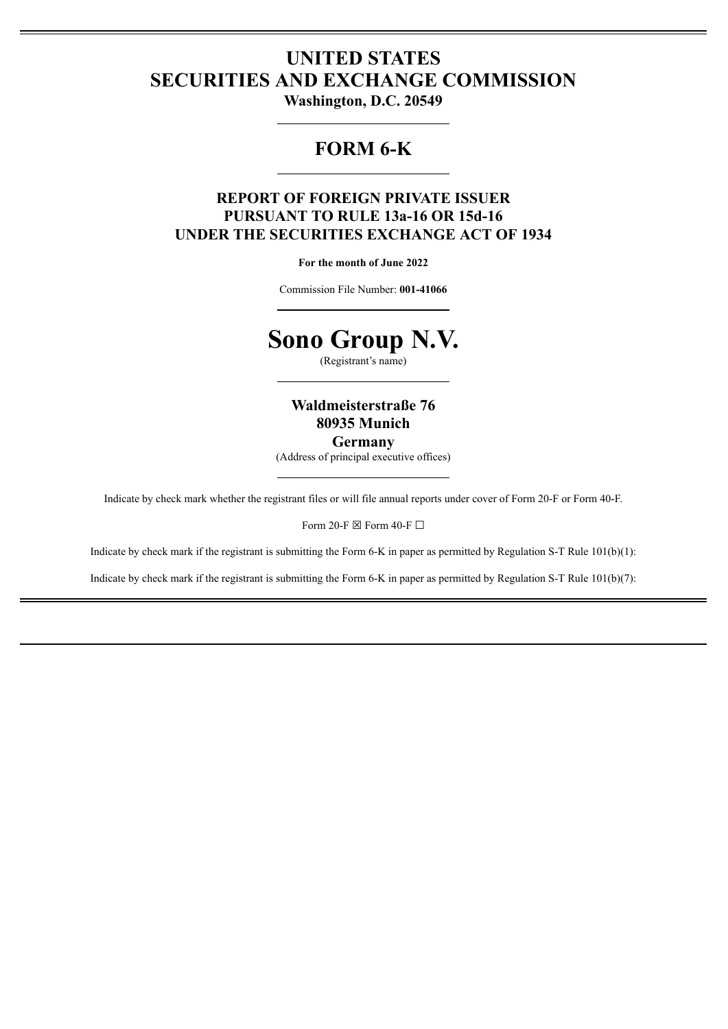# **UNITED STATES SECURITIES AND EXCHANGE COMMISSION**

**Washington, D.C. 20549**

## **FORM 6-K**

## **REPORT OF FOREIGN PRIVATE ISSUER PURSUANT TO RULE 13a-16 OR 15d-16 UNDER THE SECURITIES EXCHANGE ACT OF 1934**

**For the month of June 2022**

Commission File Number: **001-41066**



(Registrant's name)

**Waldmeisterstraße 76 80935 Munich Germany**

(Address of principal executive offices)

Indicate by check mark whether the registrant files or will file annual reports under cover of Form 20-F or Form 40-F.

Form 20-F  $\boxtimes$  Form 40-F  $\Box$ 

Indicate by check mark if the registrant is submitting the Form 6-K in paper as permitted by Regulation S-T Rule 101(b)(1):

Indicate by check mark if the registrant is submitting the Form 6-K in paper as permitted by Regulation S-T Rule 101(b)(7):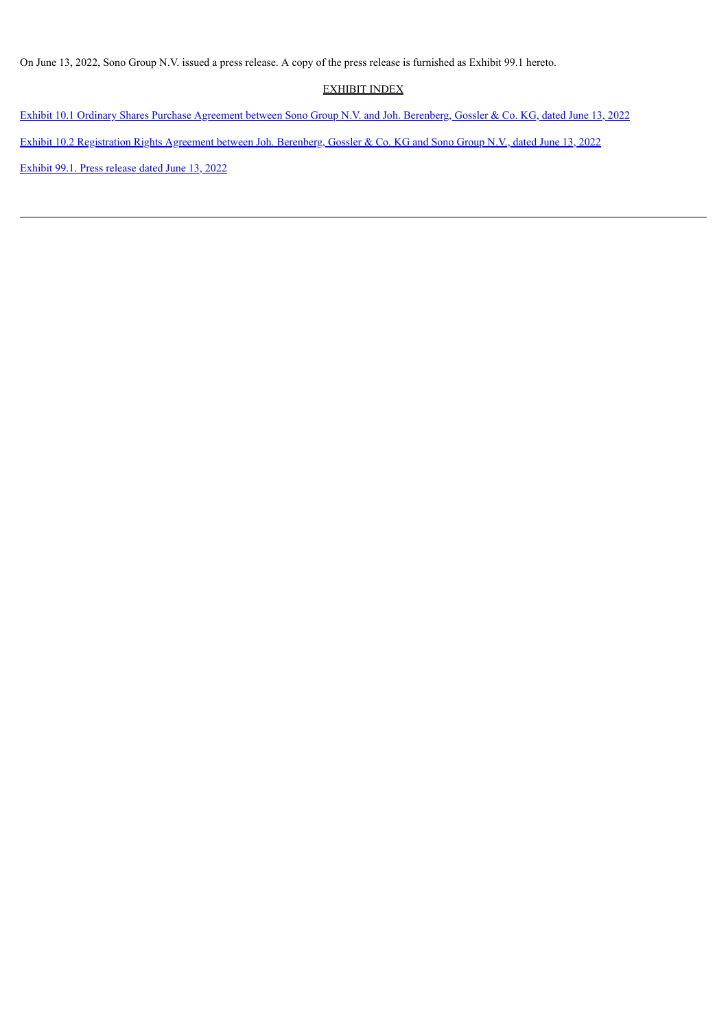On June 13, 2022, Sono Group N.V. issued a press release. A copy of the press release is furnished as Exhibit 99.1 hereto.

#### EXHIBIT INDEX

Exhibit 10.1 Ordinary Shares Purchase [Agreement](#page-3-0) between Sono Group N.V. and Joh. Berenberg, Gossler & Co. KG, dated June 13, 2022 Exhibit 10.2 [Registration](#page-76-0) Rights Agreement between Joh. Berenberg, Gossler & Co. KG and Sono Group N.V., dated June 13, 2022 [Exhibit](#page-99-0) 99.1. Press release dated June 13, 2022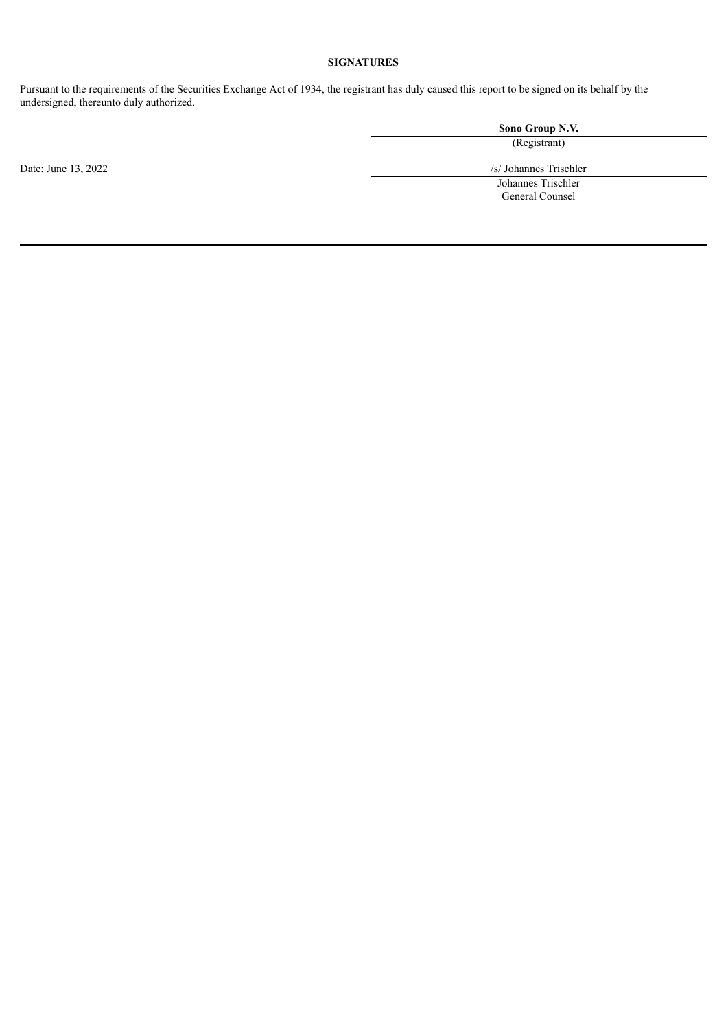#### **SIGNATURES**

Pursuant to the requirements of the Securities Exchange Act of 1934, the registrant has duly caused this report to be signed on its behalf by the undersigned, thereunto duly authorized.

> **Sono Group N.V.** (Registrant)

Date: June 13, 2022 /s/ Johannes Trischler Johannes Trischler

General Counsel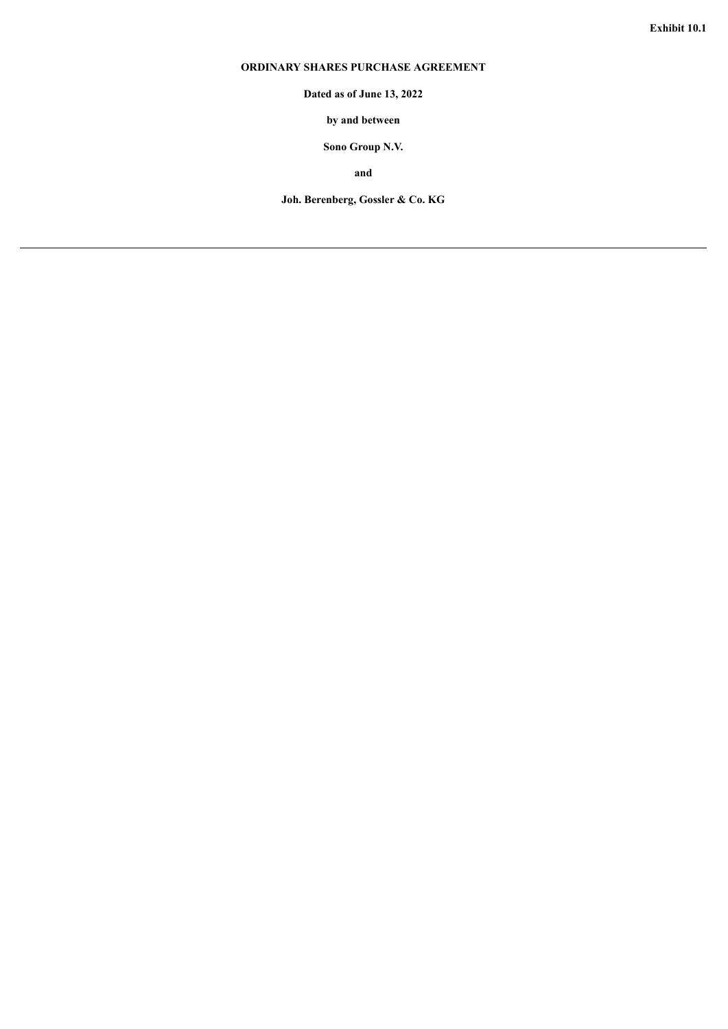## <span id="page-3-0"></span>**ORDINARY SHARES PURCHASE AGREEMENT**

**Dated as of June 13, 2022**

**by and between**

**Sono Group N.V.**

**and**

**Joh. Berenberg, Gossler & Co. KG**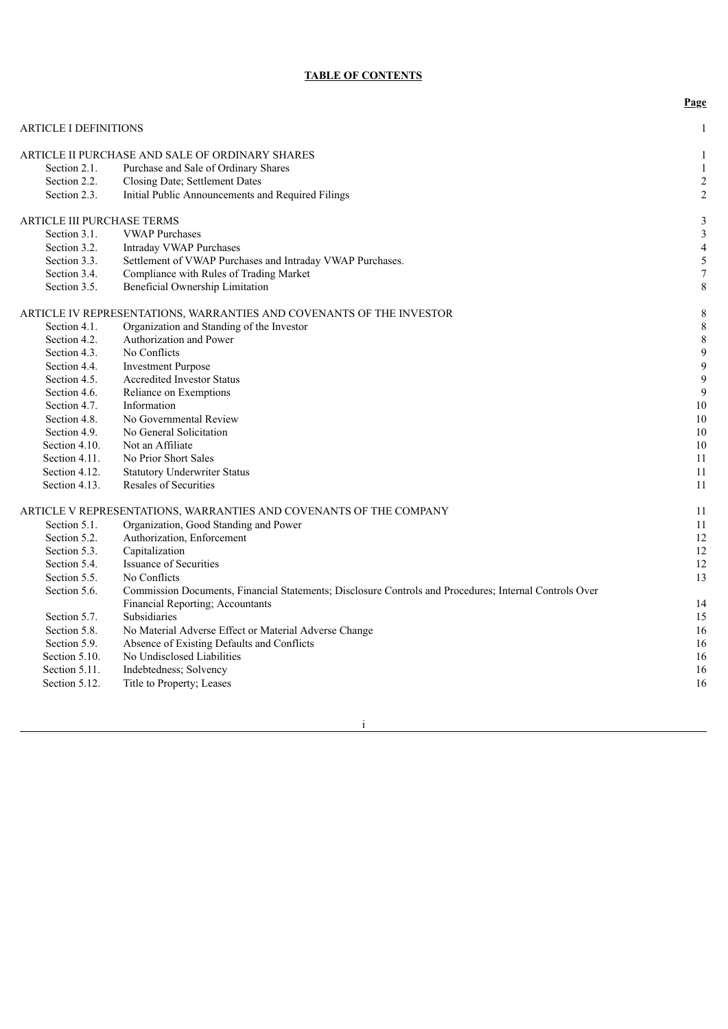### **TABLE OF CONTENTS**

|                                   |                                                                                                        | Page                    |
|-----------------------------------|--------------------------------------------------------------------------------------------------------|-------------------------|
| <b>ARTICLE I DEFINITIONS</b>      |                                                                                                        | 1                       |
|                                   | ARTICLE II PURCHASE AND SALE OF ORDINARY SHARES                                                        | 1                       |
| Section 2.1.                      | Purchase and Sale of Ordinary Shares                                                                   | $\mathbf{1}$            |
| Section 2.2.                      | Closing Date; Settlement Dates                                                                         | $\sqrt{2}$              |
| Section 2.3.                      | Initial Public Announcements and Required Filings                                                      | $\overline{2}$          |
| <b>ARTICLE III PURCHASE TERMS</b> |                                                                                                        | 3                       |
| Section 3.1.                      | <b>VWAP Purchases</b>                                                                                  | $\mathfrak{Z}$          |
| Section 3.2.                      | Intraday VWAP Purchases                                                                                | $\overline{\mathbf{4}}$ |
| Section 3.3.                      | Settlement of VWAP Purchases and Intraday VWAP Purchases.                                              | 5                       |
| Section 3.4.                      | Compliance with Rules of Trading Market                                                                | $\overline{7}$          |
| Section 3.5.                      | Beneficial Ownership Limitation                                                                        | 8                       |
|                                   | ARTICLE IV REPRESENTATIONS, WARRANTIES AND COVENANTS OF THE INVESTOR                                   | 8                       |
| Section 4.1.                      | Organization and Standing of the Investor                                                              | $\,$ 8 $\,$             |
| Section 4.2.                      | Authorization and Power                                                                                | $\,$ 8 $\,$             |
| Section 4.3.                      | No Conflicts                                                                                           | 9                       |
| Section 4.4.                      | <b>Investment Purpose</b>                                                                              | 9                       |
| Section 4.5.                      | Accredited Investor Status                                                                             | 9                       |
| Section 4.6.                      | Reliance on Exemptions                                                                                 | 9                       |
| Section 4.7.                      | Information                                                                                            | 10                      |
| Section 4.8.                      | No Governmental Review                                                                                 | 10                      |
| Section 4.9.                      | No General Solicitation                                                                                | 10                      |
| Section 4.10.                     | Not an Affiliate                                                                                       | 10                      |
| Section 4.11.                     | No Prior Short Sales                                                                                   | 11                      |
| Section 4.12.                     | <b>Statutory Underwriter Status</b>                                                                    | 11                      |
| Section 4.13.                     | Resales of Securities                                                                                  | 11                      |
|                                   | ARTICLE V REPRESENTATIONS, WARRANTIES AND COVENANTS OF THE COMPANY                                     | 11                      |
| Section 5.1.                      | Organization, Good Standing and Power                                                                  | 11                      |
| Section 5.2.                      | Authorization, Enforcement                                                                             | 12                      |
| Section 5.3.                      | Capitalization                                                                                         | 12                      |
| Section 5.4.                      | <b>Issuance of Securities</b>                                                                          | 12                      |
| Section 5.5.                      | No Conflicts                                                                                           | 13                      |
| Section 5.6.                      | Commission Documents, Financial Statements; Disclosure Controls and Procedures; Internal Controls Over |                         |
|                                   | Financial Reporting; Accountants                                                                       | 14                      |
| Section 5.7.                      | <b>Subsidiaries</b>                                                                                    | 15                      |
| Section 5.8.                      | No Material Adverse Effect or Material Adverse Change                                                  | 16                      |
| Section 5.9.                      | Absence of Existing Defaults and Conflicts                                                             | 16                      |
| Section 5.10.                     | No Undisclosed Liabilities                                                                             | 16                      |
| Section 5.11.                     | Indebtedness; Solvency                                                                                 | 16                      |
| Section 5.12.                     | Title to Property; Leases                                                                              | 16                      |
|                                   |                                                                                                        |                         |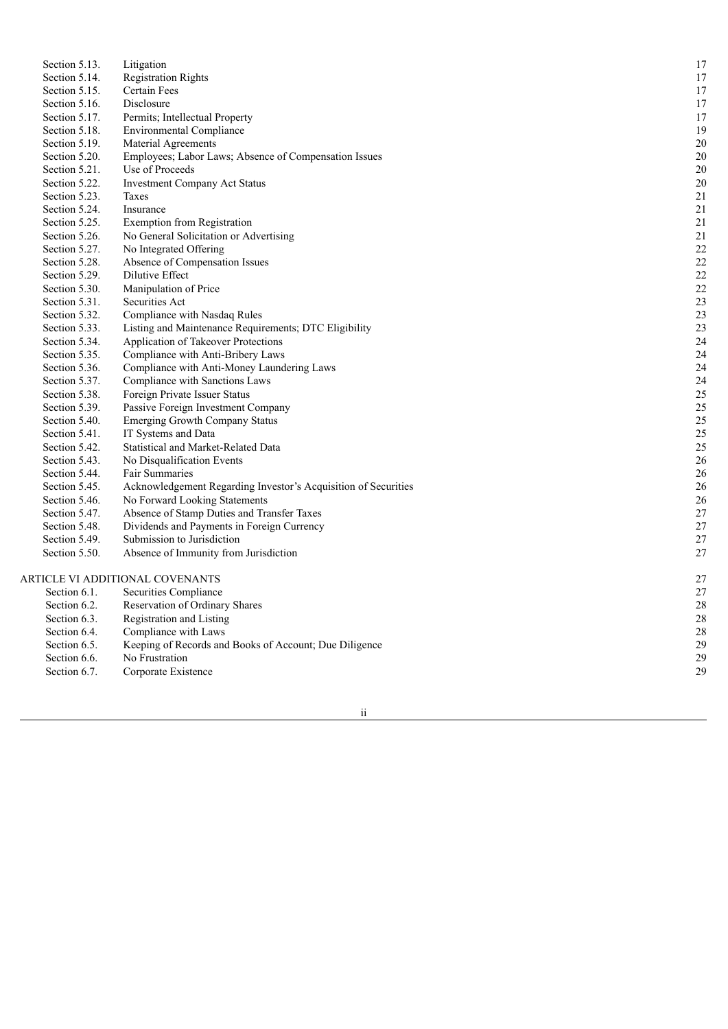| Section 5.13. | Litigation                                                     | 17     |
|---------------|----------------------------------------------------------------|--------|
| Section 5.14. | <b>Registration Rights</b>                                     | 17     |
| Section 5.15. | Certain Fees                                                   | 17     |
| Section 5.16. | Disclosure                                                     | 17     |
| Section 5.17. | Permits; Intellectual Property                                 | 17     |
| Section 5.18. | <b>Environmental Compliance</b>                                | 19     |
| Section 5.19. | Material Agreements                                            | 20     |
| Section 5.20. | Employees; Labor Laws; Absence of Compensation Issues          | 20     |
| Section 5.21. | Use of Proceeds                                                | 20     |
| Section 5.22. | <b>Investment Company Act Status</b>                           | 20     |
| Section 5.23. | Taxes                                                          | 21     |
| Section 5.24. | Insurance                                                      | 21     |
| Section 5.25. | <b>Exemption from Registration</b>                             | 21     |
| Section 5.26. | No General Solicitation or Advertising                         | 21     |
| Section 5.27. | No Integrated Offering                                         | 22     |
| Section 5.28. | Absence of Compensation Issues                                 | 22     |
| Section 5.29. | Dilutive Effect                                                | 22     |
| Section 5.30. | Manipulation of Price                                          | 22     |
| Section 5.31. | Securities Act                                                 | 23     |
| Section 5.32. | Compliance with Nasdaq Rules                                   | 23     |
| Section 5.33. | Listing and Maintenance Requirements; DTC Eligibility          | 23     |
| Section 5.34. | Application of Takeover Protections                            | 24     |
| Section 5.35. | Compliance with Anti-Bribery Laws                              | 24     |
| Section 5.36. | Compliance with Anti-Money Laundering Laws                     | 24     |
| Section 5.37. | Compliance with Sanctions Laws                                 | 24     |
| Section 5.38. | Foreign Private Issuer Status                                  | 25     |
| Section 5.39. | Passive Foreign Investment Company                             | 25     |
| Section 5.40. | <b>Emerging Growth Company Status</b>                          | 25     |
| Section 5.41. | IT Systems and Data                                            | 25     |
| Section 5.42. | Statistical and Market-Related Data                            | 25     |
| Section 5.43. | No Disqualification Events                                     | 26     |
| Section 5.44. | Fair Summaries                                                 | 26     |
| Section 5.45. | Acknowledgement Regarding Investor's Acquisition of Securities | 26     |
| Section 5.46. | No Forward Looking Statements                                  | 26     |
| Section 5.47. | Absence of Stamp Duties and Transfer Taxes                     | $27\,$ |
| Section 5.48. | Dividends and Payments in Foreign Currency                     | 27     |
| Section 5.49. | Submission to Jurisdiction                                     | 27     |
| Section 5.50. | Absence of Immunity from Jurisdiction                          | 27     |
|               | ARTICLE VI ADDITIONAL COVENANTS                                | 27     |
| Section 6.1.  | Securities Compliance                                          | 27     |
| Section 6.2.  | Reservation of Ordinary Shares                                 | 28     |
| Section 6.3.  | Registration and Listing                                       | 28     |
| Section 6.4.  | Compliance with Laws                                           | 28     |
| Section 6.5.  | Keeping of Records and Books of Account; Due Diligence         | 29     |
| Section 6.6.  | No Frustration                                                 | 29     |
| Section 6.7.  | Corporate Existence                                            | 29     |

i i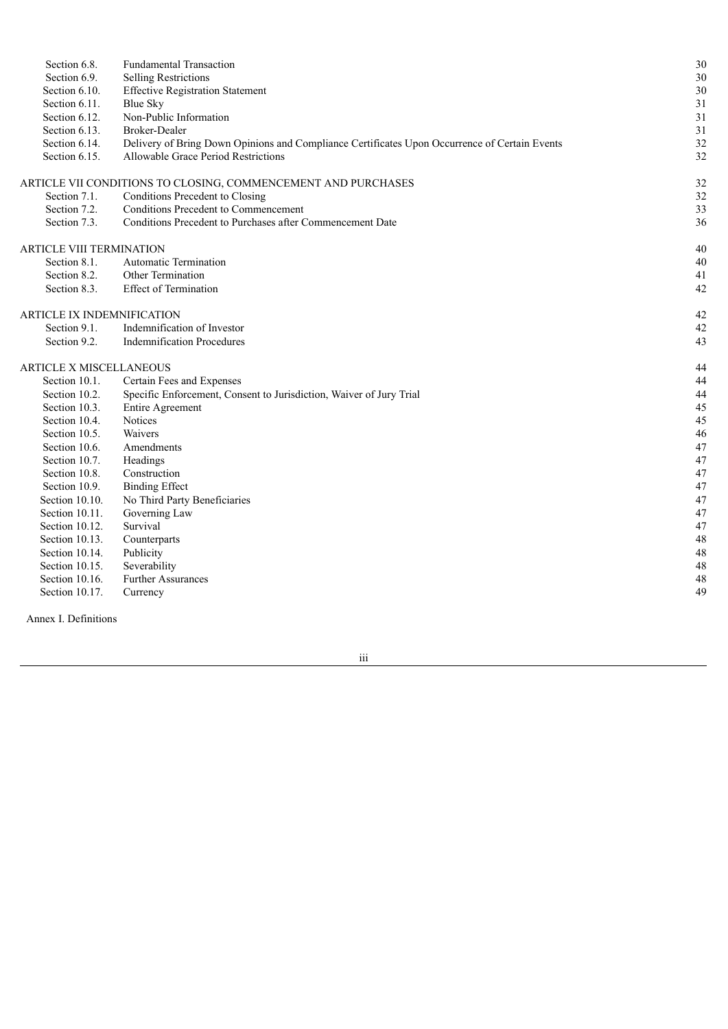| Section 6.8.                      | <b>Fundamental Transaction</b>                                                                | 30 |
|-----------------------------------|-----------------------------------------------------------------------------------------------|----|
| Section 6.9.                      | <b>Selling Restrictions</b>                                                                   | 30 |
| Section 6.10.                     | <b>Effective Registration Statement</b>                                                       | 30 |
| Section 6.11.                     | <b>Blue Sky</b>                                                                               | 31 |
| Section 6.12.                     | Non-Public Information                                                                        | 31 |
| Section 6.13.                     | Broker-Dealer                                                                                 | 31 |
| Section 6.14.                     | Delivery of Bring Down Opinions and Compliance Certificates Upon Occurrence of Certain Events | 32 |
| Section 6.15.                     | Allowable Grace Period Restrictions                                                           | 32 |
|                                   | ARTICLE VII CONDITIONS TO CLOSING, COMMENCEMENT AND PURCHASES                                 | 32 |
| Section 7.1.                      | Conditions Precedent to Closing                                                               | 32 |
| Section 7.2.                      | Conditions Precedent to Commencement                                                          | 33 |
| Section 7.3.                      | Conditions Precedent to Purchases after Commencement Date                                     | 36 |
| <b>ARTICLE VIII TERMINATION</b>   |                                                                                               | 40 |
| Section 8.1.                      | <b>Automatic Termination</b>                                                                  | 40 |
| Section 8.2.                      | Other Termination                                                                             | 41 |
| Section 8.3.                      | <b>Effect of Termination</b>                                                                  | 42 |
| <b>ARTICLE IX INDEMNIFICATION</b> |                                                                                               | 42 |
| Section 9.1.                      | Indemnification of Investor                                                                   | 42 |
| Section 9.2.                      | <b>Indemnification Procedures</b>                                                             | 43 |
| ARTICLE X MISCELLANEOUS           |                                                                                               | 44 |
| Section 10.1.                     | Certain Fees and Expenses                                                                     | 44 |
| Section 10.2.                     | Specific Enforcement, Consent to Jurisdiction, Waiver of Jury Trial                           | 44 |
| Section 10.3.                     | <b>Entire Agreement</b>                                                                       | 45 |
| Section 10.4.                     | Notices                                                                                       | 45 |
| Section 10.5.                     | Waivers                                                                                       | 46 |
| Section 10.6.                     | Amendments                                                                                    | 47 |
| Section 10.7.                     | Headings                                                                                      | 47 |
| Section 10.8.                     | Construction                                                                                  | 47 |
| Section 10.9.                     | <b>Binding Effect</b>                                                                         | 47 |
| Section 10.10.                    | No Third Party Beneficiaries                                                                  | 47 |
| Section 10.11.                    | Governing Law                                                                                 | 47 |
| Section 10.12.                    | Survival                                                                                      | 47 |
| Section 10.13.                    | Counterparts                                                                                  | 48 |
| Section 10.14.                    | Publicity                                                                                     | 48 |
| Section 10.15.                    | Severability                                                                                  | 48 |
| Section 10.16.                    | <b>Further Assurances</b>                                                                     | 48 |
| Section 10.17.                    | Currency                                                                                      | 49 |
|                                   |                                                                                               |    |

Annex I. Definitions

iii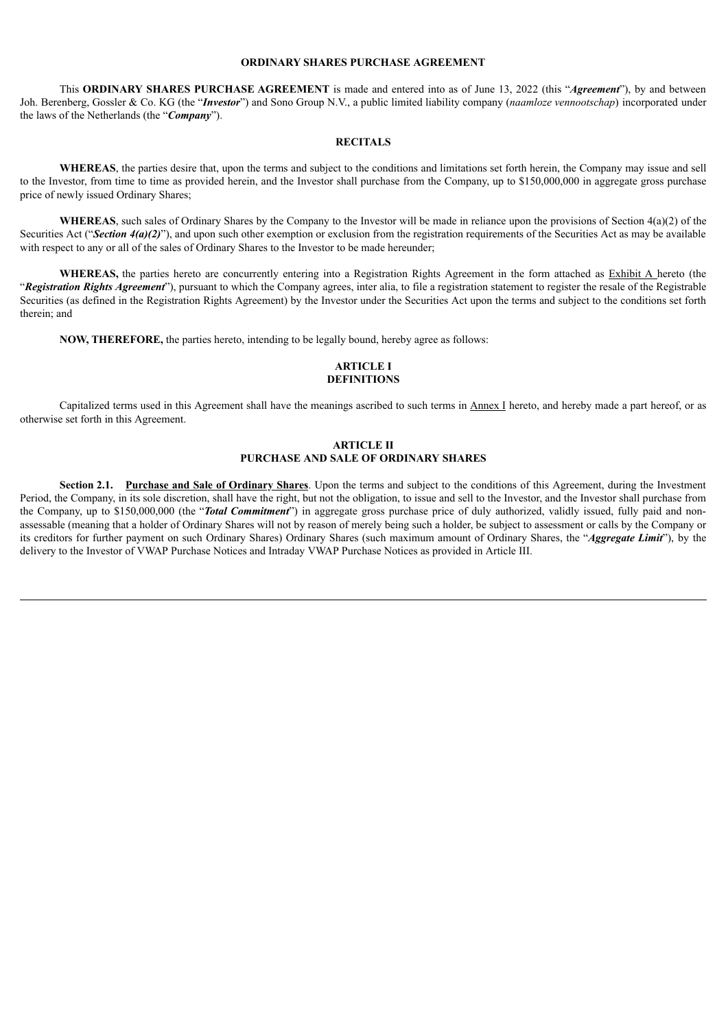#### **ORDINARY SHARES PURCHASE AGREEMENT**

This **ORDINARY SHARES PURCHASE AGREEMENT** is made and entered into as of June 13, 2022 (this "*Agreement*"), by and between Joh. Berenberg, Gossler & Co. KG (the "*Investor*") and Sono Group N.V., a public limited liability company (*naamloze vennootschap*) incorporated under the laws of the Netherlands (the "*Company*").

#### **RECITALS**

**WHEREAS**, the parties desire that, upon the terms and subject to the conditions and limitations set forth herein, the Company may issue and sell to the Investor, from time to time as provided herein, and the Investor shall purchase from the Company, up to \$150,000,000 in aggregate gross purchase price of newly issued Ordinary Shares;

**WHEREAS**, such sales of Ordinary Shares by the Company to the Investor will be made in reliance upon the provisions of Section 4(a)(2) of the Securities Act ("Section  $4(a)(2)$ "), and upon such other exemption or exclusion from the registration requirements of the Securities Act as may be available with respect to any or all of the sales of Ordinary Shares to the Investor to be made hereunder;

WHEREAS, the parties hereto are concurrently entering into a Registration Rights Agreement in the form attached as **Exhibit A** hereto (the "*Registration Rights Agreement*"), pursuant to which the Company agrees, inter alia, to file a registration statement to register the resale of the Registrable Securities (as defined in the Registration Rights Agreement) by the Investor under the Securities Act upon the terms and subject to the conditions set forth therein; and

**NOW, THEREFORE,** the parties hereto, intending to be legally bound, hereby agree as follows:

#### **ARTICLE I DEFINITIONS**

Capitalized terms used in this Agreement shall have the meanings ascribed to such terms in Annex I hereto, and hereby made a part hereof, or as otherwise set forth in this Agreement.

#### **ARTICLE II PURCHASE AND SALE OF ORDINARY SHARES**

**Section 2.1. Purchase and Sale of Ordinary Shares**. Upon the terms and subject to the conditions of this Agreement, during the Investment Period, the Company, in its sole discretion, shall have the right, but not the obligation, to issue and sell to the Investor, and the Investor shall purchase from the Company, up to \$150,000,000 (the "*Total Commitment*") in aggregate gross purchase price of duly authorized, validly issued, fully paid and nonassessable (meaning that a holder of Ordinary Shares will not by reason of merely being such a holder, be subject to assessment or calls by the Company or its creditors for further payment on such Ordinary Shares) Ordinary Shares (such maximum amount of Ordinary Shares, the "*Aggregate Limit*"), by the delivery to the Investor of VWAP Purchase Notices and Intraday VWAP Purchase Notices as provided in Article III.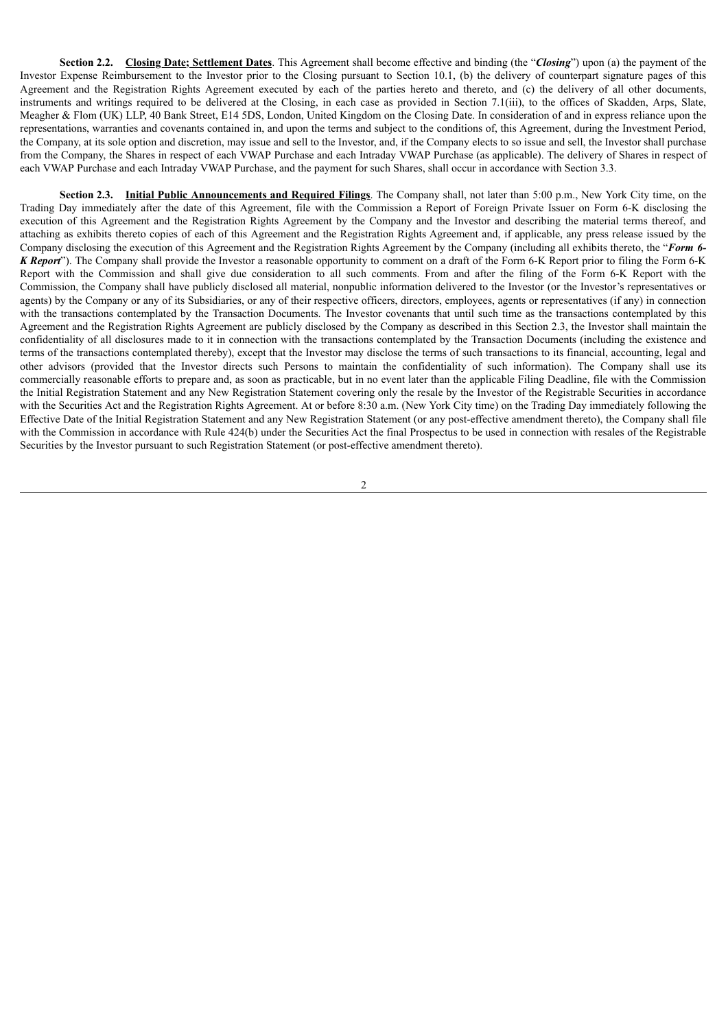**Section 2.2. Closing Date; Settlement Dates**. This Agreement shall become effective and binding (the "*Closing*") upon (a) the payment of the Investor Expense Reimbursement to the Investor prior to the Closing pursuant to Section 10.1, (b) the delivery of counterpart signature pages of this Agreement and the Registration Rights Agreement executed by each of the parties hereto and thereto, and (c) the delivery of all other documents, instruments and writings required to be delivered at the Closing, in each case as provided in Section 7.1(iii), to the offices of Skadden, Arps, Slate, Meagher & Flom (UK) LLP, 40 Bank Street, E14 5DS, London, United Kingdom on the Closing Date. In consideration of and in express reliance upon the representations, warranties and covenants contained in, and upon the terms and subject to the conditions of, this Agreement, during the Investment Period, the Company, at its sole option and discretion, may issue and sell to the Investor, and, if the Company elects to so issue and sell, the Investor shall purchase from the Company, the Shares in respect of each VWAP Purchase and each Intraday VWAP Purchase (as applicable). The delivery of Shares in respect of each VWAP Purchase and each Intraday VWAP Purchase, and the payment for such Shares, shall occur in accordance with Section 3.3.

**Section 2.3. Initial Public Announcements and Required Filings**. The Company shall, not later than 5:00 p.m., New York City time, on the Trading Day immediately after the date of this Agreement, file with the Commission a Report of Foreign Private Issuer on Form 6-K disclosing the execution of this Agreement and the Registration Rights Agreement by the Company and the Investor and describing the material terms thereof, and attaching as exhibits thereto copies of each of this Agreement and the Registration Rights Agreement and, if applicable, any press release issued by the Company disclosing the execution of this Agreement and the Registration Rights Agreement by the Company (including all exhibits thereto, the "*Form 6- K Report*"). The Company shall provide the Investor a reasonable opportunity to comment on a draft of the Form 6-K Report prior to filing the Form 6-K Report with the Commission and shall give due consideration to all such comments. From and after the filing of the Form 6-K Report with the Commission, the Company shall have publicly disclosed all material, nonpublic information delivered to the Investor (or the Investor's representatives or agents) by the Company or any of its Subsidiaries, or any of their respective officers, directors, employees, agents or representatives (if any) in connection with the transactions contemplated by the Transaction Documents. The Investor covenants that until such time as the transactions contemplated by this Agreement and the Registration Rights Agreement are publicly disclosed by the Company as described in this Section 2.3, the Investor shall maintain the confidentiality of all disclosures made to it in connection with the transactions contemplated by the Transaction Documents (including the existence and terms of the transactions contemplated thereby), except that the Investor may disclose the terms of such transactions to its financial, accounting, legal and other advisors (provided that the Investor directs such Persons to maintain the confidentiality of such information). The Company shall use its commercially reasonable efforts to prepare and, as soon as practicable, but in no event later than the applicable Filing Deadline, file with the Commission the Initial Registration Statement and any New Registration Statement covering only the resale by the Investor of the Registrable Securities in accordance with the Securities Act and the Registration Rights Agreement. At or before 8:30 a.m. (New York City time) on the Trading Day immediately following the Effective Date of the Initial Registration Statement and any New Registration Statement (or any post-effective amendment thereto), the Company shall file with the Commission in accordance with Rule 424(b) under the Securities Act the final Prospectus to be used in connection with resales of the Registrable Securities by the Investor pursuant to such Registration Statement (or post-effective amendment thereto).

 $\overline{2}$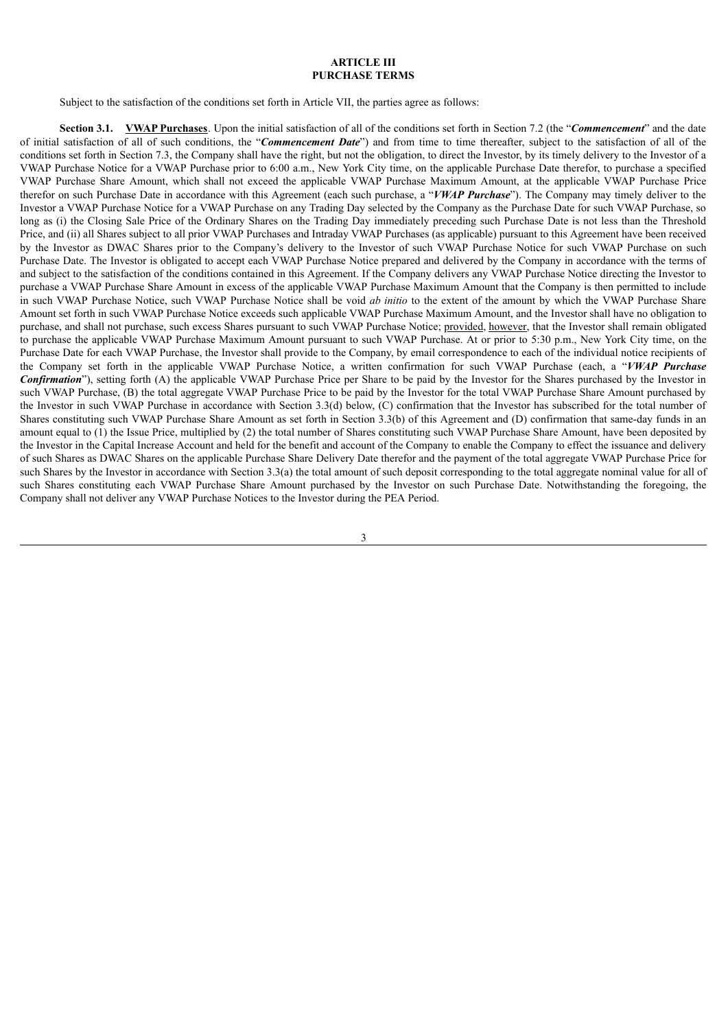#### **ARTICLE III PURCHASE TERMS**

Subject to the satisfaction of the conditions set forth in Article VII, the parties agree as follows:

**Section 3.1. VWAP Purchases**. Upon the initial satisfaction of all of the conditions set forth in Section 7.2 (the "*Commencement*" and the date of initial satisfaction of all of such conditions, the "*Commencement Date*") and from time to time thereafter, subject to the satisfaction of all of the conditions set forth in Section 7.3, the Company shall have the right, but not the obligation, to direct the Investor, by its timely delivery to the Investor of a VWAP Purchase Notice for a VWAP Purchase prior to 6:00 a.m., New York City time, on the applicable Purchase Date therefor, to purchase a specified VWAP Purchase Share Amount, which shall not exceed the applicable VWAP Purchase Maximum Amount, at the applicable VWAP Purchase Price therefor on such Purchase Date in accordance with this Agreement (each such purchase, a "*VWAP Purchase*"). The Company may timely deliver to the Investor a VWAP Purchase Notice for a VWAP Purchase on any Trading Day selected by the Company as the Purchase Date for such VWAP Purchase, so long as (i) the Closing Sale Price of the Ordinary Shares on the Trading Day immediately preceding such Purchase Date is not less than the Threshold Price, and (ii) all Shares subject to all prior VWAP Purchases and Intraday VWAP Purchases (as applicable) pursuant to this Agreement have been received by the Investor as DWAC Shares prior to the Company's delivery to the Investor of such VWAP Purchase Notice for such VWAP Purchase on such Purchase Date. The Investor is obligated to accept each VWAP Purchase Notice prepared and delivered by the Company in accordance with the terms of and subject to the satisfaction of the conditions contained in this Agreement. If the Company delivers any VWAP Purchase Notice directing the Investor to purchase a VWAP Purchase Share Amount in excess of the applicable VWAP Purchase Maximum Amount that the Company is then permitted to include in such VWAP Purchase Notice, such VWAP Purchase Notice shall be void *ab initio* to the extent of the amount by which the VWAP Purchase Share Amount set forth in such VWAP Purchase Notice exceeds such applicable VWAP Purchase Maximum Amount, and the Investor shall have no obligation to purchase, and shall not purchase, such excess Shares pursuant to such VWAP Purchase Notice; provided, however, that the Investor shall remain obligated to purchase the applicable VWAP Purchase Maximum Amount pursuant to such VWAP Purchase. At or prior to 5:30 p.m., New York City time, on the Purchase Date for each VWAP Purchase, the Investor shall provide to the Company, by email correspondence to each of the individual notice recipients of the Company set forth in the applicable VWAP Purchase Notice, a written confirmation for such VWAP Purchase (each, a "*VWAP Purchase Confirmation*"), setting forth (A) the applicable VWAP Purchase Price per Share to be paid by the Investor for the Shares purchased by the Investor in such VWAP Purchase, (B) the total aggregate VWAP Purchase Price to be paid by the Investor for the total VWAP Purchase Share Amount purchased by the Investor in such VWAP Purchase in accordance with Section 3.3(d) below, (C) confirmation that the Investor has subscribed for the total number of Shares constituting such VWAP Purchase Share Amount as set forth in Section 3.3(b) of this Agreement and (D) confirmation that same-day funds in an amount equal to (1) the Issue Price, multiplied by (2) the total number of Shares constituting such VWAP Purchase Share Amount, have been deposited by the Investor in the Capital Increase Account and held for the benefit and account of the Company to enable the Company to effect the issuance and delivery of such Shares as DWAC Shares on the applicable Purchase Share Delivery Date therefor and the payment of the total aggregate VWAP Purchase Price for such Shares by the Investor in accordance with Section 3.3(a) the total amount of such deposit corresponding to the total aggregate nominal value for all of such Shares constituting each VWAP Purchase Share Amount purchased by the Investor on such Purchase Date. Notwithstanding the foregoing, the Company shall not deliver any VWAP Purchase Notices to the Investor during the PEA Period.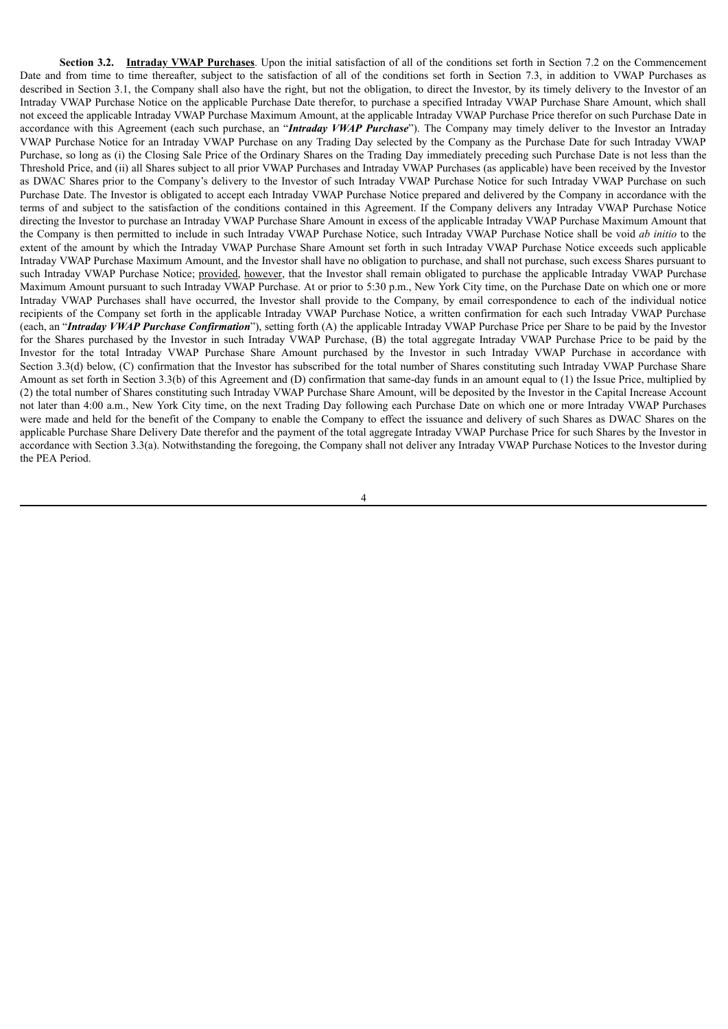**Section 3.2. Intraday VWAP Purchases**. Upon the initial satisfaction of all of the conditions set forth in Section 7.2 on the Commencement Date and from time to time thereafter, subject to the satisfaction of all of the conditions set forth in Section 7.3, in addition to VWAP Purchases as described in Section 3.1, the Company shall also have the right, but not the obligation, to direct the Investor, by its timely delivery to the Investor of an Intraday VWAP Purchase Notice on the applicable Purchase Date therefor, to purchase a specified Intraday VWAP Purchase Share Amount, which shall not exceed the applicable Intraday VWAP Purchase Maximum Amount, at the applicable Intraday VWAP Purchase Price therefor on such Purchase Date in accordance with this Agreement (each such purchase, an "*Intraday VWAP Purchase*"). The Company may timely deliver to the Investor an Intraday VWAP Purchase Notice for an Intraday VWAP Purchase on any Trading Day selected by the Company as the Purchase Date for such Intraday VWAP Purchase, so long as (i) the Closing Sale Price of the Ordinary Shares on the Trading Day immediately preceding such Purchase Date is not less than the Threshold Price, and (ii) all Shares subject to all prior VWAP Purchases and Intraday VWAP Purchases (as applicable) have been received by the Investor as DWAC Shares prior to the Company's delivery to the Investor of such Intraday VWAP Purchase Notice for such Intraday VWAP Purchase on such Purchase Date. The Investor is obligated to accept each Intraday VWAP Purchase Notice prepared and delivered by the Company in accordance with the terms of and subject to the satisfaction of the conditions contained in this Agreement. If the Company delivers any Intraday VWAP Purchase Notice directing the Investor to purchase an Intraday VWAP Purchase Share Amount in excess of the applicable Intraday VWAP Purchase Maximum Amount that the Company is then permitted to include in such Intraday VWAP Purchase Notice, such Intraday VWAP Purchase Notice shall be void *ab initio* to the extent of the amount by which the Intraday VWAP Purchase Share Amount set forth in such Intraday VWAP Purchase Notice exceeds such applicable Intraday VWAP Purchase Maximum Amount, and the Investor shall have no obligation to purchase, and shall not purchase, such excess Shares pursuant to such Intraday VWAP Purchase Notice; provided, however, that the Investor shall remain obligated to purchase the applicable Intraday VWAP Purchase Maximum Amount pursuant to such Intraday VWAP Purchase. At or prior to 5:30 p.m., New York City time, on the Purchase Date on which one or more Intraday VWAP Purchases shall have occurred, the Investor shall provide to the Company, by email correspondence to each of the individual notice recipients of the Company set forth in the applicable Intraday VWAP Purchase Notice, a written confirmation for each such Intraday VWAP Purchase (each, an "*Intraday VWAP Purchase Confirmation*"), setting forth (A) the applicable Intraday VWAP Purchase Price per Share to be paid by the Investor for the Shares purchased by the Investor in such Intraday VWAP Purchase, (B) the total aggregate Intraday VWAP Purchase Price to be paid by the Investor for the total Intraday VWAP Purchase Share Amount purchased by the Investor in such Intraday VWAP Purchase in accordance with Section 3.3(d) below, (C) confirmation that the Investor has subscribed for the total number of Shares constituting such Intraday VWAP Purchase Share Amount as set forth in Section 3.3(b) of this Agreement and (D) confirmation that same-day funds in an amount equal to (1) the Issue Price, multiplied by (2) the total number of Shares constituting such Intraday VWAP Purchase Share Amount, will be deposited by the Investor in the Capital Increase Account not later than 4:00 a.m., New York City time, on the next Trading Day following each Purchase Date on which one or more Intraday VWAP Purchases were made and held for the benefit of the Company to enable the Company to effect the issuance and delivery of such Shares as DWAC Shares on the applicable Purchase Share Delivery Date therefor and the payment of the total aggregate Intraday VWAP Purchase Price for such Shares by the Investor in accordance with Section 3.3(a). Notwithstanding the foregoing, the Company shall not deliver any Intraday VWAP Purchase Notices to the Investor during the PEA Period.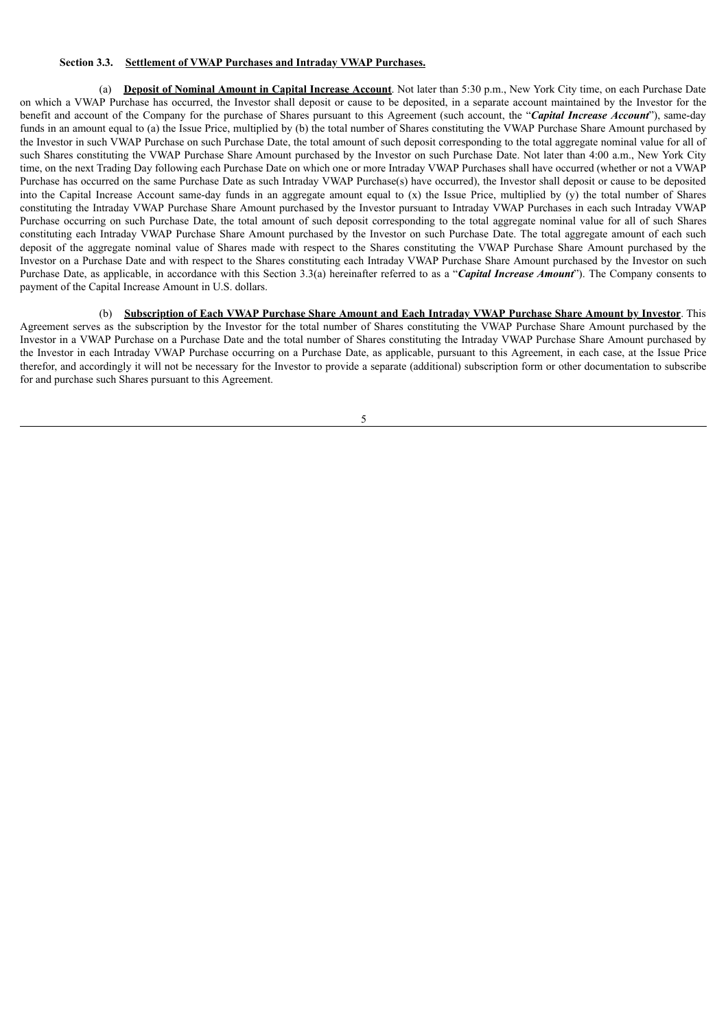#### **Section 3.3. Settlement of VWAP Purchases and Intraday VWAP Purchases.**

(a) **Deposit of Nominal Amount in Capital Increase Account**. Not later than 5:30 p.m., New York City time, on each Purchase Date on which a VWAP Purchase has occurred, the Investor shall deposit or cause to be deposited, in a separate account maintained by the Investor for the benefit and account of the Company for the purchase of Shares pursuant to this Agreement (such account, the "*Capital Increase Account*"), same-day funds in an amount equal to (a) the Issue Price, multiplied by (b) the total number of Shares constituting the VWAP Purchase Share Amount purchased by the Investor in such VWAP Purchase on such Purchase Date, the total amount of such deposit corresponding to the total aggregate nominal value for all of such Shares constituting the VWAP Purchase Share Amount purchased by the Investor on such Purchase Date. Not later than 4:00 a.m., New York City time, on the next Trading Day following each Purchase Date on which one or more Intraday VWAP Purchases shall have occurred (whether or not a VWAP Purchase has occurred on the same Purchase Date as such Intraday VWAP Purchase(s) have occurred), the Investor shall deposit or cause to be deposited into the Capital Increase Account same-day funds in an aggregate amount equal to (x) the Issue Price, multiplied by (y) the total number of Shares constituting the Intraday VWAP Purchase Share Amount purchased by the Investor pursuant to Intraday VWAP Purchases in each such Intraday VWAP Purchase occurring on such Purchase Date, the total amount of such deposit corresponding to the total aggregate nominal value for all of such Shares constituting each Intraday VWAP Purchase Share Amount purchased by the Investor on such Purchase Date. The total aggregate amount of each such deposit of the aggregate nominal value of Shares made with respect to the Shares constituting the VWAP Purchase Share Amount purchased by the Investor on a Purchase Date and with respect to the Shares constituting each Intraday VWAP Purchase Share Amount purchased by the Investor on such Purchase Date, as applicable, in accordance with this Section 3.3(a) hereinafter referred to as a "*Capital Increase Amount*"). The Company consents to payment of the Capital Increase Amount in U.S. dollars.

(b) Subscription of Each VWAP Purchase Share Amount and Each Intraday VWAP Purchase Share Amount by Investor. This Agreement serves as the subscription by the Investor for the total number of Shares constituting the VWAP Purchase Share Amount purchased by the Investor in a VWAP Purchase on a Purchase Date and the total number of Shares constituting the Intraday VWAP Purchase Share Amount purchased by the Investor in each Intraday VWAP Purchase occurring on a Purchase Date, as applicable, pursuant to this Agreement, in each case, at the Issue Price therefor, and accordingly it will not be necessary for the Investor to provide a separate (additional) subscription form or other documentation to subscribe for and purchase such Shares pursuant to this Agreement.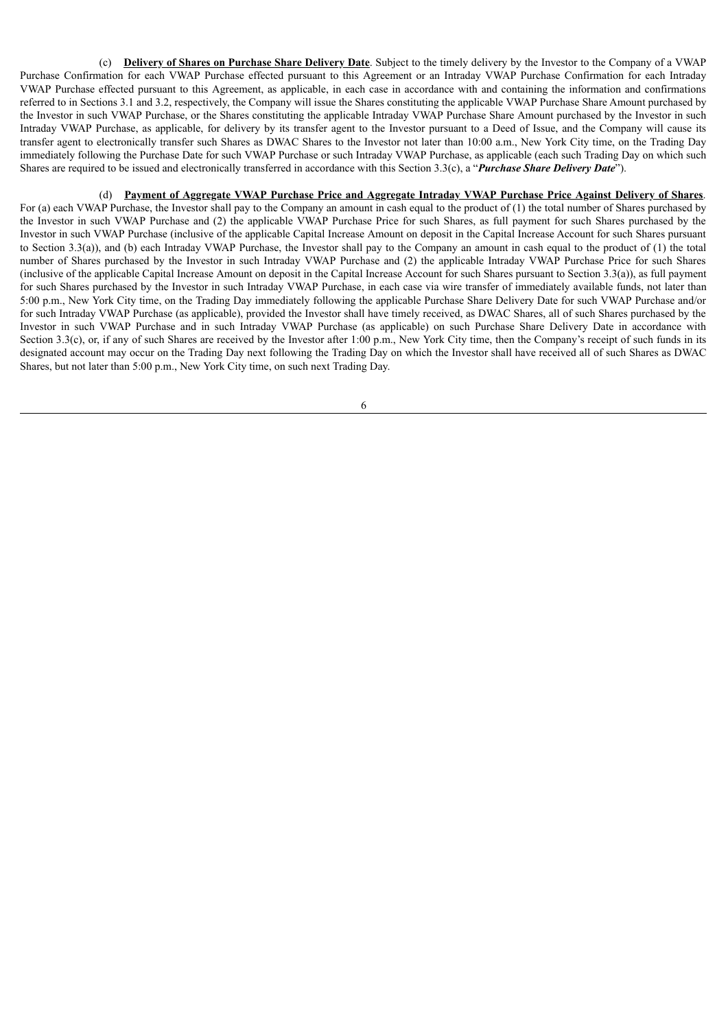(c) **Delivery of Shares on Purchase Share Delivery Date**. Subject to the timely delivery by the Investor to the Company of a VWAP Purchase Confirmation for each VWAP Purchase effected pursuant to this Agreement or an Intraday VWAP Purchase Confirmation for each Intraday VWAP Purchase effected pursuant to this Agreement, as applicable, in each case in accordance with and containing the information and confirmations referred to in Sections 3.1 and 3.2, respectively, the Company will issue the Shares constituting the applicable VWAP Purchase Share Amount purchased by the Investor in such VWAP Purchase, or the Shares constituting the applicable Intraday VWAP Purchase Share Amount purchased by the Investor in such Intraday VWAP Purchase, as applicable, for delivery by its transfer agent to the Investor pursuant to a Deed of Issue, and the Company will cause its transfer agent to electronically transfer such Shares as DWAC Shares to the Investor not later than 10:00 a.m., New York City time, on the Trading Day immediately following the Purchase Date for such VWAP Purchase or such Intraday VWAP Purchase, as applicable (each such Trading Day on which such Shares are required to be issued and electronically transferred in accordance with this Section 3.3(c), a "*Purchase Share Delivery Date*").

#### (d) Payment of Aggregate VWAP Purchase Price and Aggregate Intraday VWAP Purchase Price Against Delivery of Shares.

For (a) each VWAP Purchase, the Investor shall pay to the Company an amount in cash equal to the product of (1) the total number of Shares purchased by the Investor in such VWAP Purchase and (2) the applicable VWAP Purchase Price for such Shares, as full payment for such Shares purchased by the Investor in such VWAP Purchase (inclusive of the applicable Capital Increase Amount on deposit in the Capital Increase Account for such Shares pursuant to Section 3.3(a)), and (b) each Intraday VWAP Purchase, the Investor shall pay to the Company an amount in cash equal to the product of (1) the total number of Shares purchased by the Investor in such Intraday VWAP Purchase and (2) the applicable Intraday VWAP Purchase Price for such Shares (inclusive of the applicable Capital Increase Amount on deposit in the Capital Increase Account for such Shares pursuant to Section 3.3(a)), as full payment for such Shares purchased by the Investor in such Intraday VWAP Purchase, in each case via wire transfer of immediately available funds, not later than 5:00 p.m., New York City time, on the Trading Day immediately following the applicable Purchase Share Delivery Date for such VWAP Purchase and/or for such Intraday VWAP Purchase (as applicable), provided the Investor shall have timely received, as DWAC Shares, all of such Shares purchased by the Investor in such VWAP Purchase and in such Intraday VWAP Purchase (as applicable) on such Purchase Share Delivery Date in accordance with Section 3.3(c), or, if any of such Shares are received by the Investor after 1:00 p.m., New York City time, then the Company's receipt of such funds in its designated account may occur on the Trading Day next following the Trading Day on which the Investor shall have received all of such Shares as DWAC Shares, but not later than 5:00 p.m., New York City time, on such next Trading Day.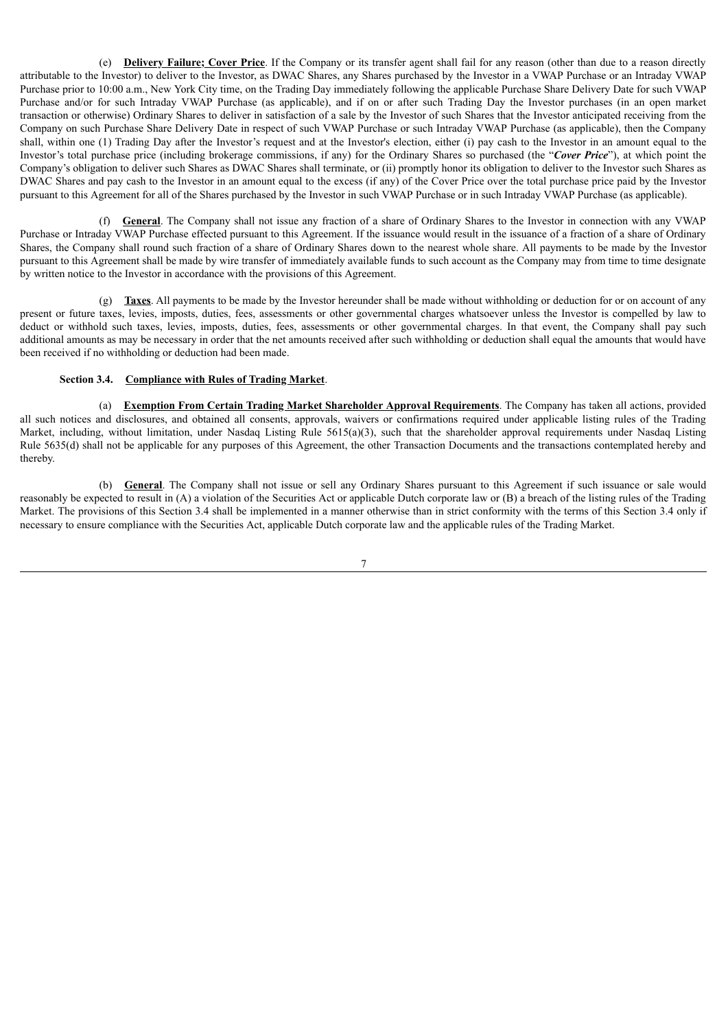(e) **Delivery Failure; Cover Price**. If the Company or its transfer agent shall fail for any reason (other than due to a reason directly attributable to the Investor) to deliver to the Investor, as DWAC Shares, any Shares purchased by the Investor in a VWAP Purchase or an Intraday VWAP Purchase prior to 10:00 a.m., New York City time, on the Trading Day immediately following the applicable Purchase Share Delivery Date for such VWAP Purchase and/or for such Intraday VWAP Purchase (as applicable), and if on or after such Trading Day the Investor purchases (in an open market transaction or otherwise) Ordinary Shares to deliver in satisfaction of a sale by the Investor of such Shares that the Investor anticipated receiving from the Company on such Purchase Share Delivery Date in respect of such VWAP Purchase or such Intraday VWAP Purchase (as applicable), then the Company shall, within one (1) Trading Day after the Investor's request and at the Investor's election, either (i) pay cash to the Investor in an amount equal to the Investor's total purchase price (including brokerage commissions, if any) for the Ordinary Shares so purchased (the "*Cover Price*"), at which point the Company's obligation to deliver such Shares as DWAC Shares shall terminate, or (ii) promptly honor its obligation to deliver to the Investor such Shares as DWAC Shares and pay cash to the Investor in an amount equal to the excess (if any) of the Cover Price over the total purchase price paid by the Investor pursuant to this Agreement for all of the Shares purchased by the Investor in such VWAP Purchase or in such Intraday VWAP Purchase (as applicable).

(f) **General**. The Company shall not issue any fraction of a share of Ordinary Shares to the Investor in connection with any VWAP Purchase or Intraday VWAP Purchase effected pursuant to this Agreement. If the issuance would result in the issuance of a fraction of a share of Ordinary Shares, the Company shall round such fraction of a share of Ordinary Shares down to the nearest whole share. All payments to be made by the Investor pursuant to this Agreement shall be made by wire transfer of immediately available funds to such account as the Company may from time to time designate by written notice to the Investor in accordance with the provisions of this Agreement.

(g) **Taxes**. All payments to be made by the Investor hereunder shall be made without withholding or deduction for or on account of any present or future taxes, levies, imposts, duties, fees, assessments or other governmental charges whatsoever unless the Investor is compelled by law to deduct or withhold such taxes, levies, imposts, duties, fees, assessments or other governmental charges. In that event, the Company shall pay such additional amounts as may be necessary in order that the net amounts received after such withholding or deduction shall equal the amounts that would have been received if no withholding or deduction had been made.

#### **Section 3.4. Compliance with Rules of Trading Market**.

(a) **Exemption From Certain Trading Market Shareholder Approval Requirements**. The Company has taken all actions, provided all such notices and disclosures, and obtained all consents, approvals, waivers or confirmations required under applicable listing rules of the Trading Market, including, without limitation, under Nasdaq Listing Rule 5615(a)(3), such that the shareholder approval requirements under Nasdaq Listing Rule 5635(d) shall not be applicable for any purposes of this Agreement, the other Transaction Documents and the transactions contemplated hereby and thereby.

(b) **General**. The Company shall not issue or sell any Ordinary Shares pursuant to this Agreement if such issuance or sale would reasonably be expected to result in (A) a violation of the Securities Act or applicable Dutch corporate law or (B) a breach of the listing rules of the Trading Market. The provisions of this Section 3.4 shall be implemented in a manner otherwise than in strict conformity with the terms of this Section 3.4 only if necessary to ensure compliance with the Securities Act, applicable Dutch corporate law and the applicable rules of the Trading Market.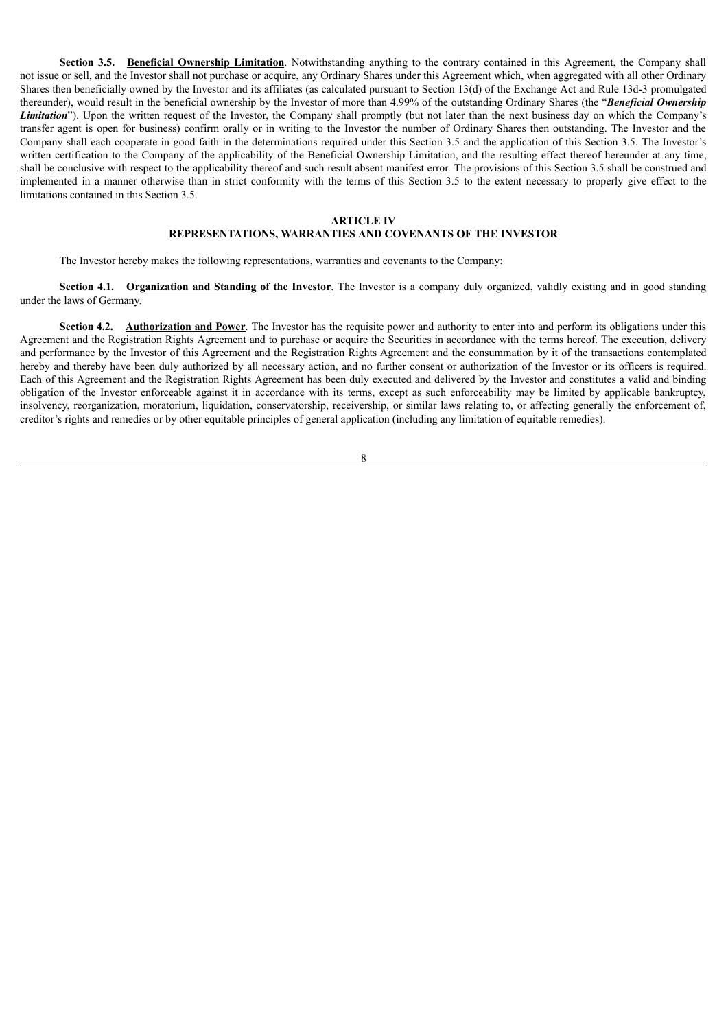**Section 3.5. Beneficial Ownership Limitation**. Notwithstanding anything to the contrary contained in this Agreement, the Company shall not issue or sell, and the Investor shall not purchase or acquire, any Ordinary Shares under this Agreement which, when aggregated with all other Ordinary Shares then beneficially owned by the Investor and its affiliates (as calculated pursuant to Section 13(d) of the Exchange Act and Rule 13d-3 promulgated thereunder), would result in the beneficial ownership by the Investor of more than 4.99% of the outstanding Ordinary Shares (the "*Beneficial Ownership Limitation*"). Upon the written request of the Investor, the Company shall promptly (but not later than the next business day on which the Company's transfer agent is open for business) confirm orally or in writing to the Investor the number of Ordinary Shares then outstanding. The Investor and the Company shall each cooperate in good faith in the determinations required under this Section 3.5 and the application of this Section 3.5. The Investor's written certification to the Company of the applicability of the Beneficial Ownership Limitation, and the resulting effect thereof hereunder at any time, shall be conclusive with respect to the applicability thereof and such result absent manifest error. The provisions of this Section 3.5 shall be construed and implemented in a manner otherwise than in strict conformity with the terms of this Section 3.5 to the extent necessary to properly give effect to the limitations contained in this Section 3.5.

#### **ARTICLE IV**

#### **REPRESENTATIONS, WARRANTIES AND COVENANTS OF THE INVESTOR**

The Investor hereby makes the following representations, warranties and covenants to the Company:

**Section 4.1. Organization and Standing of the Investor**. The Investor is a company duly organized, validly existing and in good standing under the laws of Germany.

**Section 4.2. Authorization and Power**. The Investor has the requisite power and authority to enter into and perform its obligations under this Agreement and the Registration Rights Agreement and to purchase or acquire the Securities in accordance with the terms hereof. The execution, delivery and performance by the Investor of this Agreement and the Registration Rights Agreement and the consummation by it of the transactions contemplated hereby and thereby have been duly authorized by all necessary action, and no further consent or authorization of the Investor or its officers is required. Each of this Agreement and the Registration Rights Agreement has been duly executed and delivered by the Investor and constitutes a valid and binding obligation of the Investor enforceable against it in accordance with its terms, except as such enforceability may be limited by applicable bankruptcy, insolvency, reorganization, moratorium, liquidation, conservatorship, receivership, or similar laws relating to, or affecting generally the enforcement of, creditor's rights and remedies or by other equitable principles of general application (including any limitation of equitable remedies).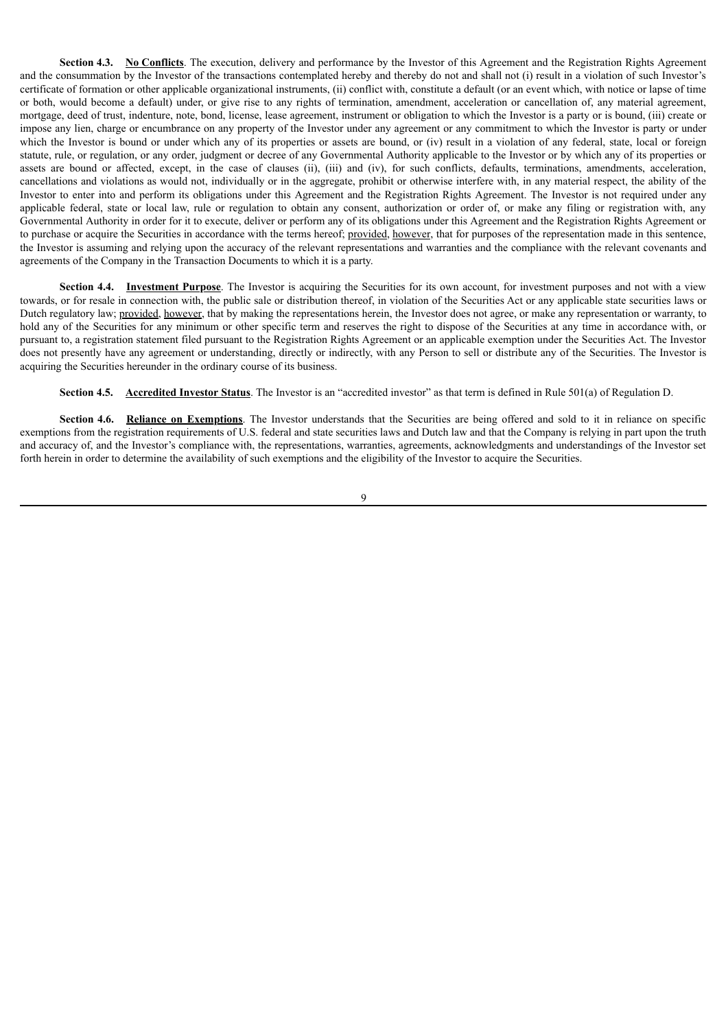**Section 4.3.** No Conflicts. The execution, delivery and performance by the Investor of this Agreement and the Registration Rights Agreement and the consummation by the Investor of the transactions contemplated hereby and thereby do not and shall not (i) result in a violation of such Investor's certificate of formation or other applicable organizational instruments, (ii) conflict with, constitute a default (or an event which, with notice or lapse of time or both, would become a default) under, or give rise to any rights of termination, amendment, acceleration or cancellation of, any material agreement, mortgage, deed of trust, indenture, note, bond, license, lease agreement, instrument or obligation to which the Investor is a party or is bound, (iii) create or impose any lien, charge or encumbrance on any property of the Investor under any agreement or any commitment to which the Investor is party or under which the Investor is bound or under which any of its properties or assets are bound, or (iv) result in a violation of any federal, state, local or foreign statute, rule, or regulation, or any order, judgment or decree of any Governmental Authority applicable to the Investor or by which any of its properties or assets are bound or affected, except, in the case of clauses (ii), (iii) and (iv), for such conflicts, defaults, terminations, amendments, acceleration, cancellations and violations as would not, individually or in the aggregate, prohibit or otherwise interfere with, in any material respect, the ability of the Investor to enter into and perform its obligations under this Agreement and the Registration Rights Agreement. The Investor is not required under any applicable federal, state or local law, rule or regulation to obtain any consent, authorization or order of, or make any filing or registration with, any Governmental Authority in order for it to execute, deliver or perform any of its obligations under this Agreement and the Registration Rights Agreement or to purchase or acquire the Securities in accordance with the terms hereof; provided, however, that for purposes of the representation made in this sentence, the Investor is assuming and relying upon the accuracy of the relevant representations and warranties and the compliance with the relevant covenants and agreements of the Company in the Transaction Documents to which it is a party.

**Section 4.4. Investment Purpose**. The Investor is acquiring the Securities for its own account, for investment purposes and not with a view towards, or for resale in connection with, the public sale or distribution thereof, in violation of the Securities Act or any applicable state securities laws or Dutch regulatory law; provided, however, that by making the representations herein, the Investor does not agree, or make any representation or warranty, to hold any of the Securities for any minimum or other specific term and reserves the right to dispose of the Securities at any time in accordance with, or pursuant to, a registration statement filed pursuant to the Registration Rights Agreement or an applicable exemption under the Securities Act. The Investor does not presently have any agreement or understanding, directly or indirectly, with any Person to sell or distribute any of the Securities. The Investor is acquiring the Securities hereunder in the ordinary course of its business.

**Section 4.5. Accredited Investor Status**. The Investor is an "accredited investor" as that term is defined in Rule 501(a) of Regulation D.

**Section 4.6. Reliance on Exemptions**. The Investor understands that the Securities are being offered and sold to it in reliance on specific exemptions from the registration requirements of U.S. federal and state securities laws and Dutch law and that the Company is relying in part upon the truth and accuracy of, and the Investor's compliance with, the representations, warranties, agreements, acknowledgments and understandings of the Investor set forth herein in order to determine the availability of such exemptions and the eligibility of the Investor to acquire the Securities.

 $\overline{Q}$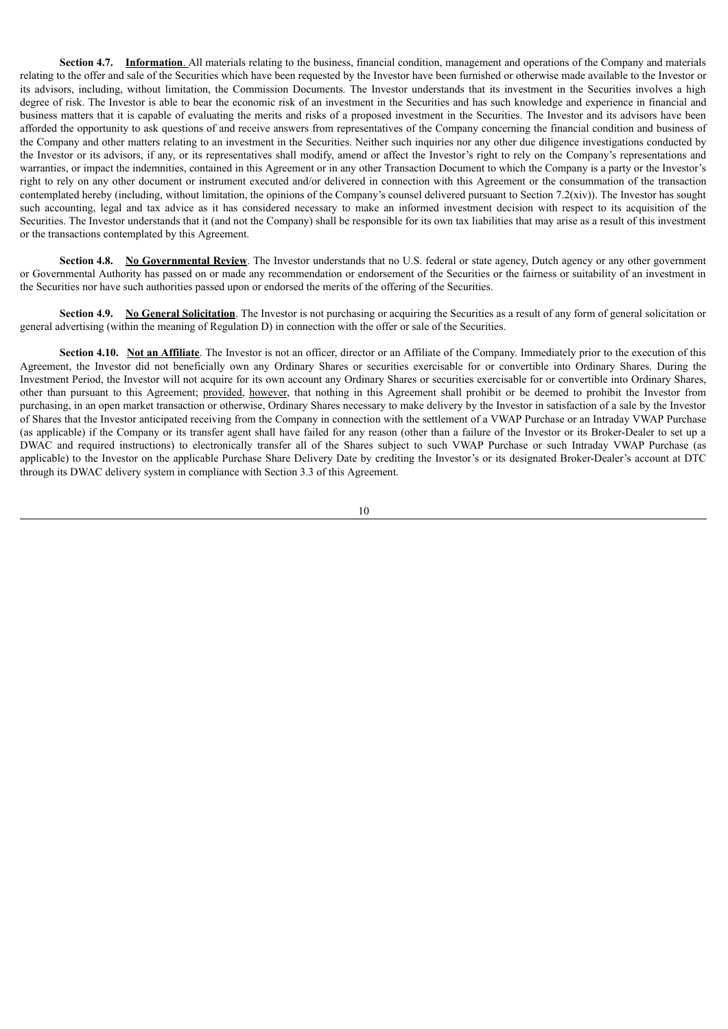**Section 4.7. Information**. All materials relating to the business, financial condition, management and operations of the Company and materials relating to the offer and sale of the Securities which have been requested by the Investor have been furnished or otherwise made available to the Investor or its advisors, including, without limitation, the Commission Documents. The Investor understands that its investment in the Securities involves a high degree of risk. The Investor is able to bear the economic risk of an investment in the Securities and has such knowledge and experience in financial and business matters that it is capable of evaluating the merits and risks of a proposed investment in the Securities. The Investor and its advisors have been afforded the opportunity to ask questions of and receive answers from representatives of the Company concerning the financial condition and business of the Company and other matters relating to an investment in the Securities. Neither such inquiries nor any other due diligence investigations conducted by the Investor or its advisors, if any, or its representatives shall modify, amend or affect the Investor's right to rely on the Company's representations and warranties, or impact the indemnities, contained in this Agreement or in any other Transaction Document to which the Company is a party or the Investor's right to rely on any other document or instrument executed and/or delivered in connection with this Agreement or the consummation of the transaction contemplated hereby (including, without limitation, the opinions of the Company's counsel delivered pursuant to Section 7.2(xiv)). The Investor has sought such accounting, legal and tax advice as it has considered necessary to make an informed investment decision with respect to its acquisition of the Securities. The Investor understands that it (and not the Company) shall be responsible for its own tax liabilities that may arise as a result of this investment or the transactions contemplated by this Agreement.

**Section 4.8. No Governmental Review**. The Investor understands that no U.S. federal or state agency, Dutch agency or any other government or Governmental Authority has passed on or made any recommendation or endorsement of the Securities or the fairness or suitability of an investment in the Securities nor have such authorities passed upon or endorsed the merits of the offering of the Securities.

**Section 4.9.** No General Solicitation. The Investor is not purchasing or acquiring the Securities as a result of any form of general solicitation or general advertising (within the meaning of Regulation D) in connection with the offer or sale of the Securities.

**Section 4.10.** Not an Affiliate. The Investor is not an officer, director or an Affiliate of the Company. Immediately prior to the execution of this Agreement, the Investor did not beneficially own any Ordinary Shares or securities exercisable for or convertible into Ordinary Shares. During the Investment Period, the Investor will not acquire for its own account any Ordinary Shares or securities exercisable for or convertible into Ordinary Shares, other than pursuant to this Agreement; provided, however, that nothing in this Agreement shall prohibit or be deemed to prohibit the Investor from purchasing, in an open market transaction or otherwise, Ordinary Shares necessary to make delivery by the Investor in satisfaction of a sale by the Investor of Shares that the Investor anticipated receiving from the Company in connection with the settlement of a VWAP Purchase or an Intraday VWAP Purchase (as applicable) if the Company or its transfer agent shall have failed for any reason (other than a failure of the Investor or its Broker-Dealer to set up a DWAC and required instructions) to electronically transfer all of the Shares subject to such VWAP Purchase or such Intraday VWAP Purchase (as applicable) to the Investor on the applicable Purchase Share Delivery Date by crediting the Investor's or its designated Broker-Dealer's account at DTC through its DWAC delivery system in compliance with Section 3.3 of this Agreement.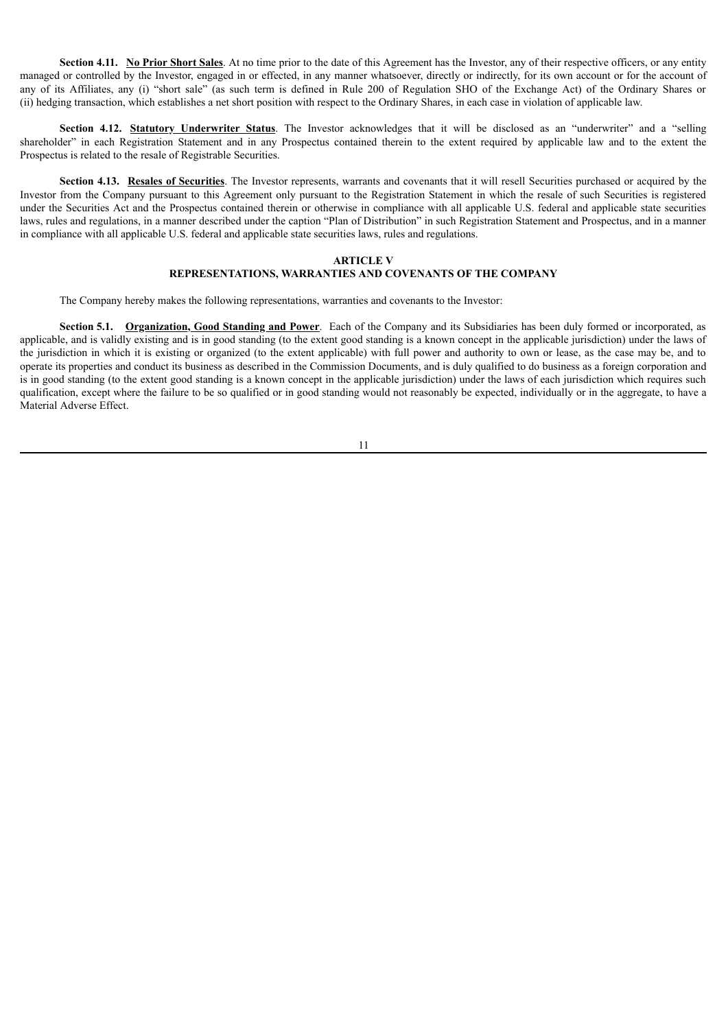**Section 4.11.** No **Prior Short Sales**. At no time prior to the date of this Agreement has the Investor, any of their respective officers, or any entity managed or controlled by the Investor, engaged in or effected, in any manner whatsoever, directly or indirectly, for its own account or for the account of any of its Affiliates, any (i) "short sale" (as such term is defined in Rule 200 of Regulation SHO of the Exchange Act) of the Ordinary Shares or (ii) hedging transaction, which establishes a net short position with respect to the Ordinary Shares, in each case in violation of applicable law.

**Section 4.12. Statutory Underwriter Status**. The Investor acknowledges that it will be disclosed as an "underwriter" and a "selling shareholder" in each Registration Statement and in any Prospectus contained therein to the extent required by applicable law and to the extent the Prospectus is related to the resale of Registrable Securities.

**Section 4.13. Resales of Securities**. The Investor represents, warrants and covenants that it will resell Securities purchased or acquired by the Investor from the Company pursuant to this Agreement only pursuant to the Registration Statement in which the resale of such Securities is registered under the Securities Act and the Prospectus contained therein or otherwise in compliance with all applicable U.S. federal and applicable state securities laws, rules and regulations, in a manner described under the caption "Plan of Distribution" in such Registration Statement and Prospectus, and in a manner in compliance with all applicable U.S. federal and applicable state securities laws, rules and regulations.

#### **ARTICLE V**

#### **REPRESENTATIONS, WARRANTIES AND COVENANTS OF THE COMPANY**

The Company hereby makes the following representations, warranties and covenants to the Investor:

**Section 5.1. Organization, Good Standing and Power**. Each of the Company and its Subsidiaries has been duly formed or incorporated, as applicable, and is validly existing and is in good standing (to the extent good standing is a known concept in the applicable jurisdiction) under the laws of the jurisdiction in which it is existing or organized (to the extent applicable) with full power and authority to own or lease, as the case may be, and to operate its properties and conduct its business as described in the Commission Documents, and is duly qualified to do business as a foreign corporation and is in good standing (to the extent good standing is a known concept in the applicable jurisdiction) under the laws of each jurisdiction which requires such qualification, except where the failure to be so qualified or in good standing would not reasonably be expected, individually or in the aggregate, to have a Material Adverse Effect.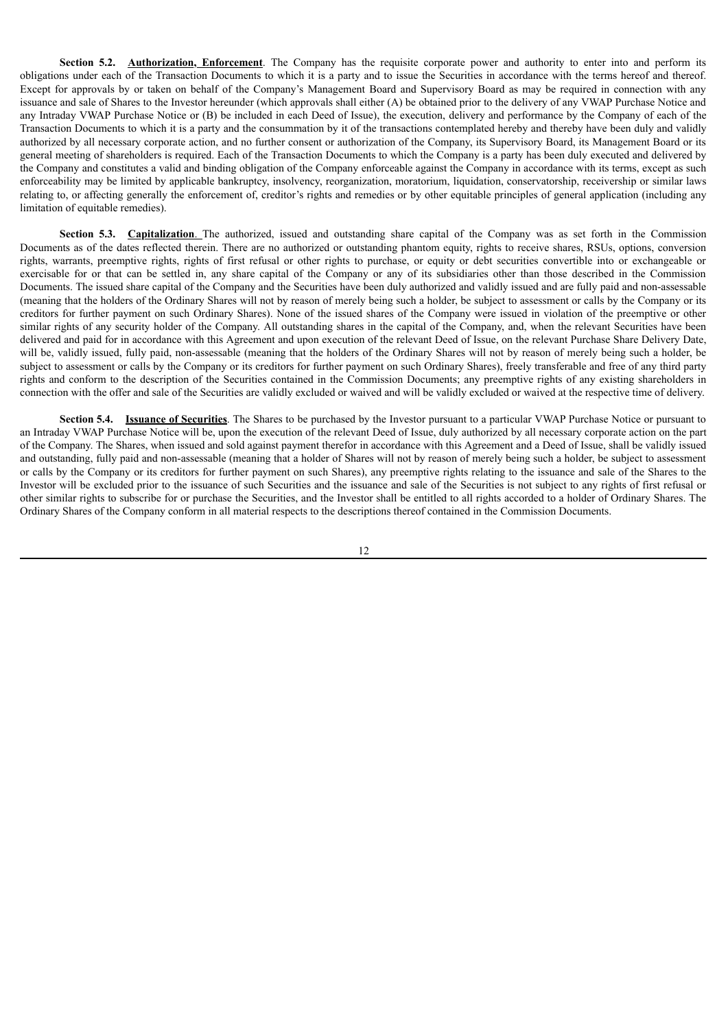**Section <b>5.2.** Authorization, Enforcement. The Company has the requisite corporate power and authority to enter into and perform its obligations under each of the Transaction Documents to which it is a party and to issue the Securities in accordance with the terms hereof and thereof. Except for approvals by or taken on behalf of the Company's Management Board and Supervisory Board as may be required in connection with any issuance and sale of Shares to the Investor hereunder (which approvals shall either (A) be obtained prior to the delivery of any VWAP Purchase Notice and any Intraday VWAP Purchase Notice or (B) be included in each Deed of Issue), the execution, delivery and performance by the Company of each of the Transaction Documents to which it is a party and the consummation by it of the transactions contemplated hereby and thereby have been duly and validly authorized by all necessary corporate action, and no further consent or authorization of the Company, its Supervisory Board, its Management Board or its general meeting of shareholders is required. Each of the Transaction Documents to which the Company is a party has been duly executed and delivered by the Company and constitutes a valid and binding obligation of the Company enforceable against the Company in accordance with its terms, except as such enforceability may be limited by applicable bankruptcy, insolvency, reorganization, moratorium, liquidation, conservatorship, receivership or similar laws relating to, or affecting generally the enforcement of, creditor's rights and remedies or by other equitable principles of general application (including any limitation of equitable remedies).

**Section 5.3. Capitalization**. The authorized, issued and outstanding share capital of the Company was as set forth in the Commission Documents as of the dates reflected therein. There are no authorized or outstanding phantom equity, rights to receive shares, RSUs, options, conversion rights, warrants, preemptive rights, rights of first refusal or other rights to purchase, or equity or debt securities convertible into or exchangeable or exercisable for or that can be settled in, any share capital of the Company or any of its subsidiaries other than those described in the Commission Documents. The issued share capital of the Company and the Securities have been duly authorized and validly issued and are fully paid and non-assessable (meaning that the holders of the Ordinary Shares will not by reason of merely being such a holder, be subject to assessment or calls by the Company or its creditors for further payment on such Ordinary Shares). None of the issued shares of the Company were issued in violation of the preemptive or other similar rights of any security holder of the Company. All outstanding shares in the capital of the Company, and, when the relevant Securities have been delivered and paid for in accordance with this Agreement and upon execution of the relevant Deed of Issue, on the relevant Purchase Share Delivery Date, will be, validly issued, fully paid, non-assessable (meaning that the holders of the Ordinary Shares will not by reason of merely being such a holder, be subject to assessment or calls by the Company or its creditors for further payment on such Ordinary Shares), freely transferable and free of any third party rights and conform to the description of the Securities contained in the Commission Documents; any preemptive rights of any existing shareholders in connection with the offer and sale of the Securities are validly excluded or waived and will be validly excluded or waived at the respective time of delivery.

**Section 5.4. Issuance of Securities**. The Shares to be purchased by the Investor pursuant to a particular VWAP Purchase Notice or pursuant to an Intraday VWAP Purchase Notice will be, upon the execution of the relevant Deed of Issue, duly authorized by all necessary corporate action on the part of the Company. The Shares, when issued and sold against payment therefor in accordance with this Agreement and a Deed of Issue, shall be validly issued and outstanding, fully paid and non-assessable (meaning that a holder of Shares will not by reason of merely being such a holder, be subject to assessment or calls by the Company or its creditors for further payment on such Shares), any preemptive rights relating to the issuance and sale of the Shares to the Investor will be excluded prior to the issuance of such Securities and the issuance and sale of the Securities is not subject to any rights of first refusal or other similar rights to subscribe for or purchase the Securities, and the Investor shall be entitled to all rights accorded to a holder of Ordinary Shares. The Ordinary Shares of the Company conform in all material respects to the descriptions thereof contained in the Commission Documents.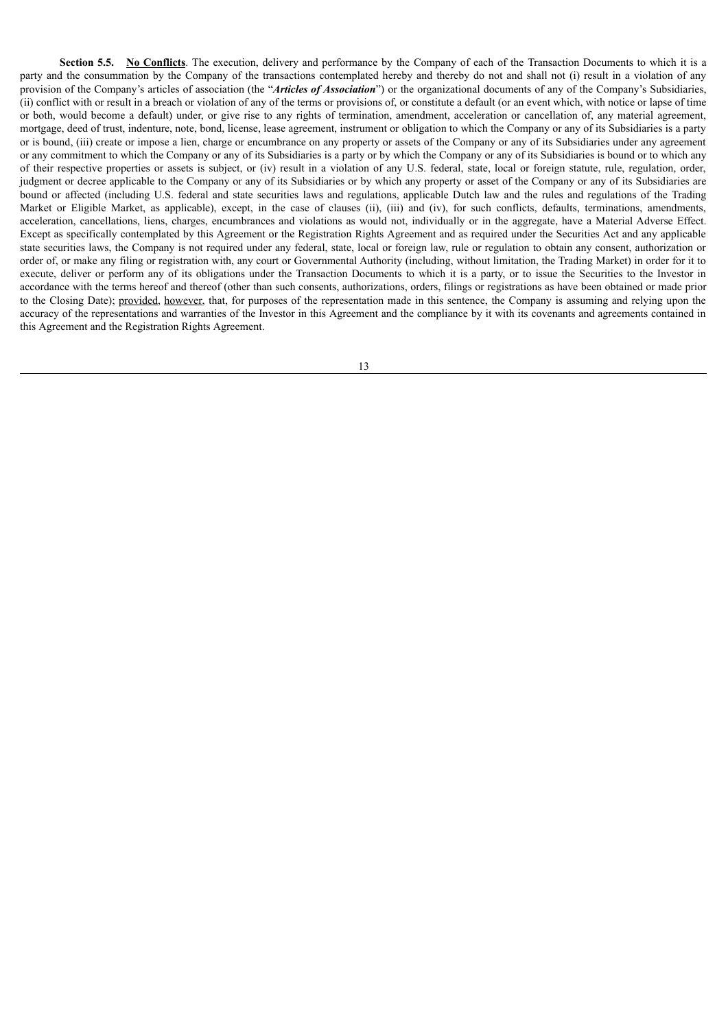**Section 5.5. No Conflicts**. The execution, delivery and performance by the Company of each of the Transaction Documents to which it is a party and the consummation by the Company of the transactions contemplated hereby and thereby do not and shall not (i) result in a violation of any provision of the Company's articles of association (the "*Articles of Association*") or the organizational documents of any of the Company's Subsidiaries, (ii) conflict with or result in a breach or violation of any of the terms or provisions of, or constitute a default (or an event which, with notice or lapse of time or both, would become a default) under, or give rise to any rights of termination, amendment, acceleration or cancellation of, any material agreement, mortgage, deed of trust, indenture, note, bond, license, lease agreement, instrument or obligation to which the Company or any of its Subsidiaries is a party or is bound, (iii) create or impose a lien, charge or encumbrance on any property or assets of the Company or any of its Subsidiaries under any agreement or any commitment to which the Company or any of its Subsidiaries is a party or by which the Company or any of its Subsidiaries is bound or to which any of their respective properties or assets is subject, or (iv) result in a violation of any U.S. federal, state, local or foreign statute, rule, regulation, order, judgment or decree applicable to the Company or any of its Subsidiaries or by which any property or asset of the Company or any of its Subsidiaries are bound or affected (including U.S. federal and state securities laws and regulations, applicable Dutch law and the rules and regulations of the Trading Market or Eligible Market, as applicable), except, in the case of clauses (ii), (iii) and (iv), for such conflicts, defaults, terminations, amendments, acceleration, cancellations, liens, charges, encumbrances and violations as would not, individually or in the aggregate, have a Material Adverse Effect. Except as specifically contemplated by this Agreement or the Registration Rights Agreement and as required under the Securities Act and any applicable state securities laws, the Company is not required under any federal, state, local or foreign law, rule or regulation to obtain any consent, authorization or order of, or make any filing or registration with, any court or Governmental Authority (including, without limitation, the Trading Market) in order for it to execute, deliver or perform any of its obligations under the Transaction Documents to which it is a party, or to issue the Securities to the Investor in accordance with the terms hereof and thereof (other than such consents, authorizations, orders, filings or registrations as have been obtained or made prior to the Closing Date); provided, however, that, for purposes of the representation made in this sentence, the Company is assuming and relying upon the accuracy of the representations and warranties of the Investor in this Agreement and the compliance by it with its covenants and agreements contained in this Agreement and the Registration Rights Agreement.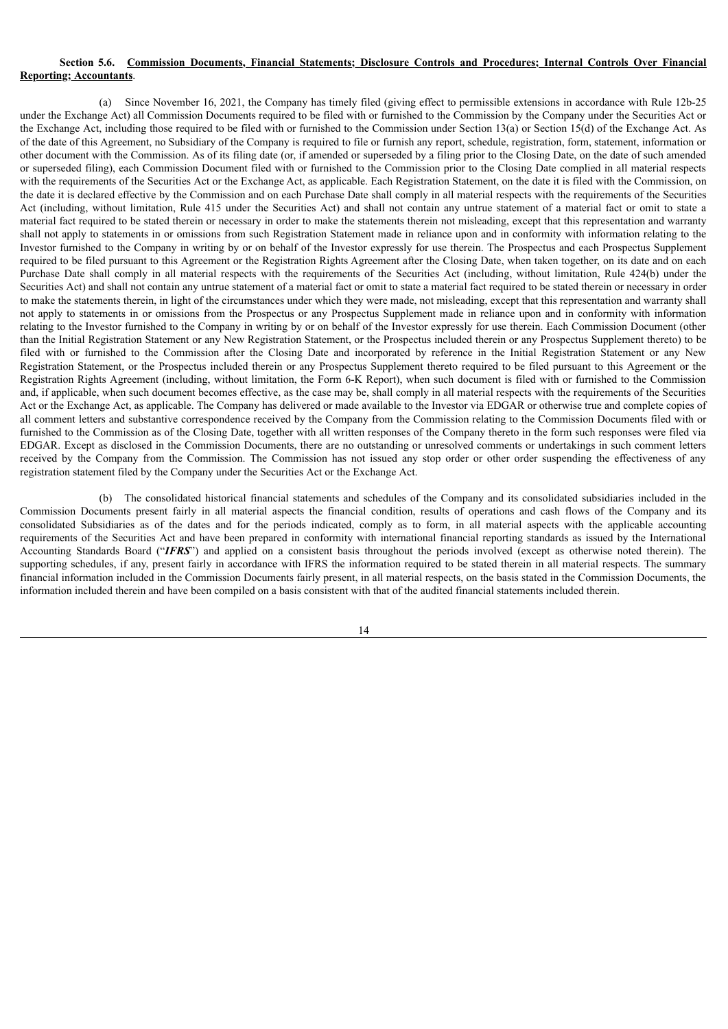#### **Section 5.6. Commission Documents, Financial Statements; Disclosure Controls and Procedures; Internal Controls Over Financial Reporting; Accountants**.

(a) Since November 16, 2021, the Company has timely filed (giving effect to permissible extensions in accordance with Rule 12b-25 under the Exchange Act) all Commission Documents required to be filed with or furnished to the Commission by the Company under the Securities Act or the Exchange Act, including those required to be filed with or furnished to the Commission under Section 13(a) or Section 15(d) of the Exchange Act. As of the date of this Agreement, no Subsidiary of the Company is required to file or furnish any report, schedule, registration, form, statement, information or other document with the Commission. As of its filing date (or, if amended or superseded by a filing prior to the Closing Date, on the date of such amended or superseded filing), each Commission Document filed with or furnished to the Commission prior to the Closing Date complied in all material respects with the requirements of the Securities Act or the Exchange Act, as applicable. Each Registration Statement, on the date it is filed with the Commission, on the date it is declared effective by the Commission and on each Purchase Date shall comply in all material respects with the requirements of the Securities Act (including, without limitation, Rule 415 under the Securities Act) and shall not contain any untrue statement of a material fact or omit to state a material fact required to be stated therein or necessary in order to make the statements therein not misleading, except that this representation and warranty shall not apply to statements in or omissions from such Registration Statement made in reliance upon and in conformity with information relating to the Investor furnished to the Company in writing by or on behalf of the Investor expressly for use therein. The Prospectus and each Prospectus Supplement required to be filed pursuant to this Agreement or the Registration Rights Agreement after the Closing Date, when taken together, on its date and on each Purchase Date shall comply in all material respects with the requirements of the Securities Act (including, without limitation, Rule 424(b) under the Securities Act) and shall not contain any untrue statement of a material fact or omit to state a material fact required to be stated therein or necessary in order to make the statements therein, in light of the circumstances under which they were made, not misleading, except that this representation and warranty shall not apply to statements in or omissions from the Prospectus or any Prospectus Supplement made in reliance upon and in conformity with information relating to the Investor furnished to the Company in writing by or on behalf of the Investor expressly for use therein. Each Commission Document (other than the Initial Registration Statement or any New Registration Statement, or the Prospectus included therein or any Prospectus Supplement thereto) to be filed with or furnished to the Commission after the Closing Date and incorporated by reference in the Initial Registration Statement or any New Registration Statement, or the Prospectus included therein or any Prospectus Supplement thereto required to be filed pursuant to this Agreement or the Registration Rights Agreement (including, without limitation, the Form 6-K Report), when such document is filed with or furnished to the Commission and, if applicable, when such document becomes effective, as the case may be, shall comply in all material respects with the requirements of the Securities Act or the Exchange Act, as applicable. The Company has delivered or made available to the Investor via EDGAR or otherwise true and complete copies of all comment letters and substantive correspondence received by the Company from the Commission relating to the Commission Documents filed with or furnished to the Commission as of the Closing Date, together with all written responses of the Company thereto in the form such responses were filed via EDGAR. Except as disclosed in the Commission Documents, there are no outstanding or unresolved comments or undertakings in such comment letters received by the Company from the Commission. The Commission has not issued any stop order or other order suspending the effectiveness of any registration statement filed by the Company under the Securities Act or the Exchange Act.

(b) The consolidated historical financial statements and schedules of the Company and its consolidated subsidiaries included in the Commission Documents present fairly in all material aspects the financial condition, results of operations and cash flows of the Company and its consolidated Subsidiaries as of the dates and for the periods indicated, comply as to form, in all material aspects with the applicable accounting requirements of the Securities Act and have been prepared in conformity with international financial reporting standards as issued by the International Accounting Standards Board ("*IFRS*") and applied on a consistent basis throughout the periods involved (except as otherwise noted therein). The supporting schedules, if any, present fairly in accordance with IFRS the information required to be stated therein in all material respects. The summary financial information included in the Commission Documents fairly present, in all material respects, on the basis stated in the Commission Documents, the information included therein and have been compiled on a basis consistent with that of the audited financial statements included therein.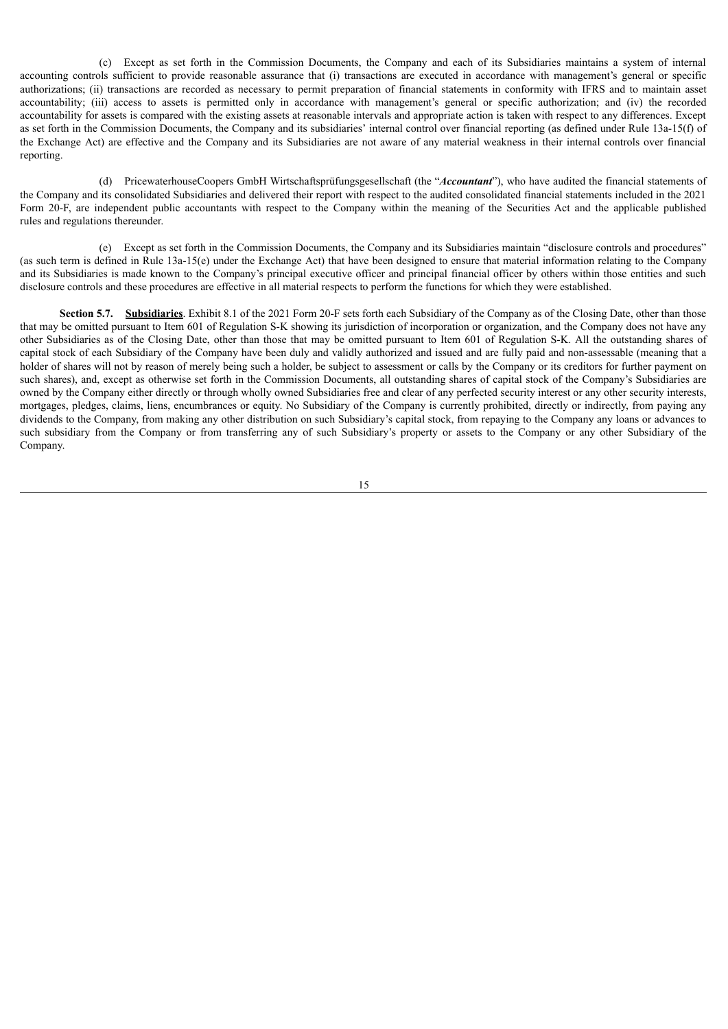(c) Except as set forth in the Commission Documents, the Company and each of its Subsidiaries maintains a system of internal accounting controls sufficient to provide reasonable assurance that (i) transactions are executed in accordance with management's general or specific authorizations; (ii) transactions are recorded as necessary to permit preparation of financial statements in conformity with IFRS and to maintain asset accountability; (iii) access to assets is permitted only in accordance with management's general or specific authorization; and (iv) the recorded accountability for assets is compared with the existing assets at reasonable intervals and appropriate action is taken with respect to any differences. Except as set forth in the Commission Documents, the Company and its subsidiaries' internal control over financial reporting (as defined under Rule 13a-15(f) of the Exchange Act) are effective and the Company and its Subsidiaries are not aware of any material weakness in their internal controls over financial reporting.

(d) PricewaterhouseCoopers GmbH Wirtschaftsprüfungsgesellschaft (the "*Accountant*"), who have audited the financial statements of the Company and its consolidated Subsidiaries and delivered their report with respect to the audited consolidated financial statements included in the 2021 Form 20-F, are independent public accountants with respect to the Company within the meaning of the Securities Act and the applicable published rules and regulations thereunder.

(e) Except as set forth in the Commission Documents, the Company and its Subsidiaries maintain "disclosure controls and procedures" (as such term is defined in Rule 13a-15(e) under the Exchange Act) that have been designed to ensure that material information relating to the Company and its Subsidiaries is made known to the Company's principal executive officer and principal financial officer by others within those entities and such disclosure controls and these procedures are effective in all material respects to perform the functions for which they were established.

**Section 5.7.** Subsidiaries. Exhibit 8.1 of the 2021 Form 20-F sets forth each Subsidiary of the Company as of the Closing Date, other than those that may be omitted pursuant to Item 601 of Regulation S-K showing its jurisdiction of incorporation or organization, and the Company does not have any other Subsidiaries as of the Closing Date, other than those that may be omitted pursuant to Item 601 of Regulation S-K. All the outstanding shares of capital stock of each Subsidiary of the Company have been duly and validly authorized and issued and are fully paid and non-assessable (meaning that a holder of shares will not by reason of merely being such a holder, be subject to assessment or calls by the Company or its creditors for further payment on such shares), and, except as otherwise set forth in the Commission Documents, all outstanding shares of capital stock of the Company's Subsidiaries are owned by the Company either directly or through wholly owned Subsidiaries free and clear of any perfected security interest or any other security interests, mortgages, pledges, claims, liens, encumbrances or equity. No Subsidiary of the Company is currently prohibited, directly or indirectly, from paying any dividends to the Company, from making any other distribution on such Subsidiary's capital stock, from repaying to the Company any loans or advances to such subsidiary from the Company or from transferring any of such Subsidiary's property or assets to the Company or any other Subsidiary of the Company.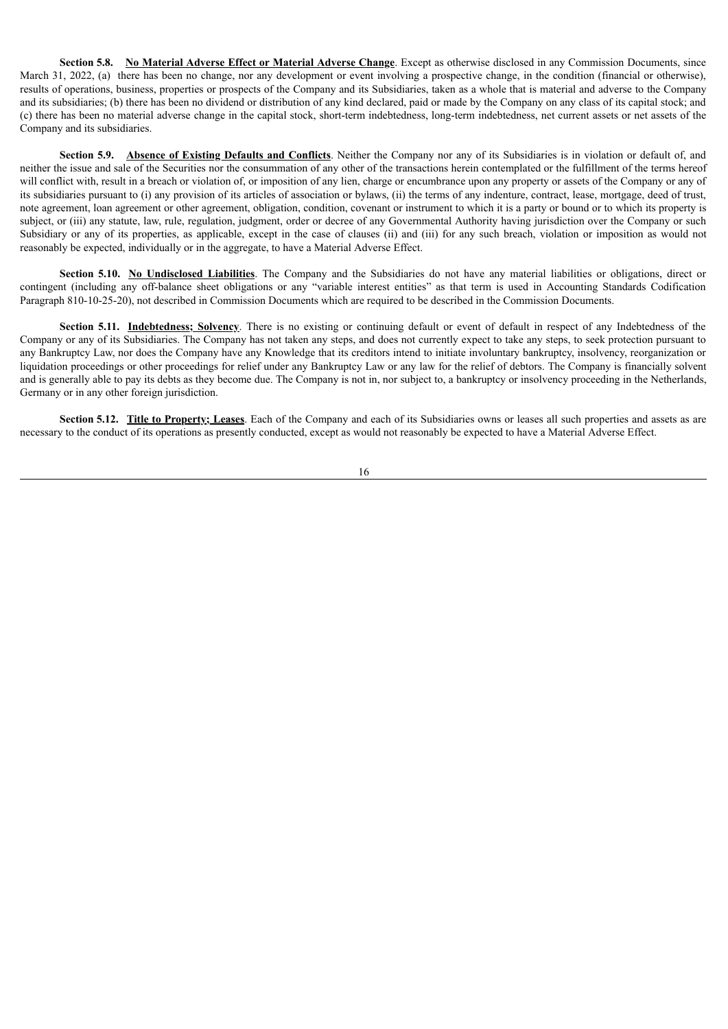**Section 5.8. No Material Adverse Effect or Material Adverse Change**. Except as otherwise disclosed in any Commission Documents, since March 31, 2022, (a) there has been no change, nor any development or event involving a prospective change, in the condition (financial or otherwise). results of operations, business, properties or prospects of the Company and its Subsidiaries, taken as a whole that is material and adverse to the Company and its subsidiaries; (b) there has been no dividend or distribution of any kind declared, paid or made by the Company on any class of its capital stock; and (c) there has been no material adverse change in the capital stock, short-term indebtedness, long-term indebtedness, net current assets or net assets of the Company and its subsidiaries.

**Section 5.9. Absence of Existing Defaults and Conflicts**. Neither the Company nor any of its Subsidiaries is in violation or default of, and neither the issue and sale of the Securities nor the consummation of any other of the transactions herein contemplated or the fulfillment of the terms hereof will conflict with, result in a breach or violation of, or imposition of any lien, charge or encumbrance upon any property or assets of the Company or any of its subsidiaries pursuant to (i) any provision of its articles of association or bylaws, (ii) the terms of any indenture, contract, lease, mortgage, deed of trust, note agreement, loan agreement or other agreement, obligation, condition, covenant or instrument to which it is a party or bound or to which its property is subject, or (iii) any statute, law, rule, regulation, judgment, order or decree of any Governmental Authority having jurisdiction over the Company or such Subsidiary or any of its properties, as applicable, except in the case of clauses (ii) and (iii) for any such breach, violation or imposition as would not reasonably be expected, individually or in the aggregate, to have a Material Adverse Effect.

**Section 5.10. No Undisclosed Liabilities**. The Company and the Subsidiaries do not have any material liabilities or obligations, direct or contingent (including any off-balance sheet obligations or any "variable interest entities" as that term is used in Accounting Standards Codification Paragraph 810-10-25-20), not described in Commission Documents which are required to be described in the Commission Documents.

**Section 5.11. Indebtedness; Solvency**. There is no existing or continuing default or event of default in respect of any Indebtedness of the Company or any of its Subsidiaries. The Company has not taken any steps, and does not currently expect to take any steps, to seek protection pursuant to any Bankruptcy Law, nor does the Company have any Knowledge that its creditors intend to initiate involuntary bankruptcy, insolvency, reorganization or liquidation proceedings or other proceedings for relief under any Bankruptcy Law or any law for the relief of debtors. The Company is financially solvent and is generally able to pay its debts as they become due. The Company is not in, nor subject to, a bankruptcy or insolvency proceeding in the Netherlands, Germany or in any other foreign jurisdiction.

**Section <b>5.12.** Title to Property; Leases. Each of the Company and each of its Subsidiaries owns or leases all such properties and assets as are necessary to the conduct of its operations as presently conducted, except as would not reasonably be expected to have a Material Adverse Effect.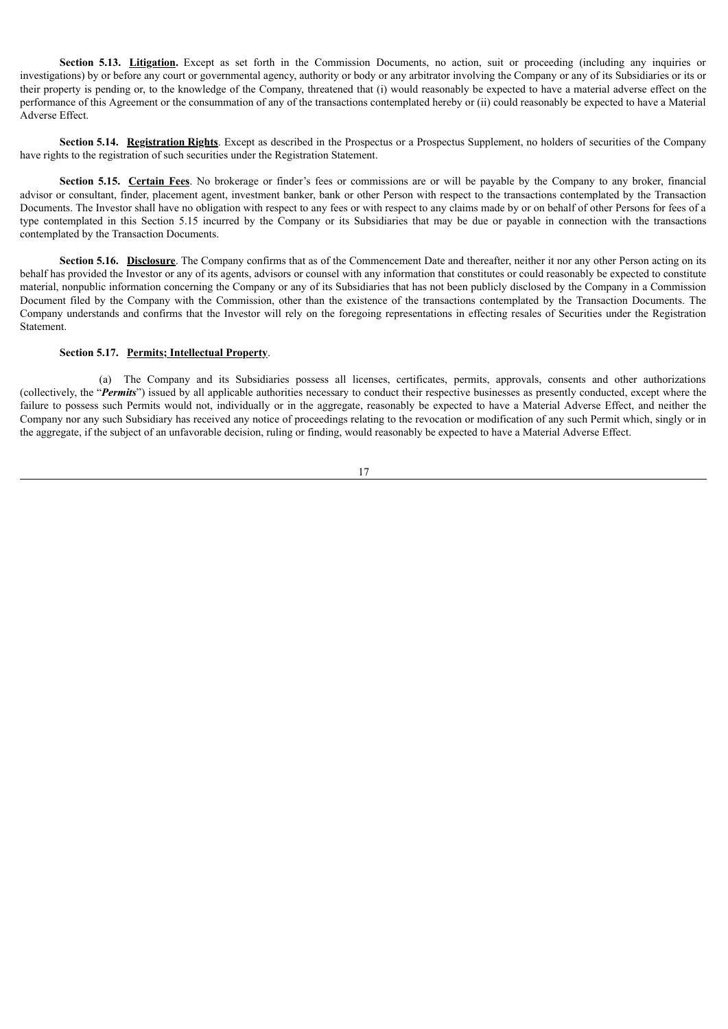**Section <b>5.13.** Litigation. Except as set forth in the Commission Documents, no action, suit or proceeding (including any inquiries or investigations) by or before any court or governmental agency, authority or body or any arbitrator involving the Company or any of its Subsidiaries or its or their property is pending or, to the knowledge of the Company, threatened that (i) would reasonably be expected to have a material adverse effect on the performance of this Agreement or the consummation of any of the transactions contemplated hereby or (ii) could reasonably be expected to have a Material Adverse Effect.

**Section 5.14. Registration Rights**. Except as described in the Prospectus or a Prospectus Supplement, no holders of securities of the Company have rights to the registration of such securities under the Registration Statement.

**Section 5.15. Certain Fees**. No brokerage or finder's fees or commissions are or will be payable by the Company to any broker, financial advisor or consultant, finder, placement agent, investment banker, bank or other Person with respect to the transactions contemplated by the Transaction Documents. The Investor shall have no obligation with respect to any fees or with respect to any claims made by or on behalf of other Persons for fees of a type contemplated in this Section 5.15 incurred by the Company or its Subsidiaries that may be due or payable in connection with the transactions contemplated by the Transaction Documents.

**Section 5.16. Disclosure**. The Company confirms that as of the Commencement Date and thereafter, neither it nor any other Person acting on its behalf has provided the Investor or any of its agents, advisors or counsel with any information that constitutes or could reasonably be expected to constitute material, nonpublic information concerning the Company or any of its Subsidiaries that has not been publicly disclosed by the Company in a Commission Document filed by the Company with the Commission, other than the existence of the transactions contemplated by the Transaction Documents. The Company understands and confirms that the Investor will rely on the foregoing representations in effecting resales of Securities under the Registration Statement.

#### **Section 5.17. Permits; Intellectual Property**.

(a) The Company and its Subsidiaries possess all licenses, certificates, permits, approvals, consents and other authorizations (collectively, the "*Permits*") issued by all applicable authorities necessary to conduct their respective businesses as presently conducted, except where the failure to possess such Permits would not, individually or in the aggregate, reasonably be expected to have a Material Adverse Effect, and neither the Company nor any such Subsidiary has received any notice of proceedings relating to the revocation or modification of any such Permit which, singly or in the aggregate, if the subject of an unfavorable decision, ruling or finding, would reasonably be expected to have a Material Adverse Effect.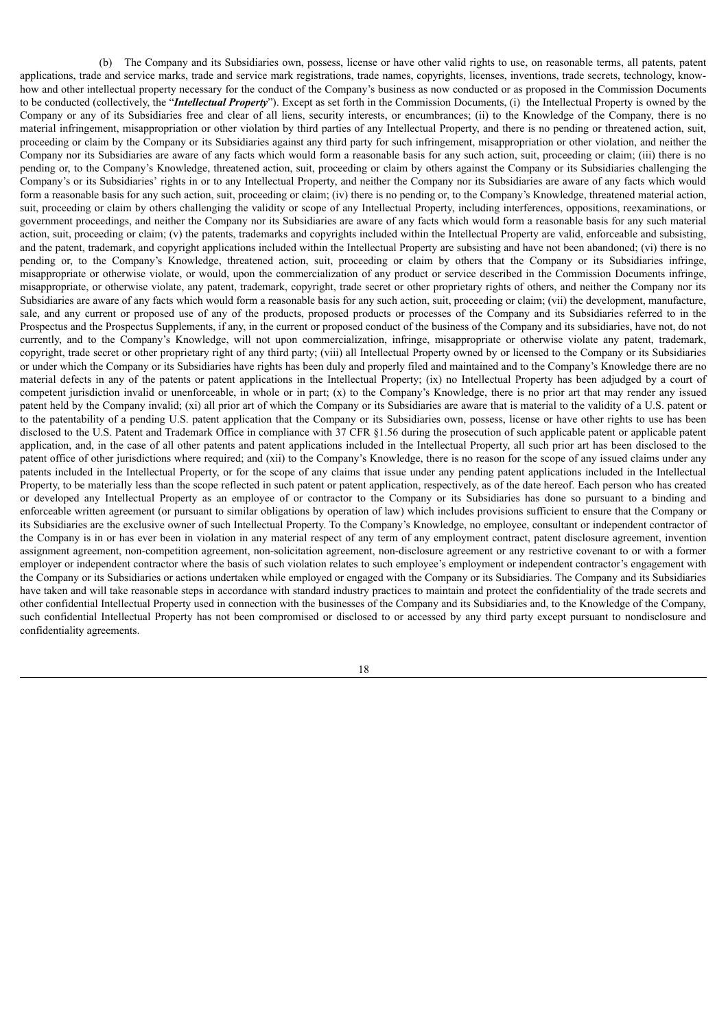(b) The Company and its Subsidiaries own, possess, license or have other valid rights to use, on reasonable terms, all patents, patent applications, trade and service marks, trade and service mark registrations, trade names, copyrights, licenses, inventions, trade secrets, technology, knowhow and other intellectual property necessary for the conduct of the Company's business as now conducted or as proposed in the Commission Documents to be conducted (collectively, the "*Intellectual Property*"). Except as set forth in the Commission Documents, (i) the Intellectual Property is owned by the Company or any of its Subsidiaries free and clear of all liens, security interests, or encumbrances; (ii) to the Knowledge of the Company, there is no material infringement, misappropriation or other violation by third parties of any Intellectual Property, and there is no pending or threatened action, suit, proceeding or claim by the Company or its Subsidiaries against any third party for such infringement, misappropriation or other violation, and neither the Company nor its Subsidiaries are aware of any facts which would form a reasonable basis for any such action, suit, proceeding or claim; (iii) there is no pending or, to the Company's Knowledge, threatened action, suit, proceeding or claim by others against the Company or its Subsidiaries challenging the Company's or its Subsidiaries' rights in or to any Intellectual Property, and neither the Company nor its Subsidiaries are aware of any facts which would form a reasonable basis for any such action, suit, proceeding or claim; (iv) there is no pending or, to the Company's Knowledge, threatened material action, suit, proceeding or claim by others challenging the validity or scope of any Intellectual Property, including interferences, oppositions, reexaminations, or government proceedings, and neither the Company nor its Subsidiaries are aware of any facts which would form a reasonable basis for any such material action, suit, proceeding or claim; (v) the patents, trademarks and copyrights included within the Intellectual Property are valid, enforceable and subsisting, and the patent, trademark, and copyright applications included within the Intellectual Property are subsisting and have not been abandoned; (vi) there is no pending or, to the Company's Knowledge, threatened action, suit, proceeding or claim by others that the Company or its Subsidiaries infringe, misappropriate or otherwise violate, or would, upon the commercialization of any product or service described in the Commission Documents infringe, misappropriate, or otherwise violate, any patent, trademark, copyright, trade secret or other proprietary rights of others, and neither the Company nor its Subsidiaries are aware of any facts which would form a reasonable basis for any such action, suit, proceeding or claim; (vii) the development, manufacture, sale, and any current or proposed use of any of the products, proposed products or processes of the Company and its Subsidiaries referred to in the Prospectus and the Prospectus Supplements, if any, in the current or proposed conduct of the business of the Company and its subsidiaries, have not, do not currently, and to the Company's Knowledge, will not upon commercialization, infringe, misappropriate or otherwise violate any patent, trademark, copyright, trade secret or other proprietary right of any third party; (viii) all Intellectual Property owned by or licensed to the Company or its Subsidiaries or under which the Company or its Subsidiaries have rights has been duly and properly filed and maintained and to the Company's Knowledge there are no material defects in any of the patents or patent applications in the Intellectual Property; (ix) no Intellectual Property has been adjudged by a court of competent jurisdiction invalid or unenforceable, in whole or in part; (x) to the Company's Knowledge, there is no prior art that may render any issued patent held by the Company invalid; (xi) all prior art of which the Company or its Subsidiaries are aware that is material to the validity of a U.S. patent or to the patentability of a pending U.S. patent application that the Company or its Subsidiaries own, possess, license or have other rights to use has been disclosed to the U.S. Patent and Trademark Office in compliance with 37 CFR §1.56 during the prosecution of such applicable patent or applicable patent application, and, in the case of all other patents and patent applications included in the Intellectual Property, all such prior art has been disclosed to the patent office of other jurisdictions where required; and (xii) to the Company's Knowledge, there is no reason for the scope of any issued claims under any patents included in the Intellectual Property, or for the scope of any claims that issue under any pending patent applications included in the Intellectual Property, to be materially less than the scope reflected in such patent or patent application, respectively, as of the date hereof. Each person who has created or developed any Intellectual Property as an employee of or contractor to the Company or its Subsidiaries has done so pursuant to a binding and enforceable written agreement (or pursuant to similar obligations by operation of law) which includes provisions sufficient to ensure that the Company or its Subsidiaries are the exclusive owner of such Intellectual Property. To the Company's Knowledge, no employee, consultant or independent contractor of the Company is in or has ever been in violation in any material respect of any term of any employment contract, patent disclosure agreement, invention assignment agreement, non-competition agreement, non-solicitation agreement, non-disclosure agreement or any restrictive covenant to or with a former employer or independent contractor where the basis of such violation relates to such employee's employment or independent contractor's engagement with the Company or its Subsidiaries or actions undertaken while employed or engaged with the Company or its Subsidiaries. The Company and its Subsidiaries have taken and will take reasonable steps in accordance with standard industry practices to maintain and protect the confidentiality of the trade secrets and other confidential Intellectual Property used in connection with the businesses of the Company and its Subsidiaries and, to the Knowledge of the Company, such confidential Intellectual Property has not been compromised or disclosed to or accessed by any third party except pursuant to nondisclosure and confidentiality agreements.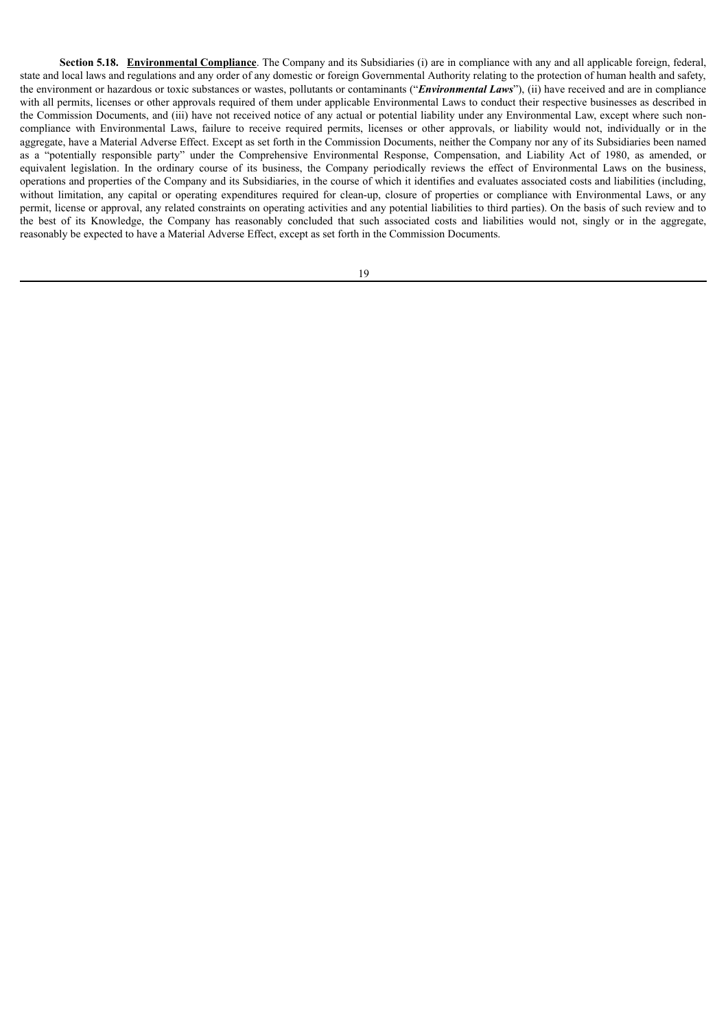**Section 5.18. Environmental Compliance**. The Company and its Subsidiaries (i) are in compliance with any and all applicable foreign, federal, state and local laws and regulations and any order of any domestic or foreign Governmental Authority relating to the protection of human health and safety, the environment or hazardous or toxic substances or wastes, pollutants or contaminants ("*Environmental Laws*"), (ii) have received and are in compliance with all permits, licenses or other approvals required of them under applicable Environmental Laws to conduct their respective businesses as described in the Commission Documents, and (iii) have not received notice of any actual or potential liability under any Environmental Law, except where such noncompliance with Environmental Laws, failure to receive required permits, licenses or other approvals, or liability would not, individually or in the aggregate, have a Material Adverse Effect. Except as set forth in the Commission Documents, neither the Company nor any of its Subsidiaries been named as a "potentially responsible party" under the Comprehensive Environmental Response, Compensation, and Liability Act of 1980, as amended, or equivalent legislation. In the ordinary course of its business, the Company periodically reviews the effect of Environmental Laws on the business, operations and properties of the Company and its Subsidiaries, in the course of which it identifies and evaluates associated costs and liabilities (including, without limitation, any capital or operating expenditures required for clean-up, closure of properties or compliance with Environmental Laws, or any permit, license or approval, any related constraints on operating activities and any potential liabilities to third parties). On the basis of such review and to the best of its Knowledge, the Company has reasonably concluded that such associated costs and liabilities would not, singly or in the aggregate, reasonably be expected to have a Material Adverse Effect, except as set forth in the Commission Documents.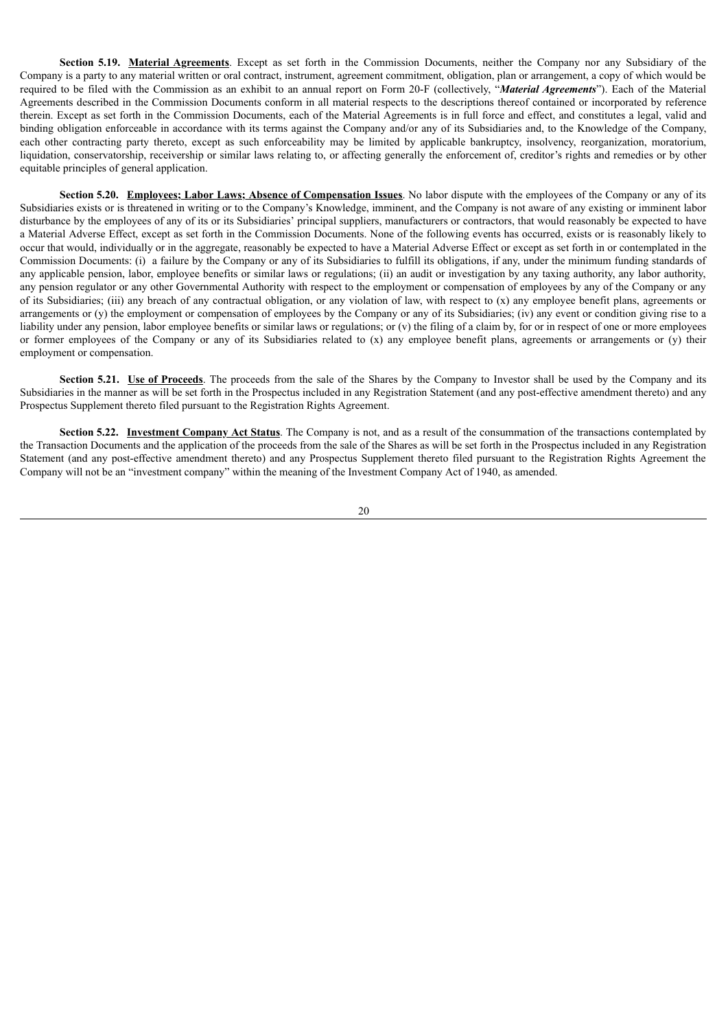**Section <b>5.19.** Material Agreements. Except as set forth in the Commission Documents, neither the Company nor any Subsidiary of the Company is a party to any material written or oral contract, instrument, agreement commitment, obligation, plan or arrangement, a copy of which would be required to be filed with the Commission as an exhibit to an annual report on Form 20-F (collectively, "*Material Agreements*"). Each of the Material Agreements described in the Commission Documents conform in all material respects to the descriptions thereof contained or incorporated by reference therein. Except as set forth in the Commission Documents, each of the Material Agreements is in full force and effect, and constitutes a legal, valid and binding obligation enforceable in accordance with its terms against the Company and/or any of its Subsidiaries and, to the Knowledge of the Company, each other contracting party thereto, except as such enforceability may be limited by applicable bankruptcy, insolvency, reorganization, moratorium, liquidation, conservatorship, receivership or similar laws relating to, or affecting generally the enforcement of, creditor's rights and remedies or by other equitable principles of general application.

**Section 5.20. Employees; Labor Laws; Absence of Compensation Issues**. No labor dispute with the employees of the Company or any of its Subsidiaries exists or is threatened in writing or to the Company's Knowledge, imminent, and the Company is not aware of any existing or imminent labor disturbance by the employees of any of its or its Subsidiaries' principal suppliers, manufacturers or contractors, that would reasonably be expected to have a Material Adverse Effect, except as set forth in the Commission Documents. None of the following events has occurred, exists or is reasonably likely to occur that would, individually or in the aggregate, reasonably be expected to have a Material Adverse Effect or except as set forth in or contemplated in the Commission Documents: (i) a failure by the Company or any of its Subsidiaries to fulfill its obligations, if any, under the minimum funding standards of any applicable pension, labor, employee benefits or similar laws or regulations; (ii) an audit or investigation by any taxing authority, any labor authority, any pension regulator or any other Governmental Authority with respect to the employment or compensation of employees by any of the Company or any of its Subsidiaries; (iii) any breach of any contractual obligation, or any violation of law, with respect to (x) any employee benefit plans, agreements or arrangements or (y) the employment or compensation of employees by the Company or any of its Subsidiaries; (iv) any event or condition giving rise to a liability under any pension, labor employee benefits or similar laws or regulations; or (v) the filing of a claim by, for or in respect of one or more employees or former employees of the Company or any of its Subsidiaries related to  $(x)$  any employee benefit plans, agreements or arrangements or  $(y)$  their employment or compensation.

**Section <b>5.21.** Use of Proceeds. The proceeds from the sale of the Shares by the Company to Investor shall be used by the Company and its Subsidiaries in the manner as will be set forth in the Prospectus included in any Registration Statement (and any post-effective amendment thereto) and any Prospectus Supplement thereto filed pursuant to the Registration Rights Agreement.

**Section 5.22. Investment Company Act Status**. The Company is not, and as a result of the consummation of the transactions contemplated by the Transaction Documents and the application of the proceeds from the sale of the Shares as will be set forth in the Prospectus included in any Registration Statement (and any post-effective amendment thereto) and any Prospectus Supplement thereto filed pursuant to the Registration Rights Agreement the Company will not be an "investment company" within the meaning of the Investment Company Act of 1940, as amended.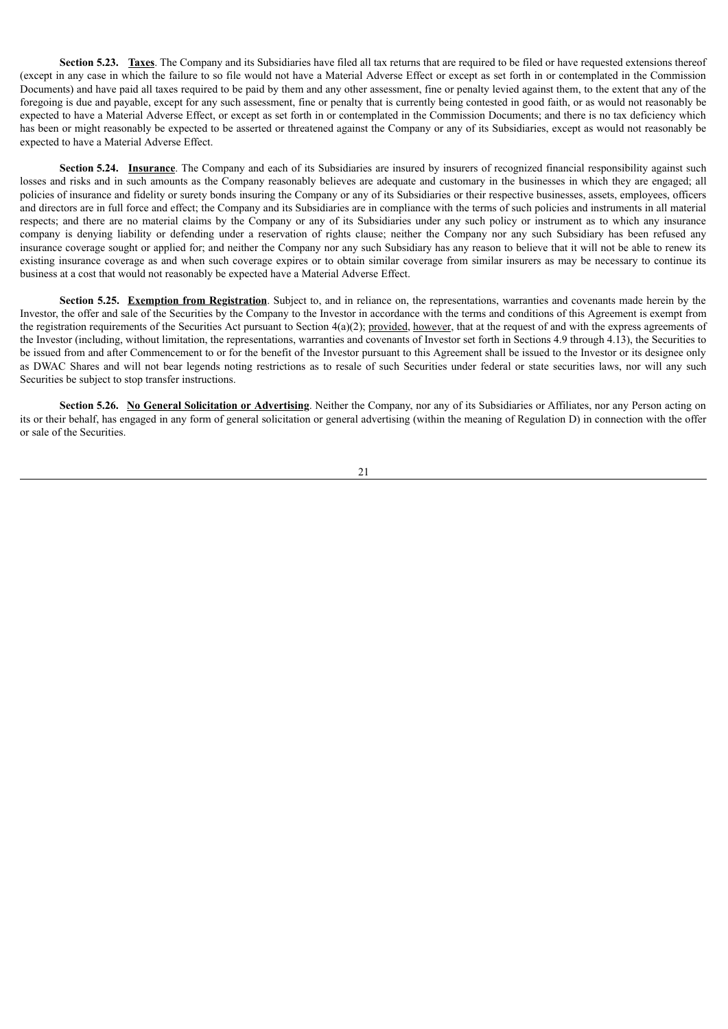**Section 5.23. Taxes**. The Company and its Subsidiaries have filed all tax returns that are required to be filed or have requested extensions thereof (except in any case in which the failure to so file would not have a Material Adverse Effect or except as set forth in or contemplated in the Commission Documents) and have paid all taxes required to be paid by them and any other assessment, fine or penalty levied against them, to the extent that any of the foregoing is due and payable, except for any such assessment, fine or penalty that is currently being contested in good faith, or as would not reasonably be expected to have a Material Adverse Effect, or except as set forth in or contemplated in the Commission Documents; and there is no tax deficiency which has been or might reasonably be expected to be asserted or threatened against the Company or any of its Subsidiaries, except as would not reasonably be expected to have a Material Adverse Effect.

**Section 5.24. Insurance**. The Company and each of its Subsidiaries are insured by insurers of recognized financial responsibility against such losses and risks and in such amounts as the Company reasonably believes are adequate and customary in the businesses in which they are engaged; all policies of insurance and fidelity or surety bonds insuring the Company or any of its Subsidiaries or their respective businesses, assets, employees, officers and directors are in full force and effect; the Company and its Subsidiaries are in compliance with the terms of such policies and instruments in all material respects; and there are no material claims by the Company or any of its Subsidiaries under any such policy or instrument as to which any insurance company is denying liability or defending under a reservation of rights clause; neither the Company nor any such Subsidiary has been refused any insurance coverage sought or applied for; and neither the Company nor any such Subsidiary has any reason to believe that it will not be able to renew its existing insurance coverage as and when such coverage expires or to obtain similar coverage from similar insurers as may be necessary to continue its business at a cost that would not reasonably be expected have a Material Adverse Effect.

**Section 5.25. Exemption from Registration**. Subject to, and in reliance on, the representations, warranties and covenants made herein by the Investor, the offer and sale of the Securities by the Company to the Investor in accordance with the terms and conditions of this Agreement is exempt from the registration requirements of the Securities Act pursuant to Section  $4(a)(2)$ ; provided, however, that at the request of and with the express agreements of the Investor (including, without limitation, the representations, warranties and covenants of Investor set forth in Sections 4.9 through 4.13), the Securities to be issued from and after Commencement to or for the benefit of the Investor pursuant to this Agreement shall be issued to the Investor or its designee only as DWAC Shares and will not bear legends noting restrictions as to resale of such Securities under federal or state securities laws, nor will any such Securities be subject to stop transfer instructions.

**Section 5.26. No General Solicitation or Advertising**. Neither the Company, nor any of its Subsidiaries or Affiliates, nor any Person acting on its or their behalf, has engaged in any form of general solicitation or general advertising (within the meaning of Regulation D) in connection with the offer or sale of the Securities.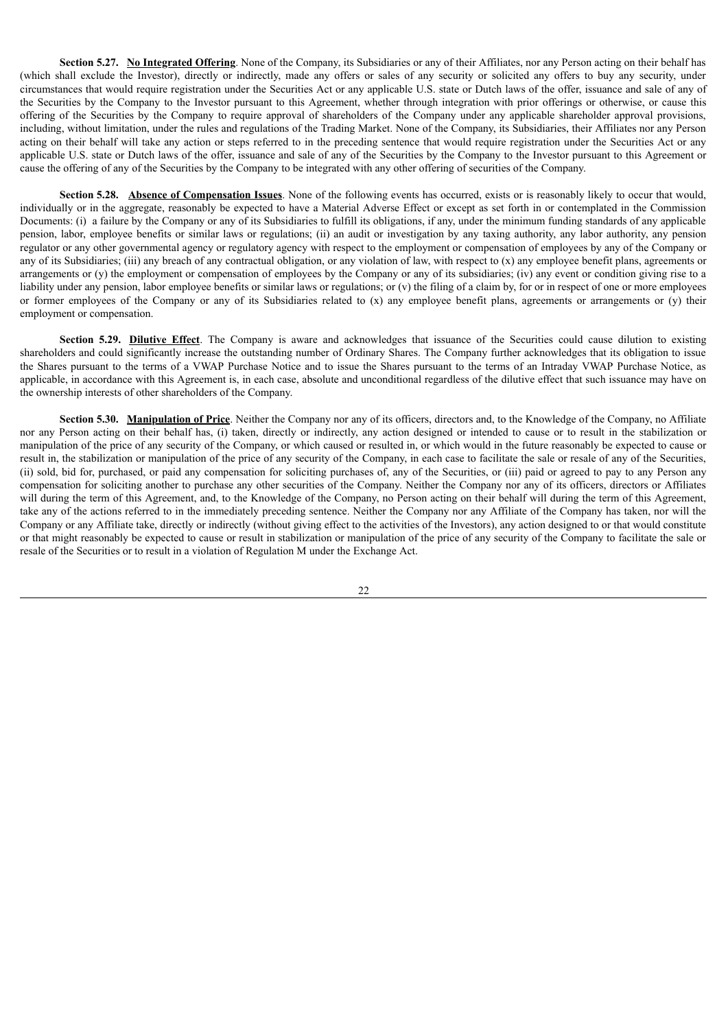**Section 5.27. No Integrated Offering**. None of the Company, its Subsidiaries or any of their Affiliates, nor any Person acting on their behalf has (which shall exclude the Investor), directly or indirectly, made any offers or sales of any security or solicited any offers to buy any security, under circumstances that would require registration under the Securities Act or any applicable U.S. state or Dutch laws of the offer, issuance and sale of any of the Securities by the Company to the Investor pursuant to this Agreement, whether through integration with prior offerings or otherwise, or cause this offering of the Securities by the Company to require approval of shareholders of the Company under any applicable shareholder approval provisions, including, without limitation, under the rules and regulations of the Trading Market. None of the Company, its Subsidiaries, their Affiliates nor any Person acting on their behalf will take any action or steps referred to in the preceding sentence that would require registration under the Securities Act or any applicable U.S. state or Dutch laws of the offer, issuance and sale of any of the Securities by the Company to the Investor pursuant to this Agreement or cause the offering of any of the Securities by the Company to be integrated with any other offering of securities of the Company.

**Section 5.28. Absence of Compensation Issues**. None of the following events has occurred, exists or is reasonably likely to occur that would, individually or in the aggregate, reasonably be expected to have a Material Adverse Effect or except as set forth in or contemplated in the Commission Documents: (i) a failure by the Company or any of its Subsidiaries to fulfill its obligations, if any, under the minimum funding standards of any applicable pension, labor, employee benefits or similar laws or regulations; (ii) an audit or investigation by any taxing authority, any labor authority, any pension regulator or any other governmental agency or regulatory agency with respect to the employment or compensation of employees by any of the Company or any of its Subsidiaries; (iii) any breach of any contractual obligation, or any violation of law, with respect to  $(x)$  any employee benefit plans, agreements or arrangements or (y) the employment or compensation of employees by the Company or any of its subsidiaries; (iv) any event or condition giving rise to a liability under any pension, labor employee benefits or similar laws or regulations; or (v) the filing of a claim by, for or in respect of one or more employees or former employees of the Company or any of its Subsidiaries related to (x) any employee benefit plans, agreements or arrangements or (y) their employment or compensation.

**Section 5.29. Dilutive Effect**. The Company is aware and acknowledges that issuance of the Securities could cause dilution to existing shareholders and could significantly increase the outstanding number of Ordinary Shares. The Company further acknowledges that its obligation to issue the Shares pursuant to the terms of a VWAP Purchase Notice and to issue the Shares pursuant to the terms of an Intraday VWAP Purchase Notice, as applicable, in accordance with this Agreement is, in each case, absolute and unconditional regardless of the dilutive effect that such issuance may have on the ownership interests of other shareholders of the Company.

**Section 5.30. Manipulation of Price**. Neither the Company nor any of its officers, directors and, to the Knowledge of the Company, no Affiliate nor any Person acting on their behalf has, (i) taken, directly or indirectly, any action designed or intended to cause or to result in the stabilization or manipulation of the price of any security of the Company, or which caused or resulted in, or which would in the future reasonably be expected to cause or result in, the stabilization or manipulation of the price of any security of the Company, in each case to facilitate the sale or resale of any of the Securities, (ii) sold, bid for, purchased, or paid any compensation for soliciting purchases of, any of the Securities, or (iii) paid or agreed to pay to any Person any compensation for soliciting another to purchase any other securities of the Company. Neither the Company nor any of its officers, directors or Affiliates will during the term of this Agreement, and, to the Knowledge of the Company, no Person acting on their behalf will during the term of this Agreement, take any of the actions referred to in the immediately preceding sentence. Neither the Company nor any Affiliate of the Company has taken, nor will the Company or any Affiliate take, directly or indirectly (without giving effect to the activities of the Investors), any action designed to or that would constitute or that might reasonably be expected to cause or result in stabilization or manipulation of the price of any security of the Company to facilitate the sale or resale of the Securities or to result in a violation of Regulation M under the Exchange Act.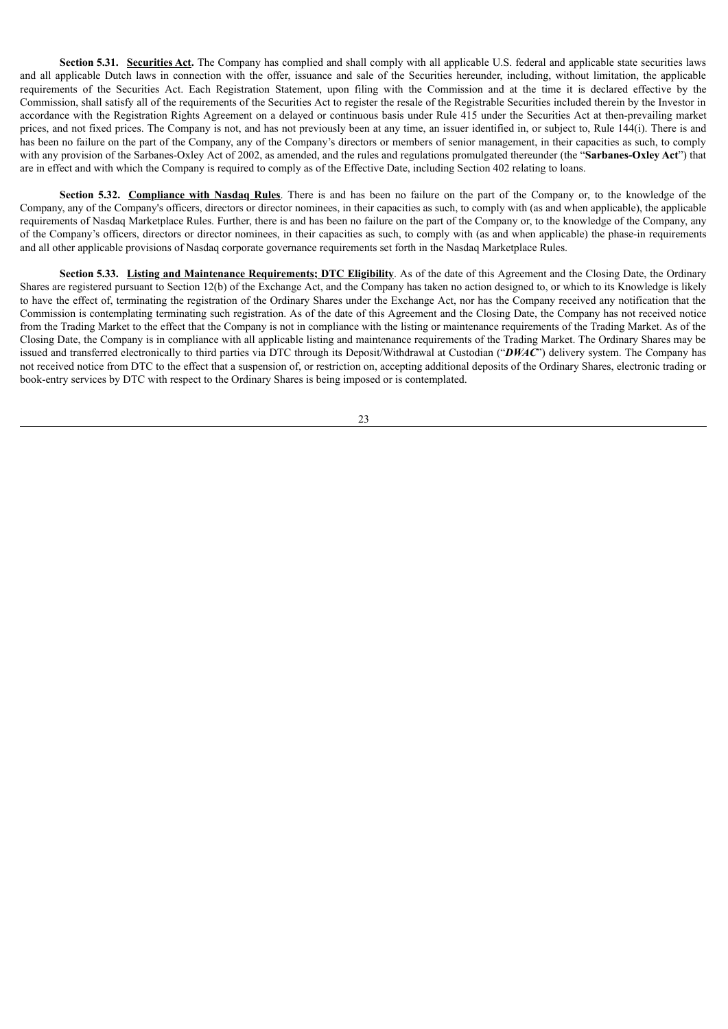**Section <b>5.31.** Securities Act. The Company has complied and shall comply with all applicable U.S. federal and applicable state securities laws and all applicable Dutch laws in connection with the offer, issuance and sale of the Securities hereunder, including, without limitation, the applicable requirements of the Securities Act. Each Registration Statement, upon filing with the Commission and at the time it is declared effective by the Commission, shall satisfy all of the requirements of the Securities Act to register the resale of the Registrable Securities included therein by the Investor in accordance with the Registration Rights Agreement on a delayed or continuous basis under Rule 415 under the Securities Act at then-prevailing market prices, and not fixed prices. The Company is not, and has not previously been at any time, an issuer identified in, or subject to, Rule 144(i). There is and has been no failure on the part of the Company, any of the Company's directors or members of senior management, in their capacities as such, to comply with any provision of the Sarbanes-Oxley Act of 2002, as amended, and the rules and regulations promulgated thereunder (the "**Sarbanes-Oxley Act**") that are in effect and with which the Company is required to comply as of the Effective Date, including Section 402 relating to loans.

**Section 5.32. Compliance with Nasdaq Rules**. There is and has been no failure on the part of the Company or, to the knowledge of the Company, any of the Company's officers, directors or director nominees, in their capacities as such, to comply with (as and when applicable), the applicable requirements of Nasdaq Marketplace Rules. Further, there is and has been no failure on the part of the Company or, to the knowledge of the Company, any of the Company's officers, directors or director nominees, in their capacities as such, to comply with (as and when applicable) the phase-in requirements and all other applicable provisions of Nasdaq corporate governance requirements set forth in the Nasdaq Marketplace Rules.

**Section 5.33. Listing and Maintenance Requirements; DTC Eligibility**. As of the date of this Agreement and the Closing Date, the Ordinary Shares are registered pursuant to Section 12(b) of the Exchange Act, and the Company has taken no action designed to, or which to its Knowledge is likely to have the effect of, terminating the registration of the Ordinary Shares under the Exchange Act, nor has the Company received any notification that the Commission is contemplating terminating such registration. As of the date of this Agreement and the Closing Date, the Company has not received notice from the Trading Market to the effect that the Company is not in compliance with the listing or maintenance requirements of the Trading Market. As of the Closing Date, the Company is in compliance with all applicable listing and maintenance requirements of the Trading Market. The Ordinary Shares may be issued and transferred electronically to third parties via DTC through its Deposit/Withdrawal at Custodian ("*DWAC*") delivery system. The Company has not received notice from DTC to the effect that a suspension of, or restriction on, accepting additional deposits of the Ordinary Shares, electronic trading or book-entry services by DTC with respect to the Ordinary Shares is being imposed or is contemplated.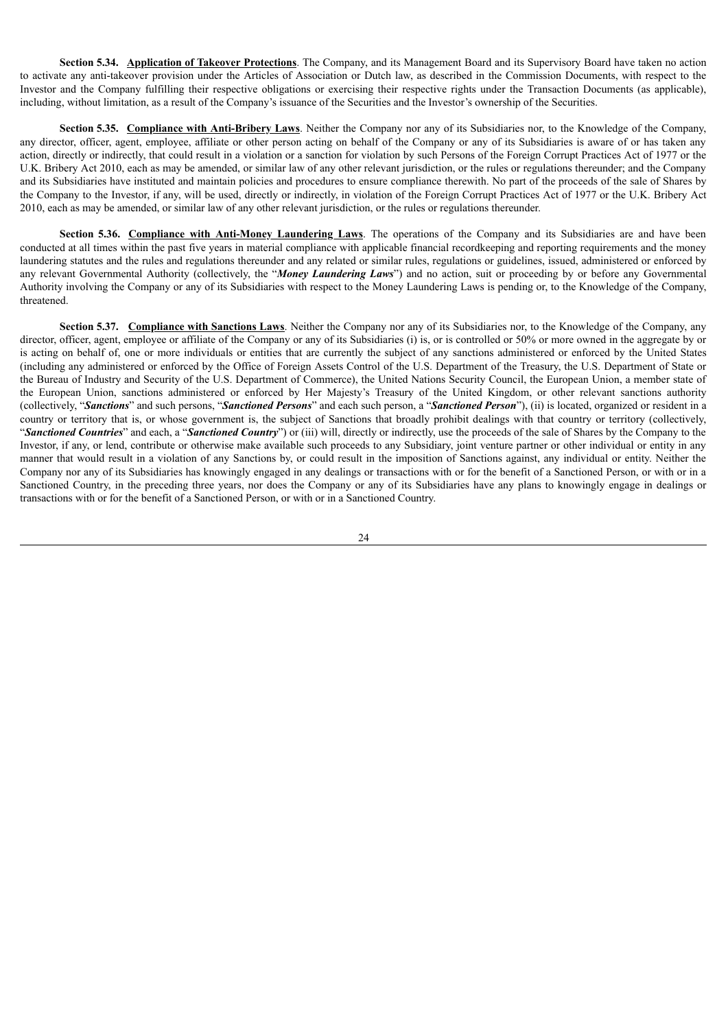**Section 5.34. Application of Takeover Protections**. The Company, and its Management Board and its Supervisory Board have taken no action to activate any anti-takeover provision under the Articles of Association or Dutch law, as described in the Commission Documents, with respect to the Investor and the Company fulfilling their respective obligations or exercising their respective rights under the Transaction Documents (as applicable), including, without limitation, as a result of the Company's issuance of the Securities and the Investor's ownership of the Securities.

**Section 5.35. Compliance with Anti-Bribery Laws**. Neither the Company nor any of its Subsidiaries nor, to the Knowledge of the Company, any director, officer, agent, employee, affiliate or other person acting on behalf of the Company or any of its Subsidiaries is aware of or has taken any action, directly or indirectly, that could result in a violation or a sanction for violation by such Persons of the Foreign Corrupt Practices Act of 1977 or the U.K. Bribery Act 2010, each as may be amended, or similar law of any other relevant jurisdiction, or the rules or regulations thereunder; and the Company and its Subsidiaries have instituted and maintain policies and procedures to ensure compliance therewith. No part of the proceeds of the sale of Shares by the Company to the Investor, if any, will be used, directly or indirectly, in violation of the Foreign Corrupt Practices Act of 1977 or the U.K. Bribery Act 2010, each as may be amended, or similar law of any other relevant jurisdiction, or the rules or regulations thereunder.

**Section 5.36. Compliance with Anti-Money Laundering Laws**. The operations of the Company and its Subsidiaries are and have been conducted at all times within the past five years in material compliance with applicable financial recordkeeping and reporting requirements and the money laundering statutes and the rules and regulations thereunder and any related or similar rules, regulations or guidelines, issued, administered or enforced by any relevant Governmental Authority (collectively, the "*Money Laundering Laws*") and no action, suit or proceeding by or before any Governmental Authority involving the Company or any of its Subsidiaries with respect to the Money Laundering Laws is pending or, to the Knowledge of the Company, threatened.

**Section 5.37. Compliance with Sanctions Laws**. Neither the Company nor any of its Subsidiaries nor, to the Knowledge of the Company, any director, officer, agent, employee or affiliate of the Company or any of its Subsidiaries (i) is, or is controlled or 50% or more owned in the aggregate by or is acting on behalf of, one or more individuals or entities that are currently the subject of any sanctions administered or enforced by the United States (including any administered or enforced by the Office of Foreign Assets Control of the U.S. Department of the Treasury, the U.S. Department of State or the Bureau of Industry and Security of the U.S. Department of Commerce), the United Nations Security Council, the European Union, a member state of the European Union, sanctions administered or enforced by Her Majesty's Treasury of the United Kingdom, or other relevant sanctions authority (collectively, "*Sanctions*" and such persons, "*Sanctioned Persons*" and each such person, a "*Sanctioned Person*"), (ii) is located, organized or resident in a country or territory that is, or whose government is, the subject of Sanctions that broadly prohibit dealings with that country or territory (collectively, "*Sanctioned Countries*" and each, a "*Sanctioned Country*") or (iii) will, directly or indirectly, use the proceeds of the sale of Shares by the Company to the Investor, if any, or lend, contribute or otherwise make available such proceeds to any Subsidiary, joint venture partner or other individual or entity in any manner that would result in a violation of any Sanctions by, or could result in the imposition of Sanctions against, any individual or entity. Neither the Company nor any of its Subsidiaries has knowingly engaged in any dealings or transactions with or for the benefit of a Sanctioned Person, or with or in a Sanctioned Country, in the preceding three years, nor does the Company or any of its Subsidiaries have any plans to knowingly engage in dealings or transactions with or for the benefit of a Sanctioned Person, or with or in a Sanctioned Country.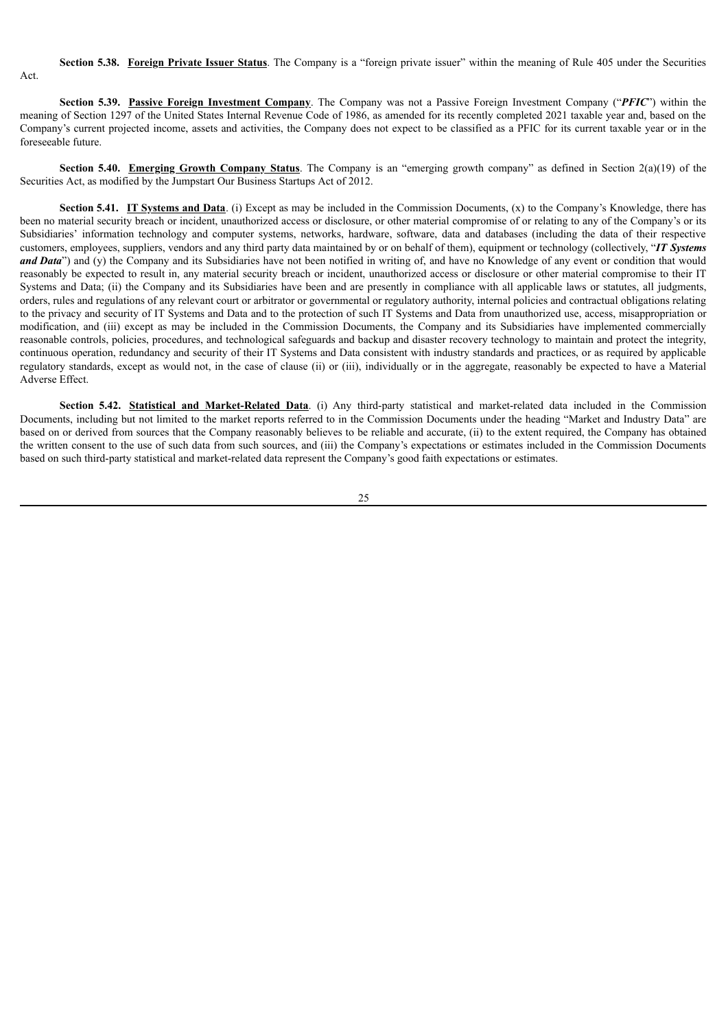#### **Section 5.38. Foreign Private Issuer Status**. The Company is a "foreign private issuer" within the meaning of Rule 405 under the Securities

Act.

**Section 5.39. Passive Foreign Investment Company**. The Company was not a Passive Foreign Investment Company ("*PFIC*") within the meaning of Section 1297 of the United States Internal Revenue Code of 1986, as amended for its recently completed 2021 taxable year and, based on the Company's current projected income, assets and activities, the Company does not expect to be classified as a PFIC for its current taxable year or in the foreseeable future.

**Section 5.40. Emerging Growth Company Status**. The Company is an "emerging growth company" as defined in Section 2(a)(19) of the Securities Act, as modified by the Jumpstart Our Business Startups Act of 2012.

**Section <b>5.41.** IT Systems and Data. (i) Except as may be included in the Commission Documents, (x) to the Company's Knowledge, there has been no material security breach or incident, unauthorized access or disclosure, or other material compromise of or relating to any of the Company's or its Subsidiaries' information technology and computer systems, networks, hardware, software, data and databases (including the data of their respective customers, employees, suppliers, vendors and any third party data maintained by or on behalf of them), equipment or technology (collectively, "*IT Systems and Data*") and (y) the Company and its Subsidiaries have not been notified in writing of, and have no Knowledge of any event or condition that would reasonably be expected to result in, any material security breach or incident, unauthorized access or disclosure or other material compromise to their IT Systems and Data; (ii) the Company and its Subsidiaries have been and are presently in compliance with all applicable laws or statutes, all judgments, orders, rules and regulations of any relevant court or arbitrator or governmental or regulatory authority, internal policies and contractual obligations relating to the privacy and security of IT Systems and Data and to the protection of such IT Systems and Data from unauthorized use, access, misappropriation or modification, and (iii) except as may be included in the Commission Documents, the Company and its Subsidiaries have implemented commercially reasonable controls, policies, procedures, and technological safeguards and backup and disaster recovery technology to maintain and protect the integrity, continuous operation, redundancy and security of their IT Systems and Data consistent with industry standards and practices, or as required by applicable regulatory standards, except as would not, in the case of clause (ii) or (iii), individually or in the aggregate, reasonably be expected to have a Material Adverse Effect.

**Section 5.42. Statistical and Market-Related Data**. (i) Any third-party statistical and market-related data included in the Commission Documents, including but not limited to the market reports referred to in the Commission Documents under the heading "Market and Industry Data" are based on or derived from sources that the Company reasonably believes to be reliable and accurate, (ii) to the extent required, the Company has obtained the written consent to the use of such data from such sources, and (iii) the Company's expectations or estimates included in the Commission Documents based on such third-party statistical and market-related data represent the Company's good faith expectations or estimates.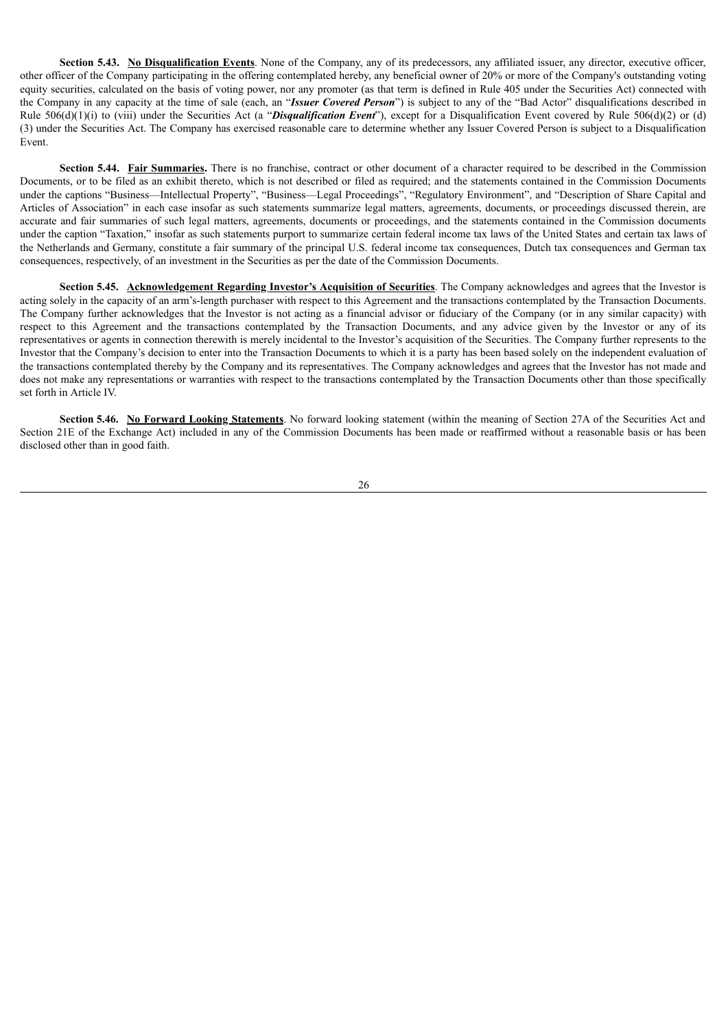**Section 5.43. No Disqualification Events**. None of the Company, any of its predecessors, any affiliated issuer, any director, executive officer, other officer of the Company participating in the offering contemplated hereby, any beneficial owner of 20% or more of the Company's outstanding voting equity securities, calculated on the basis of voting power, nor any promoter (as that term is defined in Rule 405 under the Securities Act) connected with the Company in any capacity at the time of sale (each, an "*Issuer Covered Person*") is subject to any of the "Bad Actor" disqualifications described in Rule 506(d)(1)(i) to (viii) under the Securities Act (a "*Disqualification Event*"), except for a Disqualification Event covered by Rule 506(d)(2) or (d) (3) under the Securities Act. The Company has exercised reasonable care to determine whether any Issuer Covered Person is subject to a Disqualification Event.

**Section 5.44. Fair Summaries.** There is no franchise, contract or other document of a character required to be described in the Commission Documents, or to be filed as an exhibit thereto, which is not described or filed as required; and the statements contained in the Commission Documents under the captions "Business—Intellectual Property", "Business—Legal Proceedings", "Regulatory Environment", and "Description of Share Capital and Articles of Association" in each case insofar as such statements summarize legal matters, agreements, documents, or proceedings discussed therein, are accurate and fair summaries of such legal matters, agreements, documents or proceedings, and the statements contained in the Commission documents under the caption "Taxation," insofar as such statements purport to summarize certain federal income tax laws of the United States and certain tax laws of the Netherlands and Germany, constitute a fair summary of the principal U.S. federal income tax consequences, Dutch tax consequences and German tax consequences, respectively, of an investment in the Securities as per the date of the Commission Documents.

**Section 5.45. Acknowledgement Regarding Investor's Acquisition of Securities**. The Company acknowledges and agrees that the Investor is acting solely in the capacity of an arm's-length purchaser with respect to this Agreement and the transactions contemplated by the Transaction Documents. The Company further acknowledges that the Investor is not acting as a financial advisor or fiduciary of the Company (or in any similar capacity) with respect to this Agreement and the transactions contemplated by the Transaction Documents, and any advice given by the Investor or any of its representatives or agents in connection therewith is merely incidental to the Investor's acquisition of the Securities. The Company further represents to the Investor that the Company's decision to enter into the Transaction Documents to which it is a party has been based solely on the independent evaluation of the transactions contemplated thereby by the Company and its representatives. The Company acknowledges and agrees that the Investor has not made and does not make any representations or warranties with respect to the transactions contemplated by the Transaction Documents other than those specifically set forth in Article IV.

**Section 5.46. No Forward Looking Statements**. No forward looking statement (within the meaning of Section 27A of the Securities Act and Section 21E of the Exchange Act) included in any of the Commission Documents has been made or reaffirmed without a reasonable basis or has been disclosed other than in good faith.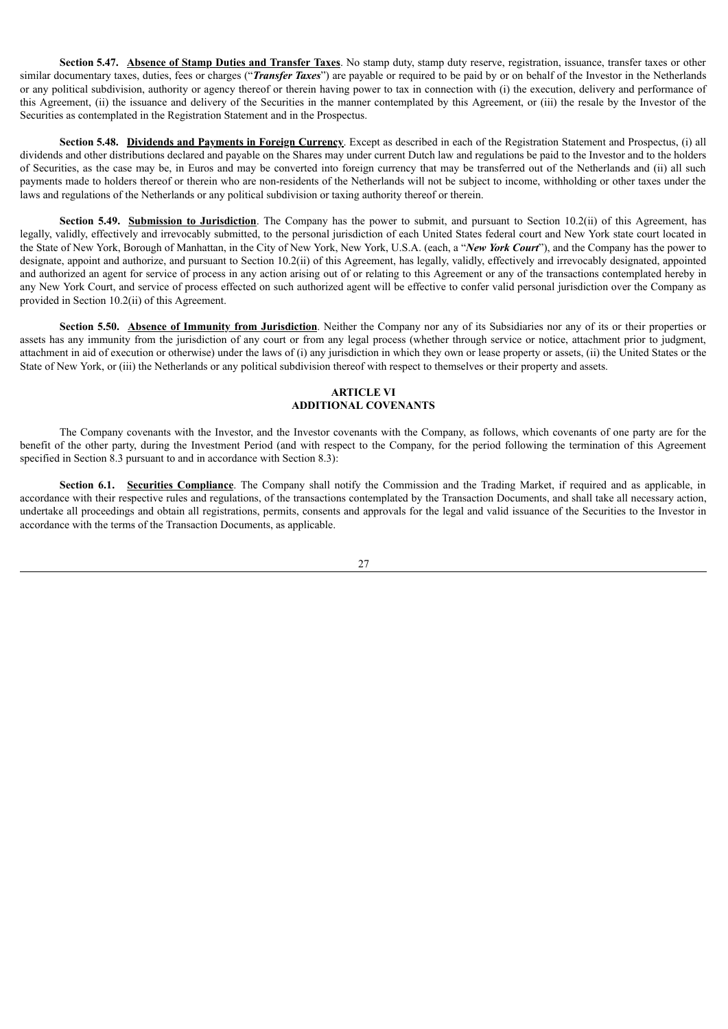**Section 5.47. Absence of Stamp Duties and Transfer Taxes**. No stamp duty, stamp duty reserve, registration, issuance, transfer taxes or other similar documentary taxes, duties, fees or charges ("*Transfer Taxes*") are payable or required to be paid by or on behalf of the Investor in the Netherlands or any political subdivision, authority or agency thereof or therein having power to tax in connection with (i) the execution, delivery and performance of this Agreement, (ii) the issuance and delivery of the Securities in the manner contemplated by this Agreement, or (iii) the resale by the Investor of the Securities as contemplated in the Registration Statement and in the Prospectus.

**Section 5.48. Dividends and Payments in Foreign Currency**. Except as described in each of the Registration Statement and Prospectus, (i) all dividends and other distributions declared and payable on the Shares may under current Dutch law and regulations be paid to the Investor and to the holders of Securities, as the case may be, in Euros and may be converted into foreign currency that may be transferred out of the Netherlands and (ii) all such payments made to holders thereof or therein who are non-residents of the Netherlands will not be subject to income, withholding or other taxes under the laws and regulations of the Netherlands or any political subdivision or taxing authority thereof or therein.

**Section <b>5.49.** Submission to Jurisdiction. The Company has the power to submit, and pursuant to Section 10.2(ii) of this Agreement, has legally, validly, effectively and irrevocably submitted, to the personal jurisdiction of each United States federal court and New York state court located in the State of New York, Borough of Manhattan, in the City of New York, New York, U.S.A. (each, a "*New York Court*"), and the Company has the power to designate, appoint and authorize, and pursuant to Section 10.2(ii) of this Agreement, has legally, validly, effectively and irrevocably designated, appointed and authorized an agent for service of process in any action arising out of or relating to this Agreement or any of the transactions contemplated hereby in any New York Court, and service of process effected on such authorized agent will be effective to confer valid personal jurisdiction over the Company as provided in Section 10.2(ii) of this Agreement.

**Section 5.50. Absence of Immunity from Jurisdiction**. Neither the Company nor any of its Subsidiaries nor any of its or their properties or assets has any immunity from the jurisdiction of any court or from any legal process (whether through service or notice, attachment prior to judgment, attachment in aid of execution or otherwise) under the laws of (i) any jurisdiction in which they own or lease property or assets, (ii) the United States or the State of New York, or (iii) the Netherlands or any political subdivision thereof with respect to themselves or their property and assets.

#### **ARTICLE VI ADDITIONAL COVENANTS**

The Company covenants with the Investor, and the Investor covenants with the Company, as follows, which covenants of one party are for the benefit of the other party, during the Investment Period (and with respect to the Company, for the period following the termination of this Agreement specified in Section 8.3 pursuant to and in accordance with Section 8.3):

**Section 6.1. Securities Compliance**. The Company shall notify the Commission and the Trading Market, if required and as applicable, in accordance with their respective rules and regulations, of the transactions contemplated by the Transaction Documents, and shall take all necessary action, undertake all proceedings and obtain all registrations, permits, consents and approvals for the legal and valid issuance of the Securities to the Investor in accordance with the terms of the Transaction Documents, as applicable.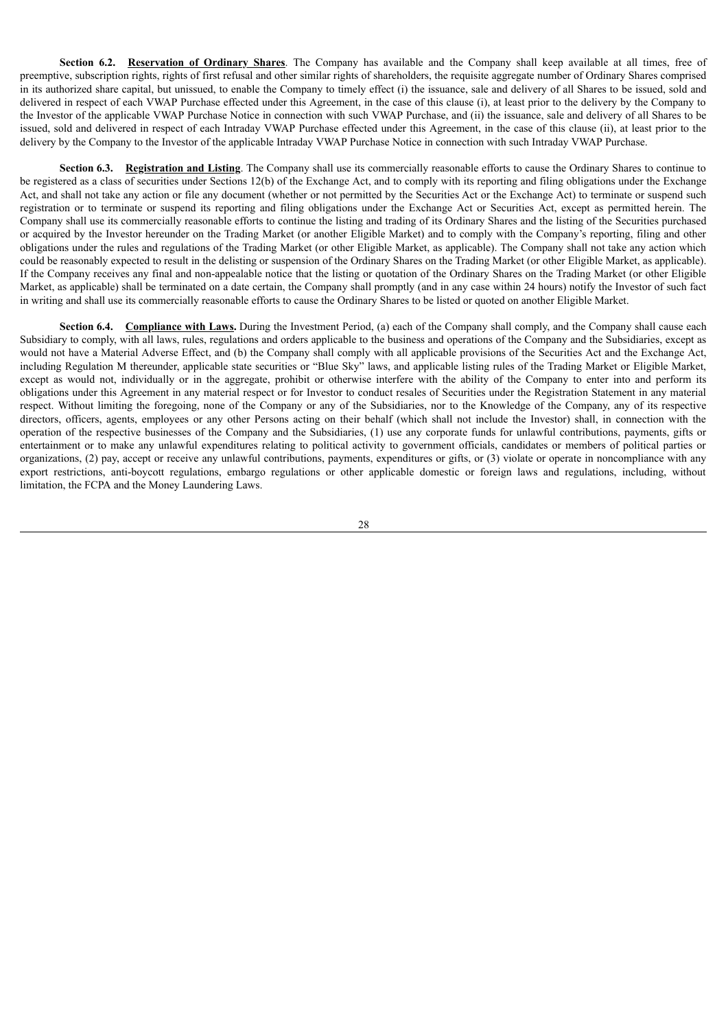**Section 6.2. Reservation of Ordinary Shares**. The Company has available and the Company shall keep available at all times, free of preemptive, subscription rights, rights of first refusal and other similar rights of shareholders, the requisite aggregate number of Ordinary Shares comprised in its authorized share capital, but unissued, to enable the Company to timely effect (i) the issuance, sale and delivery of all Shares to be issued, sold and delivered in respect of each VWAP Purchase effected under this Agreement, in the case of this clause (i), at least prior to the delivery by the Company to the Investor of the applicable VWAP Purchase Notice in connection with such VWAP Purchase, and (ii) the issuance, sale and delivery of all Shares to be issued, sold and delivered in respect of each Intraday VWAP Purchase effected under this Agreement, in the case of this clause (ii), at least prior to the delivery by the Company to the Investor of the applicable Intraday VWAP Purchase Notice in connection with such Intraday VWAP Purchase.

**Section 6.3. Registration and Listing**. The Company shall use its commercially reasonable efforts to cause the Ordinary Shares to continue to be registered as a class of securities under Sections 12(b) of the Exchange Act, and to comply with its reporting and filing obligations under the Exchange Act, and shall not take any action or file any document (whether or not permitted by the Securities Act or the Exchange Act) to terminate or suspend such registration or to terminate or suspend its reporting and filing obligations under the Exchange Act or Securities Act, except as permitted herein. The Company shall use its commercially reasonable efforts to continue the listing and trading of its Ordinary Shares and the listing of the Securities purchased or acquired by the Investor hereunder on the Trading Market (or another Eligible Market) and to comply with the Company's reporting, filing and other obligations under the rules and regulations of the Trading Market (or other Eligible Market, as applicable). The Company shall not take any action which could be reasonably expected to result in the delisting or suspension of the Ordinary Shares on the Trading Market (or other Eligible Market, as applicable). If the Company receives any final and non-appealable notice that the listing or quotation of the Ordinary Shares on the Trading Market (or other Eligible Market, as applicable) shall be terminated on a date certain, the Company shall promptly (and in any case within 24 hours) notify the Investor of such fact in writing and shall use its commercially reasonable efforts to cause the Ordinary Shares to be listed or quoted on another Eligible Market.

**Section 6.4. Compliance with Laws.** During the Investment Period, (a) each of the Company shall comply, and the Company shall cause each Subsidiary to comply, with all laws, rules, regulations and orders applicable to the business and operations of the Company and the Subsidiaries, except as would not have a Material Adverse Effect, and (b) the Company shall comply with all applicable provisions of the Securities Act and the Exchange Act, including Regulation M thereunder, applicable state securities or "Blue Sky" laws, and applicable listing rules of the Trading Market or Eligible Market, except as would not, individually or in the aggregate, prohibit or otherwise interfere with the ability of the Company to enter into and perform its obligations under this Agreement in any material respect or for Investor to conduct resales of Securities under the Registration Statement in any material respect. Without limiting the foregoing, none of the Company or any of the Subsidiaries, nor to the Knowledge of the Company, any of its respective directors, officers, agents, employees or any other Persons acting on their behalf (which shall not include the Investor) shall, in connection with the operation of the respective businesses of the Company and the Subsidiaries, (1) use any corporate funds for unlawful contributions, payments, gifts or entertainment or to make any unlawful expenditures relating to political activity to government officials, candidates or members of political parties or organizations, (2) pay, accept or receive any unlawful contributions, payments, expenditures or gifts, or (3) violate or operate in noncompliance with any export restrictions, anti-boycott regulations, embargo regulations or other applicable domestic or foreign laws and regulations, including, without limitation, the FCPA and the Money Laundering Laws.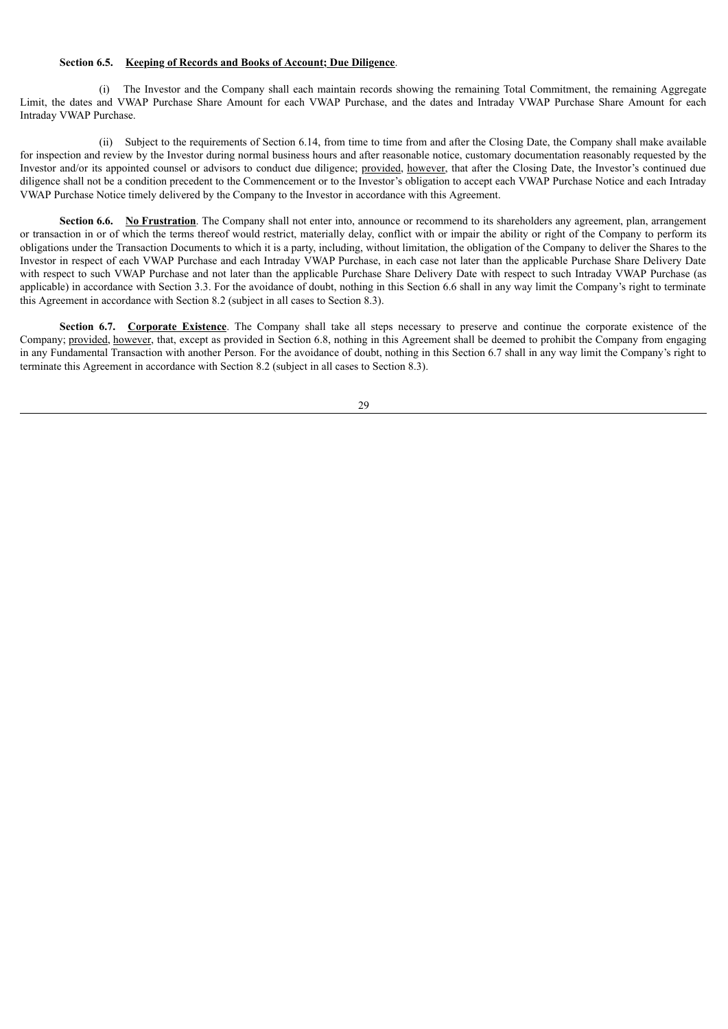#### **Section 6.5. Keeping of Records and Books of Account; Due Diligence**.

(i) The Investor and the Company shall each maintain records showing the remaining Total Commitment, the remaining Aggregate Limit, the dates and VWAP Purchase Share Amount for each VWAP Purchase, and the dates and Intraday VWAP Purchase Share Amount for each Intraday VWAP Purchase.

(ii) Subject to the requirements of Section 6.14, from time to time from and after the Closing Date, the Company shall make available for inspection and review by the Investor during normal business hours and after reasonable notice, customary documentation reasonably requested by the Investor and/or its appointed counsel or advisors to conduct due diligence; provided, however, that after the Closing Date, the Investor's continued due diligence shall not be a condition precedent to the Commencement or to the Investor's obligation to accept each VWAP Purchase Notice and each Intraday VWAP Purchase Notice timely delivered by the Company to the Investor in accordance with this Agreement.

**Section 6.6.** No **Frustration**. The Company shall not enter into, announce or recommend to its shareholders any agreement, plan, arrangement or transaction in or of which the terms thereof would restrict, materially delay, conflict with or impair the ability or right of the Company to perform its obligations under the Transaction Documents to which it is a party, including, without limitation, the obligation of the Company to deliver the Shares to the Investor in respect of each VWAP Purchase and each Intraday VWAP Purchase, in each case not later than the applicable Purchase Share Delivery Date with respect to such VWAP Purchase and not later than the applicable Purchase Share Delivery Date with respect to such Intraday VWAP Purchase (as applicable) in accordance with Section 3.3. For the avoidance of doubt, nothing in this Section 6.6 shall in any way limit the Company's right to terminate this Agreement in accordance with Section 8.2 (subject in all cases to Section 8.3).

**Section 6.7. Corporate Existence**. The Company shall take all steps necessary to preserve and continue the corporate existence of the Company; provided, however, that, except as provided in Section 6.8, nothing in this Agreement shall be deemed to prohibit the Company from engaging in any Fundamental Transaction with another Person. For the avoidance of doubt, nothing in this Section 6.7 shall in any way limit the Company's right to terminate this Agreement in accordance with Section 8.2 (subject in all cases to Section 8.3).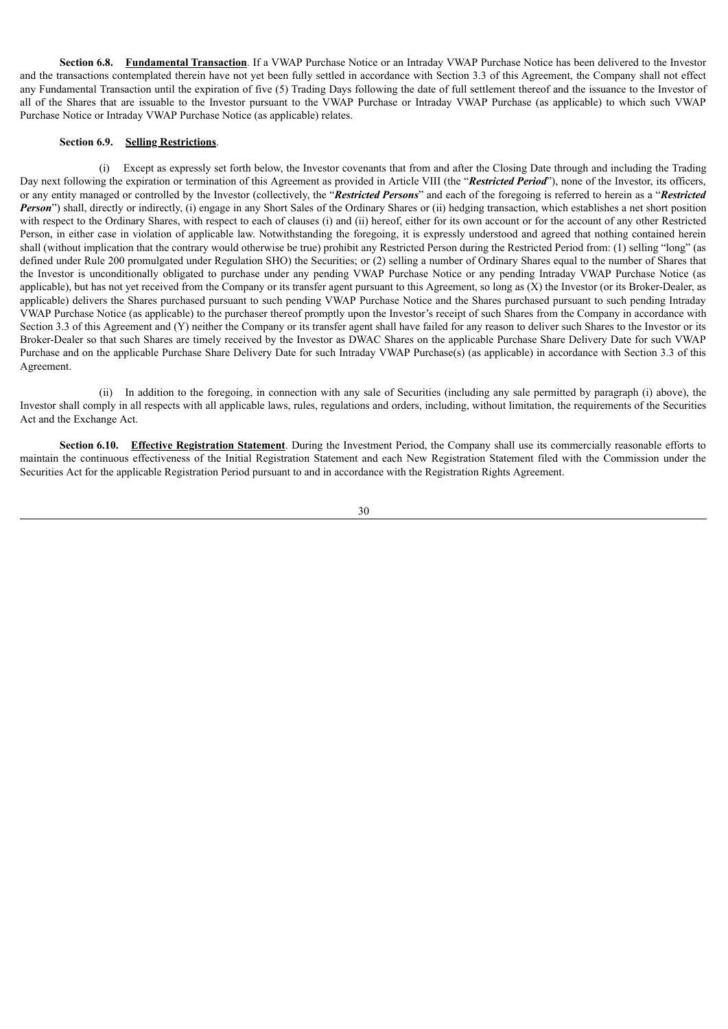**Section 6.8. Fundamental Transaction**. If a VWAP Purchase Notice or an Intraday VWAP Purchase Notice has been delivered to the Investor and the transactions contemplated therein have not yet been fully settled in accordance with Section 3.3 of this Agreement, the Company shall not effect any Fundamental Transaction until the expiration of five (5) Trading Days following the date of full settlement thereof and the issuance to the Investor of all of the Shares that are issuable to the Investor pursuant to the VWAP Purchase or Intraday VWAP Purchase (as applicable) to which such VWAP Purchase Notice or Intraday VWAP Purchase Notice (as applicable) relates.

# **Section 6.9. Selling Restrictions**.

(i) Except as expressly set forth below, the Investor covenants that from and after the Closing Date through and including the Trading Day next following the expiration or termination of this Agreement as provided in Article VIII (the "*Restricted Period*"), none of the Investor, its officers, or any entity managed or controlled by the Investor (collectively, the "*Restricted Persons*" and each of the foregoing is referred to herein as a "*Restricted Person*") shall, directly or indirectly, (i) engage in any Short Sales of the Ordinary Shares or (ii) hedging transaction, which establishes a net short position with respect to the Ordinary Shares, with respect to each of clauses (i) and (ii) hereof, either for its own account or for the account of any other Restricted Person, in either case in violation of applicable law. Notwithstanding the foregoing, it is expressly understood and agreed that nothing contained herein shall (without implication that the contrary would otherwise be true) prohibit any Restricted Person during the Restricted Period from: (1) selling "long" (as defined under Rule 200 promulgated under Regulation SHO) the Securities; or (2) selling a number of Ordinary Shares equal to the number of Shares that the Investor is unconditionally obligated to purchase under any pending VWAP Purchase Notice or any pending Intraday VWAP Purchase Notice (as applicable), but has not yet received from the Company or its transfer agent pursuant to this Agreement, so long as  $(X)$  the Investor (or its Broker-Dealer, as applicable) delivers the Shares purchased pursuant to such pending VWAP Purchase Notice and the Shares purchased pursuant to such pending Intraday VWAP Purchase Notice (as applicable) to the purchaser thereof promptly upon the Investor's receipt of such Shares from the Company in accordance with Section 3.3 of this Agreement and (Y) neither the Company or its transfer agent shall have failed for any reason to deliver such Shares to the Investor or its Broker-Dealer so that such Shares are timely received by the Investor as DWAC Shares on the applicable Purchase Share Delivery Date for such VWAP Purchase and on the applicable Purchase Share Delivery Date for such Intraday VWAP Purchase(s) (as applicable) in accordance with Section 3.3 of this Agreement.

(ii) In addition to the foregoing, in connection with any sale of Securities (including any sale permitted by paragraph (i) above), the Investor shall comply in all respects with all applicable laws, rules, regulations and orders, including, without limitation, the requirements of the Securities Act and the Exchange Act.

**Section 6.10. Effective Registration Statement**. During the Investment Period, the Company shall use its commercially reasonable efforts to maintain the continuous effectiveness of the Initial Registration Statement and each New Registration Statement filed with the Commission under the Securities Act for the applicable Registration Period pursuant to and in accordance with the Registration Rights Agreement.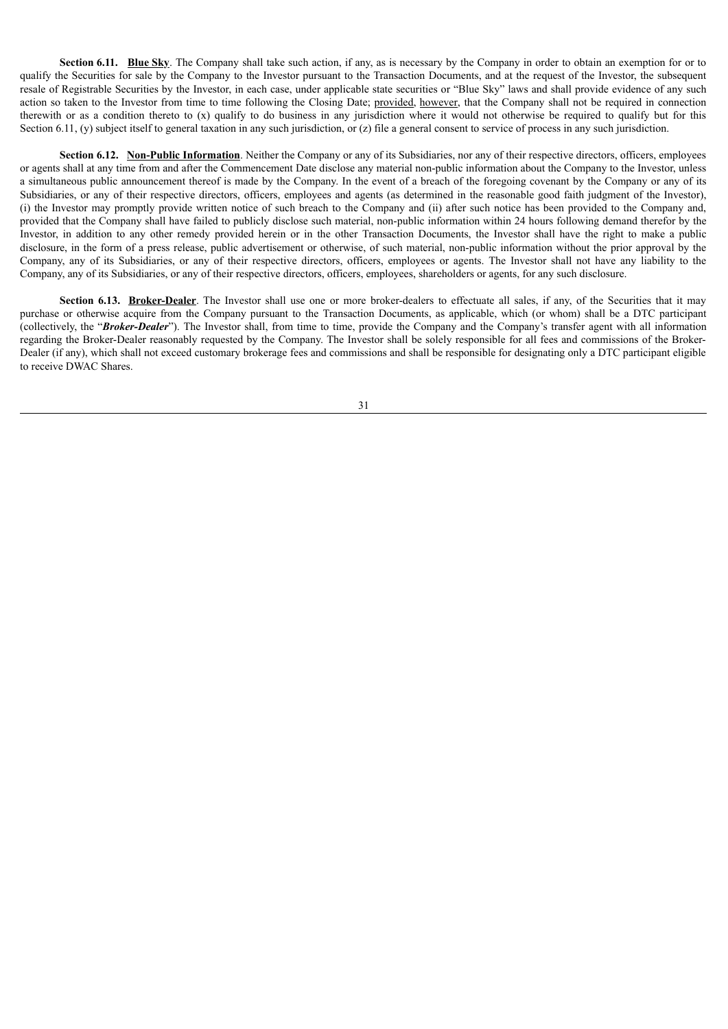**Section <b>6.11.** Blue Sky. The Company shall take such action, if any, as is necessary by the Company in order to obtain an exemption for or to qualify the Securities for sale by the Company to the Investor pursuant to the Transaction Documents, and at the request of the Investor, the subsequent resale of Registrable Securities by the Investor, in each case, under applicable state securities or "Blue Sky" laws and shall provide evidence of any such action so taken to the Investor from time to time following the Closing Date; provided, however, that the Company shall not be required in connection therewith or as a condition thereto to (x) qualify to do business in any jurisdiction where it would not otherwise be required to qualify but for this Section 6.11, (y) subject itself to general taxation in any such jurisdiction, or (z) file a general consent to service of process in any such jurisdiction.

**Section 6.12. Non-Public Information**. Neither the Company or any of its Subsidiaries, nor any of their respective directors, officers, employees or agents shall at any time from and after the Commencement Date disclose any material non-public information about the Company to the Investor, unless a simultaneous public announcement thereof is made by the Company. In the event of a breach of the foregoing covenant by the Company or any of its Subsidiaries, or any of their respective directors, officers, employees and agents (as determined in the reasonable good faith judgment of the Investor), (i) the Investor may promptly provide written notice of such breach to the Company and (ii) after such notice has been provided to the Company and, provided that the Company shall have failed to publicly disclose such material, non-public information within 24 hours following demand therefor by the Investor, in addition to any other remedy provided herein or in the other Transaction Documents, the Investor shall have the right to make a public disclosure, in the form of a press release, public advertisement or otherwise, of such material, non-public information without the prior approval by the Company, any of its Subsidiaries, or any of their respective directors, officers, employees or agents. The Investor shall not have any liability to the Company, any of its Subsidiaries, or any of their respective directors, officers, employees, shareholders or agents, for any such disclosure.

Section 6.13. Broker-Dealer. The Investor shall use one or more broker-dealers to effectuate all sales, if any, of the Securities that it may purchase or otherwise acquire from the Company pursuant to the Transaction Documents, as applicable, which (or whom) shall be a DTC participant (collectively, the "*Broker-Dealer*"). The Investor shall, from time to time, provide the Company and the Company's transfer agent with all information regarding the Broker-Dealer reasonably requested by the Company. The Investor shall be solely responsible for all fees and commissions of the Broker-Dealer (if any), which shall not exceed customary brokerage fees and commissions and shall be responsible for designating only a DTC participant eligible to receive DWAC Shares.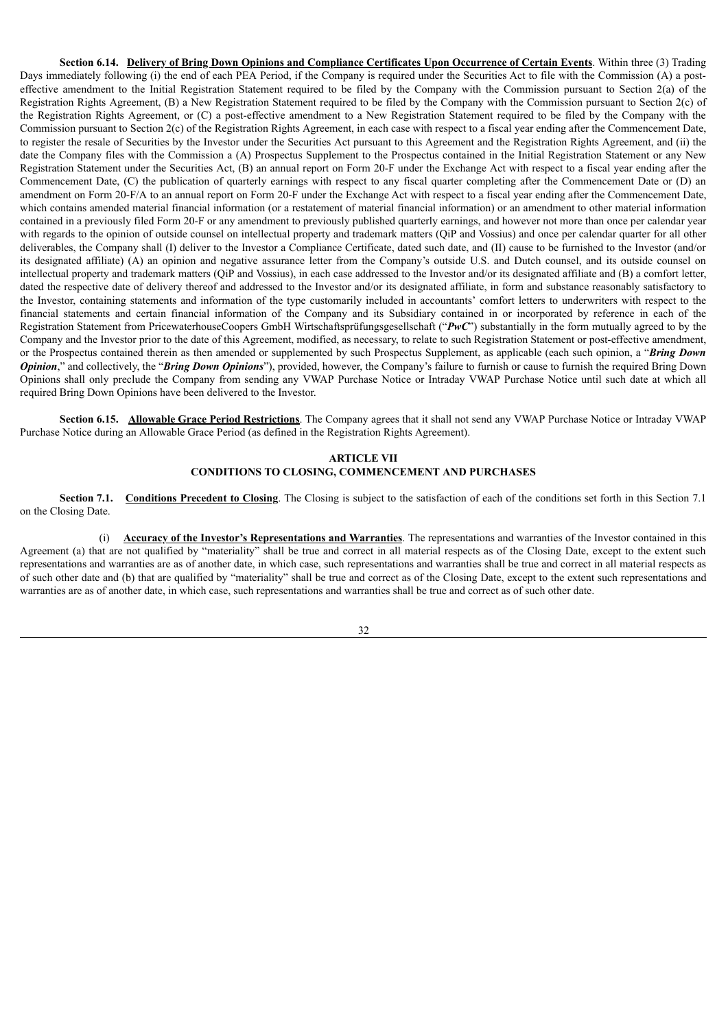Section 6.14. Delivery of Bring Down Opinions and Compliance Certificates Upon Occurrence of Certain Events. Within three (3) Trading Days immediately following (i) the end of each PEA Period, if the Company is required under the Securities Act to file with the Commission (A) a posteffective amendment to the Initial Registration Statement required to be filed by the Company with the Commission pursuant to Section 2(a) of the Registration Rights Agreement, (B) a New Registration Statement required to be filed by the Company with the Commission pursuant to Section 2(c) of the Registration Rights Agreement, or (C) a post-effective amendment to a New Registration Statement required to be filed by the Company with the Commission pursuant to Section 2(c) of the Registration Rights Agreement, in each case with respect to a fiscal year ending after the Commencement Date, to register the resale of Securities by the Investor under the Securities Act pursuant to this Agreement and the Registration Rights Agreement, and (ii) the date the Company files with the Commission a (A) Prospectus Supplement to the Prospectus contained in the Initial Registration Statement or any New Registration Statement under the Securities Act, (B) an annual report on Form 20-F under the Exchange Act with respect to a fiscal year ending after the Commencement Date, (C) the publication of quarterly earnings with respect to any fiscal quarter completing after the Commencement Date or (D) an amendment on Form 20-F/A to an annual report on Form 20-F under the Exchange Act with respect to a fiscal year ending after the Commencement Date, which contains amended material financial information (or a restatement of material information) or an amendment to other material information contained in a previously filed Form 20-F or any amendment to previously published quarterly earnings, and however not more than once per calendar year with regards to the opinion of outside counsel on intellectual property and trademark matters (QiP and Vossius) and once per calendar quarter for all other deliverables, the Company shall (I) deliver to the Investor a Compliance Certificate, dated such date, and (II) cause to be furnished to the Investor (and/or its designated affiliate) (A) an opinion and negative assurance letter from the Company's outside U.S. and Dutch counsel, and its outside counsel on intellectual property and trademark matters (QiP and Vossius), in each case addressed to the Investor and/or its designated affiliate and (B) a comfort letter, dated the respective date of delivery thereof and addressed to the Investor and/or its designated affiliate, in form and substance reasonably satisfactory to the Investor, containing statements and information of the type customarily included in accountants' comfort letters to underwriters with respect to the financial statements and certain financial information of the Company and its Subsidiary contained in or incorporated by reference in each of the Registration Statement from PricewaterhouseCoopers GmbH Wirtschaftsprüfungsgesellschaft ("PwC") substantially in the form mutually agreed to by the Company and the Investor prior to the date of this Agreement, modified, as necessary, to relate to such Registration Statement or post-effective amendment, or the Prospectus contained therein as then amended or supplemented by such Prospectus Supplement, as applicable (each such opinion, a "*Bring Down Opinion*," and collectively, the "*Bring Down Opinions*"), provided, however, the Company's failure to furnish or cause to furnish the required Bring Down Opinions shall only preclude the Company from sending any VWAP Purchase Notice or Intraday VWAP Purchase Notice until such date at which all required Bring Down Opinions have been delivered to the Investor.

**Section 6.15. Allowable Grace Period Restrictions**. The Company agrees that it shall not send any VWAP Purchase Notice or Intraday VWAP Purchase Notice during an Allowable Grace Period (as defined in the Registration Rights Agreement).

## **ARTICLE VII CONDITIONS TO CLOSING, COMMENCEMENT AND PURCHASES**

**Section 7.1. Conditions Precedent to Closing**. The Closing is subject to the satisfaction of each of the conditions set forth in this Section 7.1 on the Closing Date.

(i) **Accuracy of the Investor's Representations and Warranties**. The representations and warranties of the Investor contained in this Agreement (a) that are not qualified by "materiality" shall be true and correct in all material respects as of the Closing Date, except to the extent such representations and warranties are as of another date, in which case, such representations and warranties shall be true and correct in all material respects as of such other date and (b) that are qualified by "materiality" shall be true and correct as of the Closing Date, except to the extent such representations and warranties are as of another date, in which case, such representations and warranties shall be true and correct as of such other date.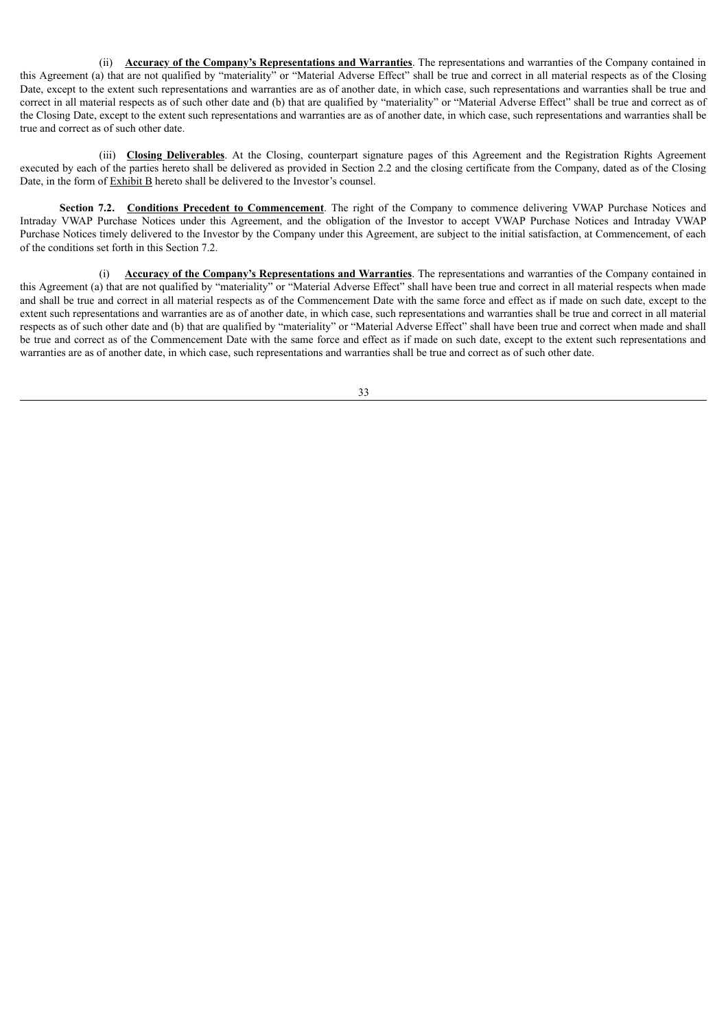(ii) **Accuracy of the Company's Representations and Warranties**. The representations and warranties of the Company contained in this Agreement (a) that are not qualified by "materiality" or "Material Adverse Effect" shall be true and correct in all material respects as of the Closing Date, except to the extent such representations and warranties are as of another date, in which case, such representations and warranties shall be true and correct in all material respects as of such other date and (b) that are qualified by "materiality" or "Material Adverse Effect" shall be true and correct as of the Closing Date, except to the extent such representations and warranties are as of another date, in which case, such representations and warranties shall be true and correct as of such other date.

(iii) **Closing Deliverables**. At the Closing, counterpart signature pages of this Agreement and the Registration Rights Agreement executed by each of the parties hereto shall be delivered as provided in Section 2.2 and the closing certificate from the Company, dated as of the Closing Date, in the form of **Exhibit B** hereto shall be delivered to the Investor's counsel.

**Section 7.2. Conditions Precedent to Commencement**. The right of the Company to commence delivering VWAP Purchase Notices and Intraday VWAP Purchase Notices under this Agreement, and the obligation of the Investor to accept VWAP Purchase Notices and Intraday VWAP Purchase Notices timely delivered to the Investor by the Company under this Agreement, are subject to the initial satisfaction, at Commencement, of each of the conditions set forth in this Section 7.2.

(i) **Accuracy of the Company's Representations and Warranties**. The representations and warranties of the Company contained in this Agreement (a) that are not qualified by "materiality" or "Material Adverse Effect" shall have been true and correct in all material respects when made and shall be true and correct in all material respects as of the Commencement Date with the same force and effect as if made on such date, except to the extent such representations and warranties are as of another date, in which case, such representations and warranties shall be true and correct in all material respects as of such other date and (b) that are qualified by "materiality" or "Material Adverse Effect" shall have been true and correct when made and shall be true and correct as of the Commencement Date with the same force and effect as if made on such date, except to the extent such representations and warranties are as of another date, in which case, such representations and warranties shall be true and correct as of such other date.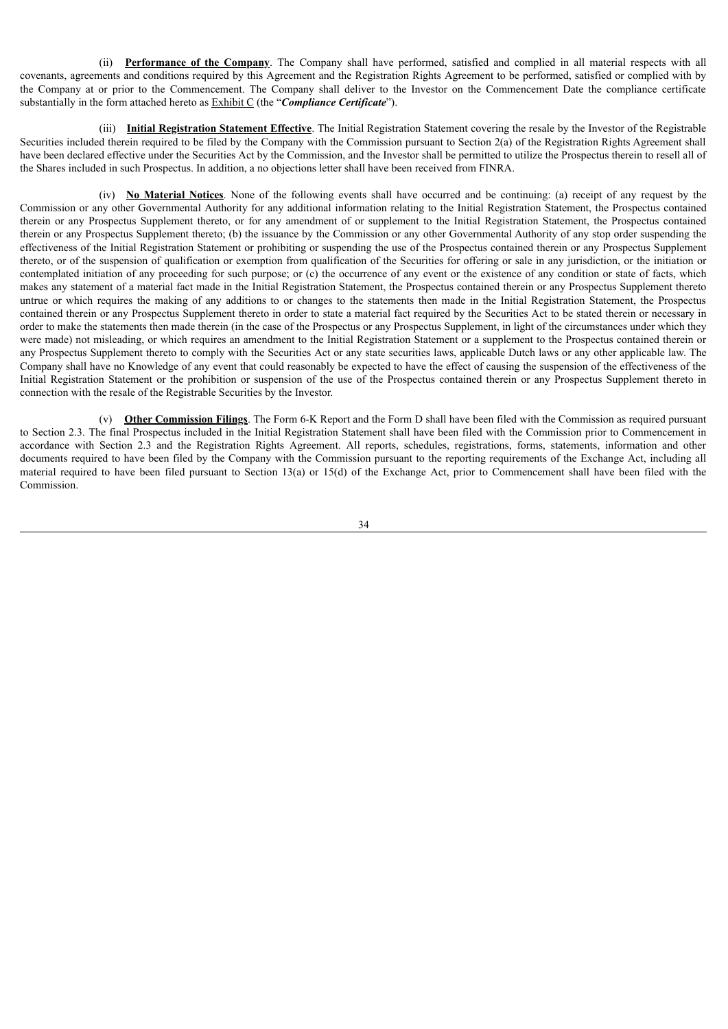(ii) **Performance of the Company**. The Company shall have performed, satisfied and complied in all material respects with all covenants, agreements and conditions required by this Agreement and the Registration Rights Agreement to be performed, satisfied or complied with by the Company at or prior to the Commencement. The Company shall deliver to the Investor on the Commencement Date the compliance certificate substantially in the form attached hereto as Exhibit C (the "*Compliance Certificate*").

(iii) **Initial Registration Statement Effective**. The Initial Registration Statement covering the resale by the Investor of the Registrable Securities included therein required to be filed by the Company with the Commission pursuant to Section 2(a) of the Registration Rights Agreement shall have been declared effective under the Securities Act by the Commission, and the Investor shall be permitted to utilize the Prospectus therein to resell all of the Shares included in such Prospectus. In addition, a no objections letter shall have been received from FINRA.

(iv) **No Material Notices**. None of the following events shall have occurred and be continuing: (a) receipt of any request by the Commission or any other Governmental Authority for any additional information relating to the Initial Registration Statement, the Prospectus contained therein or any Prospectus Supplement thereto, or for any amendment of or supplement to the Initial Registration Statement, the Prospectus contained therein or any Prospectus Supplement thereto; (b) the issuance by the Commission or any other Governmental Authority of any stop order suspending the effectiveness of the Initial Registration Statement or prohibiting or suspending the use of the Prospectus contained therein or any Prospectus Supplement thereto, or of the suspension of qualification or exemption from qualification of the Securities for offering or sale in any jurisdiction, or the initiation or contemplated initiation of any proceeding for such purpose; or (c) the occurrence of any event or the existence of any condition or state of facts, which makes any statement of a material fact made in the Initial Registration Statement, the Prospectus contained therein or any Prospectus Supplement thereto untrue or which requires the making of any additions to or changes to the statements then made in the Initial Registration Statement, the Prospectus contained therein or any Prospectus Supplement thereto in order to state a material fact required by the Securities Act to be stated therein or necessary in order to make the statements then made therein (in the case of the Prospectus or any Prospectus Supplement, in light of the circumstances under which they were made) not misleading, or which requires an amendment to the Initial Registration Statement or a supplement to the Prospectus contained therein or any Prospectus Supplement thereto to comply with the Securities Act or any state securities laws, applicable Dutch laws or any other applicable law. The Company shall have no Knowledge of any event that could reasonably be expected to have the effect of causing the suspension of the effectiveness of the Initial Registration Statement or the prohibition or suspension of the use of the Prospectus contained therein or any Prospectus Supplement thereto in connection with the resale of the Registrable Securities by the Investor.

(v) **Other Commission Filings**. The Form 6-K Report and the Form D shall have been filed with the Commission as required pursuant to Section 2.3. The final Prospectus included in the Initial Registration Statement shall have been filed with the Commission prior to Commencement in accordance with Section 2.3 and the Registration Rights Agreement. All reports, schedules, registrations, forms, statements, information and other documents required to have been filed by the Company with the Commission pursuant to the reporting requirements of the Exchange Act, including all material required to have been filed pursuant to Section 13(a) or 15(d) of the Exchange Act, prior to Commencement shall have been filed with the Commission.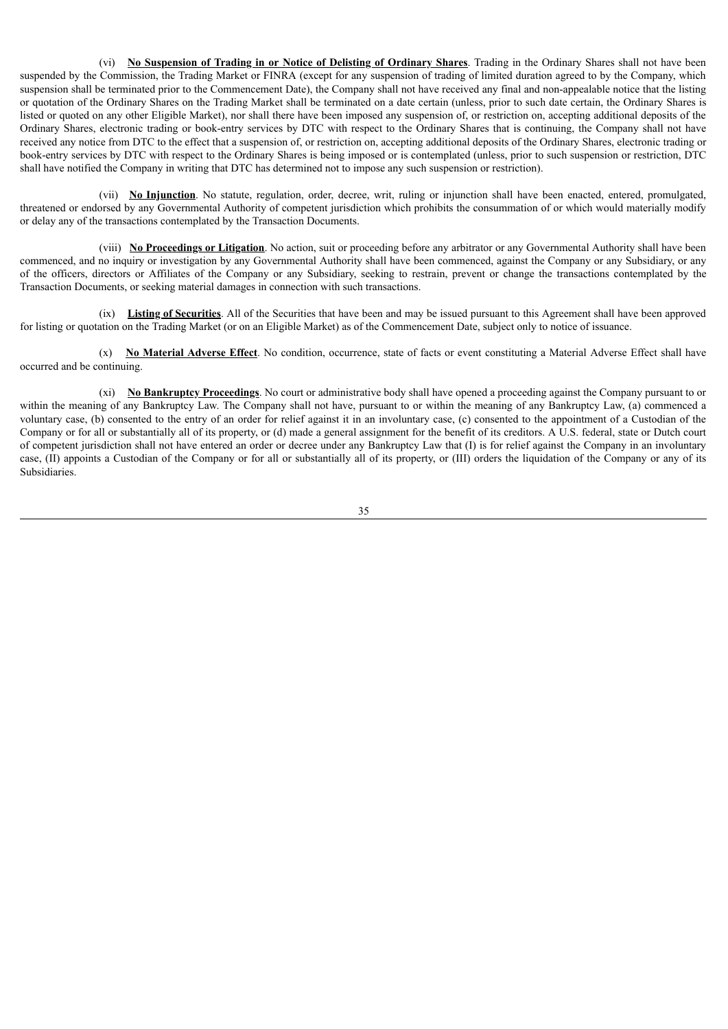(vi) **No Suspension of Trading in or Notice of Delisting of Ordinary Shares**. Trading in the Ordinary Shares shall not have been suspended by the Commission, the Trading Market or FINRA (except for any suspension of trading of limited duration agreed to by the Company, which suspension shall be terminated prior to the Commencement Date), the Company shall not have received any final and non-appealable notice that the listing or quotation of the Ordinary Shares on the Trading Market shall be terminated on a date certain (unless, prior to such date certain, the Ordinary Shares is listed or quoted on any other Eligible Market), nor shall there have been imposed any suspension of, or restriction on, accepting additional deposits of the Ordinary Shares, electronic trading or book-entry services by DTC with respect to the Ordinary Shares that is continuing, the Company shall not have received any notice from DTC to the effect that a suspension of, or restriction on, accepting additional deposits of the Ordinary Shares, electronic trading or book-entry services by DTC with respect to the Ordinary Shares is being imposed or is contemplated (unless, prior to such suspension or restriction, DTC shall have notified the Company in writing that DTC has determined not to impose any such suspension or restriction).

(vii) **No Injunction**. No statute, regulation, order, decree, writ, ruling or injunction shall have been enacted, entered, promulgated, threatened or endorsed by any Governmental Authority of competent jurisdiction which prohibits the consummation of or which would materially modify or delay any of the transactions contemplated by the Transaction Documents.

(viii) **No Proceedings or Litigation**. No action, suit or proceeding before any arbitrator or any Governmental Authority shall have been commenced, and no inquiry or investigation by any Governmental Authority shall have been commenced, against the Company or any Subsidiary, or any of the officers, directors or Affiliates of the Company or any Subsidiary, seeking to restrain, prevent or change the transactions contemplated by the Transaction Documents, or seeking material damages in connection with such transactions.

(ix) **Listing of Securities**. All of the Securities that have been and may be issued pursuant to this Agreement shall have been approved for listing or quotation on the Trading Market (or on an Eligible Market) as of the Commencement Date, subject only to notice of issuance.

(x) **No Material Adverse Effect**. No condition, occurrence, state of facts or event constituting a Material Adverse Effect shall have occurred and be continuing.

(xi) **No Bankruptcy Proceedings**. No court or administrative body shall have opened a proceeding against the Company pursuant to or within the meaning of any Bankruptcy Law. The Company shall not have, pursuant to or within the meaning of any Bankruptcy Law, (a) commenced a voluntary case, (b) consented to the entry of an order for relief against it in an involuntary case, (c) consented to the appointment of a Custodian of the Company or for all or substantially all of its property, or (d) made a general assignment for the benefit of its creditors. A U.S. federal, state or Dutch court of competent jurisdiction shall not have entered an order or decree under any Bankruptcy Law that (I) is for relief against the Company in an involuntary case, (II) appoints a Custodian of the Company or for all or substantially all of its property, or (III) orders the liquidation of the Company or any of its Subsidiaries.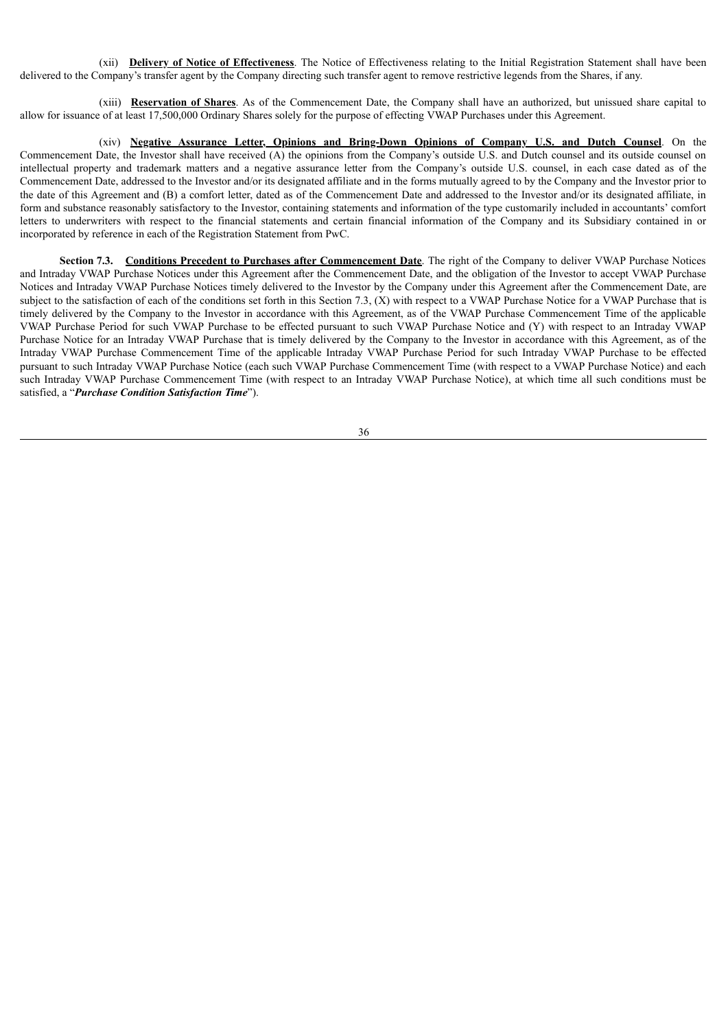(xii) **Delivery of Notice of Effectiveness**. The Notice of Effectiveness relating to the Initial Registration Statement shall have been delivered to the Company's transfer agent by the Company directing such transfer agent to remove restrictive legends from the Shares, if any.

(xiii) **Reservation of Shares**. As of the Commencement Date, the Company shall have an authorized, but unissued share capital to allow for issuance of at least 17,500,000 Ordinary Shares solely for the purpose of effecting VWAP Purchases under this Agreement.

(xiv) **Negative Assurance Letter, Opinions and Bring-Down Opinions of Company U.S. and Dutch Counsel**. On the Commencement Date, the Investor shall have received (A) the opinions from the Company's outside U.S. and Dutch counsel and its outside counsel on intellectual property and trademark matters and a negative assurance letter from the Company's outside U.S. counsel, in each case dated as of the Commencement Date, addressed to the Investor and/or its designated affiliate and in the forms mutually agreed to by the Company and the Investor prior to the date of this Agreement and (B) a comfort letter, dated as of the Commencement Date and addressed to the Investor and/or its designated affiliate, in form and substance reasonably satisfactory to the Investor, containing statements and information of the type customarily included in accountants' comfort letters to underwriters with respect to the financial statements and certain financial information of the Company and its Subsidiary contained in or incorporated by reference in each of the Registration Statement from PwC.

**Section 7.3. Conditions Precedent to Purchases after Commencement Date**. The right of the Company to deliver VWAP Purchase Notices and Intraday VWAP Purchase Notices under this Agreement after the Commencement Date, and the obligation of the Investor to accept VWAP Purchase Notices and Intraday VWAP Purchase Notices timely delivered to the Investor by the Company under this Agreement after the Commencement Date, are subject to the satisfaction of each of the conditions set forth in this Section 7.3, (X) with respect to a VWAP Purchase Notice for a VWAP Purchase that is timely delivered by the Company to the Investor in accordance with this Agreement, as of the VWAP Purchase Commencement Time of the applicable VWAP Purchase Period for such VWAP Purchase to be effected pursuant to such VWAP Purchase Notice and (Y) with respect to an Intraday VWAP Purchase Notice for an Intraday VWAP Purchase that is timely delivered by the Company to the Investor in accordance with this Agreement, as of the Intraday VWAP Purchase Commencement Time of the applicable Intraday VWAP Purchase Period for such Intraday VWAP Purchase to be effected pursuant to such Intraday VWAP Purchase Notice (each such VWAP Purchase Commencement Time (with respect to a VWAP Purchase Notice) and each such Intraday VWAP Purchase Commencement Time (with respect to an Intraday VWAP Purchase Notice), at which time all such conditions must be satisfied, a "*Purchase Condition Satisfaction Time*").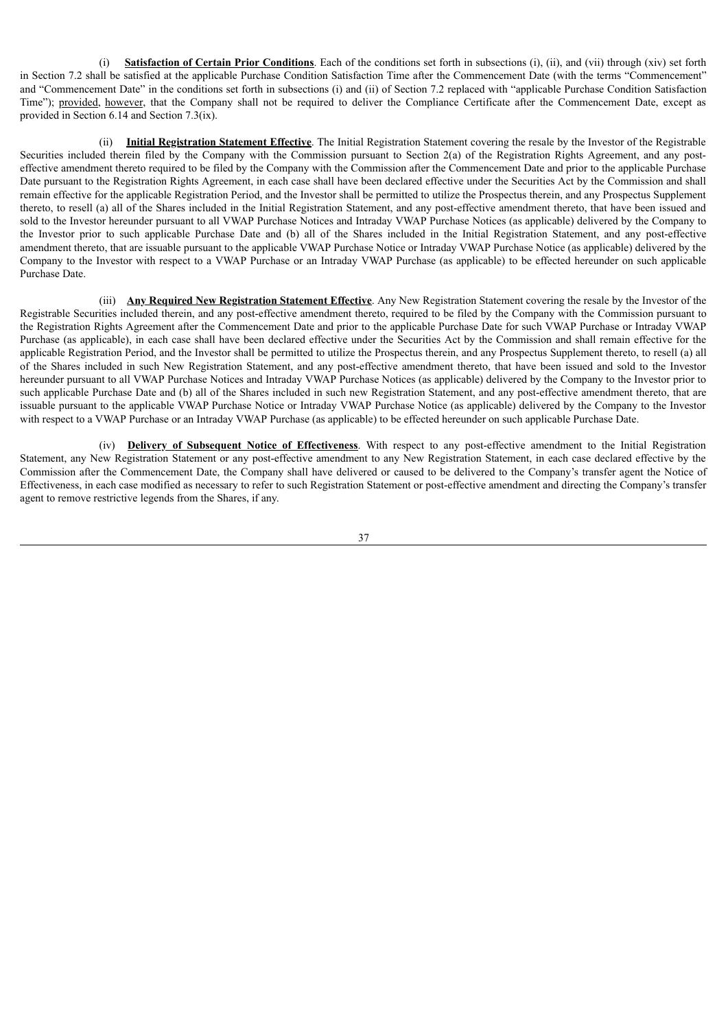(i) **Satisfaction of Certain Prior Conditions**. Each of the conditions set forth in subsections (i), (ii), and (vii) through (xiv) set forth in Section 7.2 shall be satisfied at the applicable Purchase Condition Satisfaction Time after the Commencement Date (with the terms "Commencement" and "Commencement Date" in the conditions set forth in subsections (i) and (ii) of Section 7.2 replaced with "applicable Purchase Condition Satisfaction Time"); provided, however, that the Company shall not be required to deliver the Compliance Certificate after the Commencement Date, except as provided in Section 6.14 and Section 7.3(ix).

(ii) **Initial Registration Statement Effective**. The Initial Registration Statement covering the resale by the Investor of the Registrable Securities included therein filed by the Company with the Commission pursuant to Section 2(a) of the Registration Rights Agreement, and any posteffective amendment thereto required to be filed by the Company with the Commission after the Commencement Date and prior to the applicable Purchase Date pursuant to the Registration Rights Agreement, in each case shall have been declared effective under the Securities Act by the Commission and shall remain effective for the applicable Registration Period, and the Investor shall be permitted to utilize the Prospectus therein, and any Prospectus Supplement thereto, to resell (a) all of the Shares included in the Initial Registration Statement, and any post-effective amendment thereto, that have been issued and sold to the Investor hereunder pursuant to all VWAP Purchase Notices and Intraday VWAP Purchase Notices (as applicable) delivered by the Company to the Investor prior to such applicable Purchase Date and (b) all of the Shares included in the Initial Registration Statement, and any post-effective amendment thereto, that are issuable pursuant to the applicable VWAP Purchase Notice or Intraday VWAP Purchase Notice (as applicable) delivered by the Company to the Investor with respect to a VWAP Purchase or an Intraday VWAP Purchase (as applicable) to be effected hereunder on such applicable Purchase Date.

(iii) **Any Required New Registration Statement Effective**. Any New Registration Statement covering the resale by the Investor of the Registrable Securities included therein, and any post-effective amendment thereto, required to be filed by the Company with the Commission pursuant to the Registration Rights Agreement after the Commencement Date and prior to the applicable Purchase Date for such VWAP Purchase or Intraday VWAP Purchase (as applicable), in each case shall have been declared effective under the Securities Act by the Commission and shall remain effective for the applicable Registration Period, and the Investor shall be permitted to utilize the Prospectus therein, and any Prospectus Supplement thereto, to resell (a) all of the Shares included in such New Registration Statement, and any post-effective amendment thereto, that have been issued and sold to the Investor hereunder pursuant to all VWAP Purchase Notices and Intraday VWAP Purchase Notices (as applicable) delivered by the Company to the Investor prior to such applicable Purchase Date and (b) all of the Shares included in such new Registration Statement, and any post-effective amendment thereto, that are issuable pursuant to the applicable VWAP Purchase Notice or Intraday VWAP Purchase Notice (as applicable) delivered by the Company to the Investor with respect to a VWAP Purchase or an Intraday VWAP Purchase (as applicable) to be effected hereunder on such applicable Purchase Date.

(iv) **Delivery of Subsequent Notice of Effectiveness**. With respect to any post-effective amendment to the Initial Registration Statement, any New Registration Statement or any post-effective amendment to any New Registration Statement, in each case declared effective by the Commission after the Commencement Date, the Company shall have delivered or caused to be delivered to the Company's transfer agent the Notice of Effectiveness, in each case modified as necessary to refer to such Registration Statement or post-effective amendment and directing the Company's transfer agent to remove restrictive legends from the Shares, if any.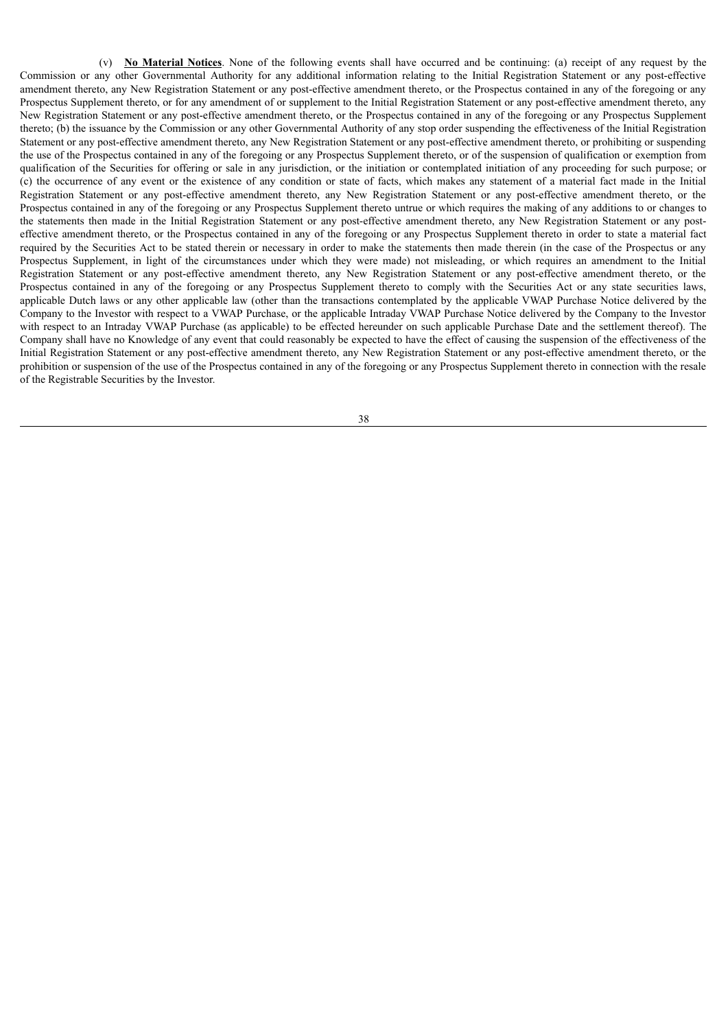(v) **No Material Notices**. None of the following events shall have occurred and be continuing: (a) receipt of any request by the Commission or any other Governmental Authority for any additional information relating to the Initial Registration Statement or any post-effective amendment thereto, any New Registration Statement or any post-effective amendment thereto, or the Prospectus contained in any of the foregoing or any Prospectus Supplement thereto, or for any amendment of or supplement to the Initial Registration Statement or any post-effective amendment thereto, any New Registration Statement or any post-effective amendment thereto, or the Prospectus contained in any of the foregoing or any Prospectus Supplement thereto; (b) the issuance by the Commission or any other Governmental Authority of any stop order suspending the effectiveness of the Initial Registration Statement or any post-effective amendment thereto, any New Registration Statement or any post-effective amendment thereto, or prohibiting or suspending the use of the Prospectus contained in any of the foregoing or any Prospectus Supplement thereto, or of the suspension of qualification or exemption from qualification of the Securities for offering or sale in any jurisdiction, or the initiation or contemplated initiation of any proceeding for such purpose; or (c) the occurrence of any event or the existence of any condition or state of facts, which makes any statement of a material fact made in the Initial Registration Statement or any post-effective amendment thereto, any New Registration Statement or any post-effective amendment thereto, or the Prospectus contained in any of the foregoing or any Prospectus Supplement thereto untrue or which requires the making of any additions to or changes to the statements then made in the Initial Registration Statement or any post-effective amendment thereto, any New Registration Statement or any posteffective amendment thereto, or the Prospectus contained in any of the foregoing or any Prospectus Supplement thereto in order to state a material fact required by the Securities Act to be stated therein or necessary in order to make the statements then made therein (in the case of the Prospectus or any Prospectus Supplement, in light of the circumstances under which they were made) not misleading, or which requires an amendment to the Initial Registration Statement or any post-effective amendment thereto, any New Registration Statement or any post-effective amendment thereto, or the Prospectus contained in any of the foregoing or any Prospectus Supplement thereto to comply with the Securities Act or any state securities laws, applicable Dutch laws or any other applicable law (other than the transactions contemplated by the applicable VWAP Purchase Notice delivered by the Company to the Investor with respect to a VWAP Purchase, or the applicable Intraday VWAP Purchase Notice delivered by the Company to the Investor with respect to an Intraday VWAP Purchase (as applicable) to be effected hereunder on such applicable Purchase Date and the settlement thereof). The Company shall have no Knowledge of any event that could reasonably be expected to have the effect of causing the suspension of the effectiveness of the Initial Registration Statement or any post-effective amendment thereto, any New Registration Statement or any post-effective amendment thereto, or the prohibition or suspension of the use of the Prospectus contained in any of the foregoing or any Prospectus Supplement thereto in connection with the resale of the Registrable Securities by the Investor.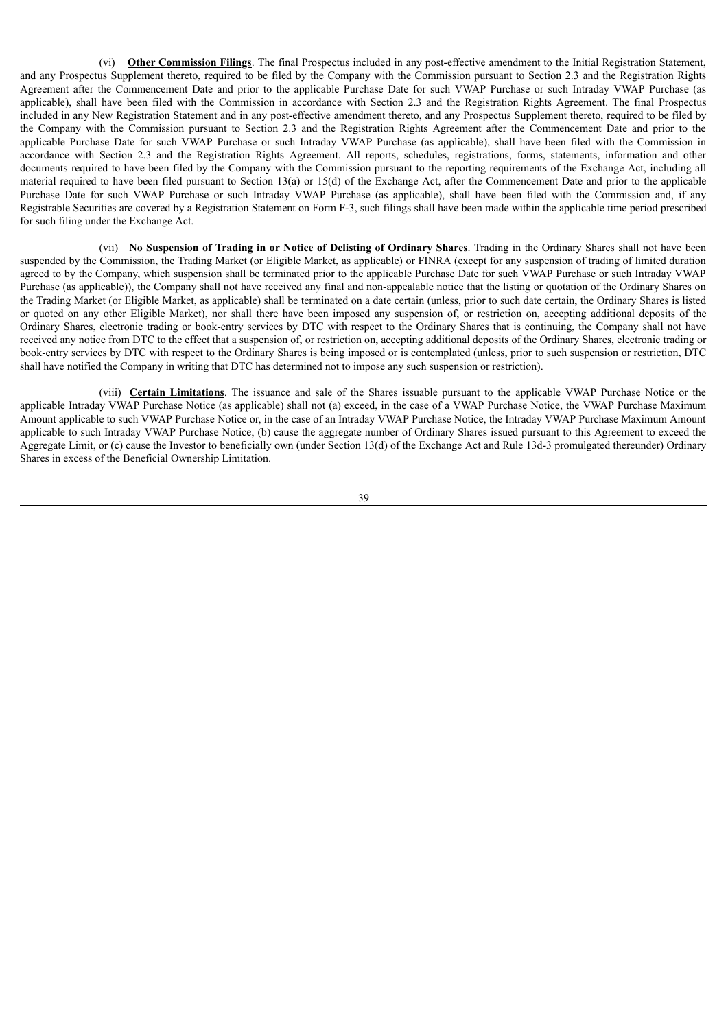(vi) **Other Commission Filings**. The final Prospectus included in any post-effective amendment to the Initial Registration Statement, and any Prospectus Supplement thereto, required to be filed by the Company with the Commission pursuant to Section 2.3 and the Registration Rights Agreement after the Commencement Date and prior to the applicable Purchase Date for such VWAP Purchase or such Intraday VWAP Purchase (as applicable), shall have been filed with the Commission in accordance with Section 2.3 and the Registration Rights Agreement. The final Prospectus included in any New Registration Statement and in any post-effective amendment thereto, and any Prospectus Supplement thereto, required to be filed by the Company with the Commission pursuant to Section 2.3 and the Registration Rights Agreement after the Commencement Date and prior to the applicable Purchase Date for such VWAP Purchase or such Intraday VWAP Purchase (as applicable), shall have been filed with the Commission in accordance with Section 2.3 and the Registration Rights Agreement. All reports, schedules, registrations, forms, statements, information and other documents required to have been filed by the Company with the Commission pursuant to the reporting requirements of the Exchange Act, including all material required to have been filed pursuant to Section 13(a) or 15(d) of the Exchange Act, after the Commencement Date and prior to the applicable Purchase Date for such VWAP Purchase or such Intraday VWAP Purchase (as applicable), shall have been filed with the Commission and, if any Registrable Securities are covered by a Registration Statement on Form F-3, such filings shall have been made within the applicable time period prescribed for such filing under the Exchange Act.

(vii) **No Suspension of Trading in or Notice of Delisting of Ordinary Shares**. Trading in the Ordinary Shares shall not have been suspended by the Commission, the Trading Market (or Eligible Market, as applicable) or FINRA (except for any suspension of trading of limited duration agreed to by the Company, which suspension shall be terminated prior to the applicable Purchase Date for such VWAP Purchase or such Intraday VWAP Purchase (as applicable)), the Company shall not have received any final and non-appealable notice that the listing or quotation of the Ordinary Shares on the Trading Market (or Eligible Market, as applicable) shall be terminated on a date certain (unless, prior to such date certain, the Ordinary Shares is listed or quoted on any other Eligible Market), nor shall there have been imposed any suspension of, or restriction on, accepting additional deposits of the Ordinary Shares, electronic trading or book-entry services by DTC with respect to the Ordinary Shares that is continuing, the Company shall not have received any notice from DTC to the effect that a suspension of, or restriction on, accepting additional deposits of the Ordinary Shares, electronic trading or book-entry services by DTC with respect to the Ordinary Shares is being imposed or is contemplated (unless, prior to such suspension or restriction, DTC shall have notified the Company in writing that DTC has determined not to impose any such suspension or restriction).

(viii) **Certain Limitations**. The issuance and sale of the Shares issuable pursuant to the applicable VWAP Purchase Notice or the applicable Intraday VWAP Purchase Notice (as applicable) shall not (a) exceed, in the case of a VWAP Purchase Notice, the VWAP Purchase Maximum Amount applicable to such VWAP Purchase Notice or, in the case of an Intraday VWAP Purchase Notice, the Intraday VWAP Purchase Maximum Amount applicable to such Intraday VWAP Purchase Notice, (b) cause the aggregate number of Ordinary Shares issued pursuant to this Agreement to exceed the Aggregate Limit, or (c) cause the Investor to beneficially own (under Section 13(d) of the Exchange Act and Rule 13d-3 promulgated thereunder) Ordinary Shares in excess of the Beneficial Ownership Limitation.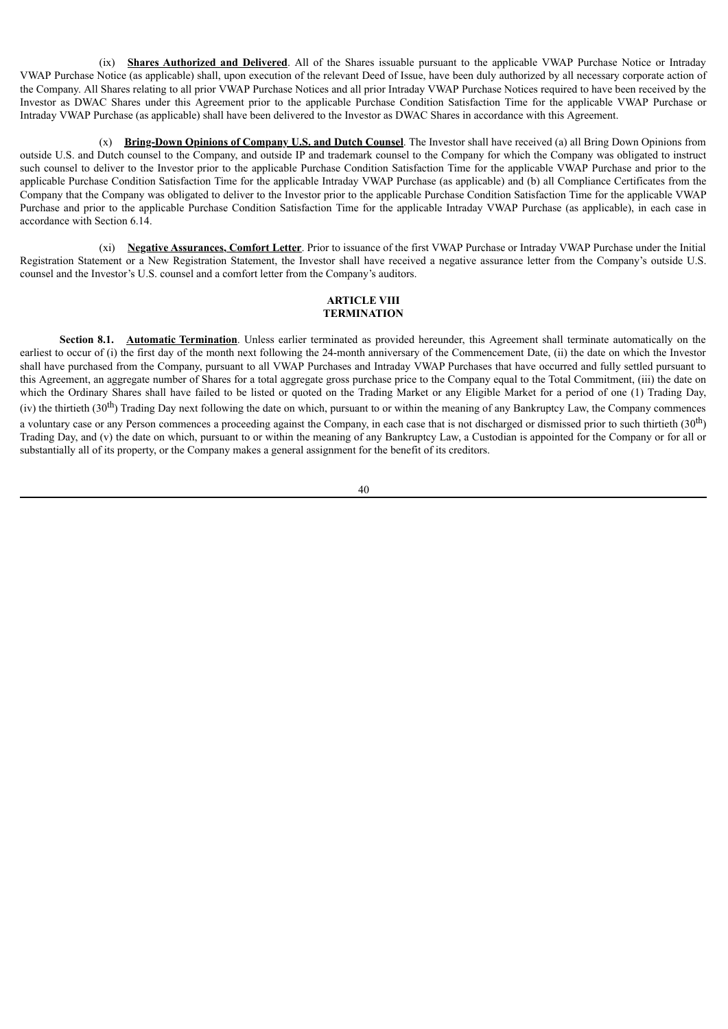(ix) **Shares Authorized and Delivered**. All of the Shares issuable pursuant to the applicable VWAP Purchase Notice or Intraday VWAP Purchase Notice (as applicable) shall, upon execution of the relevant Deed of Issue, have been duly authorized by all necessary corporate action of the Company. All Shares relating to all prior VWAP Purchase Notices and all prior Intraday VWAP Purchase Notices required to have been received by the Investor as DWAC Shares under this Agreement prior to the applicable Purchase Condition Satisfaction Time for the applicable VWAP Purchase or Intraday VWAP Purchase (as applicable) shall have been delivered to the Investor as DWAC Shares in accordance with this Agreement.

(x) **Bring-Down Opinions of Company U.S. and Dutch Counsel**. The Investor shall have received (a) all Bring Down Opinions from outside U.S. and Dutch counsel to the Company, and outside IP and trademark counsel to the Company for which the Company was obligated to instruct such counsel to deliver to the Investor prior to the applicable Purchase Condition Satisfaction Time for the applicable VWAP Purchase and prior to the applicable Purchase Condition Satisfaction Time for the applicable Intraday VWAP Purchase (as applicable) and (b) all Compliance Certificates from the Company that the Company was obligated to deliver to the Investor prior to the applicable Purchase Condition Satisfaction Time for the applicable VWAP Purchase and prior to the applicable Purchase Condition Satisfaction Time for the applicable Intraday VWAP Purchase (as applicable), in each case in accordance with Section 6.14.

(xi) **Negative Assurances, Comfort Letter**. Prior to issuance of the first VWAP Purchase or Intraday VWAP Purchase under the Initial Registration Statement or a New Registration Statement, the Investor shall have received a negative assurance letter from the Company's outside U.S. counsel and the Investor's U.S. counsel and a comfort letter from the Company's auditors.

### **ARTICLE VIII TERMINATION**

**Section 8.1. Automatic Termination**. Unless earlier terminated as provided hereunder, this Agreement shall terminate automatically on the earliest to occur of (i) the first day of the month next following the 24-month anniversary of the Commencement Date, (ii) the date on which the Investor shall have purchased from the Company, pursuant to all VWAP Purchases and Intraday VWAP Purchases that have occurred and fully settled pursuant to this Agreement, an aggregate number of Shares for a total aggregate gross purchase price to the Company equal to the Total Commitment, (iii) the date on which the Ordinary Shares shall have failed to be listed or quoted on the Trading Market or any Eligible Market for a period of one (1) Trading Day, (iv) the thirtieth  $(30<sup>th</sup>)$  Trading Day next following the date on which, pursuant to or within the meaning of any Bankruptcy Law, the Company commences a voluntary case or any Person commences a proceeding against the Company, in each case that is not discharged or dismissed prior to such thirtieth  $(30<sup>th</sup>)$ Trading Day, and (v) the date on which, pursuant to or within the meaning of any Bankruptcy Law, a Custodian is appointed for the Company or for all or substantially all of its property, or the Company makes a general assignment for the benefit of its creditors.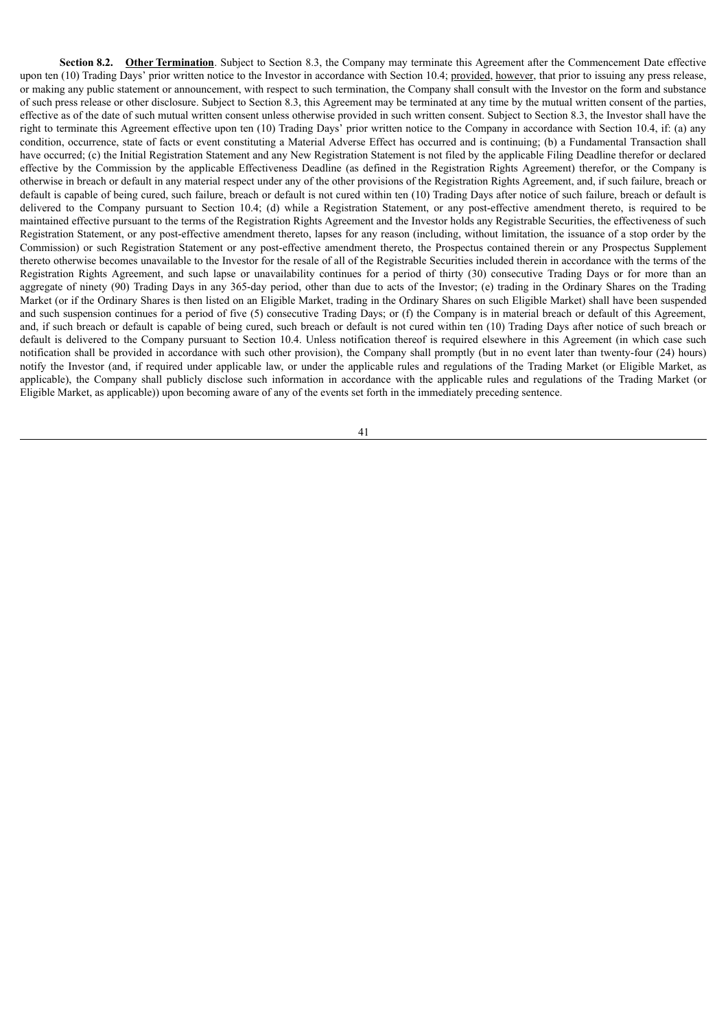**Section 8.2. Other Termination**. Subject to Section 8.3, the Company may terminate this Agreement after the Commencement Date effective upon ten (10) Trading Days' prior written notice to the Investor in accordance with Section 10.4; provided, however, that prior to issuing any press release, or making any public statement or announcement, with respect to such termination, the Company shall consult with the Investor on the form and substance of such press release or other disclosure. Subject to Section 8.3, this Agreement may be terminated at any time by the mutual written consent of the parties, effective as of the date of such mutual written consent unless otherwise provided in such written consent. Subject to Section 8.3, the Investor shall have the right to terminate this Agreement effective upon ten (10) Trading Days' prior written notice to the Company in accordance with Section 10.4, if: (a) any condition, occurrence, state of facts or event constituting a Material Adverse Effect has occurred and is continuing; (b) a Fundamental Transaction shall have occurred; (c) the Initial Registration Statement and any New Registration Statement is not filed by the applicable Filing Deadline therefor or declared effective by the Commission by the applicable Effectiveness Deadline (as defined in the Registration Rights Agreement) therefor, or the Company is otherwise in breach or default in any material respect under any of the other provisions of the Registration Rights Agreement, and, if such failure, breach or default is capable of being cured, such failure, breach or default is not cured within ten (10) Trading Days after notice of such failure, breach or default is delivered to the Company pursuant to Section 10.4; (d) while a Registration Statement, or any post-effective amendment thereto, is required to be maintained effective pursuant to the terms of the Registration Rights Agreement and the Investor holds any Registrable Securities, the effectiveness of such Registration Statement, or any post-effective amendment thereto, lapses for any reason (including, without limitation, the issuance of a stop order by the Commission) or such Registration Statement or any post-effective amendment thereto, the Prospectus contained therein or any Prospectus Supplement thereto otherwise becomes unavailable to the Investor for the resale of all of the Registrable Securities included therein in accordance with the terms of the Registration Rights Agreement, and such lapse or unavailability continues for a period of thirty (30) consecutive Trading Days or for more than an aggregate of ninety (90) Trading Days in any 365-day period, other than due to acts of the Investor; (e) trading in the Ordinary Shares on the Trading Market (or if the Ordinary Shares is then listed on an Eligible Market, trading in the Ordinary Shares on such Eligible Market) shall have been suspended and such suspension continues for a period of five (5) consecutive Trading Days; or (f) the Company is in material breach or default of this Agreement, and, if such breach or default is capable of being cured, such breach or default is not cured within ten (10) Trading Days after notice of such breach or default is delivered to the Company pursuant to Section 10.4. Unless notification thereof is required elsewhere in this Agreement (in which case such notification shall be provided in accordance with such other provision), the Company shall promptly (but in no event later than twenty-four (24) hours) notify the Investor (and, if required under applicable law, or under the applicable rules and regulations of the Trading Market (or Eligible Market, as applicable), the Company shall publicly disclose such information in accordance with the applicable rules and regulations of the Trading Market (or Eligible Market, as applicable)) upon becoming aware of any of the events set forth in the immediately preceding sentence.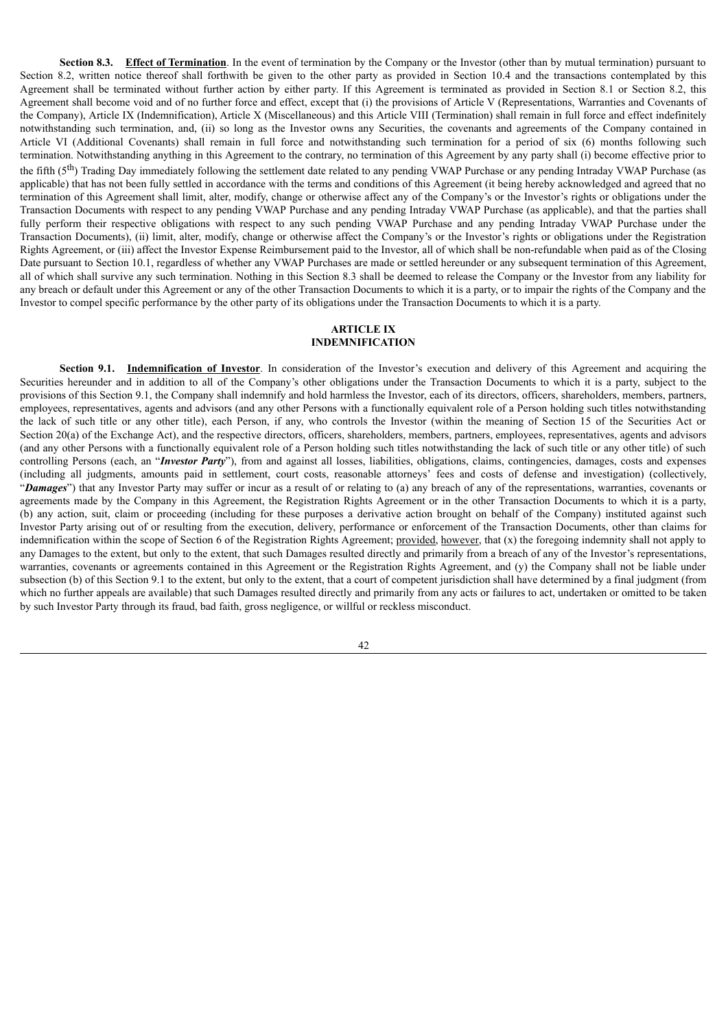**Section 8.3. Effect of Termination**. In the event of termination by the Company or the Investor (other than by mutual termination) pursuant to Section 8.2, written notice thereof shall forthwith be given to the other party as provided in Section 10.4 and the transactions contemplated by this Agreement shall be terminated without further action by either party. If this Agreement is terminated as provided in Section 8.1 or Section 8.2, this Agreement shall become void and of no further force and effect, except that (i) the provisions of Article V (Representations, Warranties and Covenants of the Company), Article IX (Indemnification), Article X (Miscellaneous) and this Article VIII (Termination) shall remain in full force and effect indefinitely notwithstanding such termination, and, (ii) so long as the Investor owns any Securities, the covenants and agreements of the Company contained in Article VI (Additional Covenants) shall remain in full force and notwithstanding such termination for a period of six (6) months following such termination. Notwithstanding anything in this Agreement to the contrary, no termination of this Agreement by any party shall (i) become effective prior to the fifth  $(5<sup>th</sup>)$  Trading Day immediately following the settlement date related to any pending VWAP Purchase or any pending Intraday VWAP Purchase (as applicable) that has not been fully settled in accordance with the terms and conditions of this Agreement (it being hereby acknowledged and agreed that no termination of this Agreement shall limit, alter, modify, change or otherwise affect any of the Company's or the Investor's rights or obligations under the Transaction Documents with respect to any pending VWAP Purchase and any pending Intraday VWAP Purchase (as applicable), and that the parties shall fully perform their respective obligations with respect to any such pending VWAP Purchase and any pending Intraday VWAP Purchase under the Transaction Documents), (ii) limit, alter, modify, change or otherwise affect the Company's or the Investor's rights or obligations under the Registration Rights Agreement, or (iii) affect the Investor Expense Reimbursement paid to the Investor, all of which shall be non-refundable when paid as of the Closing Date pursuant to Section 10.1, regardless of whether any VWAP Purchases are made or settled hereunder or any subsequent termination of this Agreement, all of which shall survive any such termination. Nothing in this Section 8.3 shall be deemed to release the Company or the Investor from any liability for any breach or default under this Agreement or any of the other Transaction Documents to which it is a party, or to impair the rights of the Company and the Investor to compel specific performance by the other party of its obligations under the Transaction Documents to which it is a party.

## **ARTICLE IX INDEMNIFICATION**

**Section 9.1. Indemnification of Investor**. In consideration of the Investor's execution and delivery of this Agreement and acquiring the Securities hereunder and in addition to all of the Company's other obligations under the Transaction Documents to which it is a party, subject to the provisions of this Section 9.1, the Company shall indemnify and hold harmless the Investor, each of its directors, officers, shareholders, members, partners, employees, representatives, agents and advisors (and any other Persons with a functionally equivalent role of a Person holding such titles notwithstanding the lack of such title or any other title), each Person, if any, who controls the Investor (within the meaning of Section 15 of the Securities Act or Section 20(a) of the Exchange Act), and the respective directors, officers, shareholders, members, partners, employees, representatives, agents and advisors (and any other Persons with a functionally equivalent role of a Person holding such titles notwithstanding the lack of such title or any other title) of such controlling Persons (each, an "*Investor Party*"), from and against all losses, liabilities, obligations, claims, contingencies, damages, costs and expenses (including all judgments, amounts paid in settlement, court costs, reasonable attorneys' fees and costs of defense and investigation) (collectively, "*Damages*") that any Investor Party may suffer or incur as a result of or relating to (a) any breach of any of the representations, warranties, covenants or agreements made by the Company in this Agreement, the Registration Rights Agreement or in the other Transaction Documents to which it is a party, (b) any action, suit, claim or proceeding (including for these purposes a derivative action brought on behalf of the Company) instituted against such Investor Party arising out of or resulting from the execution, delivery, performance or enforcement of the Transaction Documents, other than claims for indemnification within the scope of Section 6 of the Registration Rights Agreement; provided, however, that (x) the foregoing indemnity shall not apply to any Damages to the extent, but only to the extent, that such Damages resulted directly and primarily from a breach of any of the Investor's representations, warranties, covenants or agreements contained in this Agreement or the Registration Rights Agreement, and (y) the Company shall not be liable under subsection (b) of this Section 9.1 to the extent, but only to the extent, that a court of competent jurisdiction shall have determined by a final judgment (from which no further appeals are available) that such Damages resulted directly and primarily from any acts or failures to act, undertaken or omitted to be taken by such Investor Party through its fraud, bad faith, gross negligence, or willful or reckless misconduct.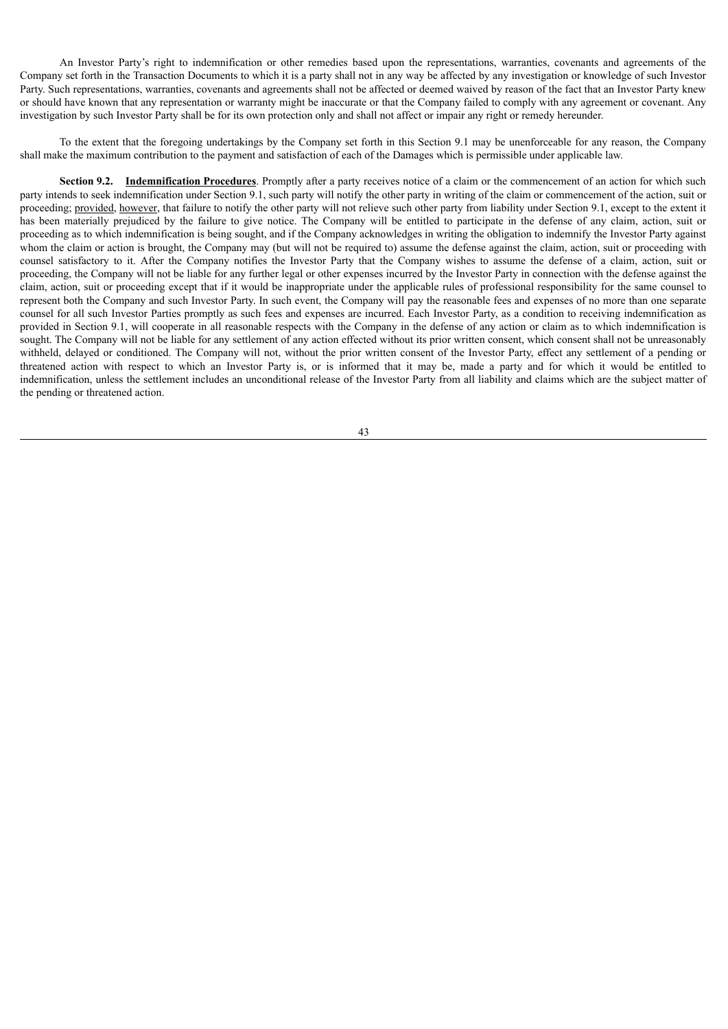An Investor Party's right to indemnification or other remedies based upon the representations, warranties, covenants and agreements of the Company set forth in the Transaction Documents to which it is a party shall not in any way be affected by any investigation or knowledge of such Investor Party. Such representations, warranties, covenants and agreements shall not be affected or deemed waived by reason of the fact that an Investor Party knew or should have known that any representation or warranty might be inaccurate or that the Company failed to comply with any agreement or covenant. Any investigation by such Investor Party shall be for its own protection only and shall not affect or impair any right or remedy hereunder.

To the extent that the foregoing undertakings by the Company set forth in this Section 9.1 may be unenforceable for any reason, the Company shall make the maximum contribution to the payment and satisfaction of each of the Damages which is permissible under applicable law.

**Section 9.2. Indemnification Procedures**. Promptly after a party receives notice of a claim or the commencement of an action for which such party intends to seek indemnification under Section 9.1, such party will notify the other party in writing of the claim or commencement of the action, suit or proceeding; provided, however, that failure to notify the other party will not relieve such other party from liability under Section 9.1, except to the extent it has been materially prejudiced by the failure to give notice. The Company will be entitled to participate in the defense of any claim, action, suit or proceeding as to which indemnification is being sought, and if the Company acknowledges in writing the obligation to indemnify the Investor Party against whom the claim or action is brought, the Company may (but will not be required to) assume the defense against the claim, action, suit or proceeding with counsel satisfactory to it. After the Company notifies the Investor Party that the Company wishes to assume the defense of a claim, action, suit or proceeding, the Company will not be liable for any further legal or other expenses incurred by the Investor Party in connection with the defense against the claim, action, suit or proceeding except that if it would be inappropriate under the applicable rules of professional responsibility for the same counsel to represent both the Company and such Investor Party. In such event, the Company will pay the reasonable fees and expenses of no more than one separate counsel for all such Investor Parties promptly as such fees and expenses are incurred. Each Investor Party, as a condition to receiving indemnification as provided in Section 9.1, will cooperate in all reasonable respects with the Company in the defense of any action or claim as to which indemnification is sought. The Company will not be liable for any settlement of any action effected without its prior written consent, which consent shall not be unreasonably withheld, delayed or conditioned. The Company will not, without the prior written consent of the Investor Party, effect any settlement of a pending or threatened action with respect to which an Investor Party is, or is informed that it may be, made a party and for which it would be entitled to indemnification, unless the settlement includes an unconditional release of the Investor Party from all liability and claims which are the subject matter of the pending or threatened action.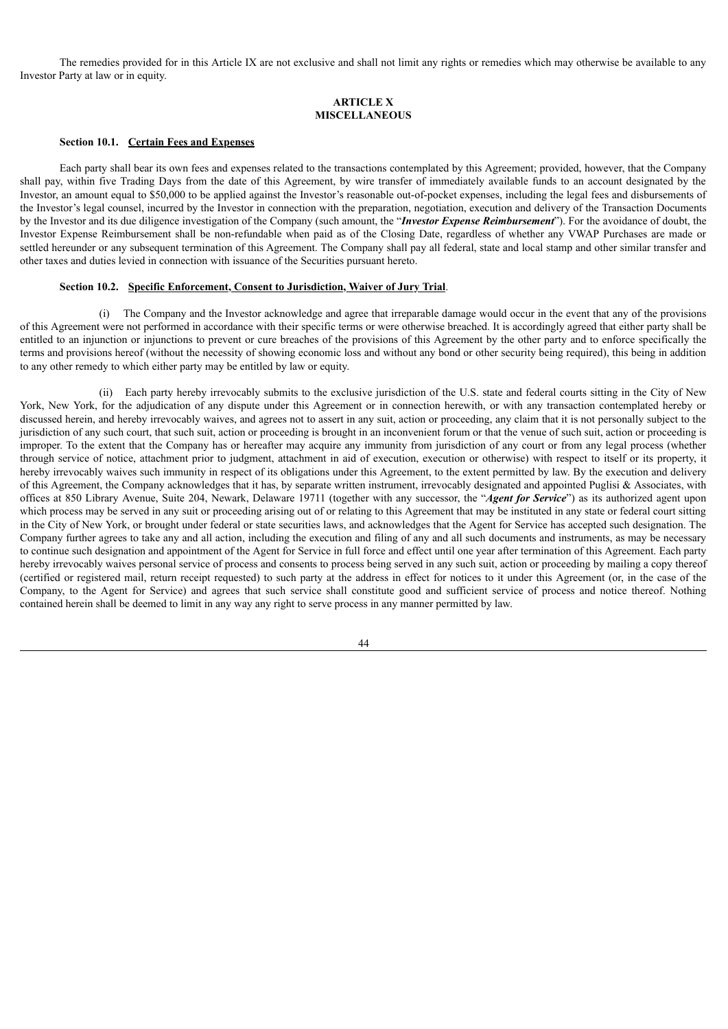The remedies provided for in this Article IX are not exclusive and shall not limit any rights or remedies which may otherwise be available to any Investor Party at law or in equity.

### **ARTICLE X MISCELLANEOUS**

### **Section 10.1. Certain Fees and Expenses**

Each party shall bear its own fees and expenses related to the transactions contemplated by this Agreement; provided, however, that the Company shall pay, within five Trading Days from the date of this Agreement, by wire transfer of immediately available funds to an account designated by the Investor, an amount equal to \$50,000 to be applied against the Investor's reasonable out-of-pocket expenses, including the legal fees and disbursements of the Investor's legal counsel, incurred by the Investor in connection with the preparation, negotiation, execution and delivery of the Transaction Documents by the Investor and its due diligence investigation of the Company (such amount, the "*Investor Expense Reimbursement*"). For the avoidance of doubt, the Investor Expense Reimbursement shall be non-refundable when paid as of the Closing Date, regardless of whether any VWAP Purchases are made or settled hereunder or any subsequent termination of this Agreement. The Company shall pay all federal, state and local stamp and other similar transfer and other taxes and duties levied in connection with issuance of the Securities pursuant hereto.

#### **Section 10.2. Specific Enforcement, Consent to Jurisdiction, Waiver of Jury Trial**.

(i) The Company and the Investor acknowledge and agree that irreparable damage would occur in the event that any of the provisions of this Agreement were not performed in accordance with their specific terms or were otherwise breached. It is accordingly agreed that either party shall be entitled to an injunction or injunctions to prevent or cure breaches of the provisions of this Agreement by the other party and to enforce specifically the terms and provisions hereof (without the necessity of showing economic loss and without any bond or other security being required), this being in addition to any other remedy to which either party may be entitled by law or equity.

(ii) Each party hereby irrevocably submits to the exclusive jurisdiction of the U.S. state and federal courts sitting in the City of New York, New York, for the adjudication of any dispute under this Agreement or in connection herewith, or with any transaction contemplated hereby or discussed herein, and hereby irrevocably waives, and agrees not to assert in any suit, action or proceeding, any claim that it is not personally subject to the jurisdiction of any such court, that such suit, action or proceeding is brought in an inconvenient forum or that the venue of such suit, action or proceeding is improper. To the extent that the Company has or hereafter may acquire any immunity from jurisdiction of any court or from any legal process (whether through service of notice, attachment prior to judgment, attachment in aid of execution, execution or otherwise) with respect to itself or its property, it hereby irrevocably waives such immunity in respect of its obligations under this Agreement, to the extent permitted by law. By the execution and delivery of this Agreement, the Company acknowledges that it has, by separate written instrument, irrevocably designated and appointed Puglisi & Associates, with offices at 850 Library Avenue, Suite 204, Newark, Delaware 19711 (together with any successor, the "*Agent for Service*") as its authorized agent upon which process may be served in any suit or proceeding arising out of or relating to this Agreement that may be instituted in any state or federal court sitting in the City of New York, or brought under federal or state securities laws, and acknowledges that the Agent for Service has accepted such designation. The Company further agrees to take any and all action, including the execution and filing of any and all such documents and instruments, as may be necessary to continue such designation and appointment of the Agent for Service in full force and effect until one year after termination of this Agreement. Each party hereby irrevocably waives personal service of process and consents to process being served in any such suit, action or proceeding by mailing a copy thereof (certified or registered mail, return receipt requested) to such party at the address in effect for notices to it under this Agreement (or, in the case of the Company, to the Agent for Service) and agrees that such service shall constitute good and sufficient service of process and notice thereof. Nothing contained herein shall be deemed to limit in any way any right to serve process in any manner permitted by law.

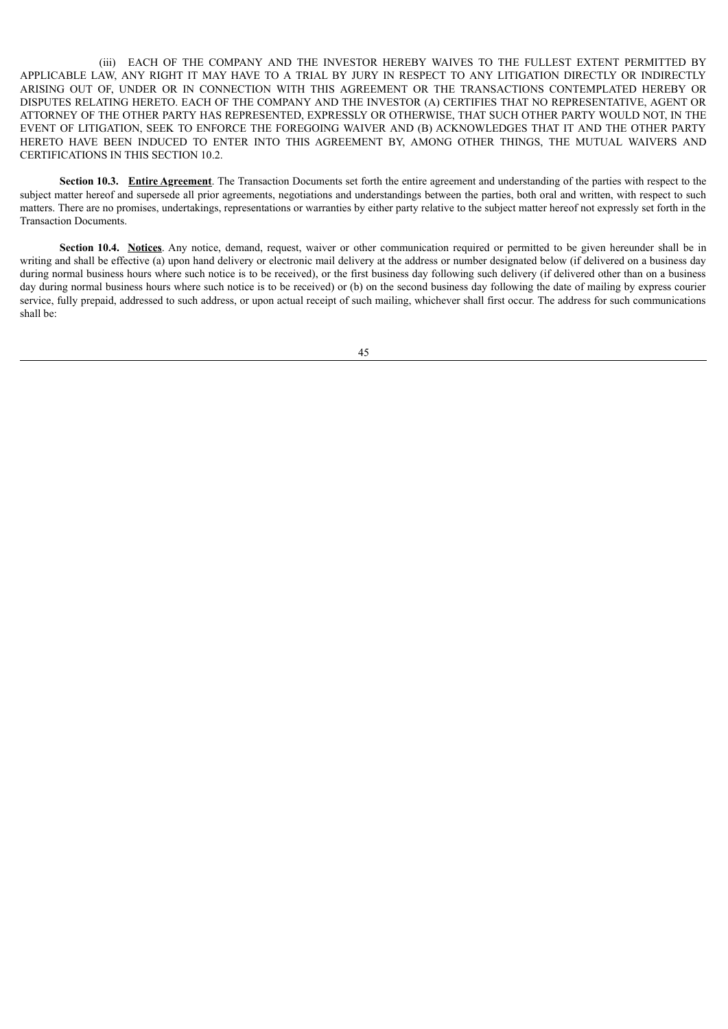(iii) EACH OF THE COMPANY AND THE INVESTOR HEREBY WAIVES TO THE FULLEST EXTENT PERMITTED BY APPLICABLE LAW, ANY RIGHT IT MAY HAVE TO A TRIAL BY JURY IN RESPECT TO ANY LITIGATION DIRECTLY OR INDIRECTLY ARISING OUT OF, UNDER OR IN CONNECTION WITH THIS AGREEMENT OR THE TRANSACTIONS CONTEMPLATED HEREBY OR DISPUTES RELATING HERETO. EACH OF THE COMPANY AND THE INVESTOR (A) CERTIFIES THAT NO REPRESENTATIVE, AGENT OR ATTORNEY OF THE OTHER PARTY HAS REPRESENTED, EXPRESSLY OR OTHERWISE, THAT SUCH OTHER PARTY WOULD NOT, IN THE EVENT OF LITIGATION, SEEK TO ENFORCE THE FOREGOING WAIVER AND (B) ACKNOWLEDGES THAT IT AND THE OTHER PARTY HERETO HAVE BEEN INDUCED TO ENTER INTO THIS AGREEMENT BY, AMONG OTHER THINGS, THE MUTUAL WAIVERS AND CERTIFICATIONS IN THIS SECTION 10.2.

**Section 10.3. Entire Agreement**. The Transaction Documents set forth the entire agreement and understanding of the parties with respect to the subject matter hereof and supersede all prior agreements, negotiations and understandings between the parties, both oral and written, with respect to such matters. There are no promises, undertakings, representations or warranties by either party relative to the subject matter hereof not expressly set forth in the Transaction Documents.

**Section 10.4. Notices**. Any notice, demand, request, waiver or other communication required or permitted to be given hereunder shall be in writing and shall be effective (a) upon hand delivery or electronic mail delivery at the address or number designated below (if delivered on a business day during normal business hours where such notice is to be received), or the first business day following such delivery (if delivered other than on a business day during normal business hours where such notice is to be received) or (b) on the second business day following the date of mailing by express courier service, fully prepaid, addressed to such address, or upon actual receipt of such mailing, whichever shall first occur. The address for such communications shall be: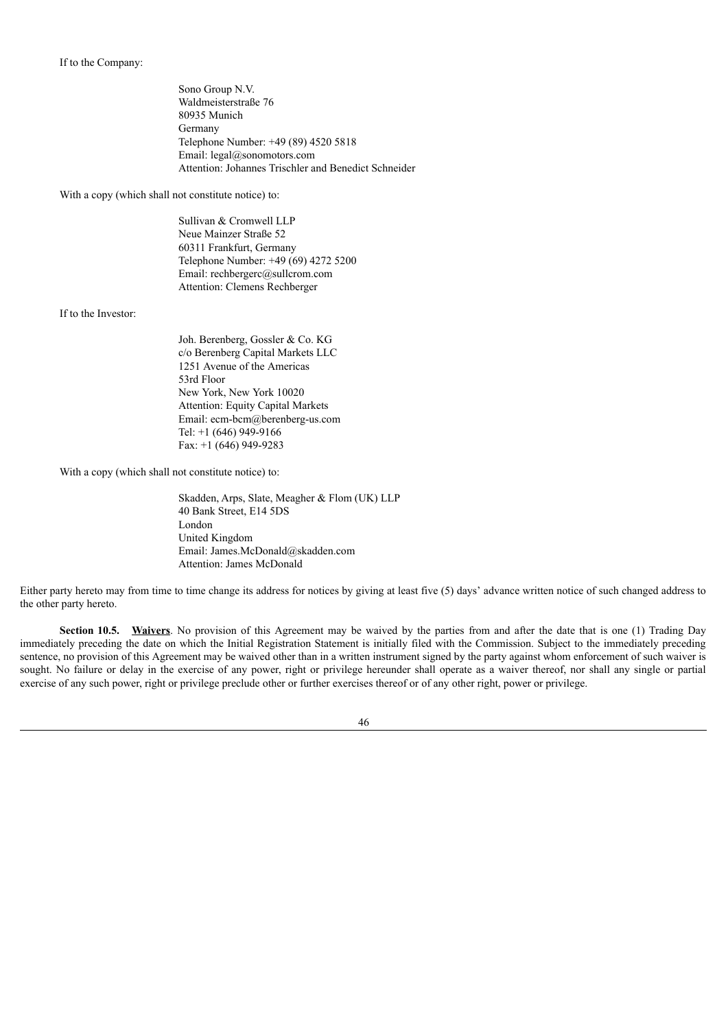If to the Company:

Sono Group N.V. Waldmeisterstraße 76 80935 Munich Germany Telephone Number: +49 (89) 4520 5818 Email: legal@sonomotors.com Attention: Johannes Trischler and Benedict Schneider

With a copy (which shall not constitute notice) to:

Sullivan & Cromwell LLP Neue Mainzer Straße 52 60311 Frankfurt, Germany Telephone Number: +49 (69) 4272 5200 Email: rechbergerc@sullcrom.com Attention: Clemens Rechberger

If to the Investor:

Joh. Berenberg, Gossler & Co. KG c/o Berenberg Capital Markets LLC 1251 Avenue of the Americas 53rd Floor New York, New York 10020 Attention: Equity Capital Markets Email: ecm-bcm@berenberg-us.com Tel: +1 (646) 949-9166 Fax: +1 (646) 949-9283

With a copy (which shall not constitute notice) to:

Skadden, Arps, Slate, Meagher & Flom (UK) LLP 40 Bank Street, E14 5DS London United Kingdom Email: James.McDonald@skadden.com Attention: James McDonald

Either party hereto may from time to time change its address for notices by giving at least five (5) days' advance written notice of such changed address to the other party hereto.

**Section 10.5.** Waivers. No provision of this Agreement may be waived by the parties from and after the date that is one (1) Trading Day immediately preceding the date on which the Initial Registration Statement is initially filed with the Commission. Subject to the immediately preceding sentence, no provision of this Agreement may be waived other than in a written instrument signed by the party against whom enforcement of such waiver is sought. No failure or delay in the exercise of any power, right or privilege hereunder shall operate as a waiver thereof, nor shall any single or partial exercise of any such power, right or privilege preclude other or further exercises thereof or of any other right, power or privilege.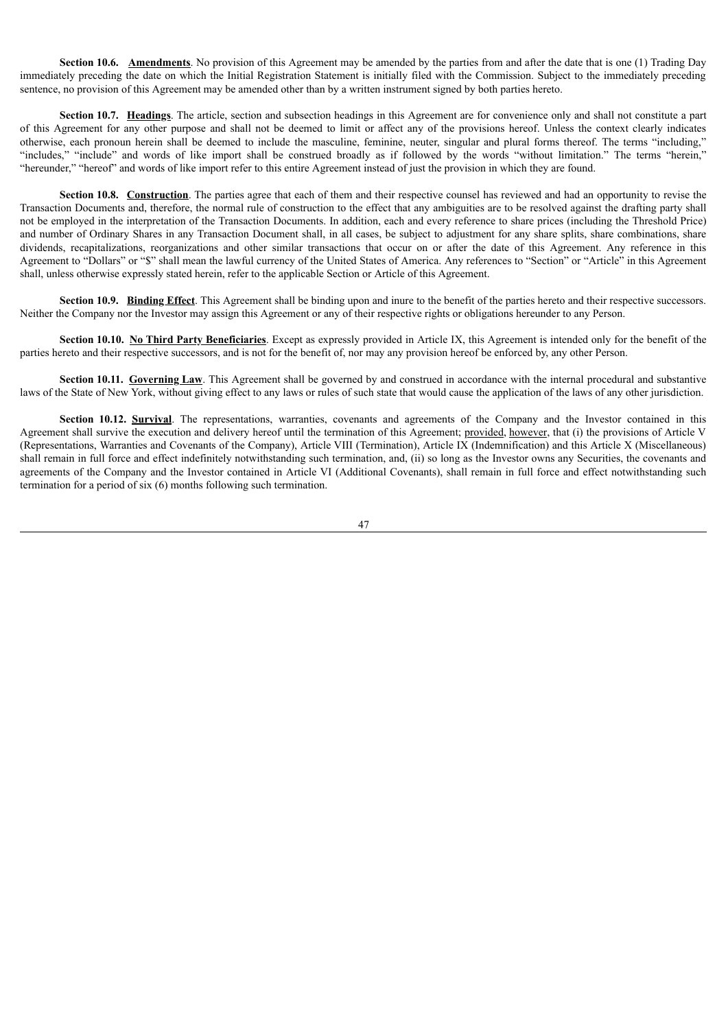**Section 10.6. Amendments**. No provision of this Agreement may be amended by the parties from and after the date that is one (1) Trading Day immediately preceding the date on which the Initial Registration Statement is initially filed with the Commission. Subject to the immediately preceding sentence, no provision of this Agreement may be amended other than by a written instrument signed by both parties hereto.

**Section 10.7. Headings**. The article, section and subsection headings in this Agreement are for convenience only and shall not constitute a part of this Agreement for any other purpose and shall not be deemed to limit or affect any of the provisions hereof. Unless the context clearly indicates otherwise, each pronoun herein shall be deemed to include the masculine, feminine, neuter, singular and plural forms thereof. The terms "including," "includes," "include" and words of like import shall be construed broadly as if followed by the words "without limitation." The terms "herein," "hereunder," "hereof" and words of like import refer to this entire Agreement instead of just the provision in which they are found.

**Section 10.8.** Construction. The parties agree that each of them and their respective counsel has reviewed and had an opportunity to revise the Transaction Documents and, therefore, the normal rule of construction to the effect that any ambiguities are to be resolved against the drafting party shall not be employed in the interpretation of the Transaction Documents. In addition, each and every reference to share prices (including the Threshold Price) and number of Ordinary Shares in any Transaction Document shall, in all cases, be subject to adjustment for any share splits, share combinations, share dividends, recapitalizations, reorganizations and other similar transactions that occur on or after the date of this Agreement. Any reference in this Agreement to "Dollars" or "\$" shall mean the lawful currency of the United States of America. Any references to "Section" or "Article" in this Agreement shall, unless otherwise expressly stated herein, refer to the applicable Section or Article of this Agreement.

**Section 10.9. Binding Effect**. This Agreement shall be binding upon and inure to the benefit of the parties hereto and their respective successors. Neither the Company nor the Investor may assign this Agreement or any of their respective rights or obligations hereunder to any Person.

**Section 10.10.** No Third Party Beneficiaries. Except as expressly provided in Article IX, this Agreement is intended only for the benefit of the parties hereto and their respective successors, and is not for the benefit of, nor may any provision hereof be enforced by, any other Person.

**Section 10.11. Governing Law**. This Agreement shall be governed by and construed in accordance with the internal procedural and substantive laws of the State of New York, without giving effect to any laws or rules of such state that would cause the application of the laws of any other jurisdiction.

**Section 10.12. Survival**. The representations, warranties, covenants and agreements of the Company and the Investor contained in this Agreement shall survive the execution and delivery hereof until the termination of this Agreement; provided, however, that (i) the provisions of Article V (Representations, Warranties and Covenants of the Company), Article VIII (Termination), Article IX (Indemnification) and this Article X (Miscellaneous) shall remain in full force and effect indefinitely notwithstanding such termination, and, (ii) so long as the Investor owns any Securities, the covenants and agreements of the Company and the Investor contained in Article VI (Additional Covenants), shall remain in full force and effect notwithstanding such termination for a period of six (6) months following such termination.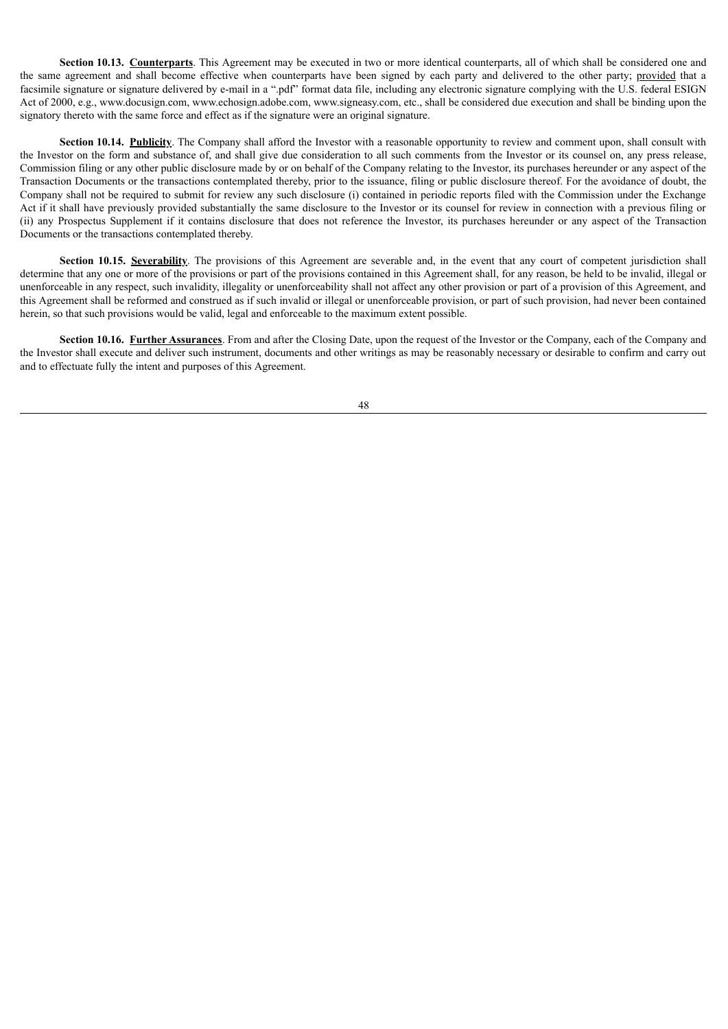**Section 10.13. Counterparts**. This Agreement may be executed in two or more identical counterparts, all of which shall be considered one and the same agreement and shall become effective when counterparts have been signed by each party and delivered to the other party; provided that a facsimile signature or signature delivered by e-mail in a ".pdf" format data file, including any electronic signature complying with the U.S. federal ESIGN Act of 2000, e.g., www.docusign.com, www.echosign.adobe.com, www.signeasy.com, etc., shall be considered due execution and shall be binding upon the signatory thereto with the same force and effect as if the signature were an original signature.

**Section 10.14. Publicity**. The Company shall afford the Investor with a reasonable opportunity to review and comment upon, shall consult with the Investor on the form and substance of, and shall give due consideration to all such comments from the Investor or its counsel on, any press release, Commission filing or any other public disclosure made by or on behalf of the Company relating to the Investor, its purchases hereunder or any aspect of the Transaction Documents or the transactions contemplated thereby, prior to the issuance, filing or public disclosure thereof. For the avoidance of doubt, the Company shall not be required to submit for review any such disclosure (i) contained in periodic reports filed with the Commission under the Exchange Act if it shall have previously provided substantially the same disclosure to the Investor or its counsel for review in connection with a previous filing or (ii) any Prospectus Supplement if it contains disclosure that does not reference the Investor, its purchases hereunder or any aspect of the Transaction Documents or the transactions contemplated thereby.

**Section 10.15. Severability**. The provisions of this Agreement are severable and, in the event that any court of competent jurisdiction shall determine that any one or more of the provisions or part of the provisions contained in this Agreement shall, for any reason, be held to be invalid, illegal or unenforceable in any respect, such invalidity, illegality or unenforceability shall not affect any other provision or part of a provision of this Agreement, and this Agreement shall be reformed and construed as if such invalid or illegal or unenforceable provision, or part of such provision, had never been contained herein, so that such provisions would be valid, legal and enforceable to the maximum extent possible.

**Section 10.16. Further Assurances**. From and after the Closing Date, upon the request of the Investor or the Company, each of the Company and the Investor shall execute and deliver such instrument, documents and other writings as may be reasonably necessary or desirable to confirm and carry out and to effectuate fully the intent and purposes of this Agreement.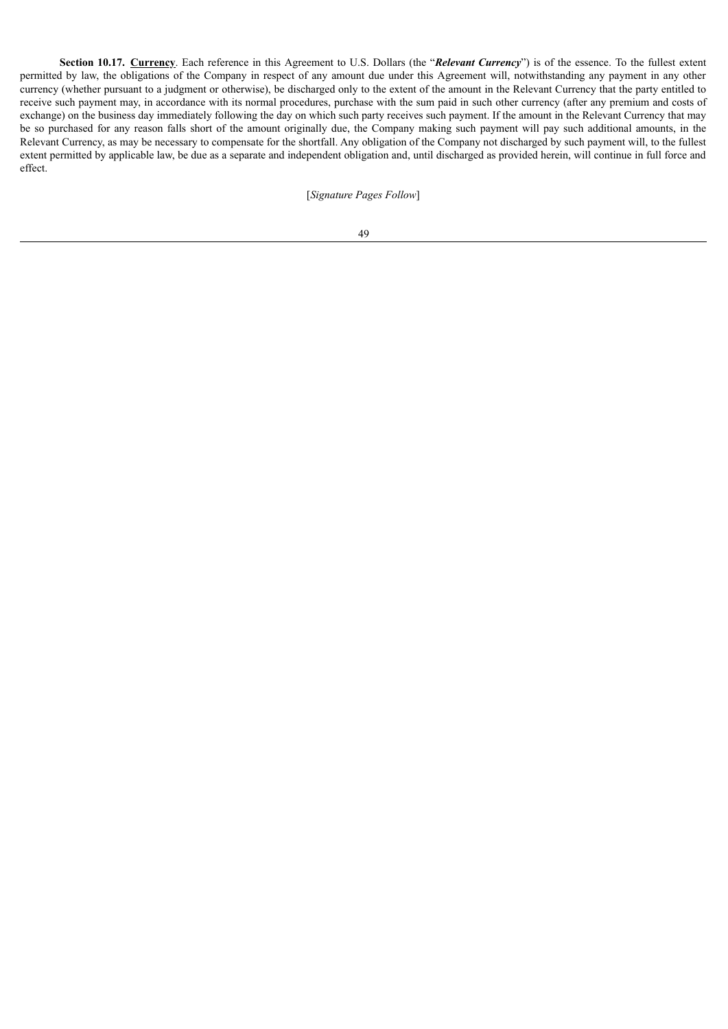**Section 10.17. Currency**. Each reference in this Agreement to U.S. Dollars (the "*Relevant Currency*") is of the essence. To the fullest extent permitted by law, the obligations of the Company in respect of any amount due under this Agreement will, notwithstanding any payment in any other currency (whether pursuant to a judgment or otherwise), be discharged only to the extent of the amount in the Relevant Currency that the party entitled to receive such payment may, in accordance with its normal procedures, purchase with the sum paid in such other currency (after any premium and costs of exchange) on the business day immediately following the day on which such party receives such payment. If the amount in the Relevant Currency that may be so purchased for any reason falls short of the amount originally due, the Company making such payment will pay such additional amounts, in the Relevant Currency, as may be necessary to compensate for the shortfall. Any obligation of the Company not discharged by such payment will, to the fullest extent permitted by applicable law, be due as a separate and independent obligation and, until discharged as provided herein, will continue in full force and effect.

[*Signature Pages Follow*]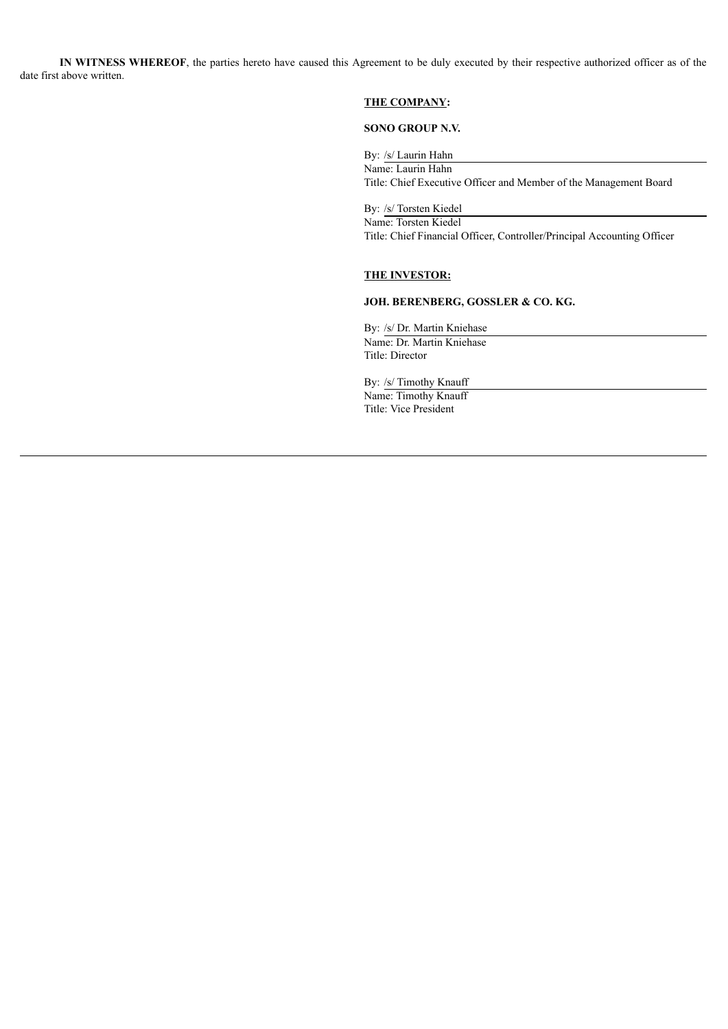**IN WITNESS WHEREOF**, the parties hereto have caused this Agreement to be duly executed by their respective authorized officer as of the date first above written.

### **THE COMPANY:**

# **SONO GROUP N.V.**

By: /s/ Laurin Hahn Name: Laurin Hahn Title: Chief Executive Officer and Member of the Management Board

By: /s/ Torsten Kiedel Name: Torsten Kiedel Title: Chief Financial Officer, Controller/Principal Accounting Officer

# **THE INVESTOR:**

# **JOH. BERENBERG, GOSSLER & CO. KG.**

By: /s/ Dr. Martin Kniehase Name: Dr. Martin Kniehase Title: Director

By: /s/ Timothy Knauff Name: Timothy Knauff Title: Vice President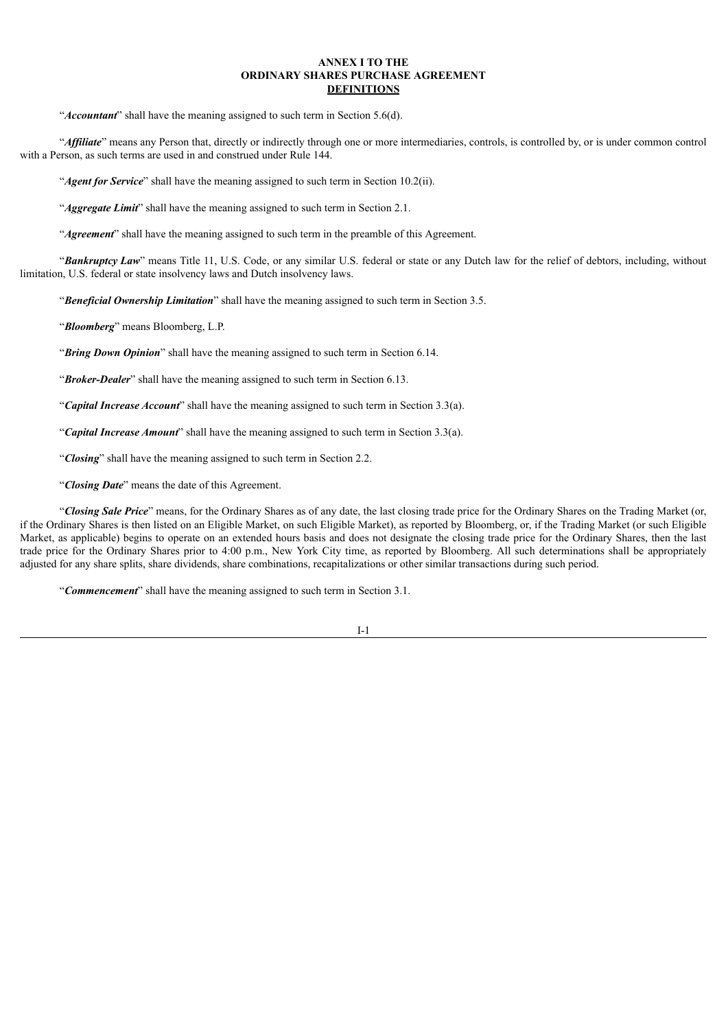### **ANNEX I TO THE ORDINARY SHARES PURCHASE AGREEMENT DEFINITIONS**

"*Accountant*" shall have the meaning assigned to such term in Section 5.6(d).

"*Af iliate*" means any Person that, directly or indirectly through one or more intermediaries, controls, is controlled by, or is under common control with a Person, as such terms are used in and construed under Rule 144.

"*Agent for Service*" shall have the meaning assigned to such term in Section 10.2(ii).

"*Aggregate Limit*" shall have the meaning assigned to such term in Section 2.1.

"**Agreement**" shall have the meaning assigned to such term in the preamble of this Agreement.

"*Bankruptcy Law*" means Title 11, U.S. Code, or any similar U.S. federal or state or any Dutch law for the relief of debtors, including, without limitation, U.S. federal or state insolvency laws and Dutch insolvency laws.

"*Beneficial Ownership Limitation*" shall have the meaning assigned to such term in Section 3.5.

"*Bloomberg*" means Bloomberg, L.P.

"*Bring Down Opinion*" shall have the meaning assigned to such term in Section 6.14.

"*Broker-Dealer*" shall have the meaning assigned to such term in Section 6.13.

"*Capital Increase Account*" shall have the meaning assigned to such term in Section 3.3(a).

"*Capital Increase Amount*" shall have the meaning assigned to such term in Section 3.3(a).

"*Closing*" shall have the meaning assigned to such term in Section 2.2.

"*Closing Date*" means the date of this Agreement.

"*Closing Sale Price*" means, for the Ordinary Shares as of any date, the last closing trade price for the Ordinary Shares on the Trading Market (or, if the Ordinary Shares is then listed on an Eligible Market, on such Eligible Market), as reported by Bloomberg, or, if the Trading Market (or such Eligible Market, as applicable) begins to operate on an extended hours basis and does not designate the closing trade price for the Ordinary Shares, then the last trade price for the Ordinary Shares prior to 4:00 p.m., New York City time, as reported by Bloomberg. All such determinations shall be appropriately adjusted for any share splits, share dividends, share combinations, recapitalizations or other similar transactions during such period.

"*Commencement*" shall have the meaning assigned to such term in Section 3.1.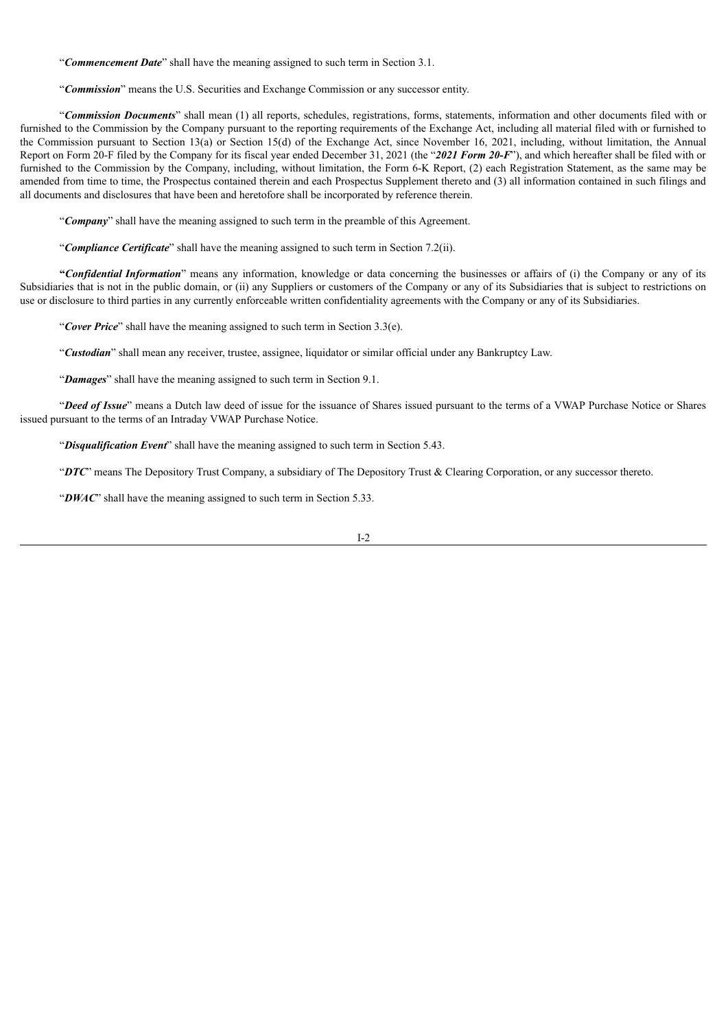"*Commencement Date*" shall have the meaning assigned to such term in Section 3.1.

"*Commission*" means the U.S. Securities and Exchange Commission or any successor entity.

"*Commission Documents*" shall mean (1) all reports, schedules, registrations, forms, statements, information and other documents filed with or furnished to the Commission by the Company pursuant to the reporting requirements of the Exchange Act, including all material filed with or furnished to the Commission pursuant to Section 13(a) or Section 15(d) of the Exchange Act, since November 16, 2021, including, without limitation, the Annual Report on Form 20-F filed by the Company for its fiscal year ended December 31, 2021 (the "*2021 Form 20-F*"), and which hereafter shall be filed with or furnished to the Commission by the Company, including, without limitation, the Form 6-K Report, (2) each Registration Statement, as the same may be amended from time to time, the Prospectus contained therein and each Prospectus Supplement thereto and (3) all information contained in such filings and all documents and disclosures that have been and heretofore shall be incorporated by reference therein.

"*Company*" shall have the meaning assigned to such term in the preamble of this Agreement.

"*Compliance Certificate*" shall have the meaning assigned to such term in Section 7.2(ii).

**"***Confidential Information*" means any information, knowledge or data concerning the businesses or affairs of (i) the Company or any of its Subsidiaries that is not in the public domain, or (ii) any Suppliers or customers of the Company or any of its Subsidiaries that is subject to restrictions on use or disclosure to third parties in any currently enforceable written confidentiality agreements with the Company or any of its Subsidiaries.

"*Cover Price*" shall have the meaning assigned to such term in Section 3.3(e).

"*Custodian*" shall mean any receiver, trustee, assignee, liquidator or similar official under any Bankruptcy Law.

"*Damages*" shall have the meaning assigned to such term in Section 9.1.

"*Deed of Issue*" means a Dutch law deed of issue for the issuance of Shares issued pursuant to the terms of a VWAP Purchase Notice or Shares issued pursuant to the terms of an Intraday VWAP Purchase Notice.

"*Disqualification Event*" shall have the meaning assigned to such term in Section 5.43.

"*DTC*" means The Depository Trust Company, a subsidiary of The Depository Trust & Clearing Corporation, or any successor thereto.

"DWAC" shall have the meaning assigned to such term in Section 5.33.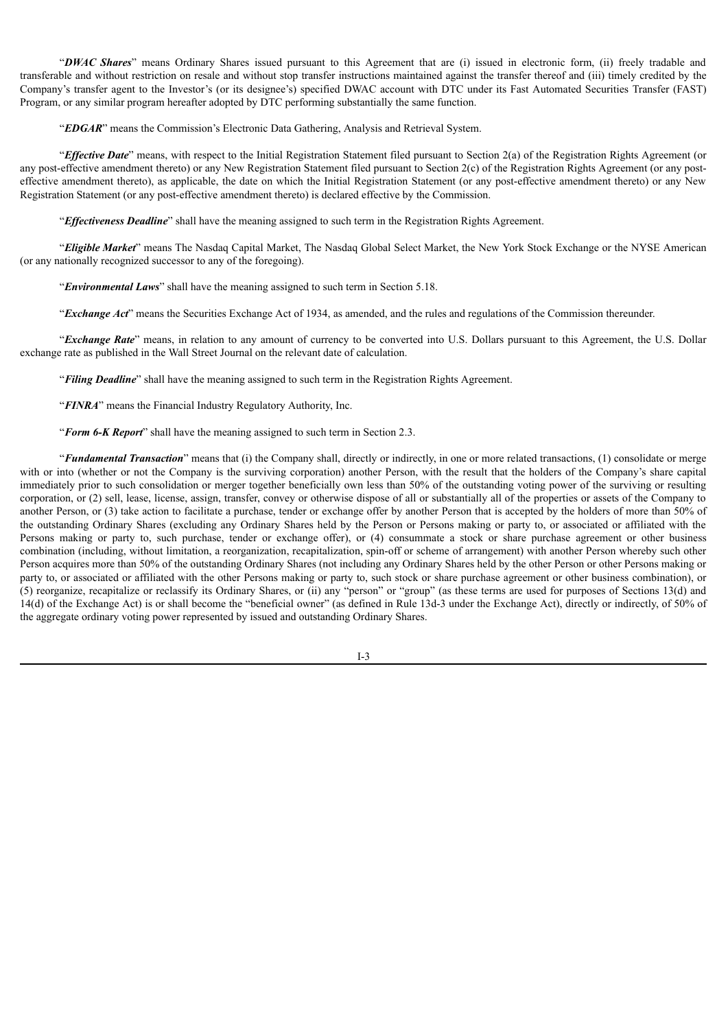"*DWAC Shares*" means Ordinary Shares issued pursuant to this Agreement that are (i) issued in electronic form, (ii) freely tradable and transferable and without restriction on resale and without stop transfer instructions maintained against the transfer thereof and (iii) timely credited by the Company's transfer agent to the Investor's (or its designee's) specified DWAC account with DTC under its Fast Automated Securities Transfer (FAST) Program, or any similar program hereafter adopted by DTC performing substantially the same function.

"*EDGAR*" means the Commission's Electronic Data Gathering, Analysis and Retrieval System.

"*Ef ective Date*" means, with respect to the Initial Registration Statement filed pursuant to Section 2(a) of the Registration Rights Agreement (or any post-effective amendment thereto) or any New Registration Statement filed pursuant to Section 2(c) of the Registration Rights Agreement (or any posteffective amendment thereto), as applicable, the date on which the Initial Registration Statement (or any post-effective amendment thereto) or any New Registration Statement (or any post-effective amendment thereto) is declared effective by the Commission.

"*Ef ectiveness Deadline*" shall have the meaning assigned to such term in the Registration Rights Agreement.

"*Eligible Market*" means The Nasdaq Capital Market, The Nasdaq Global Select Market, the New York Stock Exchange or the NYSE American (or any nationally recognized successor to any of the foregoing).

"*Environmental Laws*" shall have the meaning assigned to such term in Section 5.18.

"*Exchange Act*" means the Securities Exchange Act of 1934, as amended, and the rules and regulations of the Commission thereunder.

"*Exchange Rate*" means, in relation to any amount of currency to be converted into U.S. Dollars pursuant to this Agreement, the U.S. Dollar exchange rate as published in the Wall Street Journal on the relevant date of calculation.

"*Filing Deadline*" shall have the meaning assigned to such term in the Registration Rights Agreement.

"*FINRA*" means the Financial Industry Regulatory Authority, Inc.

"*Form 6-K Report*" shall have the meaning assigned to such term in Section 2.3.

"*Fundamental Transaction*" means that (i) the Company shall, directly or indirectly, in one or more related transactions, (1) consolidate or merge with or into (whether or not the Company is the surviving corporation) another Person, with the result that the holders of the Company's share capital immediately prior to such consolidation or merger together beneficially own less than 50% of the outstanding voting power of the surviving or resulting corporation, or (2) sell, lease, license, assign, transfer, convey or otherwise dispose of all or substantially all of the properties or assets of the Company to another Person, or (3) take action to facilitate a purchase, tender or exchange offer by another Person that is accepted by the holders of more than 50% of the outstanding Ordinary Shares (excluding any Ordinary Shares held by the Person or Persons making or party to, or associated or affiliated with the Persons making or party to, such purchase, tender or exchange offer), or (4) consummate a stock or share purchase agreement or other business combination (including, without limitation, a reorganization, recapitalization, spin-off or scheme of arrangement) with another Person whereby such other Person acquires more than 50% of the outstanding Ordinary Shares (not including any Ordinary Shares held by the other Person or other Persons making or party to, or associated or affiliated with the other Persons making or party to, such stock or share purchase agreement or other business combination), or (5) reorganize, recapitalize or reclassify its Ordinary Shares, or (ii) any "person" or "group" (as these terms are used for purposes of Sections 13(d) and 14(d) of the Exchange Act) is or shall become the "beneficial owner" (as defined in Rule 13d-3 under the Exchange Act), directly or indirectly, of 50% of the aggregate ordinary voting power represented by issued and outstanding Ordinary Shares.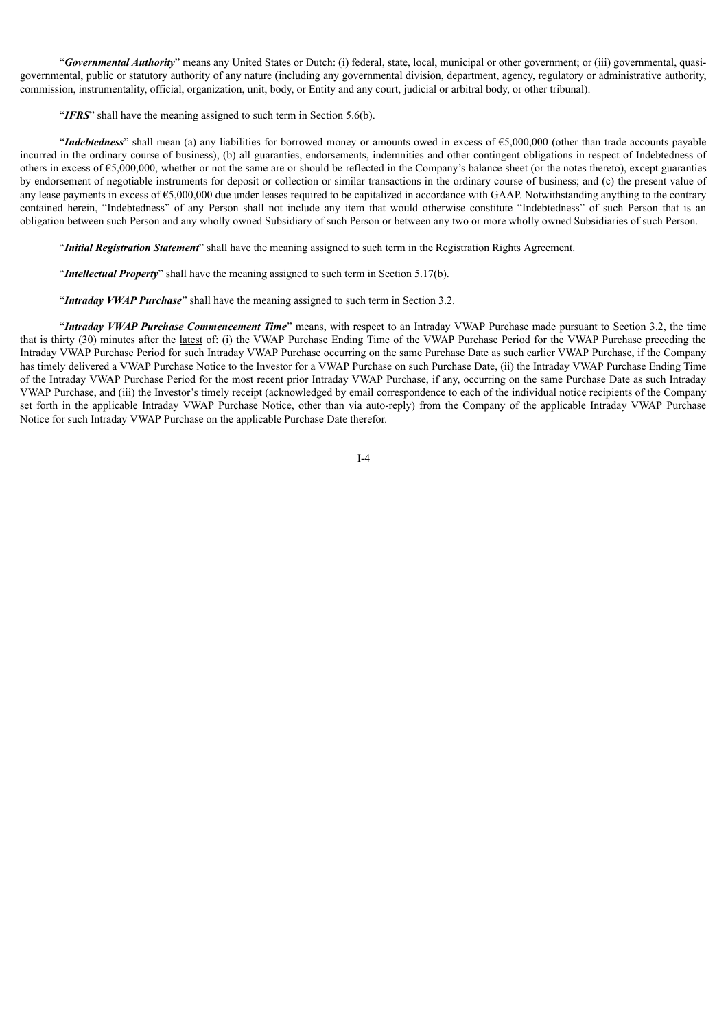"*Governmental Authority*" means any United States or Dutch: (i) federal, state, local, municipal or other government; or (iii) governmental, quasigovernmental, public or statutory authority of any nature (including any governmental division, department, agency, regulatory or administrative authority, commission, instrumentality, official, organization, unit, body, or Entity and any court, judicial or arbitral body, or other tribunal).

"*IFRS*" shall have the meaning assigned to such term in Section 5.6(b).

"*Indebtedness*" shall mean (a) any liabilities for borrowed money or amounts owed in excess of €5,000,000 (other than trade accounts payable incurred in the ordinary course of business), (b) all guaranties, endorsements, indemnities and other contingent obligations in respect of Indebtedness of others in excess of €5,000,000, whether or not the same are or should be reflected in the Company's balance sheet (or the notes thereto), except guaranties by endorsement of negotiable instruments for deposit or collection or similar transactions in the ordinary course of business; and (c) the present value of any lease payments in excess of  $\epsilon$ 5,000,000 due under leases required to be capitalized in accordance with GAAP. Notwithstanding anything to the contrary contained herein, "Indebtedness" of any Person shall not include any item that would otherwise constitute "Indebtedness" of such Person that is an obligation between such Person and any wholly owned Subsidiary of such Person or between any two or more wholly owned Subsidiaries of such Person.

"*Initial Registration Statement*" shall have the meaning assigned to such term in the Registration Rights Agreement.

"*Intellectual Property*" shall have the meaning assigned to such term in Section 5.17(b).

"*Intraday VWAP Purchase*" shall have the meaning assigned to such term in Section 3.2.

"*Intraday VWAP Purchase Commencement Time*" means, with respect to an Intraday VWAP Purchase made pursuant to Section 3.2, the time that is thirty (30) minutes after the latest of: (i) the VWAP Purchase Ending Time of the VWAP Purchase Period for the VWAP Purchase preceding the Intraday VWAP Purchase Period for such Intraday VWAP Purchase occurring on the same Purchase Date as such earlier VWAP Purchase, if the Company has timely delivered a VWAP Purchase Notice to the Investor for a VWAP Purchase on such Purchase Date, (ii) the Intraday VWAP Purchase Ending Time of the Intraday VWAP Purchase Period for the most recent prior Intraday VWAP Purchase, if any, occurring on the same Purchase Date as such Intraday VWAP Purchase, and (iii) the Investor's timely receipt (acknowledged by email correspondence to each of the individual notice recipients of the Company set forth in the applicable Intraday VWAP Purchase Notice, other than via auto-reply) from the Company of the applicable Intraday VWAP Purchase Notice for such Intraday VWAP Purchase on the applicable Purchase Date therefor.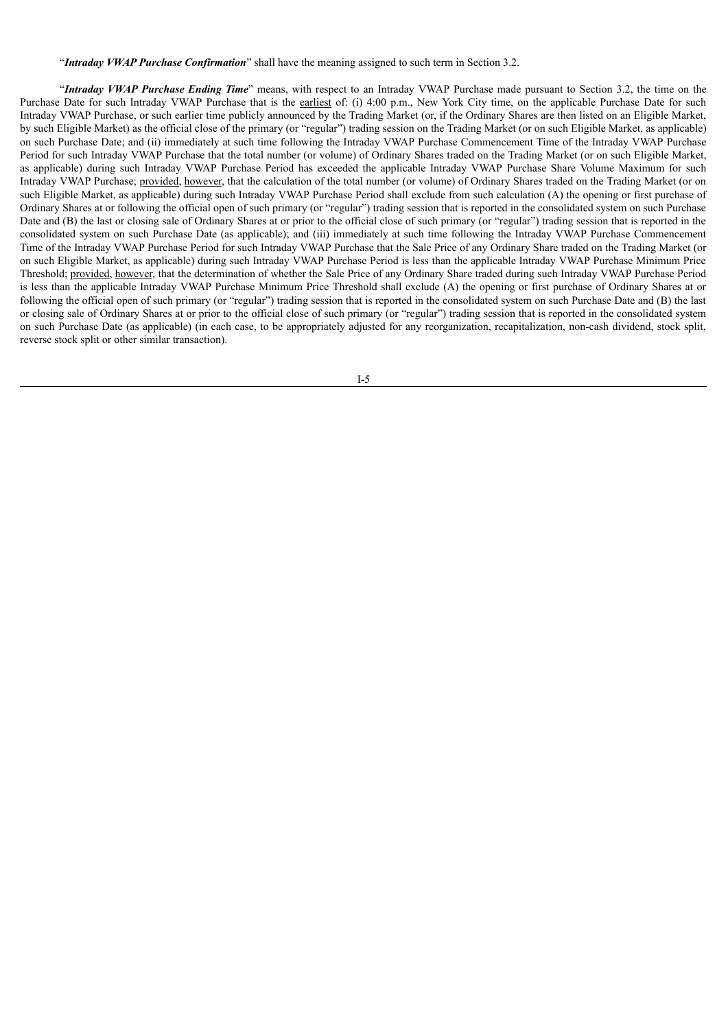"*Intraday VWAP Purchase Confirmation*" shall have the meaning assigned to such term in Section 3.2.

"*Intraday VWAP Purchase Ending Time*" means, with respect to an Intraday VWAP Purchase made pursuant to Section 3.2, the time on the Purchase Date for such Intraday VWAP Purchase that is the earliest of: (i) 4:00 p.m., New York City time, on the applicable Purchase Date for such Intraday VWAP Purchase, or such earlier time publicly announced by the Trading Market (or, if the Ordinary Shares are then listed on an Eligible Market, by such Eligible Market) as the official close of the primary (or "regular") trading session on the Trading Market (or on such Eligible Market, as applicable) on such Purchase Date; and (ii) immediately at such time following the Intraday VWAP Purchase Commencement Time of the Intraday VWAP Purchase Period for such Intraday VWAP Purchase that the total number (or volume) of Ordinary Shares traded on the Trading Market (or on such Eligible Market, as applicable) during such Intraday VWAP Purchase Period has exceeded the applicable Intraday VWAP Purchase Share Volume Maximum for such Intraday VWAP Purchase; provided, however, that the calculation of the total number (or volume) of Ordinary Shares traded on the Trading Market (or on such Eligible Market, as applicable) during such Intraday VWAP Purchase Period shall exclude from such calculation (A) the opening or first purchase of Ordinary Shares at or following the official open of such primary (or "regular") trading session that is reported in the consolidated system on such Purchase Date and (B) the last or closing sale of Ordinary Shares at or prior to the official close of such primary (or "regular") trading session that is reported in the consolidated system on such Purchase Date (as applicable); and (iii) immediately at such time following the Intraday VWAP Purchase Commencement Time of the Intraday VWAP Purchase Period for such Intraday VWAP Purchase that the Sale Price of any Ordinary Share traded on the Trading Market (or on such Eligible Market, as applicable) during such Intraday VWAP Purchase Period is less than the applicable Intraday VWAP Purchase Minimum Price Threshold; provided, however, that the determination of whether the Sale Price of any Ordinary Share traded during such Intraday VWAP Purchase Period is less than the applicable Intraday VWAP Purchase Minimum Price Threshold shall exclude (A) the opening or first purchase of Ordinary Shares at or following the official open of such primary (or "regular") trading session that is reported in the consolidated system on such Purchase Date and (B) the last or closing sale of Ordinary Shares at or prior to the official close of such primary (or "regular") trading session that is reported in the consolidated system on such Purchase Date (as applicable) (in each case, to be appropriately adjusted for any reorganization, recapitalization, non-cash dividend, stock split, reverse stock split or other similar transaction).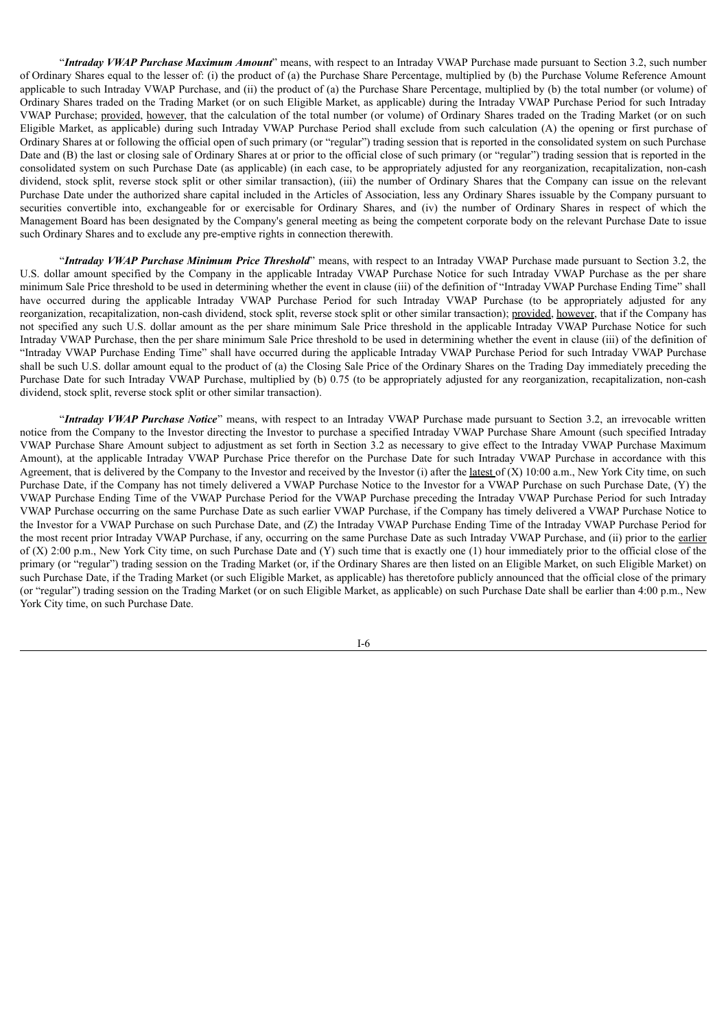"*Intraday VWAP Purchase Maximum Amount*" means, with respect to an Intraday VWAP Purchase made pursuant to Section 3.2, such number of Ordinary Shares equal to the lesser of: (i) the product of (a) the Purchase Share Percentage, multiplied by (b) the Purchase Volume Reference Amount applicable to such Intraday VWAP Purchase, and (ii) the product of (a) the Purchase Share Percentage, multiplied by (b) the total number (or volume) of Ordinary Shares traded on the Trading Market (or on such Eligible Market, as applicable) during the Intraday VWAP Purchase Period for such Intraday VWAP Purchase; provided, however, that the calculation of the total number (or volume) of Ordinary Shares traded on the Trading Market (or on such Eligible Market, as applicable) during such Intraday VWAP Purchase Period shall exclude from such calculation (A) the opening or first purchase of Ordinary Shares at or following the official open of such primary (or "regular") trading session that is reported in the consolidated system on such Purchase Date and (B) the last or closing sale of Ordinary Shares at or prior to the official close of such primary (or "regular") trading session that is reported in the consolidated system on such Purchase Date (as applicable) (in each case, to be appropriately adjusted for any reorganization, recapitalization, non-cash dividend, stock split, reverse stock split or other similar transaction), (iii) the number of Ordinary Shares that the Company can issue on the relevant Purchase Date under the authorized share capital included in the Articles of Association, less any Ordinary Shares issuable by the Company pursuant to securities convertible into, exchangeable for or exercisable for Ordinary Shares, and (iv) the number of Ordinary Shares in respect of which the Management Board has been designated by the Company's general meeting as being the competent corporate body on the relevant Purchase Date to issue such Ordinary Shares and to exclude any pre-emptive rights in connection therewith.

"*Intraday VWAP Purchase Minimum Price Threshold*" means, with respect to an Intraday VWAP Purchase made pursuant to Section 3.2, the U.S. dollar amount specified by the Company in the applicable Intraday VWAP Purchase Notice for such Intraday VWAP Purchase as the per share minimum Sale Price threshold to be used in determining whether the event in clause (iii) of the definition of "Intraday VWAP Purchase Ending Time" shall have occurred during the applicable Intraday VWAP Purchase Period for such Intraday VWAP Purchase (to be appropriately adjusted for any reorganization, recapitalization, non-cash dividend, stock split, reverse stock split or other similar transaction); provided, however, that if the Company has not specified any such U.S. dollar amount as the per share minimum Sale Price threshold in the applicable Intraday VWAP Purchase Notice for such Intraday VWAP Purchase, then the per share minimum Sale Price threshold to be used in determining whether the event in clause (iii) of the definition of "Intraday VWAP Purchase Ending Time" shall have occurred during the applicable Intraday VWAP Purchase Period for such Intraday VWAP Purchase shall be such U.S. dollar amount equal to the product of (a) the Closing Sale Price of the Ordinary Shares on the Trading Day immediately preceding the Purchase Date for such Intraday VWAP Purchase, multiplied by (b) 0.75 (to be appropriately adjusted for any reorganization, recapitalization, non-cash dividend, stock split, reverse stock split or other similar transaction).

"*Intraday VWAP Purchase Notice*" means, with respect to an Intraday VWAP Purchase made pursuant to Section 3.2, an irrevocable written notice from the Company to the Investor directing the Investor to purchase a specified Intraday VWAP Purchase Share Amount (such specified Intraday VWAP Purchase Share Amount subject to adjustment as set forth in Section 3.2 as necessary to give effect to the Intraday VWAP Purchase Maximum Amount), at the applicable Intraday VWAP Purchase Price therefor on the Purchase Date for such Intraday VWAP Purchase in accordance with this Agreement, that is delivered by the Company to the Investor and received by the Investor (i) after the <u>latest</u> of  $(X)$  10:00 a.m., New York City time, on such Purchase Date, if the Company has not timely delivered a VWAP Purchase Notice to the Investor for a VWAP Purchase on such Purchase Date, (Y) the VWAP Purchase Ending Time of the VWAP Purchase Period for the VWAP Purchase preceding the Intraday VWAP Purchase Period for such Intraday VWAP Purchase occurring on the same Purchase Date as such earlier VWAP Purchase, if the Company has timely delivered a VWAP Purchase Notice to the Investor for a VWAP Purchase on such Purchase Date, and (Z) the Intraday VWAP Purchase Ending Time of the Intraday VWAP Purchase Period for the most recent prior Intraday VWAP Purchase, if any, occurring on the same Purchase Date as such Intraday VWAP Purchase, and (ii) prior to the earlier of  $(X)$  2:00 p.m., New York City time, on such Purchase Date and  $(Y)$  such time that is exactly one (1) hour immediately prior to the official close of the primary (or "regular") trading session on the Trading Market (or, if the Ordinary Shares are then listed on an Eligible Market, on such Eligible Market) on such Purchase Date, if the Trading Market (or such Eligible Market, as applicable) has theretofore publicly announced that the official close of the primary (or "regular") trading session on the Trading Market (or on such Eligible Market, as applicable) on such Purchase Date shall be earlier than 4:00 p.m., New York City time, on such Purchase Date.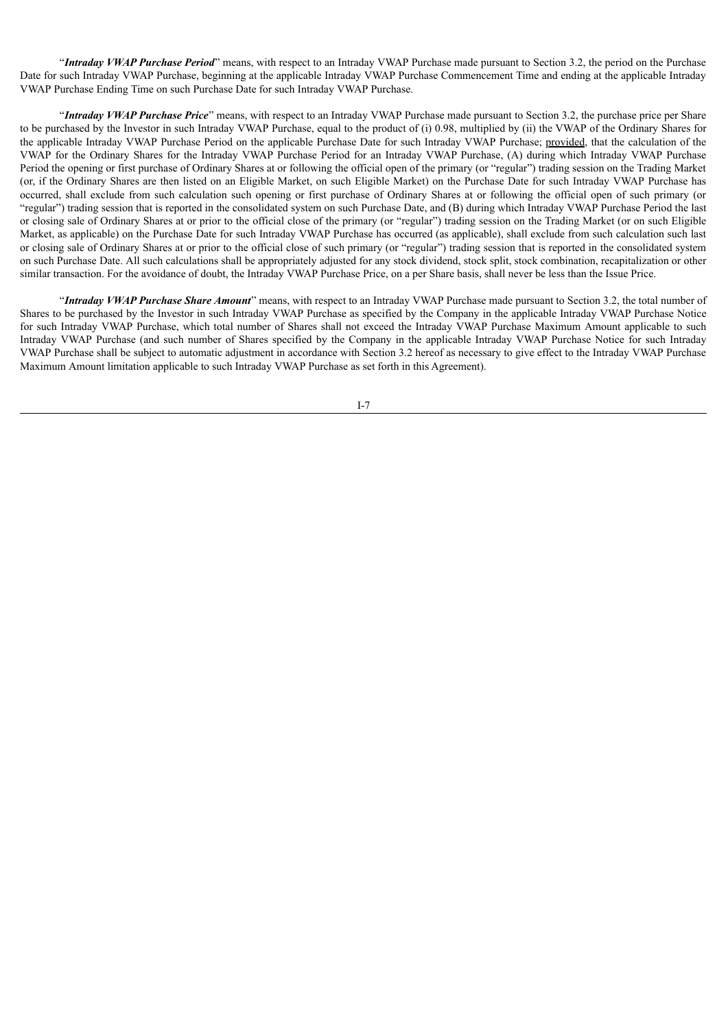"*Intraday VWAP Purchase Period*" means, with respect to an Intraday VWAP Purchase made pursuant to Section 3.2, the period on the Purchase Date for such Intraday VWAP Purchase, beginning at the applicable Intraday VWAP Purchase Commencement Time and ending at the applicable Intraday VWAP Purchase Ending Time on such Purchase Date for such Intraday VWAP Purchase.

"*Intraday VWAP Purchase Price*" means, with respect to an Intraday VWAP Purchase made pursuant to Section 3.2, the purchase price per Share to be purchased by the Investor in such Intraday VWAP Purchase, equal to the product of (i) 0.98, multiplied by (ii) the VWAP of the Ordinary Shares for the applicable Intraday VWAP Purchase Period on the applicable Purchase Date for such Intraday VWAP Purchase; provided, that the calculation of the VWAP for the Ordinary Shares for the Intraday VWAP Purchase Period for an Intraday VWAP Purchase, (A) during which Intraday VWAP Purchase Period the opening or first purchase of Ordinary Shares at or following the official open of the primary (or "regular") trading session on the Trading Market (or, if the Ordinary Shares are then listed on an Eligible Market, on such Eligible Market) on the Purchase Date for such Intraday VWAP Purchase has occurred, shall exclude from such calculation such opening or first purchase of Ordinary Shares at or following the official open of such primary (or "regular") trading session that is reported in the consolidated system on such Purchase Date, and (B) during which Intraday VWAP Purchase Period the last or closing sale of Ordinary Shares at or prior to the official close of the primary (or "regular") trading session on the Trading Market (or on such Eligible Market, as applicable) on the Purchase Date for such Intraday VWAP Purchase has occurred (as applicable), shall exclude from such calculation such last or closing sale of Ordinary Shares at or prior to the official close of such primary (or "regular") trading session that is reported in the consolidated system on such Purchase Date. All such calculations shall be appropriately adjusted for any stock dividend, stock split, stock combination, recapitalization or other similar transaction. For the avoidance of doubt, the Intraday VWAP Purchase Price, on a per Share basis, shall never be less than the Issue Price.

"*Intraday VWAP Purchase Share Amount*" means, with respect to an Intraday VWAP Purchase made pursuant to Section 3.2, the total number of Shares to be purchased by the Investor in such Intraday VWAP Purchase as specified by the Company in the applicable Intraday VWAP Purchase Notice for such Intraday VWAP Purchase, which total number of Shares shall not exceed the Intraday VWAP Purchase Maximum Amount applicable to such Intraday VWAP Purchase (and such number of Shares specified by the Company in the applicable Intraday VWAP Purchase Notice for such Intraday VWAP Purchase shall be subject to automatic adjustment in accordance with Section 3.2 hereof as necessary to give effect to the Intraday VWAP Purchase Maximum Amount limitation applicable to such Intraday VWAP Purchase as set forth in this Agreement).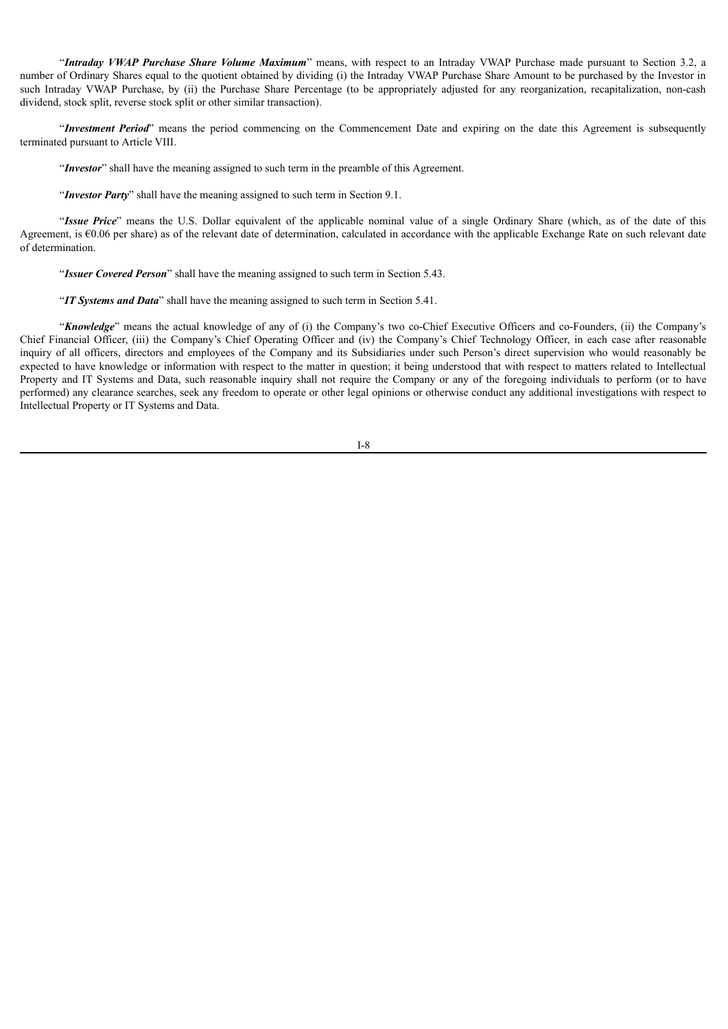"*Intraday VWAP Purchase Share Volume Maximum*" means, with respect to an Intraday VWAP Purchase made pursuant to Section 3.2, a number of Ordinary Shares equal to the quotient obtained by dividing (i) the Intraday VWAP Purchase Share Amount to be purchased by the Investor in such Intraday VWAP Purchase, by (ii) the Purchase Share Percentage (to be appropriately adjusted for any reorganization, recapitalization, non-cash dividend, stock split, reverse stock split or other similar transaction).

"*Investment Period*" means the period commencing on the Commencement Date and expiring on the date this Agreement is subsequently terminated pursuant to Article VIII.

"*Investor*" shall have the meaning assigned to such term in the preamble of this Agreement.

"*Investor Party*" shall have the meaning assigned to such term in Section 9.1.

"*Issue Price*" means the U.S. Dollar equivalent of the applicable nominal value of a single Ordinary Share (which, as of the date of this Agreement, is €0.06 per share) as of the relevant date of determination, calculated in accordance with the applicable Exchange Rate on such relevant date of determination.

"*Issuer Covered Person*" shall have the meaning assigned to such term in Section 5.43.

"*IT Systems and Data*" shall have the meaning assigned to such term in Section 5.41.

"*Knowledge*" means the actual knowledge of any of (i) the Company's two co-Chief Executive Officers and co-Founders, (ii) the Company's Chief Financial Officer, (iii) the Company's Chief Operating Officer and (iv) the Company's Chief Technology Officer, in each case after reasonable inquiry of all officers, directors and employees of the Company and its Subsidiaries under such Person's direct supervision who would reasonably be expected to have knowledge or information with respect to the matter in question; it being understood that with respect to matters related to Intellectual Property and IT Systems and Data, such reasonable inquiry shall not require the Company or any of the foregoing individuals to perform (or to have performed) any clearance searches, seek any freedom to operate or other legal opinions or otherwise conduct any additional investigations with respect to Intellectual Property or IT Systems and Data.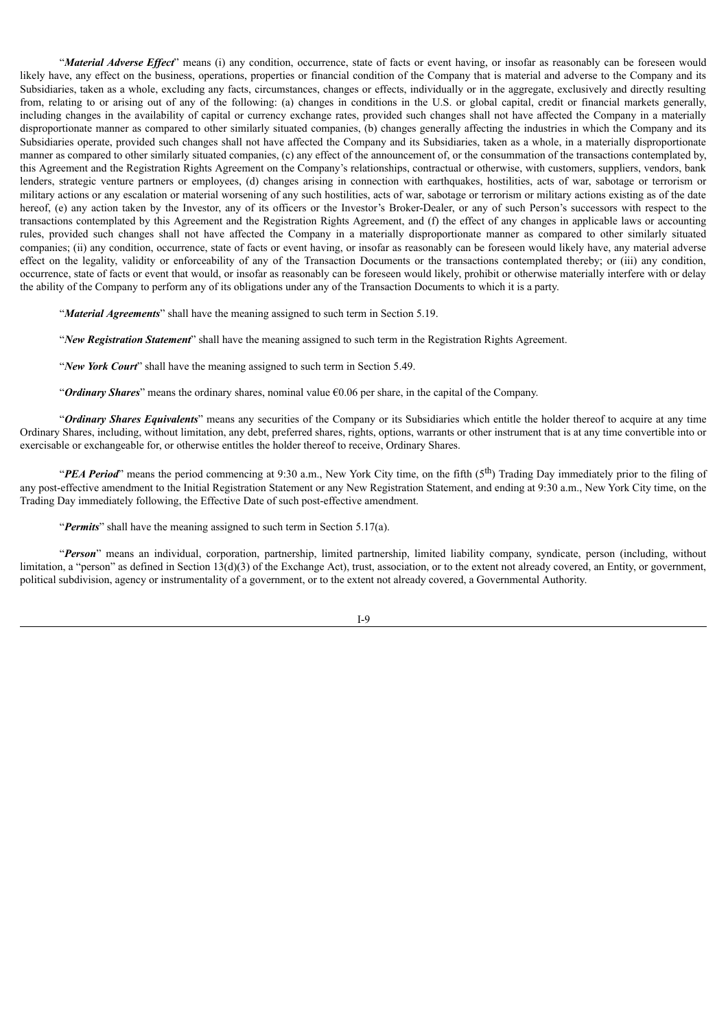"*Material Adverse Ef ect*" means (i) any condition, occurrence, state of facts or event having, or insofar as reasonably can be foreseen would likely have, any effect on the business, operations, properties or financial condition of the Company that is material and adverse to the Company and its Subsidiaries, taken as a whole, excluding any facts, circumstances, changes or effects, individually or in the aggregate, exclusively and directly resulting from, relating to or arising out of any of the following: (a) changes in conditions in the U.S. or global capital, credit or financial markets generally, including changes in the availability of capital or currency exchange rates, provided such changes shall not have affected the Company in a materially disproportionate manner as compared to other similarly situated companies, (b) changes generally affecting the industries in which the Company and its Subsidiaries operate, provided such changes shall not have affected the Company and its Subsidiaries, taken as a whole, in a materially disproportionate manner as compared to other similarly situated companies, (c) any effect of the announcement of, or the consummation of the transactions contemplated by, this Agreement and the Registration Rights Agreement on the Company's relationships, contractual or otherwise, with customers, suppliers, vendors, bank lenders, strategic venture partners or employees, (d) changes arising in connection with earthquakes, hostilities, acts of war, sabotage or terrorism or military actions or any escalation or material worsening of any such hostilities, acts of war, sabotage or terrorism or military actions existing as of the date hereof, (e) any action taken by the Investor, any of its officers or the Investor's Broker-Dealer, or any of such Person's successors with respect to the transactions contemplated by this Agreement and the Registration Rights Agreement, and (f) the effect of any changes in applicable laws or accounting rules, provided such changes shall not have affected the Company in a materially disproportionate manner as compared to other similarly situated companies; (ii) any condition, occurrence, state of facts or event having, or insofar as reasonably can be foreseen would likely have, any material adverse effect on the legality, validity or enforceability of any of the Transaction Documents or the transactions contemplated thereby; or (iii) any condition, occurrence, state of facts or event that would, or insofar as reasonably can be foreseen would likely, prohibit or otherwise materially interfere with or delay the ability of the Company to perform any of its obligations under any of the Transaction Documents to which it is a party.

"*Material Agreements*" shall have the meaning assigned to such term in Section 5.19.

"*New Registration Statement*" shall have the meaning assigned to such term in the Registration Rights Agreement.

"*New York Court*" shall have the meaning assigned to such term in Section 5.49.

"*Ordinary Shares*" means the ordinary shares, nominal value €0.06 per share, in the capital of the Company.

"*Ordinary Shares Equivalents*" means any securities of the Company or its Subsidiaries which entitle the holder thereof to acquire at any time Ordinary Shares, including, without limitation, any debt, preferred shares, rights, options, warrants or other instrument that is at any time convertible into or exercisable or exchangeable for, or otherwise entitles the holder thereof to receive, Ordinary Shares.

"PEA Period" means the period commencing at 9:30 a.m., New York City time, on the fifth (5<sup>th</sup>) Trading Day immediately prior to the filing of any post-effective amendment to the Initial Registration Statement or any New Registration Statement, and ending at 9:30 a.m., New York City time, on the Trading Day immediately following, the Effective Date of such post-effective amendment.

"*Permits*" shall have the meaning assigned to such term in Section 5.17(a).

"*Person*" means an individual, corporation, partnership, limited partnership, limited liability company, syndicate, person (including, without limitation, a "person" as defined in Section 13(d)(3) of the Exchange Act), trust, association, or to the extent not already covered, an Entity, or government, political subdivision, agency or instrumentality of a government, or to the extent not already covered, a Governmental Authority.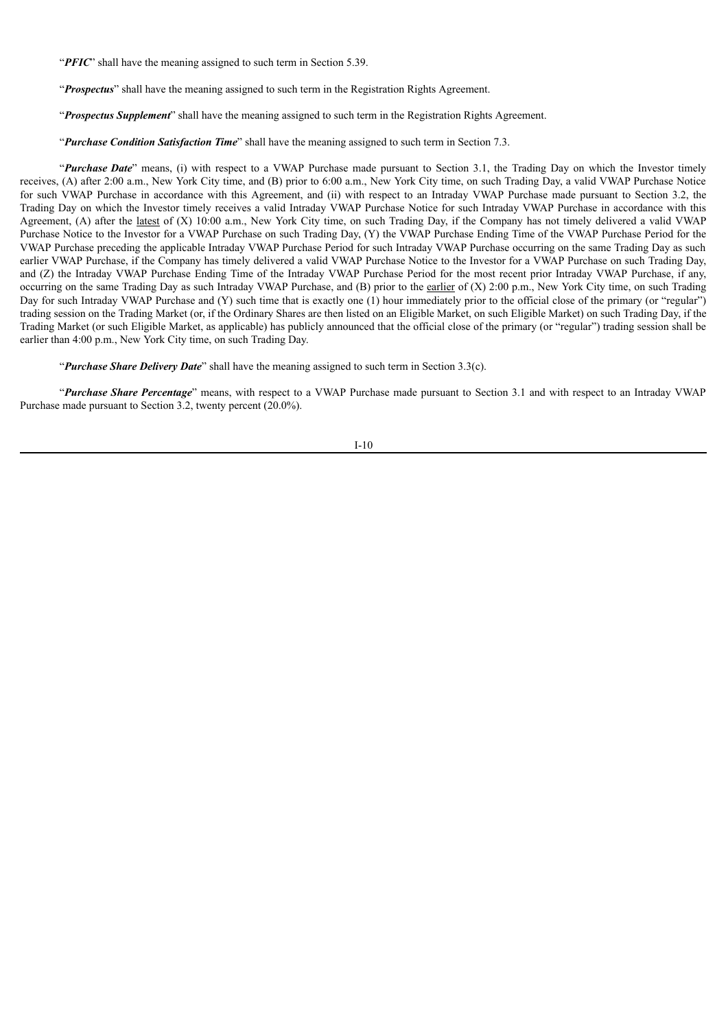"*PFIC*" shall have the meaning assigned to such term in Section 5.39.

"*Prospectus*" shall have the meaning assigned to such term in the Registration Rights Agreement.

"*Prospectus Supplement*" shall have the meaning assigned to such term in the Registration Rights Agreement.

"*Purchase Condition Satisfaction Time*" shall have the meaning assigned to such term in Section 7.3.

"*Purchase Date*" means, (i) with respect to a VWAP Purchase made pursuant to Section 3.1, the Trading Day on which the Investor timely receives, (A) after 2:00 a.m., New York City time, and (B) prior to 6:00 a.m., New York City time, on such Trading Day, a valid VWAP Purchase Notice for such VWAP Purchase in accordance with this Agreement, and (ii) with respect to an Intraday VWAP Purchase made pursuant to Section 3.2, the Trading Day on which the Investor timely receives a valid Intraday VWAP Purchase Notice for such Intraday VWAP Purchase in accordance with this Agreement, (A) after the latest of (X) 10:00 a.m., New York City time, on such Trading Day, if the Company has not timely delivered a valid VWAP Purchase Notice to the Investor for a VWAP Purchase on such Trading Day, (Y) the VWAP Purchase Ending Time of the VWAP Purchase Period for the VWAP Purchase preceding the applicable Intraday VWAP Purchase Period for such Intraday VWAP Purchase occurring on the same Trading Day as such earlier VWAP Purchase, if the Company has timely delivered a valid VWAP Purchase Notice to the Investor for a VWAP Purchase on such Trading Day, and (Z) the Intraday VWAP Purchase Ending Time of the Intraday VWAP Purchase Period for the most recent prior Intraday VWAP Purchase, if any, occurring on the same Trading Day as such Intraday VWAP Purchase, and (B) prior to the earlier of (X) 2:00 p.m., New York City time, on such Trading Day for such Intraday VWAP Purchase and (Y) such time that is exactly one (1) hour immediately prior to the official close of the primary (or "regular") trading session on the Trading Market (or, if the Ordinary Shares are then listed on an Eligible Market, on such Eligible Market) on such Trading Day, if the Trading Market (or such Eligible Market, as applicable) has publicly announced that the official close of the primary (or "regular") trading session shall be earlier than 4:00 p.m., New York City time, on such Trading Day.

"*Purchase Share Delivery Date*" shall have the meaning assigned to such term in Section 3.3(c).

"*Purchase Share Percentage*" means, with respect to a VWAP Purchase made pursuant to Section 3.1 and with respect to an Intraday VWAP Purchase made pursuant to Section 3.2, twenty percent (20.0%).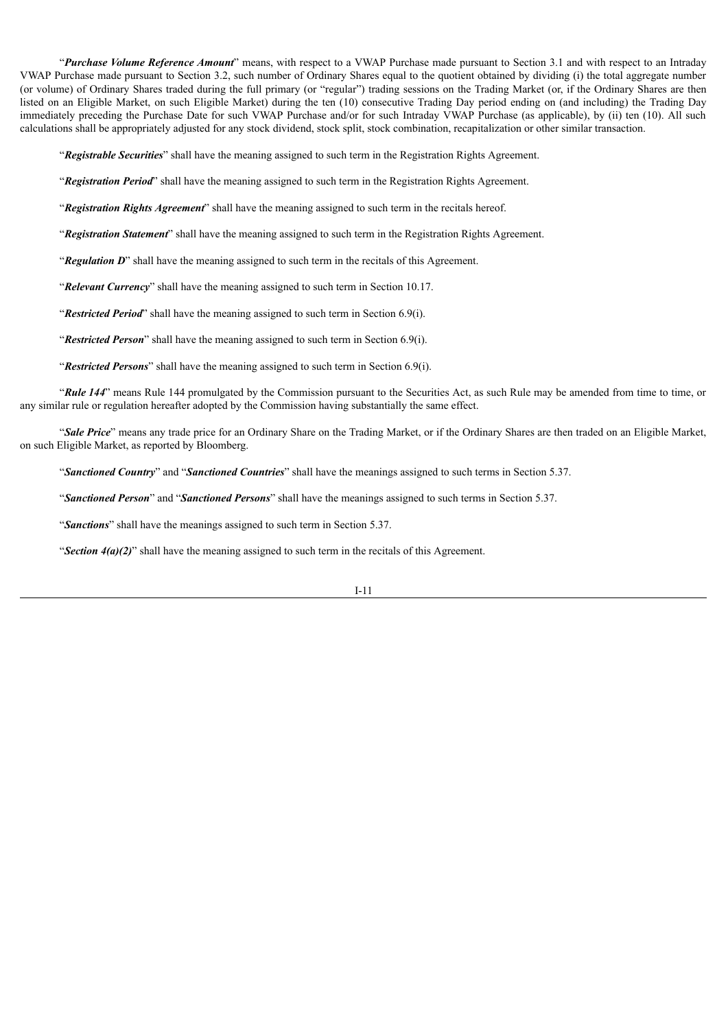"*Purchase Volume Reference Amount*" means, with respect to a VWAP Purchase made pursuant to Section 3.1 and with respect to an Intraday VWAP Purchase made pursuant to Section 3.2, such number of Ordinary Shares equal to the quotient obtained by dividing (i) the total aggregate number (or volume) of Ordinary Shares traded during the full primary (or "regular") trading sessions on the Trading Market (or, if the Ordinary Shares are then listed on an Eligible Market, on such Eligible Market) during the ten (10) consecutive Trading Day period ending on (and including) the Trading Day immediately preceding the Purchase Date for such VWAP Purchase and/or for such Intraday VWAP Purchase (as applicable), by (ii) ten (10). All such calculations shall be appropriately adjusted for any stock dividend, stock split, stock combination, recapitalization or other similar transaction.

"*Registrable Securities*" shall have the meaning assigned to such term in the Registration Rights Agreement.

"*Registration Period*" shall have the meaning assigned to such term in the Registration Rights Agreement.

"*Registration Rights Agreement*" shall have the meaning assigned to such term in the recitals hereof.

"*Registration Statement*" shall have the meaning assigned to such term in the Registration Rights Agreement.

"*Regulation D*" shall have the meaning assigned to such term in the recitals of this Agreement.

"*Relevant Currency*" shall have the meaning assigned to such term in Section 10.17.

"*Restricted Period*" shall have the meaning assigned to such term in Section 6.9(i).

"*Restricted Person*" shall have the meaning assigned to such term in Section 6.9(i).

"*Restricted Persons*" shall have the meaning assigned to such term in Section 6.9(i).

"*Rule 144*" means Rule 144 promulgated by the Commission pursuant to the Securities Act, as such Rule may be amended from time to time, or any similar rule or regulation hereafter adopted by the Commission having substantially the same effect.

"*Sale Price*" means any trade price for an Ordinary Share on the Trading Market, or if the Ordinary Shares are then traded on an Eligible Market, on such Eligible Market, as reported by Bloomberg.

"*Sanctioned Country*" and "*Sanctioned Countries*" shall have the meanings assigned to such terms in Section 5.37.

"*Sanctioned Person*" and "*Sanctioned Persons*" shall have the meanings assigned to such terms in Section 5.37.

"*Sanctions*" shall have the meanings assigned to such term in Section 5.37.

"*Section 4(a)(2)*" shall have the meaning assigned to such term in the recitals of this Agreement.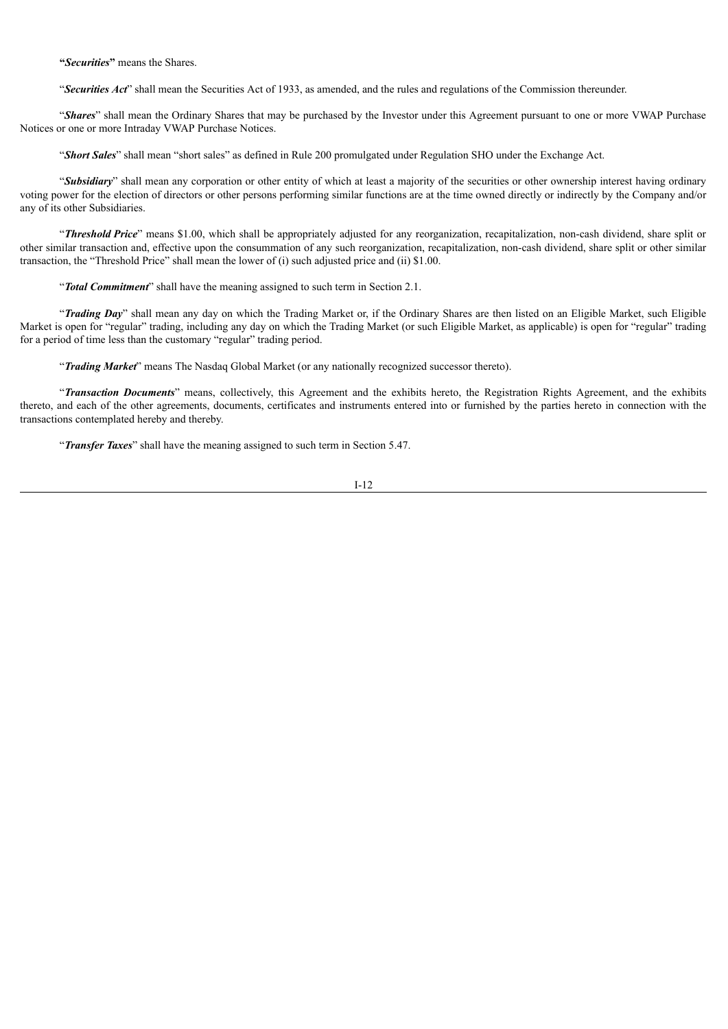**"***Securities***"** means the Shares.

"*Securities Act*" shall mean the Securities Act of 1933, as amended, and the rules and regulations of the Commission thereunder.

"*Shares*" shall mean the Ordinary Shares that may be purchased by the Investor under this Agreement pursuant to one or more VWAP Purchase Notices or one or more Intraday VWAP Purchase Notices.

"*Short Sales*" shall mean "short sales" as defined in Rule 200 promulgated under Regulation SHO under the Exchange Act.

"Subsidiary" shall mean any corporation or other entity of which at least a majority of the securities or other ownership interest having ordinary voting power for the election of directors or other persons performing similar functions are at the time owned directly or indirectly by the Company and/or any of its other Subsidiaries.

"*Threshold Price*" means \$1.00, which shall be appropriately adjusted for any reorganization, recapitalization, non-cash dividend, share split or other similar transaction and, effective upon the consummation of any such reorganization, recapitalization, non-cash dividend, share split or other similar transaction, the "Threshold Price" shall mean the lower of (i) such adjusted price and (ii) \$1.00.

"*Total Commitment*" shall have the meaning assigned to such term in Section 2.1.

"*Trading Day*" shall mean any day on which the Trading Market or, if the Ordinary Shares are then listed on an Eligible Market, such Eligible Market is open for "regular" trading, including any day on which the Trading Market (or such Eligible Market, as applicable) is open for "regular" trading for a period of time less than the customary "regular" trading period.

"*Trading Market*" means The Nasdaq Global Market (or any nationally recognized successor thereto).

"*Transaction Documents*" means, collectively, this Agreement and the exhibits hereto, the Registration Rights Agreement, and the exhibits thereto, and each of the other agreements, documents, certificates and instruments entered into or furnished by the parties hereto in connection with the transactions contemplated hereby and thereby.

"*Transfer Taxes*" shall have the meaning assigned to such term in Section 5.47.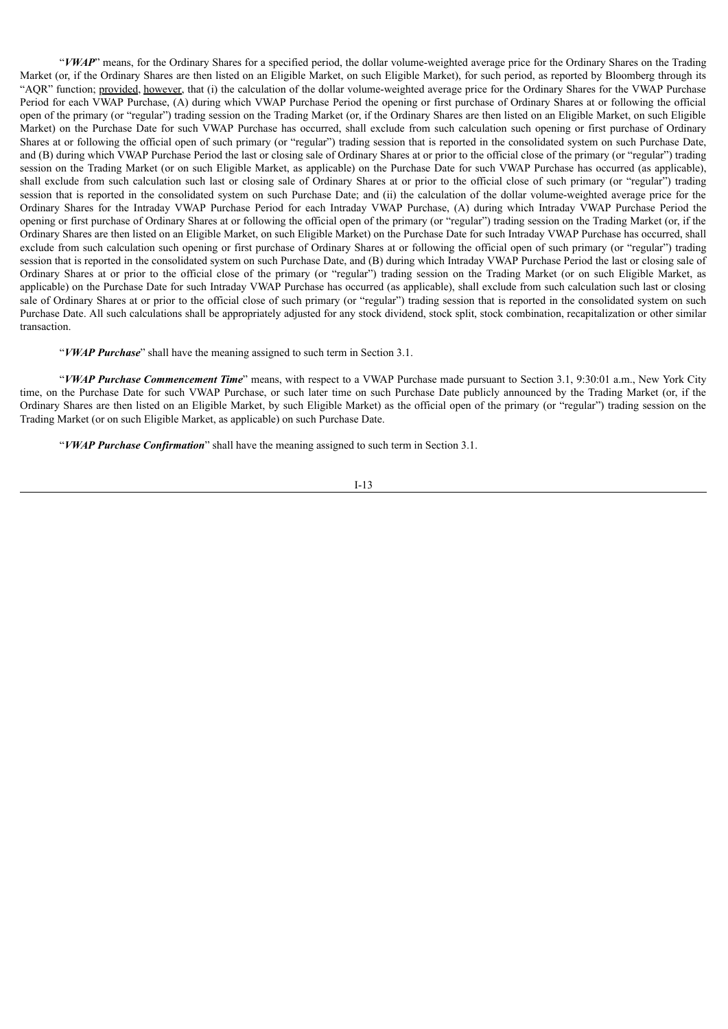"*VWAP*" means, for the Ordinary Shares for a specified period, the dollar volume-weighted average price for the Ordinary Shares on the Trading Market (or, if the Ordinary Shares are then listed on an Eligible Market, on such Eligible Market), for such period, as reported by Bloomberg through its "AQR" function; provided, however, that (i) the calculation of the dollar volume-weighted average price for the Ordinary Shares for the VWAP Purchase Period for each VWAP Purchase, (A) during which VWAP Purchase Period the opening or first purchase of Ordinary Shares at or following the official open of the primary (or "regular") trading session on the Trading Market (or, if the Ordinary Shares are then listed on an Eligible Market, on such Eligible Market) on the Purchase Date for such VWAP Purchase has occurred, shall exclude from such calculation such opening or first purchase of Ordinary Shares at or following the official open of such primary (or "regular") trading session that is reported in the consolidated system on such Purchase Date, and (B) during which VWAP Purchase Period the last or closing sale of Ordinary Shares at or prior to the official close of the primary (or "regular") trading session on the Trading Market (or on such Eligible Market, as applicable) on the Purchase Date for such VWAP Purchase has occurred (as applicable), shall exclude from such calculation such last or closing sale of Ordinary Shares at or prior to the official close of such primary (or "regular") trading session that is reported in the consolidated system on such Purchase Date; and (ii) the calculation of the dollar volume-weighted average price for the Ordinary Shares for the Intraday VWAP Purchase Period for each Intraday VWAP Purchase, (A) during which Intraday VWAP Purchase Period the opening or first purchase of Ordinary Shares at or following the official open of the primary (or "regular") trading session on the Trading Market (or, if the Ordinary Shares are then listed on an Eligible Market, on such Eligible Market) on the Purchase Date for such Intraday VWAP Purchase has occurred, shall exclude from such calculation such opening or first purchase of Ordinary Shares at or following the official open of such primary (or "regular") trading session that is reported in the consolidated system on such Purchase Date, and (B) during which Intraday VWAP Purchase Period the last or closing sale of Ordinary Shares at or prior to the official close of the primary (or "regular") trading session on the Trading Market (or on such Eligible Market, as applicable) on the Purchase Date for such Intraday VWAP Purchase has occurred (as applicable), shall exclude from such calculation such last or closing sale of Ordinary Shares at or prior to the official close of such primary (or "regular") trading session that is reported in the consolidated system on such Purchase Date. All such calculations shall be appropriately adjusted for any stock dividend, stock split, stock combination, recapitalization or other similar transaction.

"*VWAP Purchase*" shall have the meaning assigned to such term in Section 3.1.

"*VWAP Purchase Commencement Time*" means, with respect to a VWAP Purchase made pursuant to Section 3.1, 9:30:01 a.m., New York City time, on the Purchase Date for such VWAP Purchase, or such later time on such Purchase Date publicly announced by the Trading Market (or, if the Ordinary Shares are then listed on an Eligible Market, by such Eligible Market) as the official open of the primary (or "regular") trading session on the Trading Market (or on such Eligible Market, as applicable) on such Purchase Date.

"*VWAP Purchase Confirmation*" shall have the meaning assigned to such term in Section 3.1.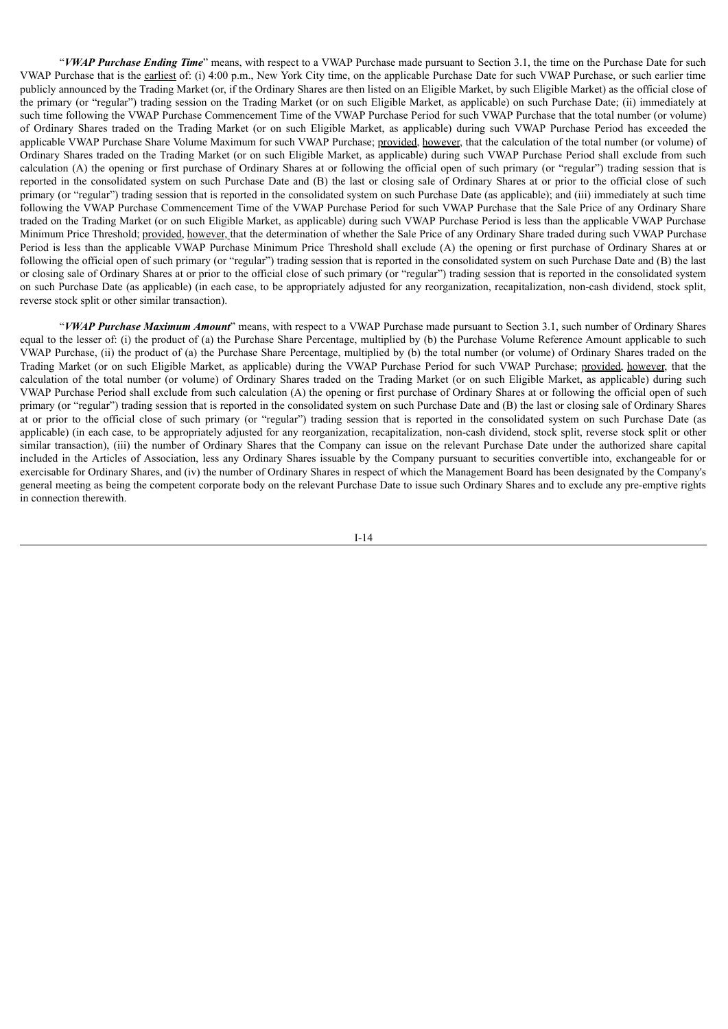"*VWAP Purchase Ending Time*" means, with respect to a VWAP Purchase made pursuant to Section 3.1, the time on the Purchase Date for such VWAP Purchase that is the earliest of: (i) 4:00 p.m., New York City time, on the applicable Purchase Date for such VWAP Purchase, or such earlier time publicly announced by the Trading Market (or, if the Ordinary Shares are then listed on an Eligible Market, by such Eligible Market) as the official close of the primary (or "regular") trading session on the Trading Market (or on such Eligible Market, as applicable) on such Purchase Date; (ii) immediately at such time following the VWAP Purchase Commencement Time of the VWAP Purchase Period for such VWAP Purchase that the total number (or volume) of Ordinary Shares traded on the Trading Market (or on such Eligible Market, as applicable) during such VWAP Purchase Period has exceeded the applicable VWAP Purchase Share Volume Maximum for such VWAP Purchase; provided, however, that the calculation of the total number (or volume) of Ordinary Shares traded on the Trading Market (or on such Eligible Market, as applicable) during such VWAP Purchase Period shall exclude from such calculation (A) the opening or first purchase of Ordinary Shares at or following the official open of such primary (or "regular") trading session that is reported in the consolidated system on such Purchase Date and (B) the last or closing sale of Ordinary Shares at or prior to the official close of such primary (or "regular") trading session that is reported in the consolidated system on such Purchase Date (as applicable); and (iii) immediately at such time following the VWAP Purchase Commencement Time of the VWAP Purchase Period for such VWAP Purchase that the Sale Price of any Ordinary Share traded on the Trading Market (or on such Eligible Market, as applicable) during such VWAP Purchase Period is less than the applicable VWAP Purchase Minimum Price Threshold; provided, however, that the determination of whether the Sale Price of any Ordinary Share traded during such VWAP Purchase Period is less than the applicable VWAP Purchase Minimum Price Threshold shall exclude (A) the opening or first purchase of Ordinary Shares at or following the official open of such primary (or "regular") trading session that is reported in the consolidated system on such Purchase Date and (B) the last or closing sale of Ordinary Shares at or prior to the official close of such primary (or "regular") trading session that is reported in the consolidated system on such Purchase Date (as applicable) (in each case, to be appropriately adjusted for any reorganization, recapitalization, non-cash dividend, stock split, reverse stock split or other similar transaction).

"*VWAP Purchase Maximum Amount*" means, with respect to a VWAP Purchase made pursuant to Section 3.1, such number of Ordinary Shares equal to the lesser of: (i) the product of (a) the Purchase Share Percentage, multiplied by (b) the Purchase Volume Reference Amount applicable to such VWAP Purchase, (ii) the product of (a) the Purchase Share Percentage, multiplied by (b) the total number (or volume) of Ordinary Shares traded on the Trading Market (or on such Eligible Market, as applicable) during the VWAP Purchase Period for such VWAP Purchase; provided, however, that the calculation of the total number (or volume) of Ordinary Shares traded on the Trading Market (or on such Eligible Market, as applicable) during such VWAP Purchase Period shall exclude from such calculation (A) the opening or first purchase of Ordinary Shares at or following the official open of such primary (or "regular") trading session that is reported in the consolidated system on such Purchase Date and (B) the last or closing sale of Ordinary Shares at or prior to the official close of such primary (or "regular") trading session that is reported in the consolidated system on such Purchase Date (as applicable) (in each case, to be appropriately adjusted for any reorganization, recapitalization, non-cash dividend, stock split, reverse stock split or other similar transaction), (iii) the number of Ordinary Shares that the Company can issue on the relevant Purchase Date under the authorized share capital included in the Articles of Association, less any Ordinary Shares issuable by the Company pursuant to securities convertible into, exchangeable for or exercisable for Ordinary Shares, and (iv) the number of Ordinary Shares in respect of which the Management Board has been designated by the Company's general meeting as being the competent corporate body on the relevant Purchase Date to issue such Ordinary Shares and to exclude any pre-emptive rights in connection therewith.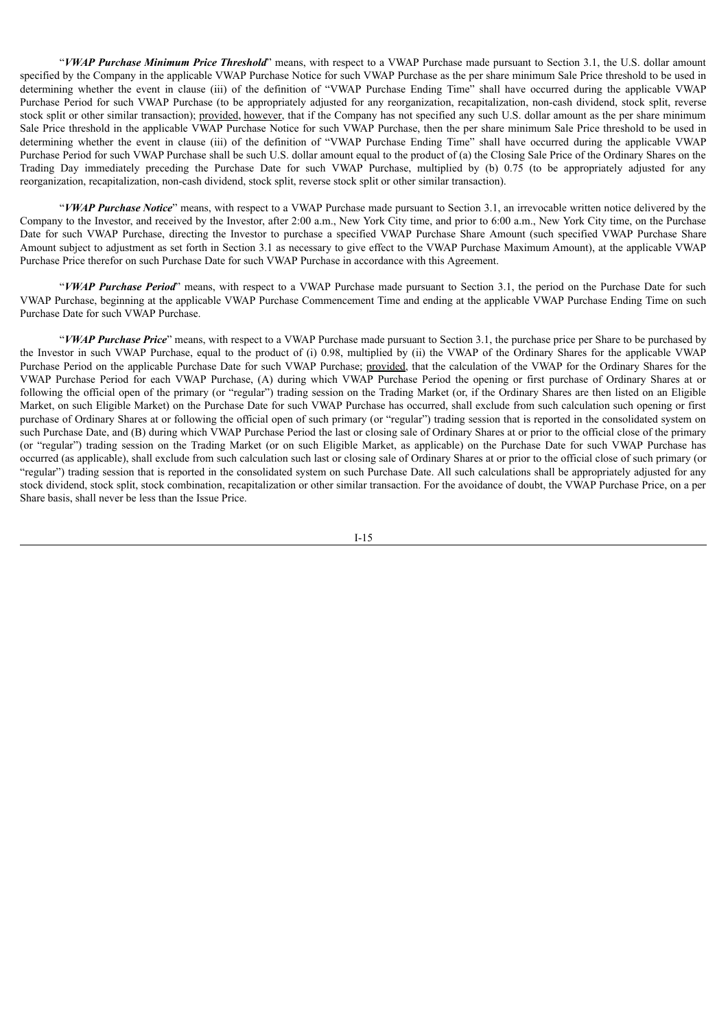"*VWAP Purchase Minimum Price Threshold*" means, with respect to a VWAP Purchase made pursuant to Section 3.1, the U.S. dollar amount specified by the Company in the applicable VWAP Purchase Notice for such VWAP Purchase as the per share minimum Sale Price threshold to be used in determining whether the event in clause (iii) of the definition of "VWAP Purchase Ending Time" shall have occurred during the applicable VWAP Purchase Period for such VWAP Purchase (to be appropriately adjusted for any reorganization, recapitalization, non-cash dividend, stock split, reverse stock split or other similar transaction); provided, however, that if the Company has not specified any such U.S. dollar amount as the per share minimum Sale Price threshold in the applicable VWAP Purchase Notice for such VWAP Purchase, then the per share minimum Sale Price threshold to be used in determining whether the event in clause (iii) of the definition of "VWAP Purchase Ending Time" shall have occurred during the applicable VWAP Purchase Period for such VWAP Purchase shall be such U.S. dollar amount equal to the product of (a) the Closing Sale Price of the Ordinary Shares on the Trading Day immediately preceding the Purchase Date for such VWAP Purchase, multiplied by (b) 0.75 (to be appropriately adjusted for any reorganization, recapitalization, non-cash dividend, stock split, reverse stock split or other similar transaction).

"*VWAP Purchase Notice*" means, with respect to a VWAP Purchase made pursuant to Section 3.1, an irrevocable written notice delivered by the Company to the Investor, and received by the Investor, after 2:00 a.m., New York City time, and prior to 6:00 a.m., New York City time, on the Purchase Date for such VWAP Purchase, directing the Investor to purchase a specified VWAP Purchase Share Amount (such specified VWAP Purchase Share Amount subject to adjustment as set forth in Section 3.1 as necessary to give effect to the VWAP Purchase Maximum Amount), at the applicable VWAP Purchase Price therefor on such Purchase Date for such VWAP Purchase in accordance with this Agreement.

"*VWAP Purchase Period*" means, with respect to a VWAP Purchase made pursuant to Section 3.1, the period on the Purchase Date for such VWAP Purchase, beginning at the applicable VWAP Purchase Commencement Time and ending at the applicable VWAP Purchase Ending Time on such Purchase Date for such VWAP Purchase.

"*VWAP Purchase Price*" means, with respect to a VWAP Purchase made pursuant to Section 3.1, the purchase price per Share to be purchased by the Investor in such VWAP Purchase, equal to the product of (i) 0.98, multiplied by (ii) the VWAP of the Ordinary Shares for the applicable VWAP Purchase Period on the applicable Purchase Date for such VWAP Purchase; provided, that the calculation of the VWAP for the Ordinary Shares for the VWAP Purchase Period for each VWAP Purchase, (A) during which VWAP Purchase Period the opening or first purchase of Ordinary Shares at or following the official open of the primary (or "regular") trading session on the Trading Market (or, if the Ordinary Shares are then listed on an Eligible Market, on such Eligible Market) on the Purchase Date for such VWAP Purchase has occurred, shall exclude from such calculation such opening or first purchase of Ordinary Shares at or following the official open of such primary (or "regular") trading session that is reported in the consolidated system on such Purchase Date, and (B) during which VWAP Purchase Period the last or closing sale of Ordinary Shares at or prior to the official close of the primary (or "regular") trading session on the Trading Market (or on such Eligible Market, as applicable) on the Purchase Date for such VWAP Purchase has occurred (as applicable), shall exclude from such calculation such last or closing sale of Ordinary Shares at or prior to the official close of such primary (or "regular") trading session that is reported in the consolidated system on such Purchase Date. All such calculations shall be appropriately adjusted for any stock dividend, stock split, stock combination, recapitalization or other similar transaction. For the avoidance of doubt, the VWAP Purchase Price, on a per Share basis, shall never be less than the Issue Price.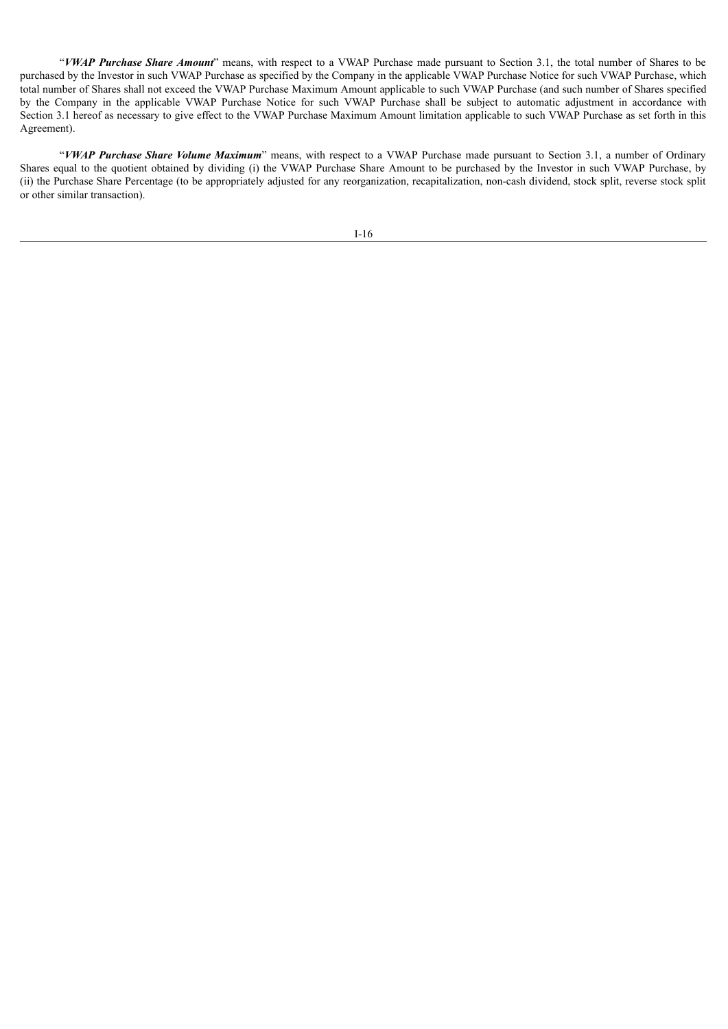"*VWAP Purchase Share Amount*" means, with respect to a VWAP Purchase made pursuant to Section 3.1, the total number of Shares to be purchased by the Investor in such VWAP Purchase as specified by the Company in the applicable VWAP Purchase Notice for such VWAP Purchase, which total number of Shares shall not exceed the VWAP Purchase Maximum Amount applicable to such VWAP Purchase (and such number of Shares specified by the Company in the applicable VWAP Purchase Notice for such VWAP Purchase shall be subject to automatic adjustment in accordance with Section 3.1 hereof as necessary to give effect to the VWAP Purchase Maximum Amount limitation applicable to such VWAP Purchase as set forth in this Agreement).

"*VWAP Purchase Share Volume Maximum*" means, with respect to a VWAP Purchase made pursuant to Section 3.1, a number of Ordinary Shares equal to the quotient obtained by dividing (i) the VWAP Purchase Share Amount to be purchased by the Investor in such VWAP Purchase, by (ii) the Purchase Share Percentage (to be appropriately adjusted for any reorganization, recapitalization, non-cash dividend, stock split, reverse stock split or other similar transaction).

I-16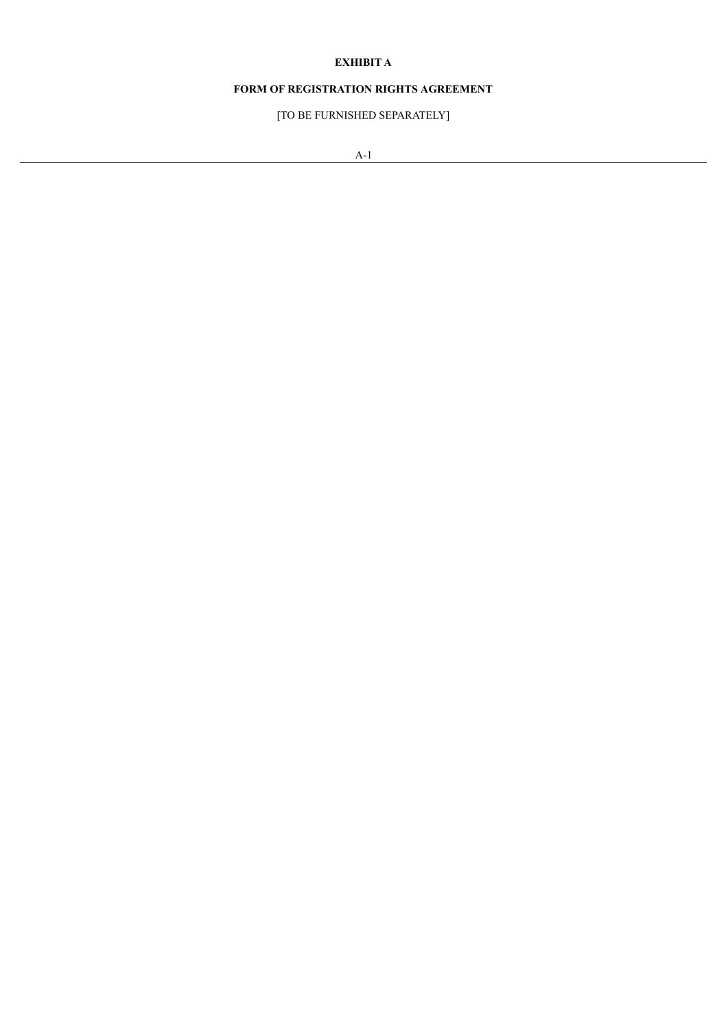# **EXHIBIT A**

# **FORM OF REGISTRATION RIGHTS AGREEMENT**

[TO BE FURNISHED SEPARATELY]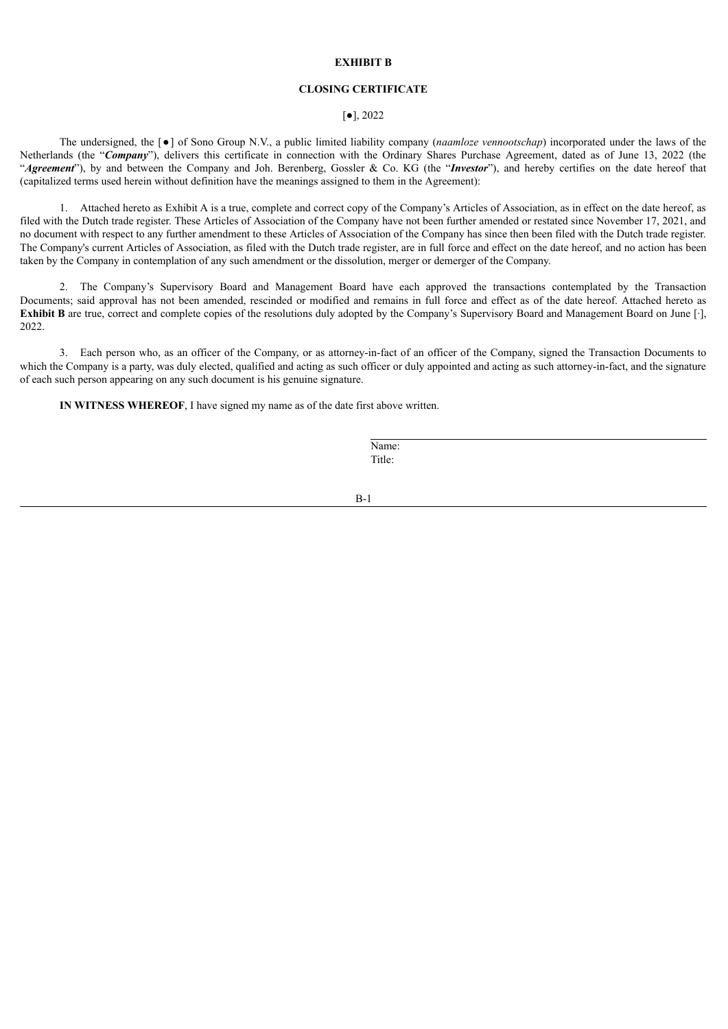#### **EXHIBIT B**

#### **CLOSING CERTIFICATE**

#### [●], 2022

The undersigned, the [●] of Sono Group N.V., a public limited liability company (*naamloze vennootschap*) incorporated under the laws of the Netherlands (the "*Company*"), delivers this certificate in connection with the Ordinary Shares Purchase Agreement, dated as of June 13, 2022 (the "*Agreement*"), by and between the Company and Joh. Berenberg, Gossler & Co. KG (the "*Investor*"), and hereby certifies on the date hereof that (capitalized terms used herein without definition have the meanings assigned to them in the Agreement):

1. Attached hereto as Exhibit A is a true, complete and correct copy of the Company's Articles of Association, as in effect on the date hereof, as filed with the Dutch trade register. These Articles of Association of the Company have not been further amended or restated since November 17, 2021, and no document with respect to any further amendment to these Articles of Association of the Company has since then been filed with the Dutch trade register. The Company's current Articles of Association, as filed with the Dutch trade register, are in full force and effect on the date hereof, and no action has been taken by the Company in contemplation of any such amendment or the dissolution, merger or demerger of the Company.

2. The Company's Supervisory Board and Management Board have each approved the transactions contemplated by the Transaction Documents; said approval has not been amended, rescinded or modified and remains in full force and effect as of the date hereof. Attached hereto as **Exhibit B** are true, correct and complete copies of the resolutions duly adopted by the Company's Supervisory Board and Management Board on June [·], 2022.

3. Each person who, as an officer of the Company, or as attorney-in-fact of an officer of the Company, signed the Transaction Documents to which the Company is a party, was duly elected, qualified and acting as such officer or duly appointed and acting as such attorney-in-fact, and the signature of each such person appearing on any such document is his genuine signature.

**IN WITNESS WHEREOF**, I have signed my name as of the date first above written.

Name: Title:

B-1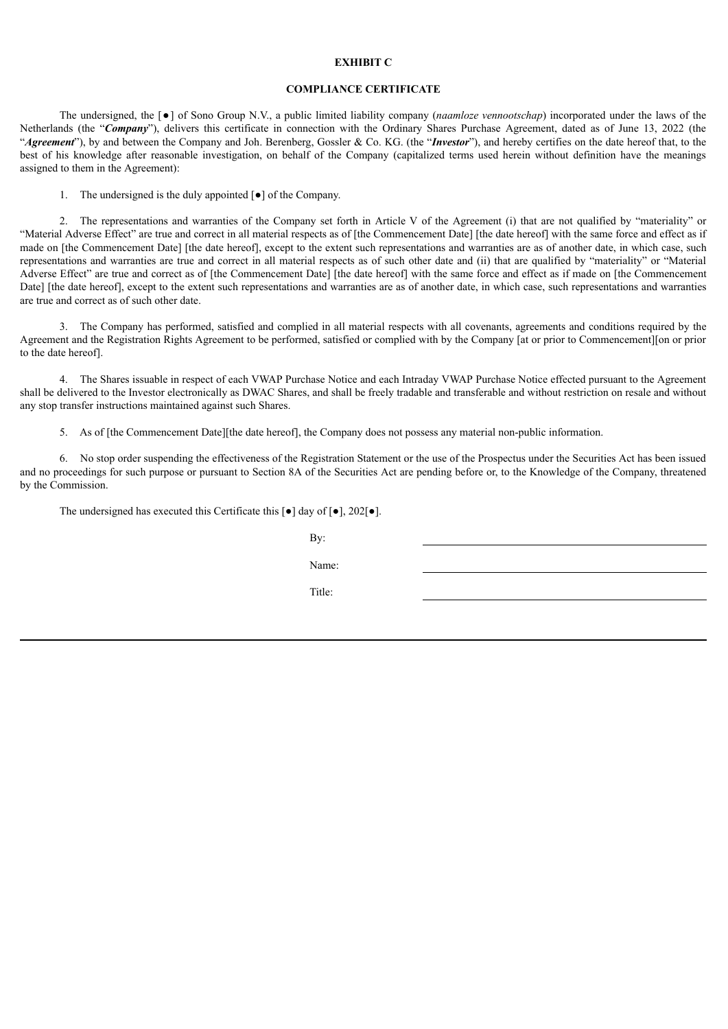#### **EXHIBIT C**

#### **COMPLIANCE CERTIFICATE**

The undersigned, the [●] of Sono Group N.V., a public limited liability company (*naamloze vennootschap*) incorporated under the laws of the Netherlands (the "*Company*"), delivers this certificate in connection with the Ordinary Shares Purchase Agreement, dated as of June 13, 2022 (the "*Agreement*"), by and between the Company and Joh. Berenberg, Gossler & Co. KG. (the "*Investor*"), and hereby certifies on the date hereof that, to the best of his knowledge after reasonable investigation, on behalf of the Company (capitalized terms used herein without definition have the meanings assigned to them in the Agreement):

1. The undersigned is the duly appointed [●] of the Company.

2. The representations and warranties of the Company set forth in Article V of the Agreement (i) that are not qualified by "materiality" or "Material Adverse Effect" are true and correct in all material respects as of [the Commencement Date] [the date hereof] with the same force and effect as if made on [the Commencement Date] [the date hereof], except to the extent such representations and warranties are as of another date, in which case, such representations and warranties are true and correct in all material respects as of such other date and (ii) that are qualified by "materiality" or "Material Adverse Effect" are true and correct as of [the Commencement Date] [the date hereof] with the same force and effect as if made on [the Commencement Date] [the date hereof], except to the extent such representations and warranties are as of another date, in which case, such representations and warranties are true and correct as of such other date.

3. The Company has performed, satisfied and complied in all material respects with all covenants, agreements and conditions required by the Agreement and the Registration Rights Agreement to be performed, satisfied or complied with by the Company [at or prior to Commencement][on or prior to the date hereof].

4. The Shares issuable in respect of each VWAP Purchase Notice and each Intraday VWAP Purchase Notice effected pursuant to the Agreement shall be delivered to the Investor electronically as DWAC Shares, and shall be freely tradable and transferable and without restriction on resale and without any stop transfer instructions maintained against such Shares.

5. As of [the Commencement Date][the date hereof], the Company does not possess any material non-public information.

6. No stop order suspending the effectiveness of the Registration Statement or the use of the Prospectus under the Securities Act has been issued and no proceedings for such purpose or pursuant to Section 8A of the Securities Act are pending before or, to the Knowledge of the Company, threatened by the Commission.

The undersigned has executed this Certificate this [●] day of [●], 202[●].

| By:    |  |
|--------|--|
| Name:  |  |
| Title: |  |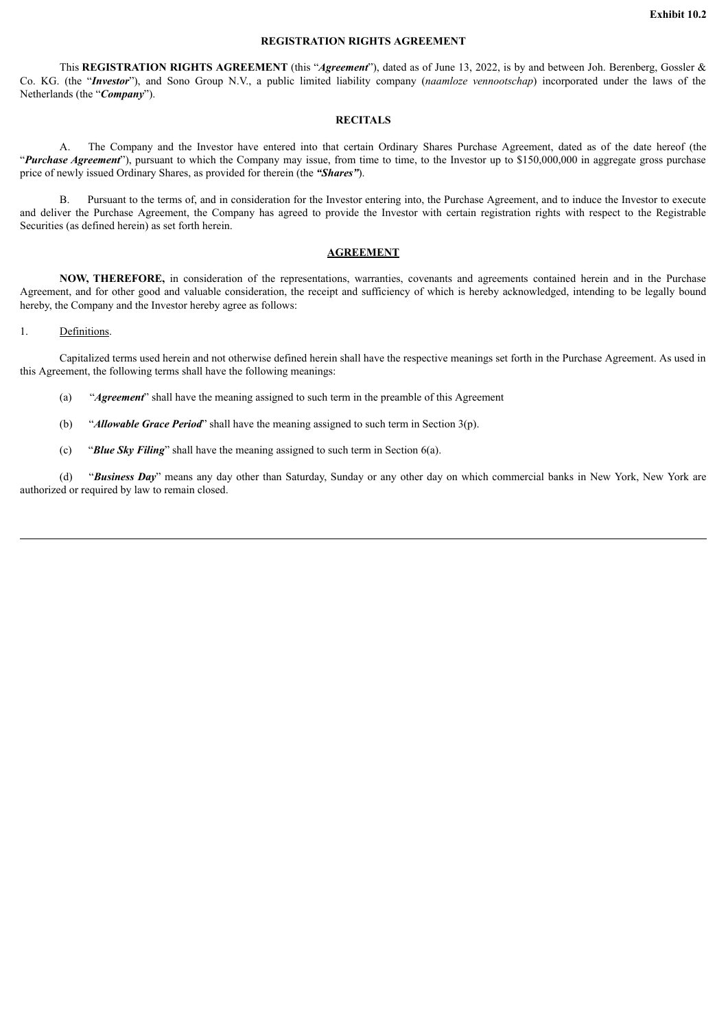### **REGISTRATION RIGHTS AGREEMENT**

This **REGISTRATION RIGHTS AGREEMENT** (this "*Agreement*"), dated as of June 13, 2022, is by and between Joh. Berenberg, Gossler & Co. KG. (the "*Investor*"), and Sono Group N.V., a public limited liability company (*naamloze vennootschap*) incorporated under the laws of the Netherlands (the "*Company*").

#### **RECITALS**

A. The Company and the Investor have entered into that certain Ordinary Shares Purchase Agreement, dated as of the date hereof (the "*Purchase Agreement*"), pursuant to which the Company may issue, from time to time, to the Investor up to \$150,000,000 in aggregate gross purchase price of newly issued Ordinary Shares, as provided for therein (the *"Shares"*).

B. Pursuant to the terms of, and in consideration for the Investor entering into, the Purchase Agreement, and to induce the Investor to execute and deliver the Purchase Agreement, the Company has agreed to provide the Investor with certain registration rights with respect to the Registrable Securities (as defined herein) as set forth herein.

#### **AGREEMENT**

**NOW, THEREFORE,** in consideration of the representations, warranties, covenants and agreements contained herein and in the Purchase Agreement, and for other good and valuable consideration, the receipt and sufficiency of which is hereby acknowledged, intending to be legally bound hereby, the Company and the Investor hereby agree as follows:

#### 1. Definitions.

Capitalized terms used herein and not otherwise defined herein shall have the respective meanings set forth in the Purchase Agreement. As used in this Agreement, the following terms shall have the following meanings:

- (a) "*Agreement*" shall have the meaning assigned to such term in the preamble of this Agreement
- (b) "*Allowable Grace Period*" shall have the meaning assigned to such term in Section 3(p).
- (c) "*Blue Sky Filing*" shall have the meaning assigned to such term in Section 6(a).

(d) "*Business Day*" means any day other than Saturday, Sunday or any other day on which commercial banks in New York, New York are authorized or required by law to remain closed.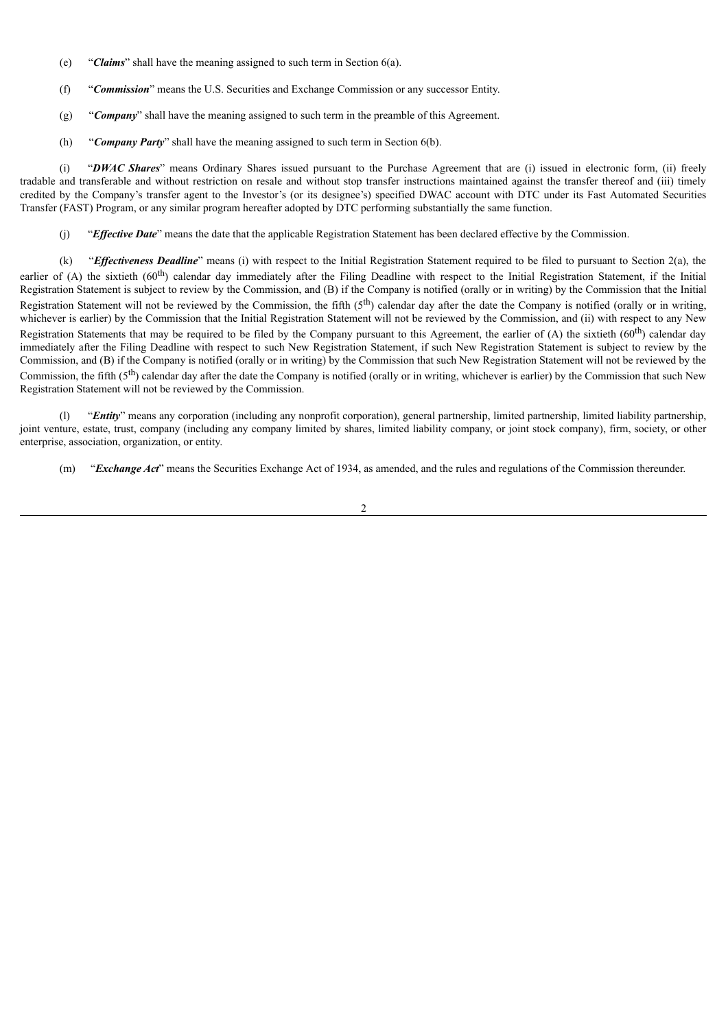- (e) "*Claims*" shall have the meaning assigned to such term in Section 6(a).
- (f) "*Commission*" means the U.S. Securities and Exchange Commission or any successor Entity.
- (g) "*Company*" shall have the meaning assigned to such term in the preamble of this Agreement.
- (h) "*Company Party*" shall have the meaning assigned to such term in Section 6(b).

(i) "*DWAC Shares*" means Ordinary Shares issued pursuant to the Purchase Agreement that are (i) issued in electronic form, (ii) freely tradable and transferable and without restriction on resale and without stop transfer instructions maintained against the transfer thereof and (iii) timely credited by the Company's transfer agent to the Investor's (or its designee's) specified DWAC account with DTC under its Fast Automated Securities Transfer (FAST) Program, or any similar program hereafter adopted by DTC performing substantially the same function.

(j) "*Effective Date*" means the date that the applicable Registration Statement has been declared effective by the Commission.

(k) "*Effectiveness Deadline*" means (i) with respect to the Initial Registration Statement required to be filed to pursuant to Section 2(a), the earlier of (A) the sixtieth (60<sup>th</sup>) calendar day immediately after the Filing Deadline with respect to the Initial Registration Statement, if the Initial Registration Statement is subject to review by the Commission, and (B) if the Company is notified (orally or in writing) by the Commission that the Initial Registration Statement will not be reviewed by the Commission, the fifth  $(5<sup>th</sup>)$  calendar day after the date the Company is notified (orally or in writing, whichever is earlier) by the Commission that the Initial Registration Statement will not be reviewed by the Commission, and (ii) with respect to any New Registration Statements that may be required to be filed by the Company pursuant to this Agreement, the earlier of  $(A)$  the sixtieth  $(60<sup>th</sup>)$  calendar day immediately after the Filing Deadline with respect to such New Registration Statement, if such New Registration Statement is subject to review by the Commission, and (B) if the Company is notified (orally or in writing) by the Commission that such New Registration Statement will not be reviewed by the Commission, the fifth  $(5<sup>th</sup>)$  calendar day after the date the Company is notified (orally or in writing, whichever is earlier) by the Commission that such New Registration Statement will not be reviewed by the Commission.

(l) "*Entity*" means any corporation (including any nonprofit corporation), general partnership, limited partnership, limited liability partnership, joint venture, estate, trust, company (including any company limited by shares, limited liability company, or joint stock company), firm, society, or other enterprise, association, organization, or entity.

(m) "*Exchange Act*" means the Securities Exchange Act of 1934, as amended, and the rules and regulations of the Commission thereunder.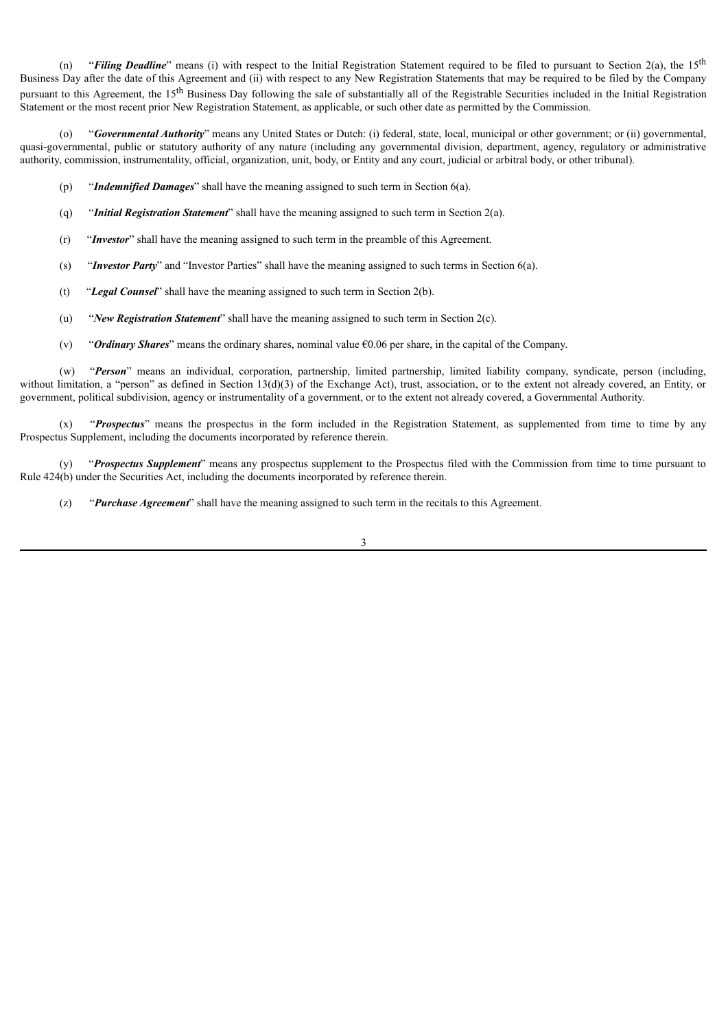(n) "*Filing Deadline*" means (i) with respect to the Initial Registration Statement required to be filed to pursuant to Section 2(a), the 15<sup>th</sup> Business Day after the date of this Agreement and (ii) with respect to any New Registration Statements that may be required to be filed by the Company pursuant to this Agreement, the 15<sup>th</sup> Business Day following the sale of substantially all of the Registrable Securities included in the Initial Registration Statement or the most recent prior New Registration Statement, as applicable, or such other date as permitted by the Commission.

"*Governmental Authority*" means any United States or Dutch: (i) federal, state, local, municipal or other government; or (ii) governmental, quasi-governmental, public or statutory authority of any nature (including any governmental division, department, agency, regulatory or administrative authority, commission, instrumentality, official, organization, unit, body, or Entity and any court, judicial or arbitral body, or other tribunal).

- (p) "*Indemnified Damages*" shall have the meaning assigned to such term in Section 6(a).
- (q) "*Initial Registration Statement*" shall have the meaning assigned to such term in Section 2(a).
- (r) "*Investor*" shall have the meaning assigned to such term in the preamble of this Agreement.
- (s) "*Investor Party*" and "Investor Parties" shall have the meaning assigned to such terms in Section 6(a).
- (t) "*Legal Counsel*" shall have the meaning assigned to such term in Section 2(b).
- (u) "*New Registration Statement*" shall have the meaning assigned to such term in Section 2(c).
- (v) "*Ordinary Shares*" means the ordinary shares, nominal value €0.06 per share, in the capital of the Company.

(w) "*Person*" means an individual, corporation, partnership, limited partnership, limited liability company, syndicate, person (including, without limitation, a "person" as defined in Section 13(d)(3) of the Exchange Act), trust, association, or to the extent not already covered, an Entity, or government, political subdivision, agency or instrumentality of a government, or to the extent not already covered, a Governmental Authority.

(x) "*Prospectus*" means the prospectus in the form included in the Registration Statement, as supplemented from time to time by any Prospectus Supplement, including the documents incorporated by reference therein.

(y) "*Prospectus Supplement*" means any prospectus supplement to the Prospectus filed with the Commission from time to time pursuant to Rule 424(b) under the Securities Act, including the documents incorporated by reference therein.

(z) "*Purchase Agreement*" shall have the meaning assigned to such term in the recitals to this Agreement.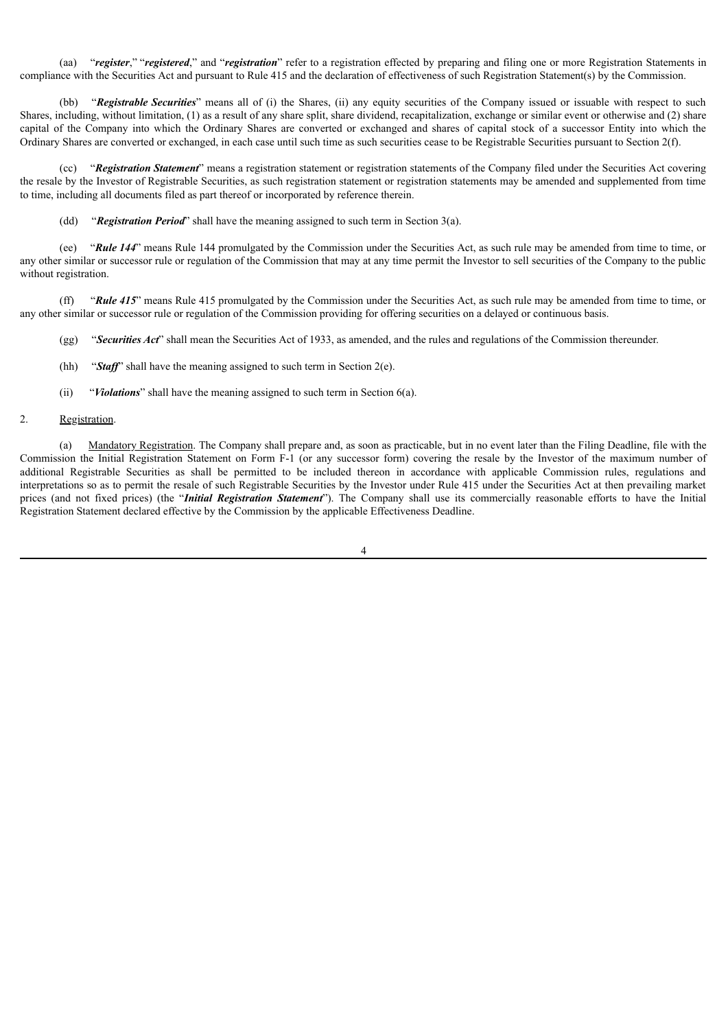(aa) "*register*," "*registered*," and "*registration*" refer to a registration effected by preparing and filing one or more Registration Statements in compliance with the Securities Act and pursuant to Rule 415 and the declaration of effectiveness of such Registration Statement(s) by the Commission.

(bb) "*Registrable Securities*" means all of (i) the Shares, (ii) any equity securities of the Company issued or issuable with respect to such Shares, including, without limitation, (1) as a result of any share split, share dividend, recapitalization, exchange or similar event or otherwise and (2) share capital of the Company into which the Ordinary Shares are converted or exchanged and shares of capital stock of a successor Entity into which the Ordinary Shares are converted or exchanged, in each case until such time as such securities cease to be Registrable Securities pursuant to Section 2(f).

(cc) "*Registration Statement*" means a registration statement or registration statements of the Company filed under the Securities Act covering the resale by the Investor of Registrable Securities, as such registration statement or registration statements may be amended and supplemented from time to time, including all documents filed as part thereof or incorporated by reference therein.

(dd) "*Registration Period*" shall have the meaning assigned to such term in Section 3(a).

(ee) "*Rule 144*" means Rule 144 promulgated by the Commission under the Securities Act, as such rule may be amended from time to time, or any other similar or successor rule or regulation of the Commission that may at any time permit the Investor to sell securities of the Company to the public without registration.

(ff) "*Rule 415*" means Rule 415 promulgated by the Commission under the Securities Act, as such rule may be amended from time to time, or any other similar or successor rule or regulation of the Commission providing for offering securities on a delayed or continuous basis.

(gg) "*Securities Act*" shall mean the Securities Act of 1933, as amended, and the rules and regulations of the Commission thereunder.

- (hh) "*Staff*" shall have the meaning assigned to such term in Section 2(e).
- (ii) "*Violations*" shall have the meaning assigned to such term in Section 6(a).

#### 2. Registration.

(a) Mandatory Registration. The Company shall prepare and, as soon as practicable, but in no event later than the Filing Deadline, file with the Commission the Initial Registration Statement on Form F-1 (or any successor form) covering the resale by the Investor of the maximum number of additional Registrable Securities as shall be permitted to be included thereon in accordance with applicable Commission rules, regulations and interpretations so as to permit the resale of such Registrable Securities by the Investor under Rule 415 under the Securities Act at then prevailing market prices (and not fixed prices) (the "*Initial Registration Statement*"). The Company shall use its commercially reasonable efforts to have the Initial Registration Statement declared effective by the Commission by the applicable Effectiveness Deadline.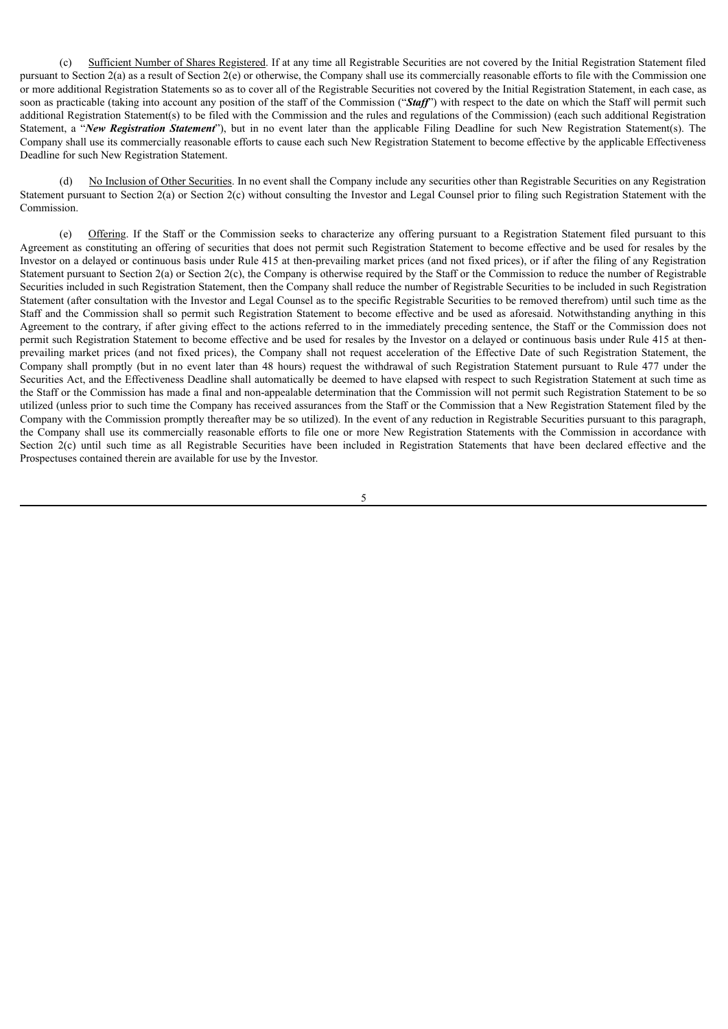(c) Sufficient Number of Shares Registered. If at any time all Registrable Securities are not covered by the Initial Registration Statement filed pursuant to Section 2(a) as a result of Section  $2(e)$  or otherwise, the Company shall use its commercially reasonable efforts to file with the Commission one or more additional Registration Statements so as to cover all of the Registrable Securities not covered by the Initial Registration Statement, in each case, as soon as practicable (taking into account any position of the staff of the Commission ("*Staff*") with respect to the date on which the Staff will permit such additional Registration Statement(s) to be filed with the Commission and the rules and regulations of the Commission) (each such additional Registration Statement, a "*New Registration Statement*"), but in no event later than the applicable Filing Deadline for such New Registration Statement(s). The Company shall use its commercially reasonable efforts to cause each such New Registration Statement to become effective by the applicable Effectiveness Deadline for such New Registration Statement.

No Inclusion of Other Securities. In no event shall the Company include any securities other than Registrable Securities on any Registration Statement pursuant to Section 2(a) or Section 2(c) without consulting the Investor and Legal Counsel prior to filing such Registration Statement with the Commission.

(e) Offering. If the Staff or the Commission seeks to characterize any offering pursuant to a Registration Statement filed pursuant to this Agreement as constituting an offering of securities that does not permit such Registration Statement to become effective and be used for resales by the Investor on a delayed or continuous basis under Rule 415 at then-prevailing market prices (and not fixed prices), or if after the filing of any Registration Statement pursuant to Section 2(a) or Section 2(c), the Company is otherwise required by the Staff or the Commission to reduce the number of Registrable Securities included in such Registration Statement, then the Company shall reduce the number of Registrable Securities to be included in such Registration Statement (after consultation with the Investor and Legal Counsel as to the specific Registrable Securities to be removed therefrom) until such time as the Staff and the Commission shall so permit such Registration Statement to become effective and be used as aforesaid. Notwithstanding anything in this Agreement to the contrary, if after giving effect to the actions referred to in the immediately preceding sentence, the Staff or the Commission does not permit such Registration Statement to become effective and be used for resales by the Investor on a delayed or continuous basis under Rule 415 at thenprevailing market prices (and not fixed prices), the Company shall not request acceleration of the Effective Date of such Registration Statement, the Company shall promptly (but in no event later than 48 hours) request the withdrawal of such Registration Statement pursuant to Rule 477 under the Securities Act, and the Effectiveness Deadline shall automatically be deemed to have elapsed with respect to such Registration Statement at such time as the Staff or the Commission has made a final and non-appealable determination that the Commission will not permit such Registration Statement to be so utilized (unless prior to such time the Company has received assurances from the Staff or the Commission that a New Registration Statement filed by the Company with the Commission promptly thereafter may be so utilized). In the event of any reduction in Registrable Securities pursuant to this paragraph, the Company shall use its commercially reasonable efforts to file one or more New Registration Statements with the Commission in accordance with Section 2(c) until such time as all Registrable Securities have been included in Registration Statements that have been declared effective and the Prospectuses contained therein are available for use by the Investor.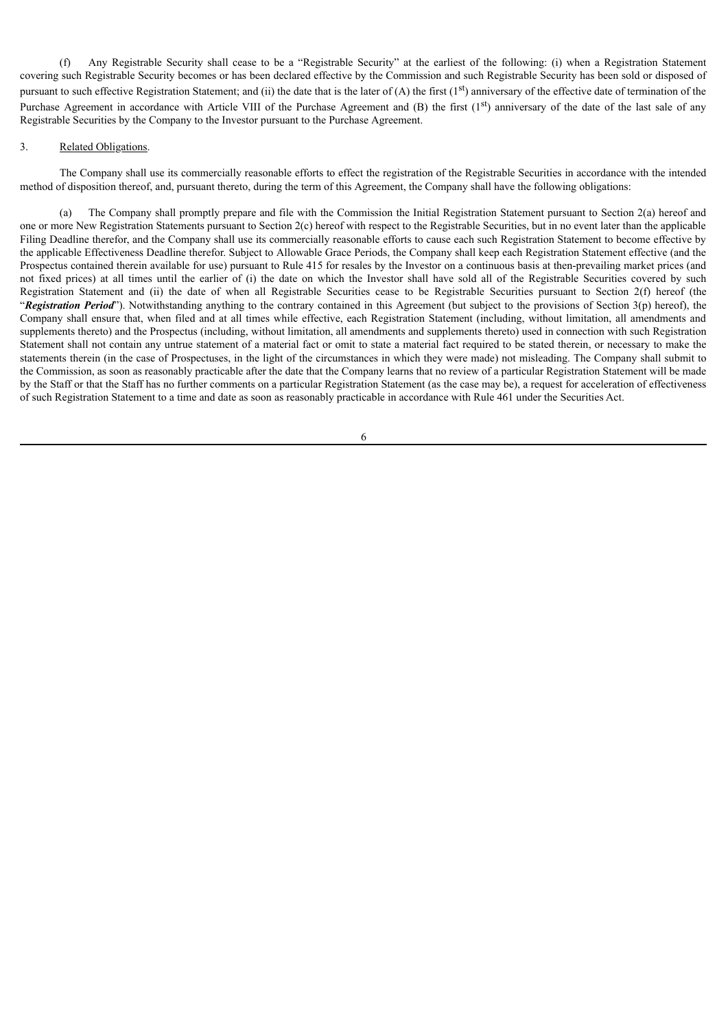(f) Any Registrable Security shall cease to be a "Registrable Security" at the earliest of the following: (i) when a Registration Statement covering such Registrable Security becomes or has been declared effective by the Commission and such Registrable Security has been sold or disposed of pursuant to such effective Registration Statement; and (ii) the date that is the later of  $(A)$  the first  $(1<sup>st</sup>)$  anniversary of the effective date of termination of the Purchase Agreement in accordance with Article VIII of the Purchase Agreement and  $(B)$  the first  $(1<sup>st</sup>)$  anniversary of the date of the last sale of any Registrable Securities by the Company to the Investor pursuant to the Purchase Agreement.

#### 3. Related Obligations.

The Company shall use its commercially reasonable efforts to effect the registration of the Registrable Securities in accordance with the intended method of disposition thereof, and, pursuant thereto, during the term of this Agreement, the Company shall have the following obligations:

(a) The Company shall promptly prepare and file with the Commission the Initial Registration Statement pursuant to Section 2(a) hereof and one or more New Registration Statements pursuant to Section 2(c) hereof with respect to the Registrable Securities, but in no event later than the applicable Filing Deadline therefor, and the Company shall use its commercially reasonable efforts to cause each such Registration Statement to become effective by the applicable Effectiveness Deadline therefor. Subject to Allowable Grace Periods, the Company shall keep each Registration Statement effective (and the Prospectus contained therein available for use) pursuant to Rule 415 for resales by the Investor on a continuous basis at then-prevailing market prices (and not fixed prices) at all times until the earlier of (i) the date on which the Investor shall have sold all of the Registrable Securities covered by such Registration Statement and (ii) the date of when all Registrable Securities cease to be Registrable Securities pursuant to Section 2(f) hereof (the "*Registration Period*"). Notwithstanding anything to the contrary contained in this Agreement (but subject to the provisions of Section 3(p) hereof), the Company shall ensure that, when filed and at all times while effective, each Registration Statement (including, without limitation, all amendments and supplements thereto) and the Prospectus (including, without limitation, all amendments and supplements thereto) used in connection with such Registration Statement shall not contain any untrue statement of a material fact or omit to state a material fact required to be stated therein, or necessary to make the statements therein (in the case of Prospectuses, in the light of the circumstances in which they were made) not misleading. The Company shall submit to the Commission, as soon as reasonably practicable after the date that the Company learns that no review of a particular Registration Statement will be made by the Staff or that the Staff has no further comments on a particular Registration Statement (as the case may be), a request for acceleration of effectiveness of such Registration Statement to a time and date as soon as reasonably practicable in accordance with Rule 461 under the Securities Act.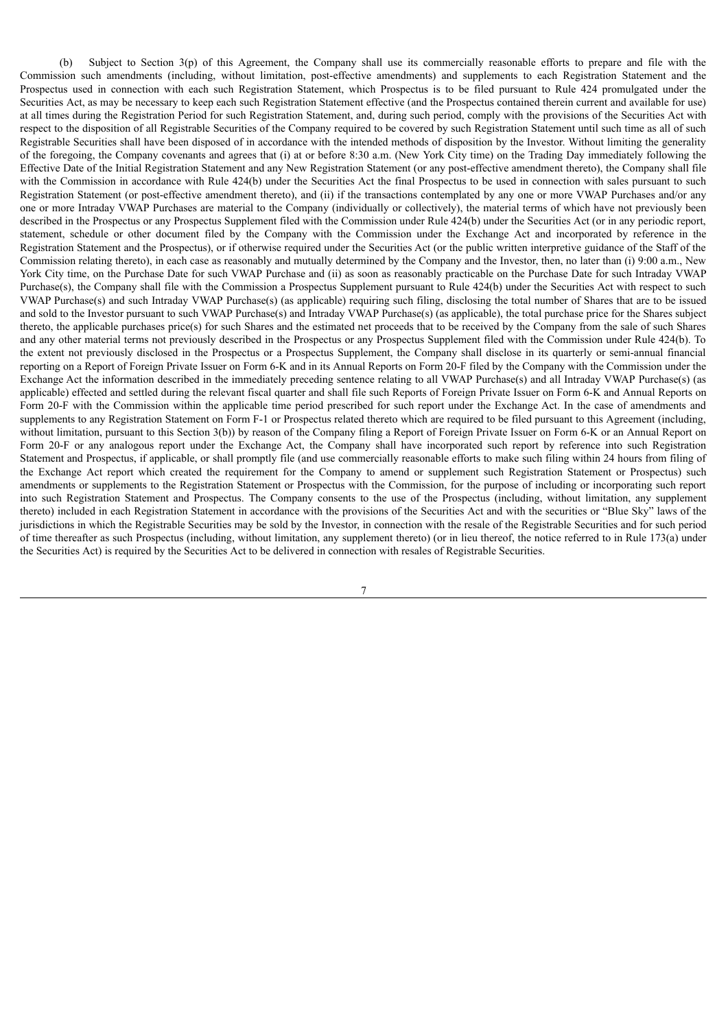(b) Subject to Section 3(p) of this Agreement, the Company shall use its commercially reasonable efforts to prepare and file with the Commission such amendments (including, without limitation, post-effective amendments) and supplements to each Registration Statement and the Prospectus used in connection with each such Registration Statement, which Prospectus is to be filed pursuant to Rule 424 promulgated under the Securities Act, as may be necessary to keep each such Registration Statement effective (and the Prospectus contained therein current and available for use) at all times during the Registration Period for such Registration Statement, and, during such period, comply with the provisions of the Securities Act with respect to the disposition of all Registrable Securities of the Company required to be covered by such Registration Statement until such time as all of such Registrable Securities shall have been disposed of in accordance with the intended methods of disposition by the Investor. Without limiting the generality of the foregoing, the Company covenants and agrees that (i) at or before 8:30 a.m. (New York City time) on the Trading Day immediately following the Effective Date of the Initial Registration Statement and any New Registration Statement (or any post-effective amendment thereto), the Company shall file with the Commission in accordance with Rule 424(b) under the Securities Act the final Prospectus to be used in connection with sales pursuant to such Registration Statement (or post-effective amendment thereto), and (ii) if the transactions contemplated by any one or more VWAP Purchases and/or any one or more Intraday VWAP Purchases are material to the Company (individually or collectively), the material terms of which have not previously been described in the Prospectus or any Prospectus Supplement filed with the Commission under Rule 424(b) under the Securities Act (or in any periodic report, statement, schedule or other document filed by the Company with the Commission under the Exchange Act and incorporated by reference in the Registration Statement and the Prospectus), or if otherwise required under the Securities Act (or the public written interpretive guidance of the Staff of the Commission relating thereto), in each case as reasonably and mutually determined by the Company and the Investor, then, no later than (i) 9:00 a.m., New York City time, on the Purchase Date for such VWAP Purchase and (ii) as soon as reasonably practicable on the Purchase Date for such Intraday VWAP Purchase(s), the Company shall file with the Commission a Prospectus Supplement pursuant to Rule 424(b) under the Securities Act with respect to such VWAP Purchase(s) and such Intraday VWAP Purchase(s) (as applicable) requiring such filing, disclosing the total number of Shares that are to be issued and sold to the Investor pursuant to such VWAP Purchase(s) and Intraday VWAP Purchase(s) (as applicable), the total purchase price for the Shares subject thereto, the applicable purchases price(s) for such Shares and the estimated net proceeds that to be received by the Company from the sale of such Shares and any other material terms not previously described in the Prospectus or any Prospectus Supplement filed with the Commission under Rule 424(b). To the extent not previously disclosed in the Prospectus or a Prospectus Supplement, the Company shall disclose in its quarterly or semi-annual financial reporting on a Report of Foreign Private Issuer on Form 6-K and in its Annual Reports on Form 20-F filed by the Company with the Commission under the Exchange Act the information described in the immediately preceding sentence relating to all VWAP Purchase(s) and all Intraday VWAP Purchase(s) (as applicable) effected and settled during the relevant fiscal quarter and shall file such Reports of Foreign Private Issuer on Form 6-K and Annual Reports on Form 20-F with the Commission within the applicable time period prescribed for such report under the Exchange Act. In the case of amendments and supplements to any Registration Statement on Form F-1 or Prospectus related thereto which are required to be filed pursuant to this Agreement (including, without limitation, pursuant to this Section 3(b)) by reason of the Company filing a Report of Foreign Private Issuer on Form 6-K or an Annual Report on Form 20-F or any analogous report under the Exchange Act, the Company shall have incorporated such report by reference into such Registration Statement and Prospectus, if applicable, or shall promptly file (and use commercially reasonable efforts to make such filing within 24 hours from filing of the Exchange Act report which created the requirement for the Company to amend or supplement such Registration Statement or Prospectus) such amendments or supplements to the Registration Statement or Prospectus with the Commission, for the purpose of including or incorporating such report into such Registration Statement and Prospectus. The Company consents to the use of the Prospectus (including, without limitation, any supplement thereto) included in each Registration Statement in accordance with the provisions of the Securities Act and with the securities or "Blue Sky" laws of the jurisdictions in which the Registrable Securities may be sold by the Investor, in connection with the resale of the Registrable Securities and for such period of time thereafter as such Prospectus (including, without limitation, any supplement thereto) (or in lieu thereof, the notice referred to in Rule 173(a) under the Securities Act) is required by the Securities Act to be delivered in connection with resales of Registrable Securities.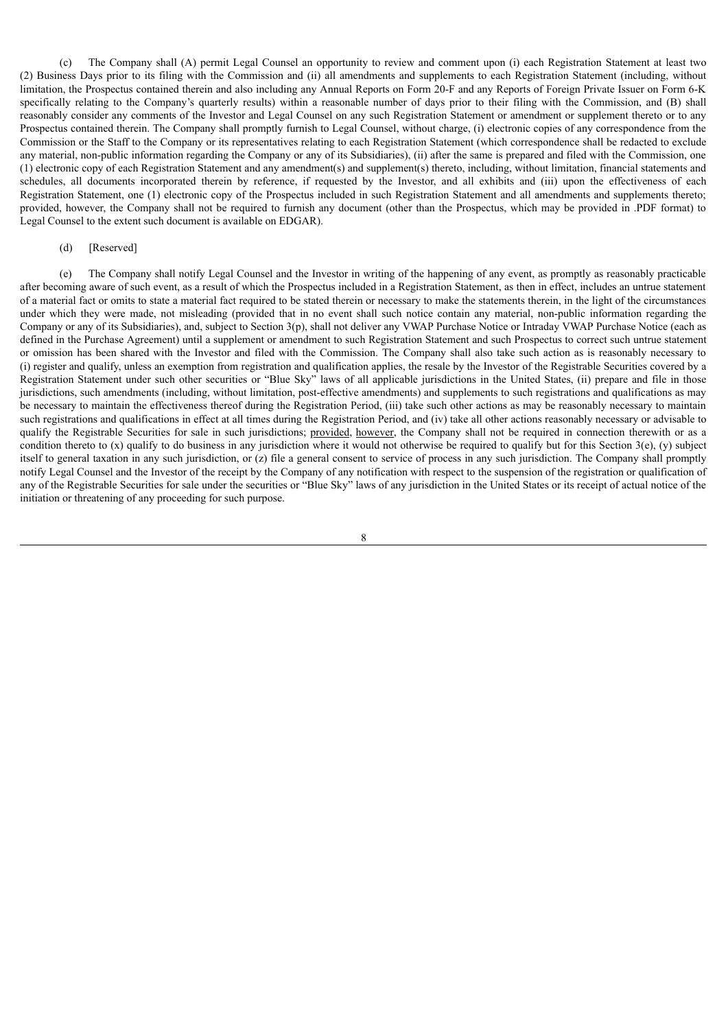(c) The Company shall (A) permit Legal Counsel an opportunity to review and comment upon (i) each Registration Statement at least two (2) Business Days prior to its filing with the Commission and (ii) all amendments and supplements to each Registration Statement (including, without limitation, the Prospectus contained therein and also including any Annual Reports on Form 20-F and any Reports of Foreign Private Issuer on Form 6-K specifically relating to the Company's quarterly results) within a reasonable number of days prior to their filing with the Commission, and (B) shall reasonably consider any comments of the Investor and Legal Counsel on any such Registration Statement or amendment or supplement thereto or to any Prospectus contained therein. The Company shall promptly furnish to Legal Counsel, without charge, (i) electronic copies of any correspondence from the Commission or the Staff to the Company or its representatives relating to each Registration Statement (which correspondence shall be redacted to exclude any material, non-public information regarding the Company or any of its Subsidiaries), (ii) after the same is prepared and filed with the Commission, one (1) electronic copy of each Registration Statement and any amendment(s) and supplement(s) thereto, including, without limitation, financial statements and schedules, all documents incorporated therein by reference, if requested by the Investor, and all exhibits and (iii) upon the effectiveness of each Registration Statement, one (1) electronic copy of the Prospectus included in such Registration Statement and all amendments and supplements thereto; provided, however, the Company shall not be required to furnish any document (other than the Prospectus, which may be provided in .PDF format) to Legal Counsel to the extent such document is available on EDGAR).

### (d) [Reserved]

(e) The Company shall notify Legal Counsel and the Investor in writing of the happening of any event, as promptly as reasonably practicable after becoming aware of such event, as a result of which the Prospectus included in a Registration Statement, as then in effect, includes an untrue statement of a material fact or omits to state a material fact required to be stated therein or necessary to make the statements therein, in the light of the circumstances under which they were made, not misleading (provided that in no event shall such notice contain any material, non-public information regarding the Company or any of its Subsidiaries), and, subject to Section 3(p), shall not deliver any VWAP Purchase Notice or Intraday VWAP Purchase Notice (each as defined in the Purchase Agreement) until a supplement or amendment to such Registration Statement and such Prospectus to correct such untrue statement or omission has been shared with the Investor and filed with the Commission. The Company shall also take such action as is reasonably necessary to (i) register and qualify, unless an exemption from registration and qualification applies, the resale by the Investor of the Registrable Securities covered by a Registration Statement under such other securities or "Blue Sky" laws of all applicable jurisdictions in the United States, (ii) prepare and file in those jurisdictions, such amendments (including, without limitation, post-effective amendments) and supplements to such registrations and qualifications as may be necessary to maintain the effectiveness thereof during the Registration Period, (iii) take such other actions as may be reasonably necessary to maintain such registrations and qualifications in effect at all times during the Registration Period, and (iv) take all other actions reasonably necessary or advisable to qualify the Registrable Securities for sale in such jurisdictions; provided, however, the Company shall not be required in connection therewith or as a condition thereto to  $(x)$  qualify to do business in any jurisdiction where it would not otherwise be required to qualify but for this Section 3(e),  $(y)$  subject itself to general taxation in any such jurisdiction, or (z) file a general consent to service of process in any such jurisdiction. The Company shall promptly notify Legal Counsel and the Investor of the receipt by the Company of any notification with respect to the suspension of the registration or qualification of any of the Registrable Securities for sale under the securities or "Blue Sky" laws of any jurisdiction in the United States or its receipt of actual notice of the initiation or threatening of any proceeding for such purpose.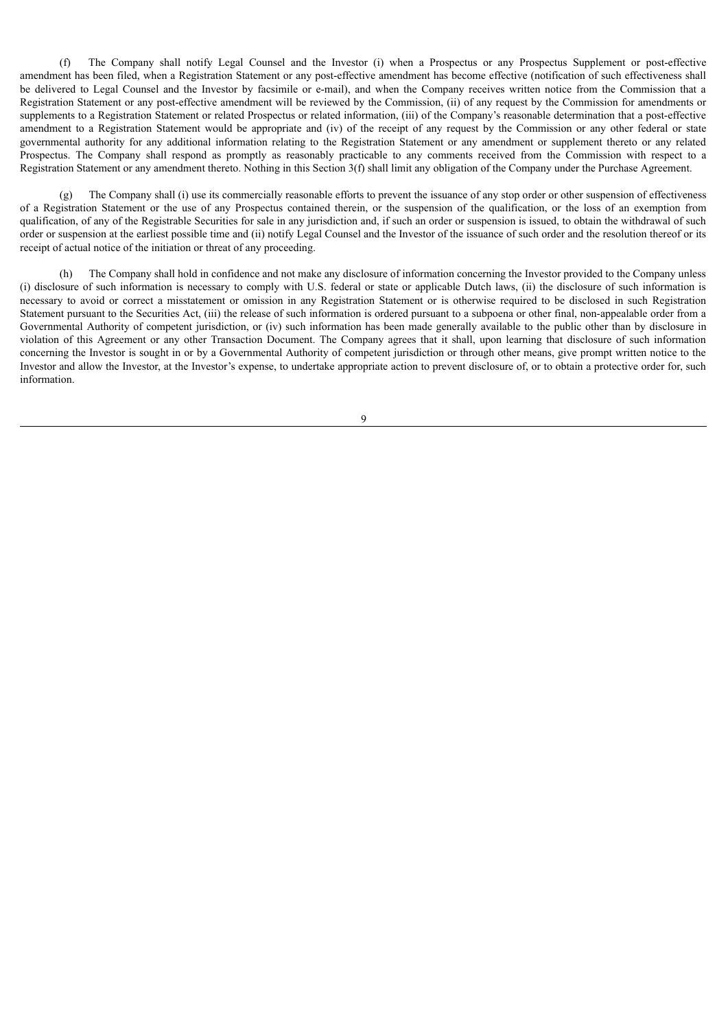(f) The Company shall notify Legal Counsel and the Investor (i) when a Prospectus or any Prospectus Supplement or post-effective amendment has been filed, when a Registration Statement or any post-effective amendment has become effective (notification of such effectiveness shall be delivered to Legal Counsel and the Investor by facsimile or e-mail), and when the Company receives written notice from the Commission that a Registration Statement or any post-effective amendment will be reviewed by the Commission, (ii) of any request by the Commission for amendments or supplements to a Registration Statement or related Prospectus or related information, (iii) of the Company's reasonable determination that a post-effective amendment to a Registration Statement would be appropriate and (iv) of the receipt of any request by the Commission or any other federal or state governmental authority for any additional information relating to the Registration Statement or any amendment or supplement thereto or any related Prospectus. The Company shall respond as promptly as reasonably practicable to any comments received from the Commission with respect to a Registration Statement or any amendment thereto. Nothing in this Section 3(f) shall limit any obligation of the Company under the Purchase Agreement.

(g) The Company shall (i) use its commercially reasonable efforts to prevent the issuance of any stop order or other suspension of effectiveness of a Registration Statement or the use of any Prospectus contained therein, or the suspension of the qualification, or the loss of an exemption from qualification, of any of the Registrable Securities for sale in any jurisdiction and, if such an order or suspension is issued, to obtain the withdrawal of such order or suspension at the earliest possible time and (ii) notify Legal Counsel and the Investor of the issuance of such order and the resolution thereof or its receipt of actual notice of the initiation or threat of any proceeding.

The Company shall hold in confidence and not make any disclosure of information concerning the Investor provided to the Company unless (i) disclosure of such information is necessary to comply with U.S. federal or state or applicable Dutch laws, (ii) the disclosure of such information is necessary to avoid or correct a misstatement or omission in any Registration Statement or is otherwise required to be disclosed in such Registration Statement pursuant to the Securities Act, (iii) the release of such information is ordered pursuant to a subpoena or other final, non-appealable order from a Governmental Authority of competent jurisdiction, or (iv) such information has been made generally available to the public other than by disclosure in violation of this Agreement or any other Transaction Document. The Company agrees that it shall, upon learning that disclosure of such information concerning the Investor is sought in or by a Governmental Authority of competent jurisdiction or through other means, give prompt written notice to the Investor and allow the Investor, at the Investor's expense, to undertake appropriate action to prevent disclosure of, or to obtain a protective order for, such information.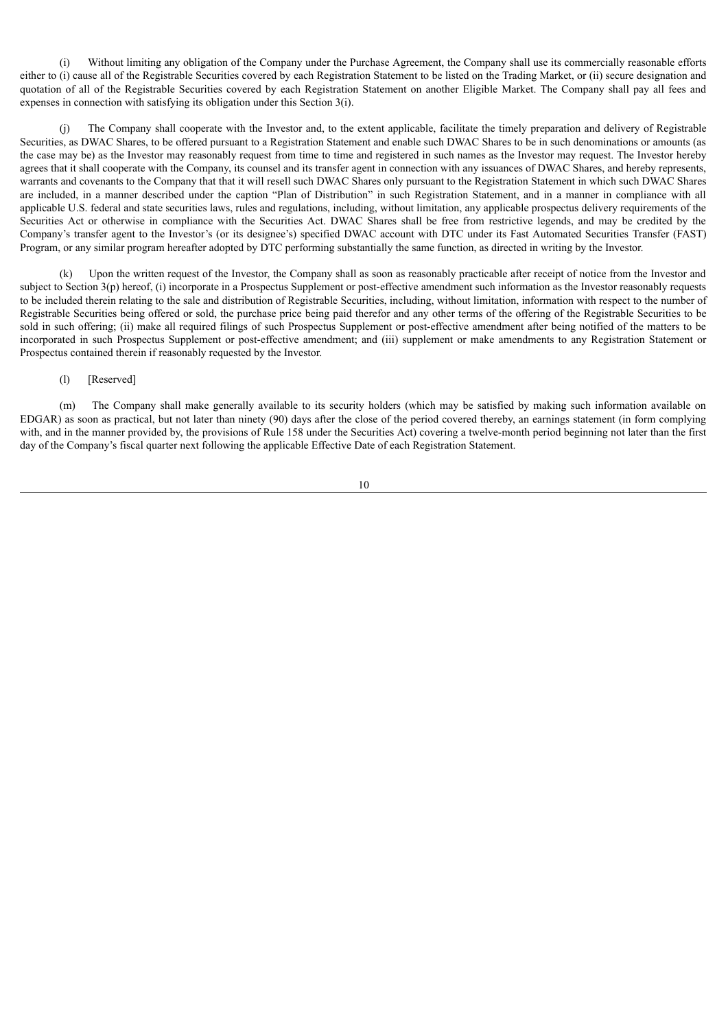(i) Without limiting any obligation of the Company under the Purchase Agreement, the Company shall use its commercially reasonable efforts either to (i) cause all of the Registrable Securities covered by each Registration Statement to be listed on the Trading Market, or (ii) secure designation and quotation of all of the Registrable Securities covered by each Registration Statement on another Eligible Market. The Company shall pay all fees and expenses in connection with satisfying its obligation under this Section 3(i).

(j) The Company shall cooperate with the Investor and, to the extent applicable, facilitate the timely preparation and delivery of Registrable Securities, as DWAC Shares, to be offered pursuant to a Registration Statement and enable such DWAC Shares to be in such denominations or amounts (as the case may be) as the Investor may reasonably request from time to time and registered in such names as the Investor may request. The Investor hereby agrees that it shall cooperate with the Company, its counsel and its transfer agent in connection with any issuances of DWAC Shares, and hereby represents, warrants and covenants to the Company that that it will resell such DWAC Shares only pursuant to the Registration Statement in which such DWAC Shares are included, in a manner described under the caption "Plan of Distribution" in such Registration Statement, and in a manner in compliance with all applicable U.S. federal and state securities laws, rules and regulations, including, without limitation, any applicable prospectus delivery requirements of the Securities Act or otherwise in compliance with the Securities Act. DWAC Shares shall be free from restrictive legends, and may be credited by the Company's transfer agent to the Investor's (or its designee's) specified DWAC account with DTC under its Fast Automated Securities Transfer (FAST) Program, or any similar program hereafter adopted by DTC performing substantially the same function, as directed in writing by the Investor.

(k) Upon the written request of the Investor, the Company shall as soon as reasonably practicable after receipt of notice from the Investor and subject to Section 3(p) hereof, (i) incorporate in a Prospectus Supplement or post-effective amendment such information as the Investor reasonably requests to be included therein relating to the sale and distribution of Registrable Securities, including, without limitation, information with respect to the number of Registrable Securities being offered or sold, the purchase price being paid therefor and any other terms of the offering of the Registrable Securities to be sold in such offering; (ii) make all required filings of such Prospectus Supplement or post-effective amendment after being notified of the matters to be incorporated in such Prospectus Supplement or post-effective amendment; and (iii) supplement or make amendments to any Registration Statement or Prospectus contained therein if reasonably requested by the Investor.

### (l) [Reserved]

(m) The Company shall make generally available to its security holders (which may be satisfied by making such information available on EDGAR) as soon as practical, but not later than ninety (90) days after the close of the period covered thereby, an earnings statement (in form complying with, and in the manner provided by, the provisions of Rule 158 under the Securities Act) covering a twelve-month period beginning not later than the first day of the Company's fiscal quarter next following the applicable Effective Date of each Registration Statement.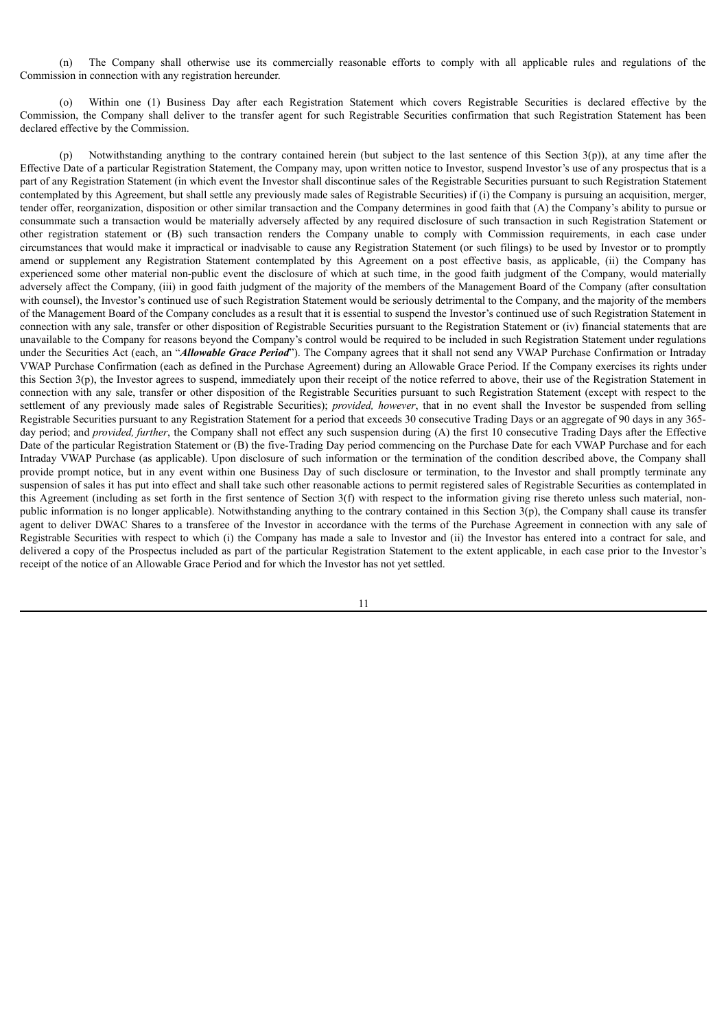(n) The Company shall otherwise use its commercially reasonable efforts to comply with all applicable rules and regulations of the Commission in connection with any registration hereunder.

(o) Within one (1) Business Day after each Registration Statement which covers Registrable Securities is declared effective by the Commission, the Company shall deliver to the transfer agent for such Registrable Securities confirmation that such Registration Statement has been declared effective by the Commission.

(p) Notwithstanding anything to the contrary contained herein (but subject to the last sentence of this Section 3(p)), at any time after the Effective Date of a particular Registration Statement, the Company may, upon written notice to Investor, suspend Investor's use of any prospectus that is a part of any Registration Statement (in which event the Investor shall discontinue sales of the Registrable Securities pursuant to such Registration Statement contemplated by this Agreement, but shall settle any previously made sales of Registrable Securities) if (i) the Company is pursuing an acquisition, merger, tender offer, reorganization, disposition or other similar transaction and the Company determines in good faith that (A) the Company's ability to pursue or consummate such a transaction would be materially adversely affected by any required disclosure of such transaction in such Registration Statement or other registration statement or (B) such transaction renders the Company unable to comply with Commission requirements, in each case under circumstances that would make it impractical or inadvisable to cause any Registration Statement (or such filings) to be used by Investor or to promptly amend or supplement any Registration Statement contemplated by this Agreement on a post effective basis, as applicable, (ii) the Company has experienced some other material non-public event the disclosure of which at such time, in the good faith judgment of the Company, would materially adversely affect the Company, (iii) in good faith judgment of the majority of the members of the Management Board of the Company (after consultation with counsel), the Investor's continued use of such Registration Statement would be seriously detrimental to the Company, and the majority of the members of the Management Board of the Company concludes as a result that it is essential to suspend the Investor's continued use of such Registration Statement in connection with any sale, transfer or other disposition of Registrable Securities pursuant to the Registration Statement or (iv) financial statements that are unavailable to the Company for reasons beyond the Company's control would be required to be included in such Registration Statement under regulations under the Securities Act (each, an "*Allowable Grace Period*"). The Company agrees that it shall not send any VWAP Purchase Confirmation or Intraday VWAP Purchase Confirmation (each as defined in the Purchase Agreement) during an Allowable Grace Period. If the Company exercises its rights under this Section 3(p), the Investor agrees to suspend, immediately upon their receipt of the notice referred to above, their use of the Registration Statement in connection with any sale, transfer or other disposition of the Registrable Securities pursuant to such Registration Statement (except with respect to the settlement of any previously made sales of Registrable Securities); *provided, however*, that in no event shall the Investor be suspended from selling Registrable Securities pursuant to any Registration Statement for a period that exceeds 30 consecutive Trading Days or an aggregate of 90 days in any 365 day period; and *provided, further*, the Company shall not effect any such suspension during (A) the first 10 consecutive Trading Days after the Effective Date of the particular Registration Statement or (B) the five-Trading Day period commencing on the Purchase Date for each VWAP Purchase and for each Intraday VWAP Purchase (as applicable). Upon disclosure of such information or the termination of the condition described above, the Company shall provide prompt notice, but in any event within one Business Day of such disclosure or termination, to the Investor and shall promptly terminate any suspension of sales it has put into effect and shall take such other reasonable actions to permit registered sales of Registrable Securities as contemplated in this Agreement (including as set forth in the first sentence of Section 3(f) with respect to the information giving rise thereto unless such material, nonpublic information is no longer applicable). Notwithstanding anything to the contrary contained in this Section 3(p), the Company shall cause its transfer agent to deliver DWAC Shares to a transferee of the Investor in accordance with the terms of the Purchase Agreement in connection with any sale of Registrable Securities with respect to which (i) the Company has made a sale to Investor and (ii) the Investor has entered into a contract for sale, and delivered a copy of the Prospectus included as part of the particular Registration Statement to the extent applicable, in each case prior to the Investor's receipt of the notice of an Allowable Grace Period and for which the Investor has not yet settled.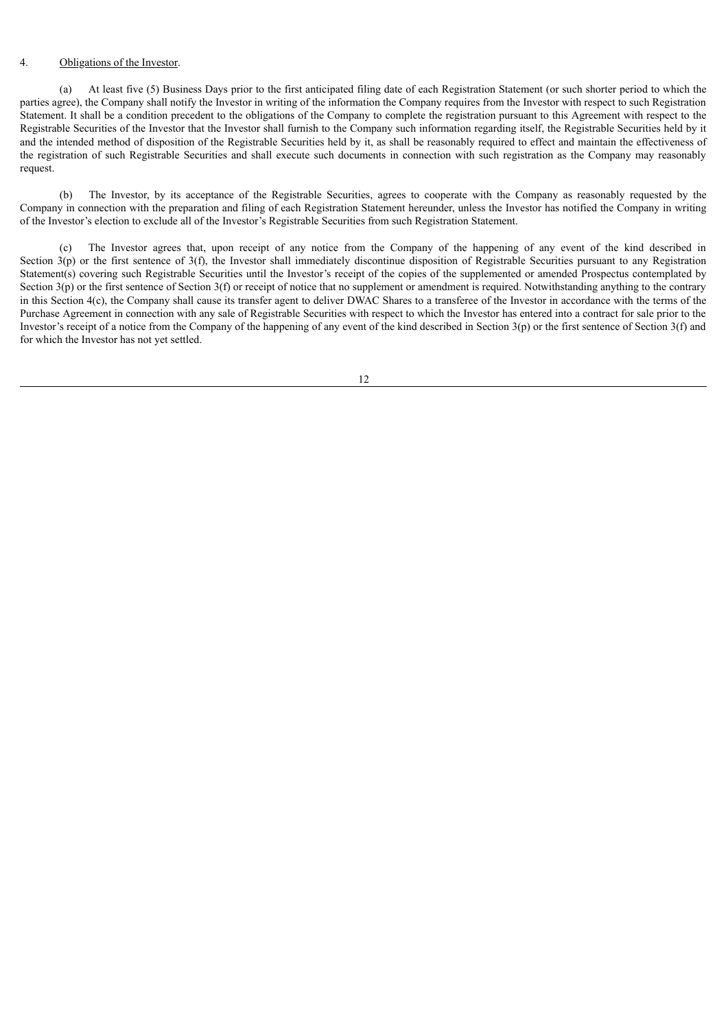#### 4. Obligations of the Investor.

(a) At least five (5) Business Days prior to the first anticipated filing date of each Registration Statement (or such shorter period to which the parties agree), the Company shall notify the Investor in writing of the information the Company requires from the Investor with respect to such Registration Statement. It shall be a condition precedent to the obligations of the Company to complete the registration pursuant to this Agreement with respect to the Registrable Securities of the Investor that the Investor shall furnish to the Company such information regarding itself, the Registrable Securities held by it and the intended method of disposition of the Registrable Securities held by it, as shall be reasonably required to effect and maintain the effectiveness of the registration of such Registrable Securities and shall execute such documents in connection with such registration as the Company may reasonably request.

(b) The Investor, by its acceptance of the Registrable Securities, agrees to cooperate with the Company as reasonably requested by the Company in connection with the preparation and filing of each Registration Statement hereunder, unless the Investor has notified the Company in writing of the Investor's election to exclude all of the Investor's Registrable Securities from such Registration Statement.

(c) The Investor agrees that, upon receipt of any notice from the Company of the happening of any event of the kind described in Section  $3(p)$  or the first sentence of  $3(f)$ , the Investor shall immediately discontinue disposition of Registrable Securities pursuant to any Registration Statement(s) covering such Registrable Securities until the Investor's receipt of the copies of the supplemented or amended Prospectus contemplated by Section  $3(p)$  or the first sentence of Section  $3(f)$  or receipt of notice that no supplement or amendment is required. Notwithstanding anything to the contrary in this Section 4(c), the Company shall cause its transfer agent to deliver DWAC Shares to a transferee of the Investor in accordance with the terms of the Purchase Agreement in connection with any sale of Registrable Securities with respect to which the Investor has entered into a contract for sale prior to the Investor's receipt of a notice from the Company of the happening of any event of the kind described in Section 3(p) or the first sentence of Section 3(f) and for which the Investor has not yet settled.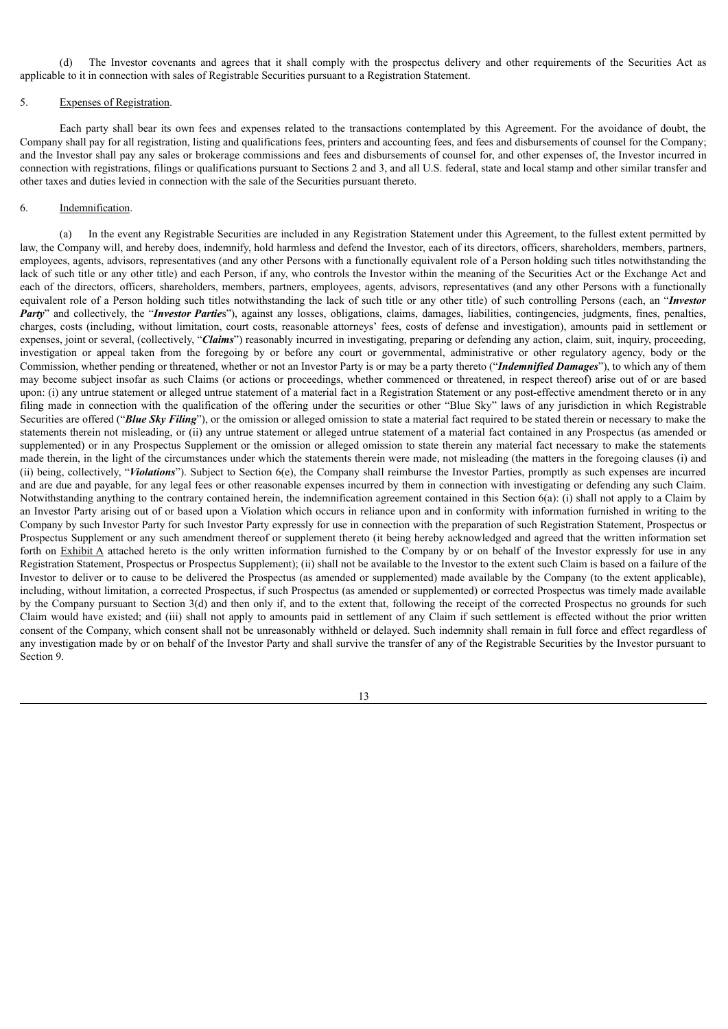(d) The Investor covenants and agrees that it shall comply with the prospectus delivery and other requirements of the Securities Act as applicable to it in connection with sales of Registrable Securities pursuant to a Registration Statement.

#### 5. Expenses of Registration.

Each party shall bear its own fees and expenses related to the transactions contemplated by this Agreement. For the avoidance of doubt, the Company shall pay for all registration, listing and qualifications fees, printers and accounting fees, and fees and disbursements of counsel for the Company; and the Investor shall pay any sales or brokerage commissions and fees and disbursements of counsel for, and other expenses of, the Investor incurred in connection with registrations, filings or qualifications pursuant to Sections 2 and 3, and all U.S. federal, state and local stamp and other similar transfer and other taxes and duties levied in connection with the sale of the Securities pursuant thereto.

#### 6. Indemnification.

(a) In the event any Registrable Securities are included in any Registration Statement under this Agreement, to the fullest extent permitted by law, the Company will, and hereby does, indemnify, hold harmless and defend the Investor, each of its directors, officers, shareholders, members, partners, employees, agents, advisors, representatives (and any other Persons with a functionally equivalent role of a Person holding such titles notwithstanding the lack of such title or any other title) and each Person, if any, who controls the Investor within the meaning of the Securities Act or the Exchange Act and each of the directors, officers, shareholders, members, partners, employees, agents, advisors, representatives (and any other Persons with a functionally equivalent role of a Person holding such titles notwithstanding the lack of such title or any other title) of such controlling Persons (each, an "*Investor Party*" and collectively, the "*Investor Parties*"), against any losses, obligations, claims, damages, liabilities, contingencies, judgments, fines, penalties, charges, costs (including, without limitation, court costs, reasonable attorneys' fees, costs of defense and investigation), amounts paid in settlement or expenses, joint or several, (collectively, "*Claims*") reasonably incurred in investigating, preparing or defending any action, claim, suit, inquiry, proceeding, investigation or appeal taken from the foregoing by or before any court or governmental, administrative or other regulatory agency, body or the Commission, whether pending or threatened, whether or not an Investor Party is or may be a party thereto ("*Indemnified Damages*"), to which any of them may become subject insofar as such Claims (or actions or proceedings, whether commenced or threatened, in respect thereof) arise out of or are based upon: (i) any untrue statement or alleged untrue statement of a material fact in a Registration Statement or any post-effective amendment thereto or in any filing made in connection with the qualification of the offering under the securities or other "Blue Sky" laws of any jurisdiction in which Registrable Securities are offered ("*Blue Sky Filing*"), or the omission or alleged omission to state a material fact required to be stated therein or necessary to make the statements therein not misleading, or (ii) any untrue statement or alleged untrue statement of a material fact contained in any Prospectus (as amended or supplemented) or in any Prospectus Supplement or the omission or alleged omission to state therein any material fact necessary to make the statements made therein, in the light of the circumstances under which the statements therein were made, not misleading (the matters in the foregoing clauses (i) and (ii) being, collectively, "*Violations*"). Subject to Section 6(e), the Company shall reimburse the Investor Parties, promptly as such expenses are incurred and are due and payable, for any legal fees or other reasonable expenses incurred by them in connection with investigating or defending any such Claim. Notwithstanding anything to the contrary contained herein, the indemnification agreement contained in this Section 6(a): (i) shall not apply to a Claim by an Investor Party arising out of or based upon a Violation which occurs in reliance upon and in conformity with information furnished in writing to the Company by such Investor Party for such Investor Party expressly for use in connection with the preparation of such Registration Statement, Prospectus or Prospectus Supplement or any such amendment thereof or supplement thereto (it being hereby acknowledged and agreed that the written information set forth on Exhibit A attached hereto is the only written information furnished to the Company by or on behalf of the Investor expressly for use in any Registration Statement, Prospectus or Prospectus Supplement); (ii) shall not be available to the Investor to the extent such Claim is based on a failure of the Investor to deliver or to cause to be delivered the Prospectus (as amended or supplemented) made available by the Company (to the extent applicable), including, without limitation, a corrected Prospectus, if such Prospectus (as amended or supplemented) or corrected Prospectus was timely made available by the Company pursuant to Section 3(d) and then only if, and to the extent that, following the receipt of the corrected Prospectus no grounds for such Claim would have existed; and (iii) shall not apply to amounts paid in settlement of any Claim if such settlement is effected without the prior written consent of the Company, which consent shall not be unreasonably withheld or delayed. Such indemnity shall remain in full force and effect regardless of any investigation made by or on behalf of the Investor Party and shall survive the transfer of any of the Registrable Securities by the Investor pursuant to Section 9.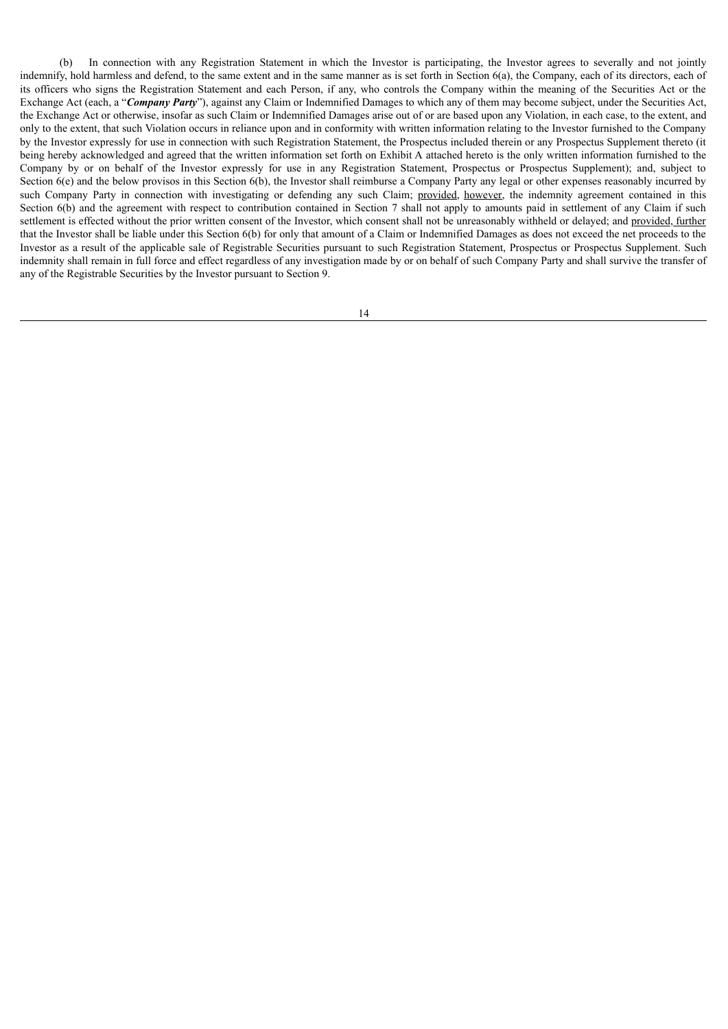(b) In connection with any Registration Statement in which the Investor is participating, the Investor agrees to severally and not jointly indemnify, hold harmless and defend, to the same extent and in the same manner as is set forth in Section 6(a), the Company, each of its directors, each of its officers who signs the Registration Statement and each Person, if any, who controls the Company within the meaning of the Securities Act or the Exchange Act (each, a "*Company Party*"), against any Claim or Indemnified Damages to which any of them may become subject, under the Securities Act, the Exchange Act or otherwise, insofar as such Claim or Indemnified Damages arise out of or are based upon any Violation, in each case, to the extent, and only to the extent, that such Violation occurs in reliance upon and in conformity with written information relating to the Investor furnished to the Company by the Investor expressly for use in connection with such Registration Statement, the Prospectus included therein or any Prospectus Supplement thereto (it being hereby acknowledged and agreed that the written information set forth on Exhibit A attached hereto is the only written information furnished to the Company by or on behalf of the Investor expressly for use in any Registration Statement, Prospectus or Prospectus Supplement); and, subject to Section  $6(e)$  and the below provisos in this Section  $6(b)$ , the Investor shall reimburse a Company Party any legal or other expenses reasonably incurred by such Company Party in connection with investigating or defending any such Claim; provided, however, the indemnity agreement contained in this Section 6(b) and the agreement with respect to contribution contained in Section 7 shall not apply to amounts paid in settlement of any Claim if such settlement is effected without the prior written consent of the Investor, which consent shall not be unreasonably withheld or delayed; and provided, further that the Investor shall be liable under this Section 6(b) for only that amount of a Claim or Indemnified Damages as does not exceed the net proceeds to the Investor as a result of the applicable sale of Registrable Securities pursuant to such Registration Statement, Prospectus or Prospectus Supplement. Such indemnity shall remain in full force and effect regardless of any investigation made by or on behalf of such Company Party and shall survive the transfer of any of the Registrable Securities by the Investor pursuant to Section 9.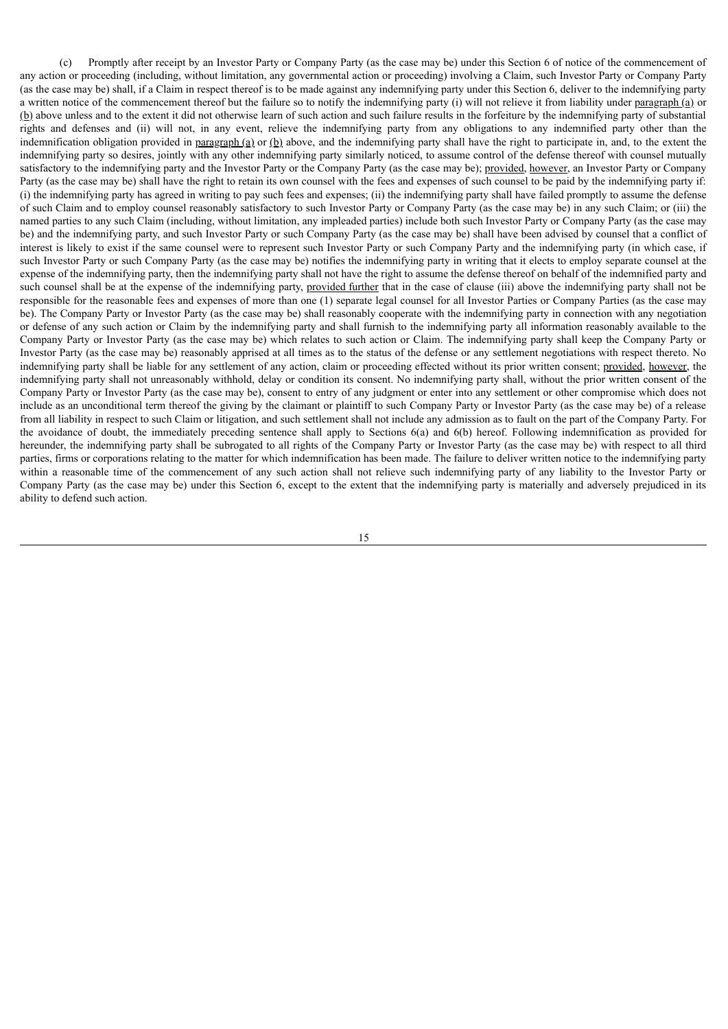(c) Promptly after receipt by an Investor Party or Company Party (as the case may be) under this Section 6 of notice of the commencement of any action or proceeding (including, without limitation, any governmental action or proceeding) involving a Claim, such Investor Party or Company Party (as the case may be) shall, if a Claim in respect thereof is to be made against any indemnifying party under this Section 6, deliver to the indemnifying party a written notice of the commencement thereof but the failure so to notify the indemnifying party (i) will not relieve it from liability under paragraph (a) or (b) above unless and to the extent it did not otherwise learn of such action and such failure results in the forfeiture by the indemnifying party of substantial rights and defenses and (ii) will not, in any event, relieve the indemnifying party from any obligations to any indemnified party other than the indemnification obligation provided in paragraph (a) or (b) above, and the indemnifying party shall have the right to participate in, and, to the extent the indemnifying party so desires, jointly with any other indemnifying party similarly noticed, to assume control of the defense thereof with counsel mutually satisfactory to the indemnifying party and the Investor Party or the Company Party (as the case may be); provided, however, an Investor Party or Company Party (as the case may be) shall have the right to retain its own counsel with the fees and expenses of such counsel to be paid by the indemnifying party if: (i) the indemnifying party has agreed in writing to pay such fees and expenses; (ii) the indemnifying party shall have failed promptly to assume the defense of such Claim and to employ counsel reasonably satisfactory to such Investor Party or Company Party (as the case may be) in any such Claim; or (iii) the named parties to any such Claim (including, without limitation, any impleaded parties) include both such Investor Party or Company Party (as the case may be) and the indemnifying party, and such Investor Party or such Company Party (as the case may be) shall have been advised by counsel that a conflict of interest is likely to exist if the same counsel were to represent such Investor Party or such Company Party and the indemnifying party (in which case, if such Investor Party or such Company Party (as the case may be) notifies the indemnifying party in writing that it elects to employ separate counsel at the expense of the indemnifying party, then the indemnifying party shall not have the right to assume the defense thereof on behalf of the indemnified party and such counsel shall be at the expense of the indemnifying party, provided further that in the case of clause (iii) above the indemnifying party shall not be responsible for the reasonable fees and expenses of more than one (1) separate legal counsel for all Investor Parties or Company Parties (as the case may be). The Company Party or Investor Party (as the case may be) shall reasonably cooperate with the indemnifying party in connection with any negotiation or defense of any such action or Claim by the indemnifying party and shall furnish to the indemnifying party all information reasonably available to the Company Party or Investor Party (as the case may be) which relates to such action or Claim. The indemnifying party shall keep the Company Party or Investor Party (as the case may be) reasonably apprised at all times as to the status of the defense or any settlement negotiations with respect thereto. No indemnifying party shall be liable for any settlement of any action, claim or proceeding effected without its prior written consent; provided, however, the indemnifying party shall not unreasonably withhold, delay or condition its consent. No indemnifying party shall, without the prior written consent of the Company Party or Investor Party (as the case may be), consent to entry of any judgment or enter into any settlement or other compromise which does not include as an unconditional term thereof the giving by the claimant or plaintiff to such Company Party or Investor Party (as the case may be) of a release from all liability in respect to such Claim or litigation, and such settlement shall not include any admission as to fault on the part of the Company Party. For the avoidance of doubt, the immediately preceding sentence shall apply to Sections 6(a) and 6(b) hereof. Following indemnification as provided for hereunder, the indemnifying party shall be subrogated to all rights of the Company Party or Investor Party (as the case may be) with respect to all third parties, firms or corporations relating to the matter for which indemnification has been made. The failure to deliver written notice to the indemnifying party within a reasonable time of the commencement of any such action shall not relieve such indemnifying party of any liability to the Investor Party or Company Party (as the case may be) under this Section 6, except to the extent that the indemnifying party is materially and adversely prejudiced in its ability to defend such action.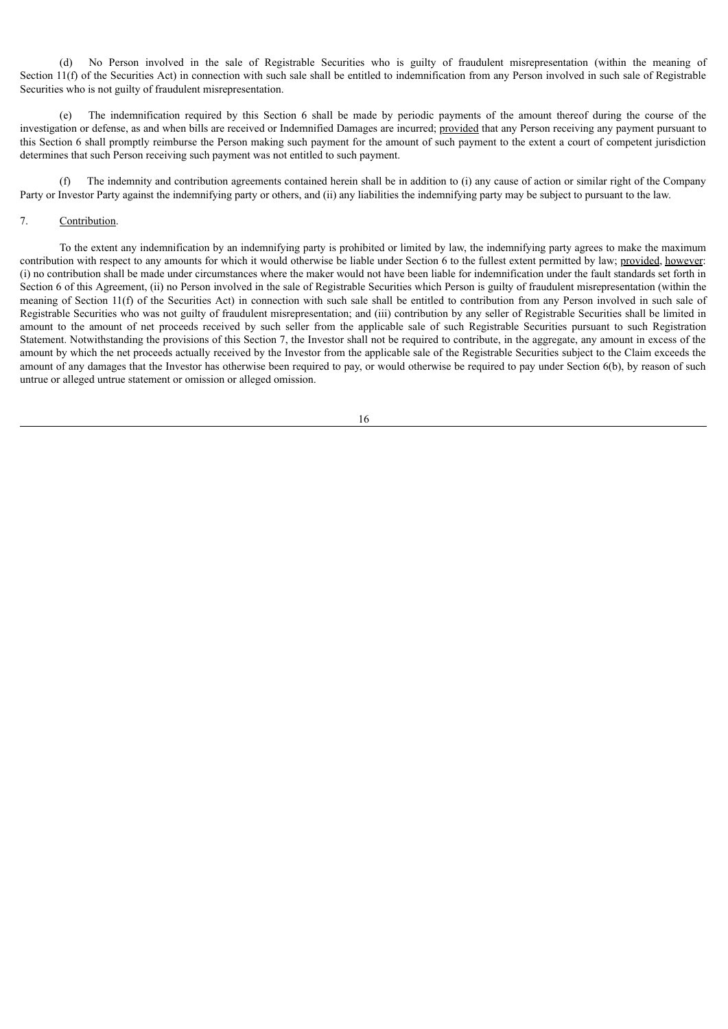(d) No Person involved in the sale of Registrable Securities who is guilty of fraudulent misrepresentation (within the meaning of Section 11(f) of the Securities Act) in connection with such sale shall be entitled to indemnification from any Person involved in such sale of Registrable Securities who is not guilty of fraudulent misrepresentation.

(e) The indemnification required by this Section 6 shall be made by periodic payments of the amount thereof during the course of the investigation or defense, as and when bills are received or Indemnified Damages are incurred; provided that any Person receiving any payment pursuant to this Section 6 shall promptly reimburse the Person making such payment for the amount of such payment to the extent a court of competent jurisdiction determines that such Person receiving such payment was not entitled to such payment.

(f) The indemnity and contribution agreements contained herein shall be in addition to (i) any cause of action or similar right of the Company Party or Investor Party against the indemnifying party or others, and (ii) any liabilities the indemnifying party may be subject to pursuant to the law.

## 7. Contribution.

To the extent any indemnification by an indemnifying party is prohibited or limited by law, the indemnifying party agrees to make the maximum contribution with respect to any amounts for which it would otherwise be liable under Section 6 to the fullest extent permitted by law; provided, however: (i) no contribution shall be made under circumstances where the maker would not have been liable for indemnification under the fault standards set forth in Section 6 of this Agreement, (ii) no Person involved in the sale of Registrable Securities which Person is guilty of fraudulent misrepresentation (within the meaning of Section 11(f) of the Securities Act) in connection with such sale shall be entitled to contribution from any Person involved in such sale of Registrable Securities who was not guilty of fraudulent misrepresentation; and (iii) contribution by any seller of Registrable Securities shall be limited in amount to the amount of net proceeds received by such seller from the applicable sale of such Registrable Securities pursuant to such Registration Statement. Notwithstanding the provisions of this Section 7, the Investor shall not be required to contribute, in the aggregate, any amount in excess of the amount by which the net proceeds actually received by the Investor from the applicable sale of the Registrable Securities subject to the Claim exceeds the amount of any damages that the Investor has otherwise been required to pay, or would otherwise be required to pay under Section 6(b), by reason of such untrue or alleged untrue statement or omission or alleged omission.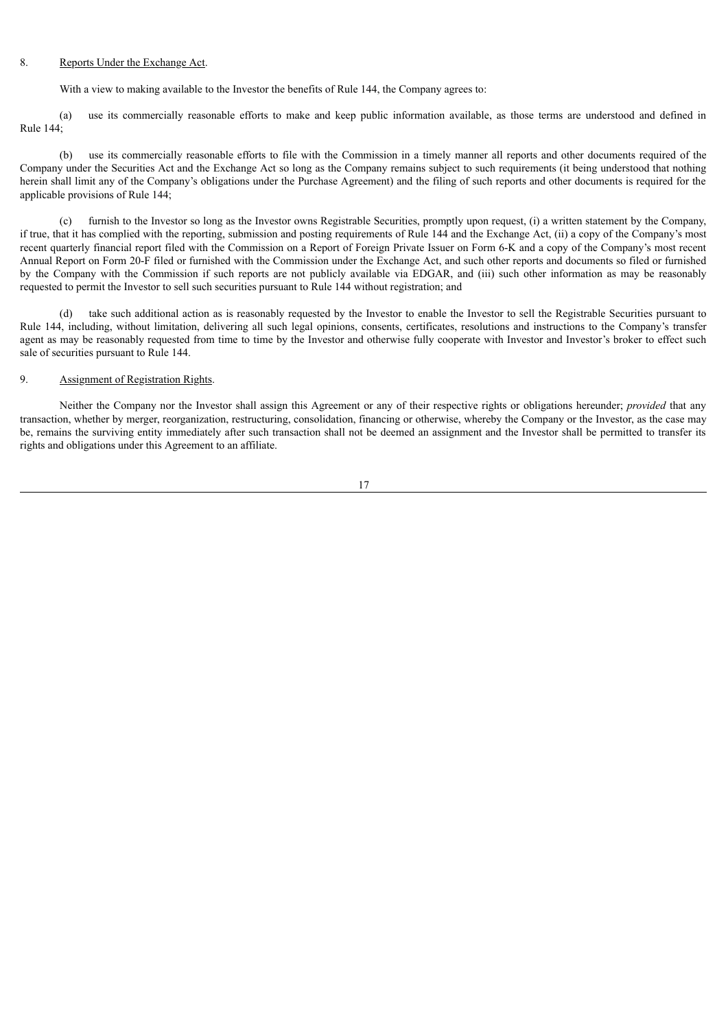#### 8. Reports Under the Exchange Act.

With a view to making available to the Investor the benefits of Rule 144, the Company agrees to:

(a) use its commercially reasonable efforts to make and keep public information available, as those terms are understood and defined in Rule 144;

(b) use its commercially reasonable efforts to file with the Commission in a timely manner all reports and other documents required of the Company under the Securities Act and the Exchange Act so long as the Company remains subject to such requirements (it being understood that nothing herein shall limit any of the Company's obligations under the Purchase Agreement) and the filing of such reports and other documents is required for the applicable provisions of Rule 144;

(c) furnish to the Investor so long as the Investor owns Registrable Securities, promptly upon request, (i) a written statement by the Company, if true, that it has complied with the reporting, submission and posting requirements of Rule 144 and the Exchange Act, (ii) a copy of the Company's most recent quarterly financial report filed with the Commission on a Report of Foreign Private Issuer on Form 6-K and a copy of the Company's most recent Annual Report on Form 20-F filed or furnished with the Commission under the Exchange Act, and such other reports and documents so filed or furnished by the Company with the Commission if such reports are not publicly available via EDGAR, and (iii) such other information as may be reasonably requested to permit the Investor to sell such securities pursuant to Rule 144 without registration; and

(d) take such additional action as is reasonably requested by the Investor to enable the Investor to sell the Registrable Securities pursuant to Rule 144, including, without limitation, delivering all such legal opinions, consents, certificates, resolutions and instructions to the Company's transfer agent as may be reasonably requested from time to time by the Investor and otherwise fully cooperate with Investor and Investor's broker to effect such sale of securities pursuant to Rule 144.

### 9. Assignment of Registration Rights.

Neither the Company nor the Investor shall assign this Agreement or any of their respective rights or obligations hereunder; *provided* that any transaction, whether by merger, reorganization, restructuring, consolidation, financing or otherwise, whereby the Company or the Investor, as the case may be, remains the surviving entity immediately after such transaction shall not be deemed an assignment and the Investor shall be permitted to transfer its rights and obligations under this Agreement to an affiliate.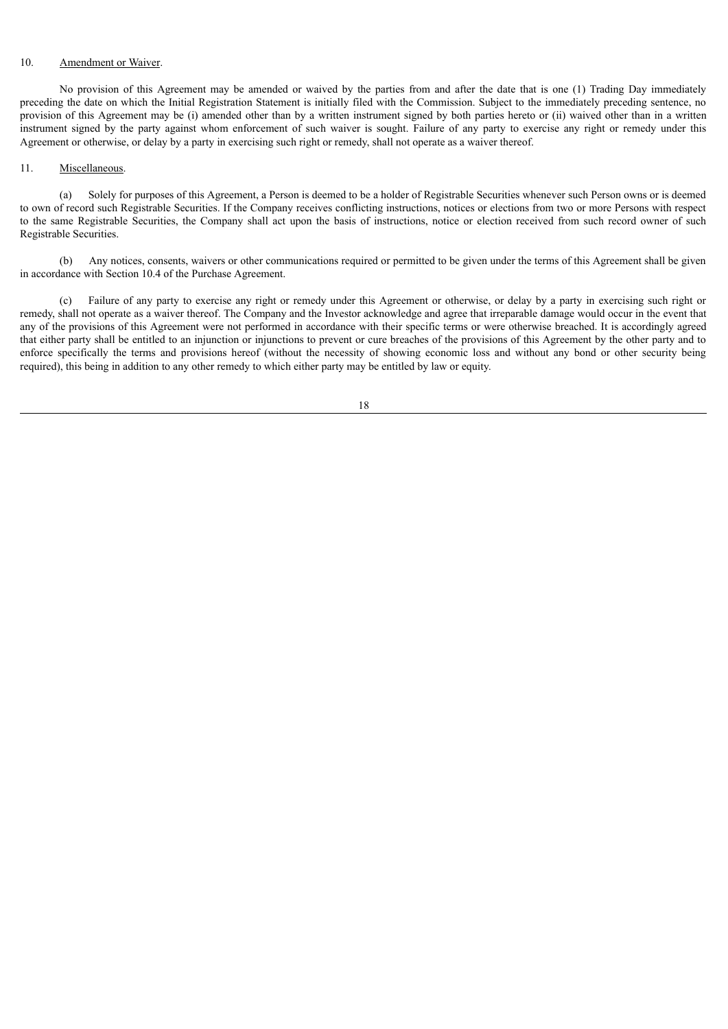## 10. Amendment or Waiver.

No provision of this Agreement may be amended or waived by the parties from and after the date that is one (1) Trading Day immediately preceding the date on which the Initial Registration Statement is initially filed with the Commission. Subject to the immediately preceding sentence, no provision of this Agreement may be (i) amended other than by a written instrument signed by both parties hereto or (ii) waived other than in a written instrument signed by the party against whom enforcement of such waiver is sought. Failure of any party to exercise any right or remedy under this Agreement or otherwise, or delay by a party in exercising such right or remedy, shall not operate as a waiver thereof.

#### 11. Miscellaneous.

(a) Solely for purposes of this Agreement, a Person is deemed to be a holder of Registrable Securities whenever such Person owns or is deemed to own of record such Registrable Securities. If the Company receives conflicting instructions, notices or elections from two or more Persons with respect to the same Registrable Securities, the Company shall act upon the basis of instructions, notice or election received from such record owner of such Registrable Securities.

(b) Any notices, consents, waivers or other communications required or permitted to be given under the terms of this Agreement shall be given in accordance with Section 10.4 of the Purchase Agreement.

(c) Failure of any party to exercise any right or remedy under this Agreement or otherwise, or delay by a party in exercising such right or remedy, shall not operate as a waiver thereof. The Company and the Investor acknowledge and agree that irreparable damage would occur in the event that any of the provisions of this Agreement were not performed in accordance with their specific terms or were otherwise breached. It is accordingly agreed that either party shall be entitled to an injunction or injunctions to prevent or cure breaches of the provisions of this Agreement by the other party and to enforce specifically the terms and provisions hereof (without the necessity of showing economic loss and without any bond or other security being required), this being in addition to any other remedy to which either party may be entitled by law or equity.

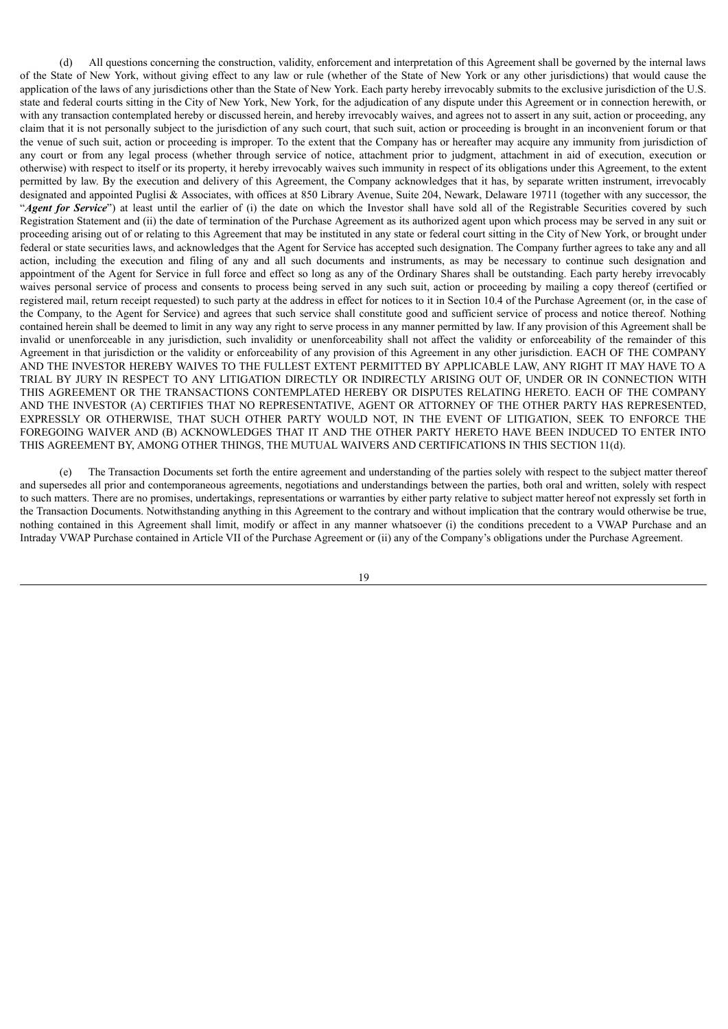(d) All questions concerning the construction, validity, enforcement and interpretation of this Agreement shall be governed by the internal laws of the State of New York, without giving effect to any law or rule (whether of the State of New York or any other jurisdictions) that would cause the application of the laws of any jurisdictions other than the State of New York. Each party hereby irrevocably submits to the exclusive jurisdiction of the U.S. state and federal courts sitting in the City of New York, New York, for the adjudication of any dispute under this Agreement or in connection herewith, or with any transaction contemplated hereby or discussed herein, and hereby irrevocably waives, and agrees not to assert in any suit, action or proceeding, any claim that it is not personally subject to the jurisdiction of any such court, that such suit, action or proceeding is brought in an inconvenient forum or that the venue of such suit, action or proceeding is improper. To the extent that the Company has or hereafter may acquire any immunity from jurisdiction of any court or from any legal process (whether through service of notice, attachment prior to judgment, attachment in aid of execution, execution or otherwise) with respect to itself or its property, it hereby irrevocably waives such immunity in respect of its obligations under this Agreement, to the extent permitted by law. By the execution and delivery of this Agreement, the Company acknowledges that it has, by separate written instrument, irrevocably designated and appointed Puglisi & Associates, with offices at 850 Library Avenue, Suite 204, Newark, Delaware 19711 (together with any successor, the "*Agent for Service*") at least until the earlier of (i) the date on which the Investor shall have sold all of the Registrable Securities covered by such Registration Statement and (ii) the date of termination of the Purchase Agreement as its authorized agent upon which process may be served in any suit or proceeding arising out of or relating to this Agreement that may be instituted in any state or federal court sitting in the City of New York, or brought under federal or state securities laws, and acknowledges that the Agent for Service has accepted such designation. The Company further agrees to take any and all action, including the execution and filing of any and all such documents and instruments, as may be necessary to continue such designation and appointment of the Agent for Service in full force and effect so long as any of the Ordinary Shares shall be outstanding. Each party hereby irrevocably waives personal service of process and consents to process being served in any such suit, action or proceeding by mailing a copy thereof (certified or registered mail, return receipt requested) to such party at the address in effect for notices to it in Section 10.4 of the Purchase Agreement (or, in the case of the Company, to the Agent for Service) and agrees that such service shall constitute good and sufficient service of process and notice thereof. Nothing contained herein shall be deemed to limit in any way any right to serve process in any manner permitted by law. If any provision of this Agreement shall be invalid or unenforceable in any jurisdiction, such invalidity or unenforceability shall not affect the validity or enforceability of the remainder of this Agreement in that jurisdiction or the validity or enforceability of any provision of this Agreement in any other jurisdiction. EACH OF THE COMPANY AND THE INVESTOR HEREBY WAIVES TO THE FULLEST EXTENT PERMITTED BY APPLICABLE LAW, ANY RIGHT IT MAY HAVE TO A TRIAL BY JURY IN RESPECT TO ANY LITIGATION DIRECTLY OR INDIRECTLY ARISING OUT OF, UNDER OR IN CONNECTION WITH THIS AGREEMENT OR THE TRANSACTIONS CONTEMPLATED HEREBY OR DISPUTES RELATING HERETO. EACH OF THE COMPANY AND THE INVESTOR (A) CERTIFIES THAT NO REPRESENTATIVE, AGENT OR ATTORNEY OF THE OTHER PARTY HAS REPRESENTED, EXPRESSLY OR OTHERWISE, THAT SUCH OTHER PARTY WOULD NOT, IN THE EVENT OF LITIGATION, SEEK TO ENFORCE THE FOREGOING WAIVER AND (B) ACKNOWLEDGES THAT IT AND THE OTHER PARTY HERETO HAVE BEEN INDUCED TO ENTER INTO THIS AGREEMENT BY, AMONG OTHER THINGS, THE MUTUAL WAIVERS AND CERTIFICATIONS IN THIS SECTION 11(d).

(e) The Transaction Documents set forth the entire agreement and understanding of the parties solely with respect to the subject matter thereof and supersedes all prior and contemporaneous agreements, negotiations and understandings between the parties, both oral and written, solely with respect to such matters. There are no promises, undertakings, representations or warranties by either party relative to subject matter hereof not expressly set forth in the Transaction Documents. Notwithstanding anything in this Agreement to the contrary and without implication that the contrary would otherwise be true, nothing contained in this Agreement shall limit, modify or affect in any manner whatsoever (i) the conditions precedent to a VWAP Purchase and an Intraday VWAP Purchase contained in Article VII of the Purchase Agreement or (ii) any of the Company's obligations under the Purchase Agreement.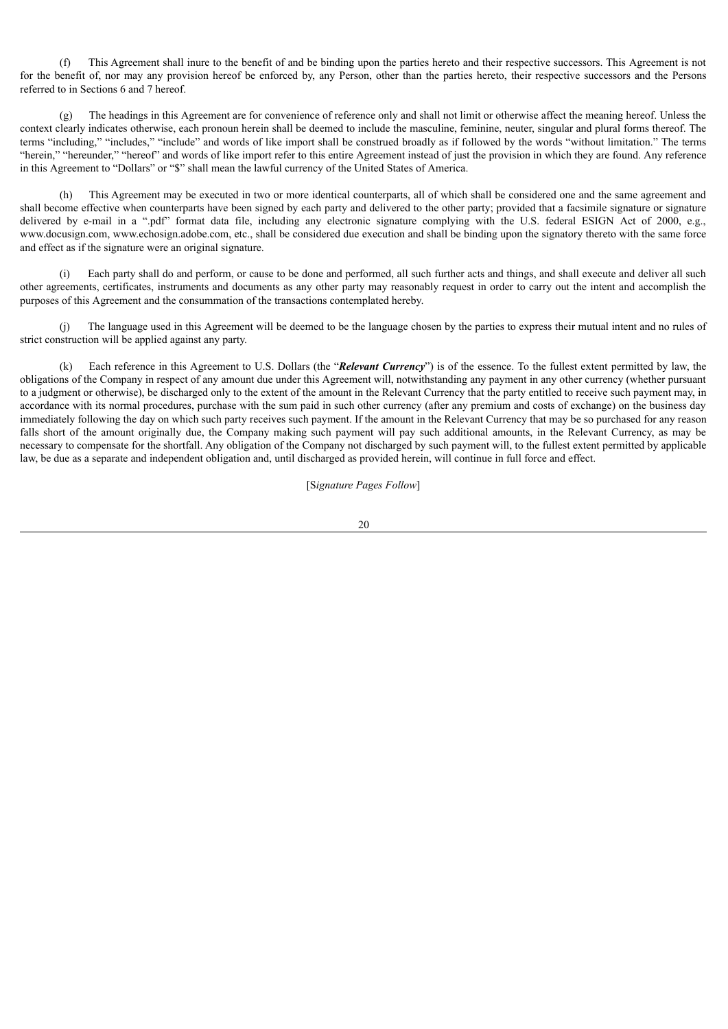(f) This Agreement shall inure to the benefit of and be binding upon the parties hereto and their respective successors. This Agreement is not for the benefit of, nor may any provision hereof be enforced by, any Person, other than the parties hereto, their respective successors and the Persons referred to in Sections 6 and 7 hereof.

(g) The headings in this Agreement are for convenience of reference only and shall not limit or otherwise affect the meaning hereof. Unless the context clearly indicates otherwise, each pronoun herein shall be deemed to include the masculine, feminine, neuter, singular and plural forms thereof. The terms "including," "includes," "include" and words of like import shall be construed broadly as if followed by the words "without limitation." The terms "herein," "hereunder," "hereof" and words of like import refer to this entire Agreement instead of just the provision in which they are found. Any reference in this Agreement to "Dollars" or "\$" shall mean the lawful currency of the United States of America.

(h) This Agreement may be executed in two or more identical counterparts, all of which shall be considered one and the same agreement and shall become effective when counterparts have been signed by each party and delivered to the other party; provided that a facsimile signature or signature delivered by e-mail in a ".pdf" format data file, including any electronic signature complying with the U.S. federal ESIGN Act of 2000, e.g., www.docusign.com, www.echosign.adobe.com, etc., shall be considered due execution and shall be binding upon the signatory thereto with the same force and effect as if the signature were an original signature.

Each party shall do and perform, or cause to be done and performed, all such further acts and things, and shall execute and deliver all such other agreements, certificates, instruments and documents as any other party may reasonably request in order to carry out the intent and accomplish the purposes of this Agreement and the consummation of the transactions contemplated hereby.

(j) The language used in this Agreement will be deemed to be the language chosen by the parties to express their mutual intent and no rules of strict construction will be applied against any party.

(k) Each reference in this Agreement to U.S. Dollars (the "*Relevant Currency*") is of the essence. To the fullest extent permitted by law, the obligations of the Company in respect of any amount due under this Agreement will, notwithstanding any payment in any other currency (whether pursuant to a judgment or otherwise), be discharged only to the extent of the amount in the Relevant Currency that the party entitled to receive such payment may, in accordance with its normal procedures, purchase with the sum paid in such other currency (after any premium and costs of exchange) on the business day immediately following the day on which such party receives such payment. If the amount in the Relevant Currency that may be so purchased for any reason falls short of the amount originally due, the Company making such payment will pay such additional amounts, in the Relevant Currency, as may be necessary to compensate for the shortfall. Any obligation of the Company not discharged by such payment will, to the fullest extent permitted by applicable law, be due as a separate and independent obligation and, until discharged as provided herein, will continue in full force and effect.

[S*ignature Pages Follow*]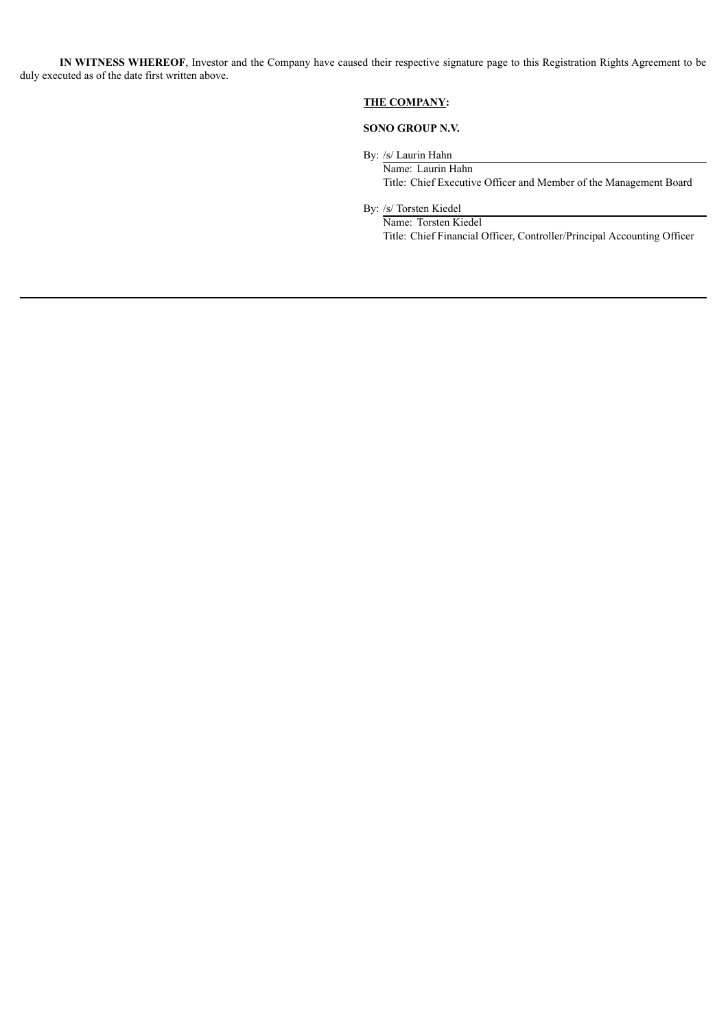**IN WITNESS WHEREOF**, Investor and the Company have caused their respective signature page to this Registration Rights Agreement to be duly executed as of the date first written above.

## **THE COMPANY:**

## **SONO GROUP N.V.**

By: /s/ Laurin Hahn

Name: Laurin Hahn Title: Chief Executive Officer and Member of the Management Board

By: /s/ Torsten Kiedel

Name: Torsten Kiedel Title: Chief Financial Officer, Controller/Principal Accounting Officer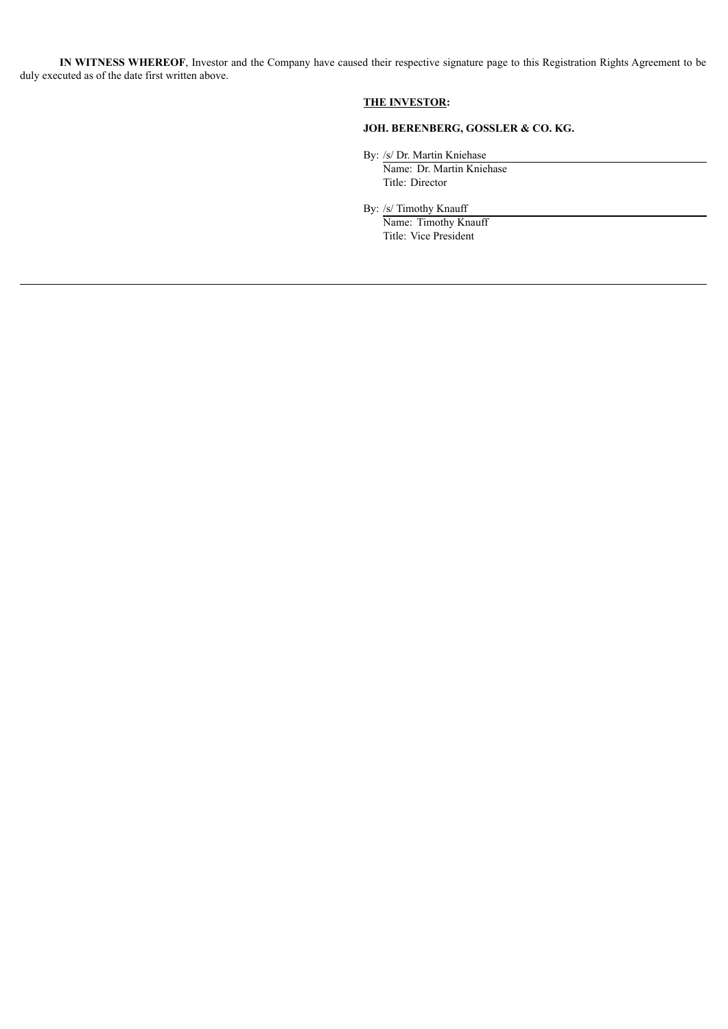**IN WITNESS WHEREOF**, Investor and the Company have caused their respective signature page to this Registration Rights Agreement to be duly executed as of the date first written above.

## **THE INVESTOR:**

## **JOH. BERENBERG, GOSSLER & CO. KG.**

By: /s/ Dr. Martin Kniehase

Name: Dr. Martin Kniehase Title: Director

By: /s/ Timothy Knauff

Name: Timothy Knauff Title: Vice President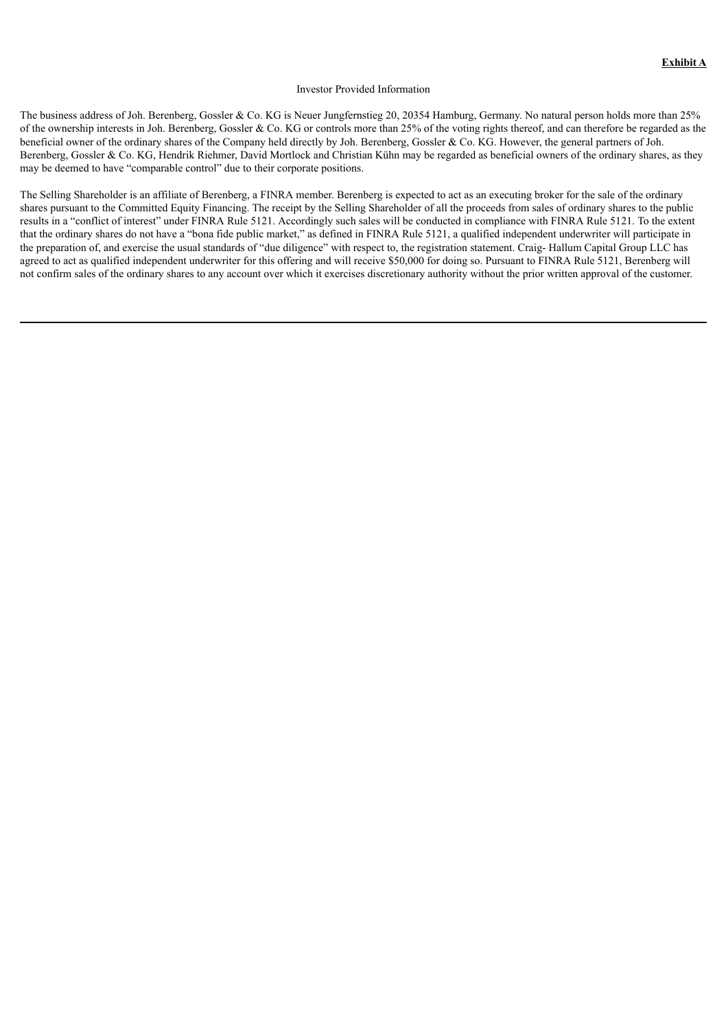#### Investor Provided Information

The business address of Joh. Berenberg, Gossler & Co. KG is Neuer Jungfernstieg 20, 20354 Hamburg, Germany. No natural person holds more than 25% of the ownership interests in Joh. Berenberg, Gossler & Co. KG or controls more than 25% of the voting rights thereof, and can therefore be regarded as the beneficial owner of the ordinary shares of the Company held directly by Joh. Berenberg, Gossler & Co. KG. However, the general partners of Joh. Berenberg, Gossler & Co. KG, Hendrik Riehmer, David Mortlock and Christian Kühn may be regarded as beneficial owners of the ordinary shares, as they may be deemed to have "comparable control" due to their corporate positions.

The Selling Shareholder is an affiliate of Berenberg, a FINRA member. Berenberg is expected to act as an executing broker for the sale of the ordinary shares pursuant to the Committed Equity Financing. The receipt by the Selling Shareholder of all the proceeds from sales of ordinary shares to the public results in a "conflict of interest" under FINRA Rule 5121. Accordingly such sales will be conducted in compliance with FINRA Rule 5121. To the extent that the ordinary shares do not have a "bona fide public market," as defined in FINRA Rule 5121, a qualified independent underwriter will participate in the preparation of, and exercise the usual standards of "due diligence" with respect to, the registration statement. Craig- Hallum Capital Group LLC has agreed to act as qualified independent underwriter for this offering and will receive \$50,000 for doing so. Pursuant to FINRA Rule 5121, Berenberg will not confirm sales of the ordinary shares to any account over which it exercises discretionary authority without the prior written approval of the customer.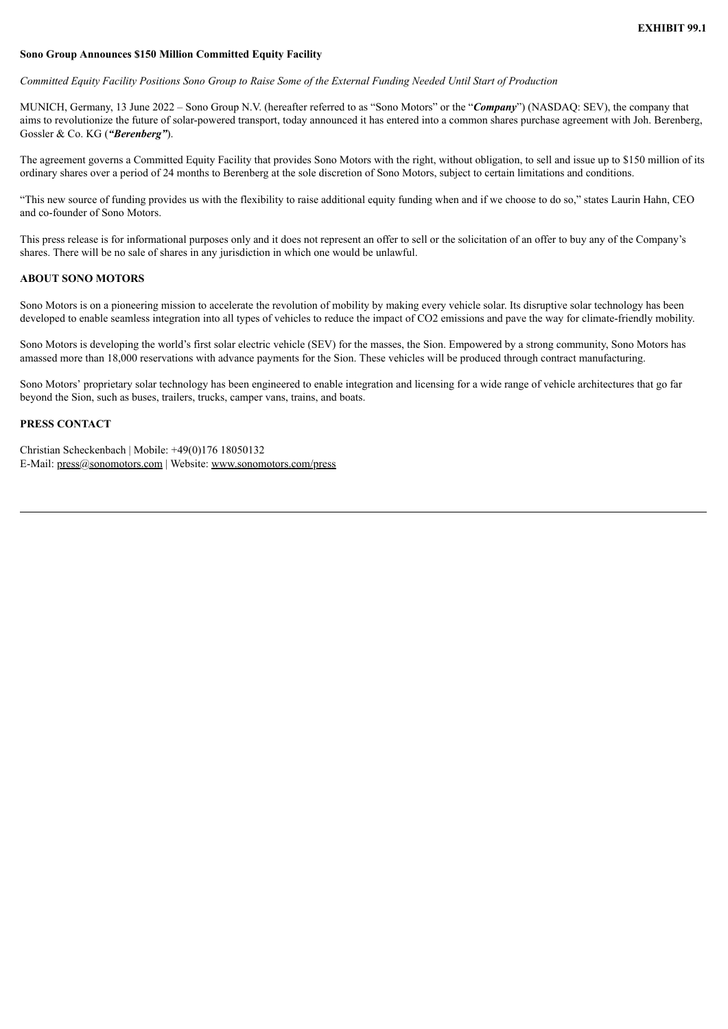#### **Sono Group Announces \$150 Million Committed Equity Facility**

Committed Equity Facility Positions Sono Group to Raise Some of the External Funding Needed Until Start of Production

MUNICH, Germany, 13 June 2022 – Sono Group N.V. (hereafter referred to as "Sono Motors" or the "*Company*") (NASDAQ: SEV), the company that aims to revolutionize the future of solar-powered transport, today announced it has entered into a common shares purchase agreement with Joh. Berenberg, Gossler & Co. KG (*"Berenberg"*).

The agreement governs a Committed Equity Facility that provides Sono Motors with the right, without obligation, to sell and issue up to \$150 million of its ordinary shares over a period of 24 months to Berenberg at the sole discretion of Sono Motors, subject to certain limitations and conditions.

"This new source of funding provides us with the flexibility to raise additional equity funding when and if we choose to do so," states Laurin Hahn, CEO and co-founder of Sono Motors.

This press release is for informational purposes only and it does not represent an offer to sell or the solicitation of an offer to buy any of the Company's shares. There will be no sale of shares in any jurisdiction in which one would be unlawful.

## **ABOUT SONO MOTORS**

Sono Motors is on a pioneering mission to accelerate the revolution of mobility by making every vehicle solar. Its disruptive solar technology has been developed to enable seamless integration into all types of vehicles to reduce the impact of CO2 emissions and pave the way for climate-friendly mobility.

Sono Motors is developing the world's first solar electric vehicle (SEV) for the masses, the Sion. Empowered by a strong community, Sono Motors has amassed more than 18,000 reservations with advance payments for the Sion. These vehicles will be produced through contract manufacturing.

Sono Motors' proprietary solar technology has been engineered to enable integration and licensing for a wide range of vehicle architectures that go far beyond the Sion, such as buses, trailers, trucks, camper vans, trains, and boats.

## **PRESS CONTACT**

Christian Scheckenbach | Mobile: +49(0)176 18050132 E-Mail: press@sonomotors.com | Website: www.sonomotors.com/press